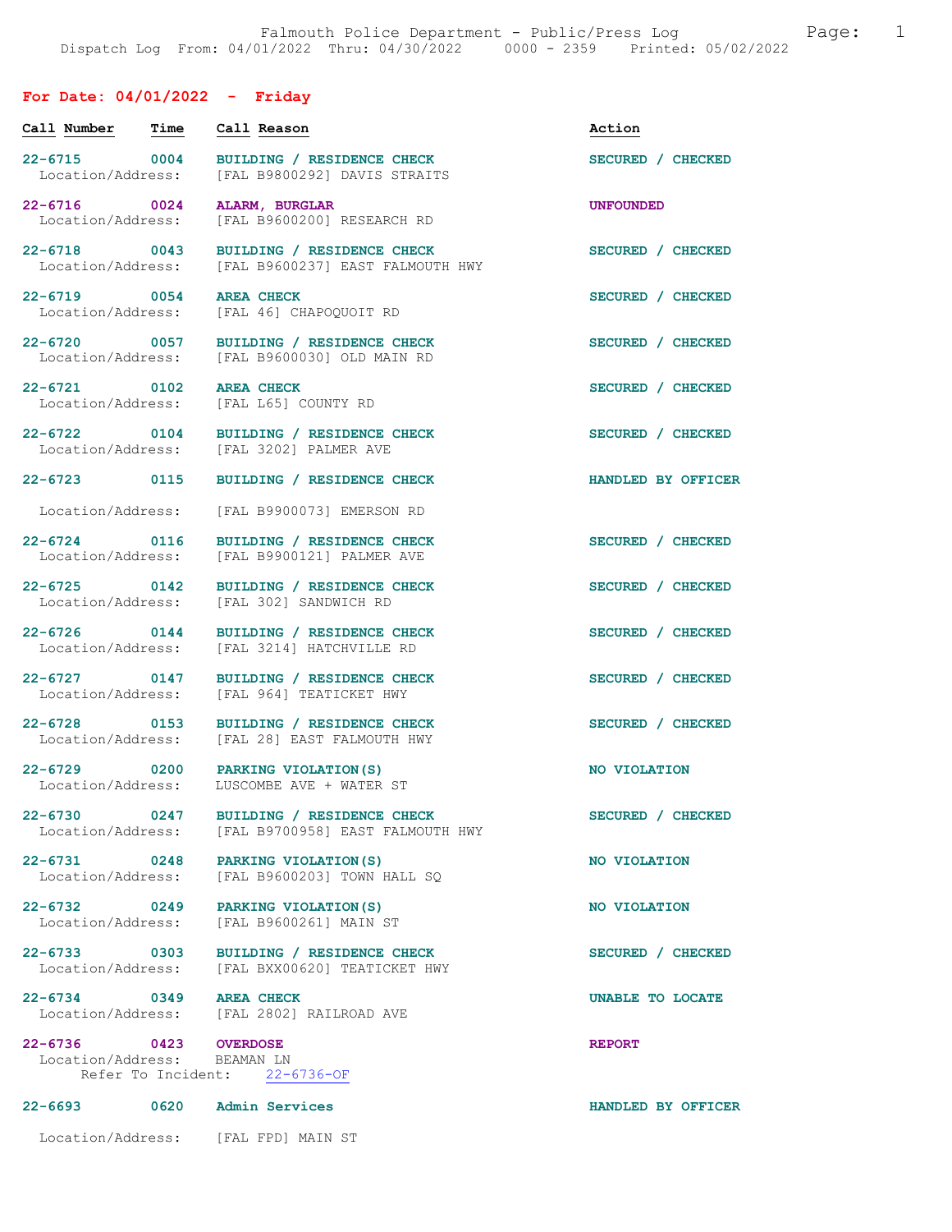# For Date: 04/01/2022 - Friday

| Call Number                                          | Time | Call Reason                                                                                   | Action             |
|------------------------------------------------------|------|-----------------------------------------------------------------------------------------------|--------------------|
| 22-6715 0004<br>Location/Address:                    |      | BUILDING / RESIDENCE CHECK<br>[FAL B9800292] DAVIS STRAITS                                    | SECURED / CHECKED  |
| 22-6716 0024<br>Location/Address:                    |      | ALARM, BURGLAR<br>[FAL B9600200] RESEARCH RD                                                  | <b>UNFOUNDED</b>   |
| 22-6718 0043<br>Location/Address:                    |      | BUILDING / RESIDENCE CHECK<br>[FAL B9600237] EAST FALMOUTH HWY                                | SECURED / CHECKED  |
| 22-6719 0054<br>Location/Address:                    |      | <b>AREA CHECK</b><br>[FAL 46] CHAPOQUOIT RD                                                   | SECURED / CHECKED  |
| 22-6720 0057<br>Location/Address:                    |      | BUILDING / RESIDENCE CHECK<br>[FAL B9600030] OLD MAIN RD                                      | SECURED / CHECKED  |
| 22-6721 0102<br>Location/Address:                    |      | <b>AREA CHECK</b><br>[FAL L65] COUNTY RD                                                      | SECURED / CHECKED  |
| 22-6722 0104<br>Location/Address:                    |      | BUILDING / RESIDENCE CHECK<br>[FAL 3202] PALMER AVE                                           | SECURED / CHECKED  |
| 22-6723 0115                                         |      | BUILDING / RESIDENCE CHECK                                                                    | HANDLED BY OFFICER |
| Location/Address:                                    |      | [FAL B9900073] EMERSON RD                                                                     |                    |
| $22 - 6724$ 0116<br>Location/Address:                |      | BUILDING / RESIDENCE CHECK<br>[FAL B9900121] PALMER AVE                                       | SECURED / CHECKED  |
| 22-6725 0142<br>Location/Address:                    |      | BUILDING / RESIDENCE CHECK<br>[FAL 302] SANDWICH RD                                           | SECURED / CHECKED  |
| $22 - 6726$ 0144<br>Location/Address:                |      | BUILDING / RESIDENCE CHECK<br>[FAL 3214] HATCHVILLE RD                                        | SECURED / CHECKED  |
| 22-6727 0147<br>Location/Address:                    |      | BUILDING / RESIDENCE CHECK<br>[FAL 964] TEATICKET HWY                                         | SECURED / CHECKED  |
| 22-6728 0153<br>Location/Address:                    |      | BUILDING / RESIDENCE CHECK<br>[FAL 28] EAST FALMOUTH HWY                                      | SECURED / CHECKED  |
|                                                      |      | 22-6729 0200 PARKING VIOLATION (S)<br>Location/Address: LUSCOMBE AVE + WATER ST               | NO VIOLATION       |
|                                                      |      | 22-6730 0247 BUILDING / RESIDENCE CHECK<br>Location/Address: [FAL B9700958] EAST FALMOUTH HWY | SECURED / CHECKED  |
|                                                      |      | 22-6731 0248 PARKING VIOLATION (S)<br>Location/Address: [FAL B9600203] TOWN HALL SO           | NO VIOLATION       |
|                                                      |      | 22-6732 0249 PARKING VIOLATION (S)<br>Location/Address: [FAL B9600261] MAIN ST                | NO VIOLATION       |
|                                                      |      | 22-6733 0303 BUILDING / RESIDENCE CHECK<br>Location/Address: [FAL BXX00620] TEATICKET HWY     | SECURED / CHECKED  |
| 22-6734 0349 AREA CHECK                              |      | Location/Address: [FAL 2802] RAILROAD AVE                                                     | UNABLE TO LOCATE   |
| 22-6736 0423 OVERDOSE<br>Location/Address: BEAMAN LN |      | Refer To Incident: 22-6736-OF                                                                 | <b>REPORT</b>      |
|                                                      |      |                                                                                               |                    |
|                                                      |      | 22-6693 0620 Admin Services                                                                   | HANDLED BY OFFICER |
|                                                      |      | Location/Address: [FAL FPD] MAIN ST                                                           |                    |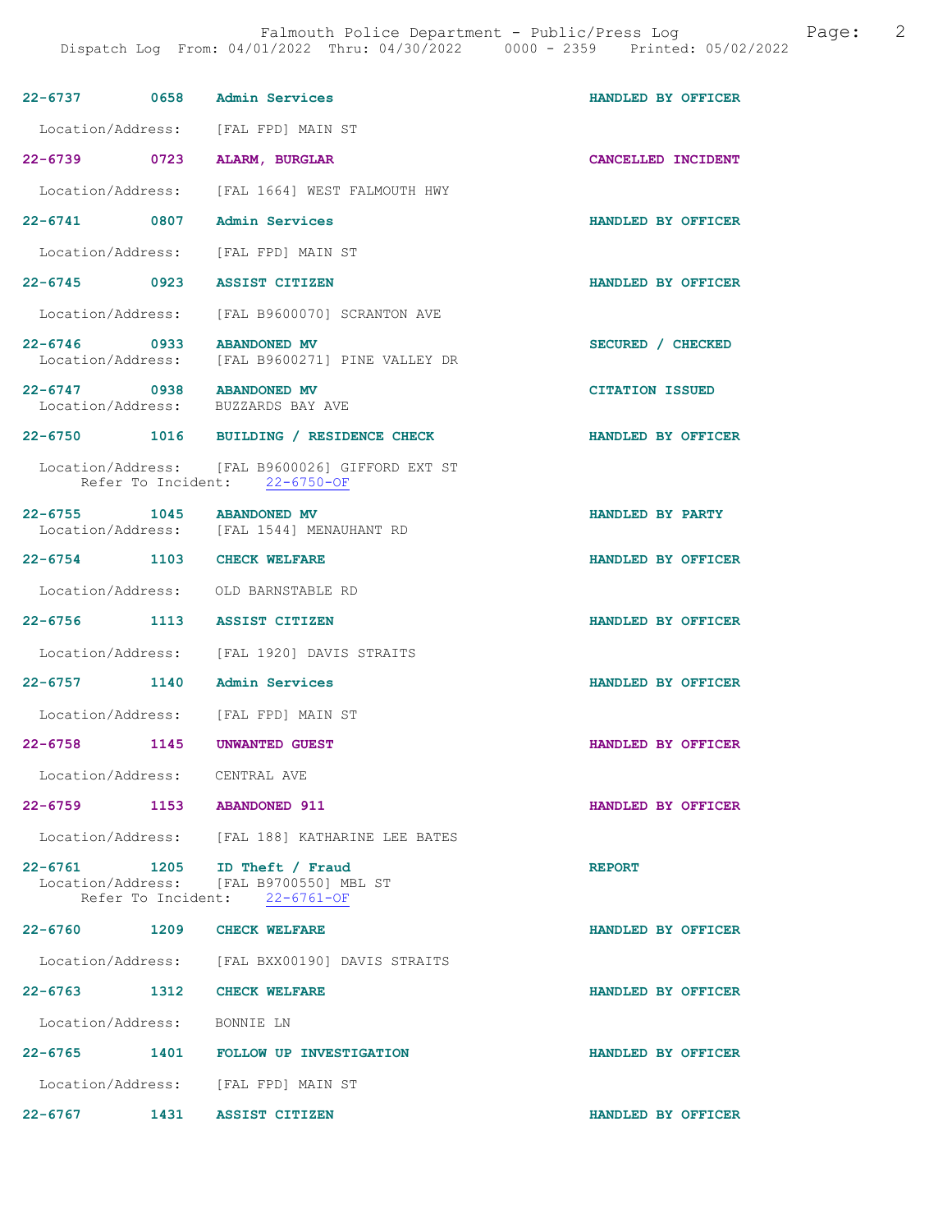| 22-6737 0658 Admin Services   |      |                                                                                                           | HANDLED BY OFFICER     |
|-------------------------------|------|-----------------------------------------------------------------------------------------------------------|------------------------|
|                               |      | Location/Address: [FAL FPD] MAIN ST                                                                       |                        |
| 22-6739 0723                  |      | ALARM, BURGLAR                                                                                            | CANCELLED INCIDENT     |
| Location/Address:             |      | [FAL 1664] WEST FALMOUTH HWY                                                                              |                        |
| 22-6741 0807                  |      | Admin Services                                                                                            | HANDLED BY OFFICER     |
|                               |      | Location/Address: [FAL FPD] MAIN ST                                                                       |                        |
| 22-6745 0923 ASSIST CITIZEN   |      |                                                                                                           | HANDLED BY OFFICER     |
|                               |      | Location/Address: [FAL B9600070] SCRANTON AVE                                                             |                        |
| 22-6746 0933 ABANDONED MV     |      | Location/Address: [FAL B9600271] PINE VALLEY DR                                                           | SECURED / CHECKED      |
| 22-6747 0938 ABANDONED MV     |      | Location/Address: BUZZARDS BAY AVE                                                                        | <b>CITATION ISSUED</b> |
|                               |      | 22-6750 1016 BUILDING / RESIDENCE CHECK                                                                   | HANDLED BY OFFICER     |
|                               |      | Location/Address: [FAL B9600026] GIFFORD EXT ST<br>Refer To Incident: 22-6750-OF                          |                        |
| 22-6755 1045 ABANDONED MV     |      | Location/Address: [FAL 1544] MENAUHANT RD                                                                 | HANDLED BY PARTY       |
| 22-6754 1103 CHECK WELFARE    |      |                                                                                                           | HANDLED BY OFFICER     |
|                               |      | Location/Address: OLD BARNSTABLE RD                                                                       |                        |
| 22-6756 1113 ASSIST CITIZEN   |      |                                                                                                           | HANDLED BY OFFICER     |
|                               |      | Location/Address: [FAL 1920] DAVIS STRAITS                                                                |                        |
| 22-6757 1140 Admin Services   |      |                                                                                                           | HANDLED BY OFFICER     |
|                               |      | Location/Address: [FAL FPD] MAIN ST                                                                       |                        |
| 22-6758 1145 UNWANTED GUEST   |      |                                                                                                           | HANDLED BY OFFICER     |
| Location/Address: CENTRAL AVE |      |                                                                                                           |                        |
| 22-6759 1153 ABANDONED 911    |      |                                                                                                           | HANDLED BY OFFICER     |
|                               |      | Location/Address: [FAL 188] KATHARINE LEE BATES                                                           |                        |
|                               |      | 22-6761 1205 ID Theft / Fraud<br>Location/Address: [FAL B9700550] MBL ST<br>Refer To Incident: 22-6761-OF | <b>REPORT</b>          |
| 22-6760 1209                  |      | <b>CHECK WELFARE</b>                                                                                      | HANDLED BY OFFICER     |
|                               |      | Location/Address: [FAL BXX00190] DAVIS STRAITS                                                            |                        |
| 22-6763 1312 CHECK WELFARE    |      |                                                                                                           | HANDLED BY OFFICER     |
| Location/Address: BONNIE LN   |      |                                                                                                           |                        |
|                               |      | 22-6765 1401 FOLLOW UP INVESTIGATION                                                                      | HANDLED BY OFFICER     |
|                               |      | Location/Address: [FAL FPD] MAIN ST                                                                       |                        |
| $22 - 6767$                   | 1431 | <b>ASSIST CITIZEN</b>                                                                                     | HANDLED BY OFFICER     |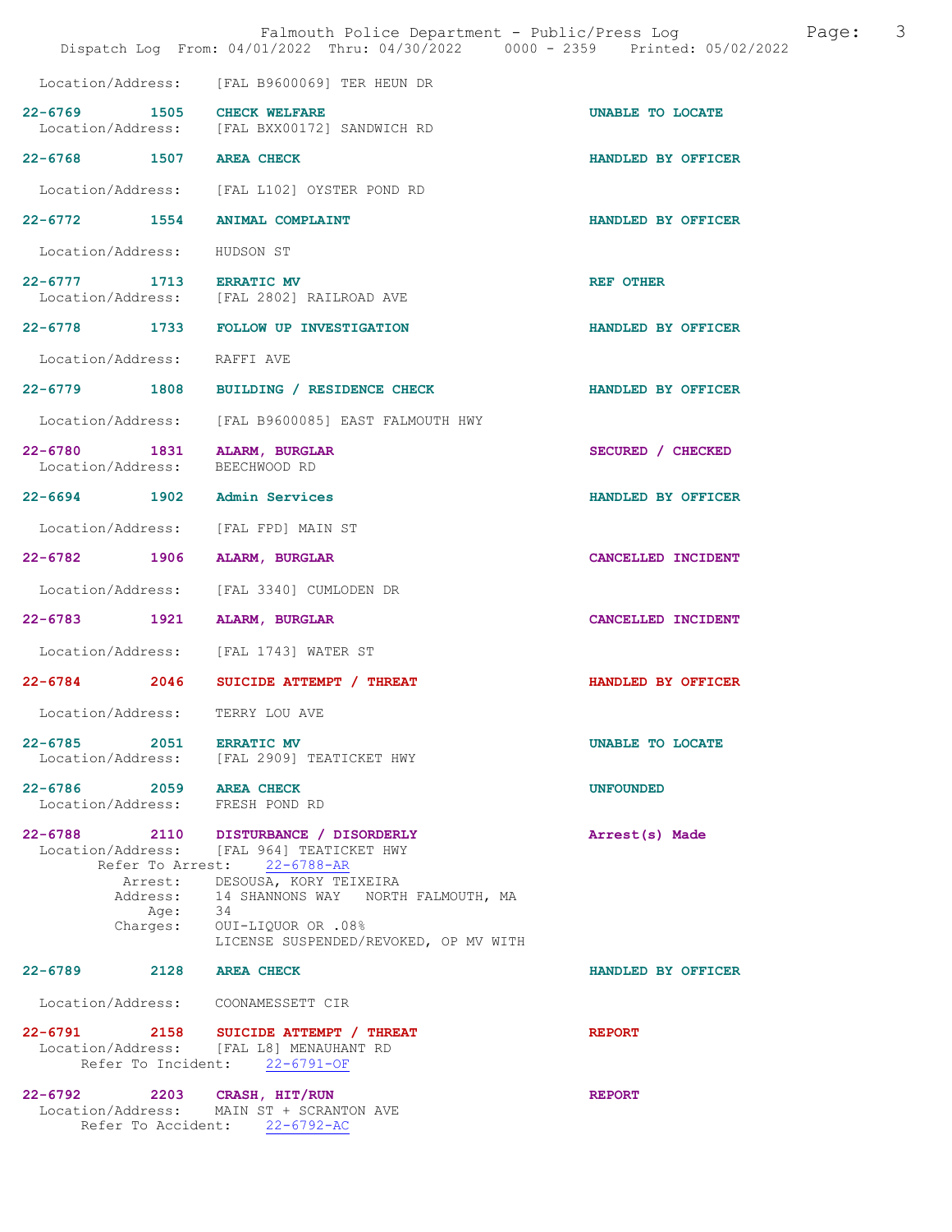|                                              |                  | Falmouth Police Department - Public/Press Log<br>Dispatch Log From: 04/01/2022 Thru: 04/30/2022 0000 - 2359 Printed: 05/02/2022     |                    | Page: | 3 |
|----------------------------------------------|------------------|-------------------------------------------------------------------------------------------------------------------------------------|--------------------|-------|---|
| Location/Address:                            |                  | [FAL B9600069] TER HEUN DR                                                                                                          |                    |       |   |
| $22 - 6769$                                  | 1505             | <b>CHECK WELFARE</b>                                                                                                                | UNABLE TO LOCATE   |       |   |
|                                              |                  | Location/Address: [FAL BXX00172] SANDWICH RD                                                                                        |                    |       |   |
| 22-6768 1507 AREA CHECK                      |                  |                                                                                                                                     | HANDLED BY OFFICER |       |   |
|                                              |                  | Location/Address: [FAL L102] OYSTER POND RD                                                                                         |                    |       |   |
| 22-6772 1554                                 |                  | <b>ANIMAL COMPLAINT</b>                                                                                                             | HANDLED BY OFFICER |       |   |
| Location/Address:                            |                  | HUDSON ST                                                                                                                           |                    |       |   |
| $22 - 6777$                                  |                  | 1713 ERRATIC MV<br>Location/Address: [FAL 2802] RAILROAD AVE                                                                        | <b>REF OTHER</b>   |       |   |
|                                              |                  | 22-6778 1733 FOLLOW UP INVESTIGATION                                                                                                | HANDLED BY OFFICER |       |   |
| Location/Address:                            |                  | RAFFI AVE                                                                                                                           |                    |       |   |
|                                              |                  | 22-6779 1808 BUILDING / RESIDENCE CHECK                                                                                             | HANDLED BY OFFICER |       |   |
|                                              |                  | Location/Address: [FAL B9600085] EAST FALMOUTH HWY                                                                                  |                    |       |   |
| $22 - 6780$<br>Location/Address:             |                  | 1831 ALARM, BURGLAR<br>BEECHWOOD RD                                                                                                 | SECURED / CHECKED  |       |   |
| 22-6694 1902 Admin Services                  |                  |                                                                                                                                     | HANDLED BY OFFICER |       |   |
| Location/Address:                            |                  | [FAL FPD] MAIN ST                                                                                                                   |                    |       |   |
| 22-6782 1906                                 |                  | ALARM, BURGLAR                                                                                                                      | CANCELLED INCIDENT |       |   |
| Location/Address:                            |                  | [FAL 3340] CUMLODEN DR                                                                                                              |                    |       |   |
| $22 - 6783$                                  | 1921             | ALARM, BURGLAR                                                                                                                      | CANCELLED INCIDENT |       |   |
|                                              |                  | Location/Address: [FAL 1743] WATER ST                                                                                               |                    |       |   |
| $22 - 6784$ 2046                             |                  | SUICIDE ATTEMPT / THREAT                                                                                                            | HANDLED BY OFFICER |       |   |
| Location/Address:                            |                  | TERRY LOU AVE                                                                                                                       |                    |       |   |
| 22-6785 2051 ERRATIC MV<br>Location/Address: |                  | [FAL 2909] TEATICKET HWY                                                                                                            | UNABLE TO LOCATE   |       |   |
| 22-6786 2059                                 |                  | <b>AREA CHECK</b><br>Location/Address: FRESH POND RD                                                                                | <b>UNFOUNDED</b>   |       |   |
| $22 - 6788$                                  | Arrest:          | 2110 DISTURBANCE / DISORDERLY<br>Location/Address: [FAL 964] TEATICKET HWY<br>Refer To Arrest: 22-6788-AR<br>DESOUSA, KORY TEIXEIRA | Arrest(s) Made     |       |   |
|                                              | Address:<br>Age: | 14 SHANNONS WAY NORTH FALMOUTH, MA<br>34                                                                                            |                    |       |   |
|                                              | Charges:         | 0UI-LIQUOR OR .08%<br>LICENSE SUSPENDED/REVOKED, OP MV WITH                                                                         |                    |       |   |
| 22-6789 2128 AREA CHECK                      |                  |                                                                                                                                     | HANDLED BY OFFICER |       |   |
| Location/Address:                            |                  | COONAMESSETT CIR                                                                                                                    |                    |       |   |
|                                              |                  | 22-6791 2158 SUICIDE ATTEMPT / THREAT<br>Location/Address: [FAL L8] MENAUHANT RD<br>Refer To Incident: 22-6791-OF                   | <b>REPORT</b>      |       |   |
| 22-6792 2203 CRASH, HIT/RUN                  |                  | Location/Address: MAIN ST + SCRANTON AVE<br>Refer To Accident: 22-6792-AC                                                           | <b>REPORT</b>      |       |   |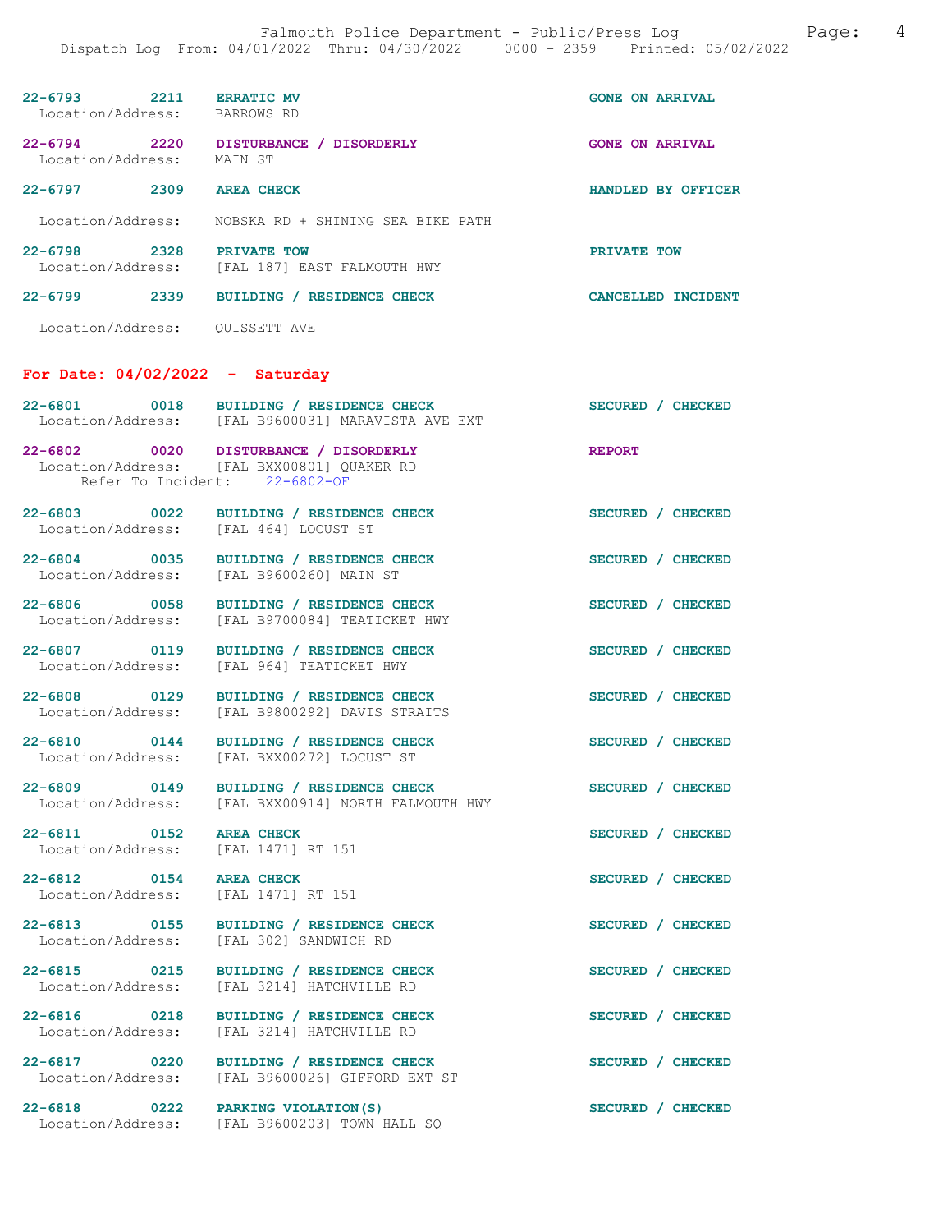| 22-6793<br>Location/Address:     | 2211 | <b>ERRATIC MV</b><br>BARROWS RD            | <b>GONE ON ARRIVAL</b> |                    |
|----------------------------------|------|--------------------------------------------|------------------------|--------------------|
| 22-6794<br>Location/Address:     | 2220 | DISTURBANCE / DISORDERLY<br>MAIN ST        | <b>GONE ON</b>         | <b>ARRIVAL</b>     |
| $22 - 6797$                      | 2309 | <b>AREA CHECK</b>                          |                        | HANDLED BY OFFICER |
| Location/Address:                |      | NOBSKA RD + SHINING SEA BIKE PATH          |                        |                    |
| $22 - 6798$<br>Location/Address: | 2328 | PRIVATE TOW<br>[FAL 187] EAST FALMOUTH HWY | PRIVATE TOW            |                    |
| 22-6799                          | 2339 | <b>BUILDING</b><br><b>RESIDENCE CHECK</b>  | <b>CANCELLED</b>       | <b>TNCTDENT</b>    |
|                                  |      |                                            |                        |                    |

Location/Address: QUISSETT AVE

# For Date: 04/02/2022 - Saturday

| $22 - 6801$                                     | 0018 BUILDING / RESIDENCE CHECK<br>Location/Address: [FAL B9600031] MARAVISTA AVE EXT                                | SECURED / CHECKED |
|-------------------------------------------------|----------------------------------------------------------------------------------------------------------------------|-------------------|
|                                                 | 22-6802 0020 DISTURBANCE / DISORDERLY<br>Location/Address: [FAL BXX00801] QUAKER RD<br>Refer To Incident: 22-6802-OF | <b>REPORT</b>     |
| 22-6803 0022<br>Location/Address:               | BUILDING / RESIDENCE CHECK<br>[FAL 464] LOCUST ST                                                                    | SECURED / CHECKED |
| 22-6804 0035<br>Location/Address:               | BUILDING / RESIDENCE CHECK<br>[FAL B9600260] MAIN ST                                                                 | SECURED / CHECKED |
| 22-6806 0058<br>Location/Address:               | BUILDING / RESIDENCE CHECK<br>[FAL B9700084] TEATICKET HWY                                                           | SECURED / CHECKED |
| $22 - 6807$<br>$\sim$ 0119<br>Location/Address: | BUILDING / RESIDENCE CHECK<br>[FAL 964] TEATICKET HWY                                                                | SECURED / CHECKED |
| 22-6808 0129<br>Location/Address:               | BUILDING / RESIDENCE CHECK<br>[FAL B9800292] DAVIS STRAITS                                                           | SECURED / CHECKED |
| 22-6810 0144<br>Location/Address:               | BUILDING / RESIDENCE CHECK<br>[FAL BXX00272] LOCUST ST                                                               | SECURED / CHECKED |
| 22-6809 0149<br>Location/Address:               | BUILDING / RESIDENCE CHECK<br>[FAL BXX00914] NORTH FALMOUTH HWY                                                      | SECURED / CHECKED |
| 22-6811 0152<br>Location/Address:               | <b>AREA CHECK</b><br>[FAL 1471] RT 151                                                                               | SECURED / CHECKED |
| 22-6812 0154<br>Location/Address:               | <b>AREA CHECK</b><br>[FAL 1471] RT 151                                                                               | SECURED / CHECKED |
| 22-6813 0155<br>Location/Address:               | BUILDING / RESIDENCE CHECK<br>[FAL 302] SANDWICH RD                                                                  | SECURED / CHECKED |
| 22-6815 0215<br>Location/Address:               | BUILDING / RESIDENCE CHECK<br>[FAL 3214] HATCHVILLE RD                                                               | SECURED / CHECKED |
| 22-6816 0218<br>Location/Address:               | BUILDING / RESIDENCE CHECK<br>[FAL 3214] HATCHVILLE RD                                                               | SECURED / CHECKED |
| 22-6817 0220<br>Location/Address:               | BUILDING / RESIDENCE CHECK<br>[FAL B9600026] GIFFORD EXT ST                                                          | SECURED / CHECKED |
| 22-6818 0222 PARKING VIOLATION (S)              | Location/Address: [FAL B9600203] TOWN HALL SQ                                                                        | SECURED / CHECKED |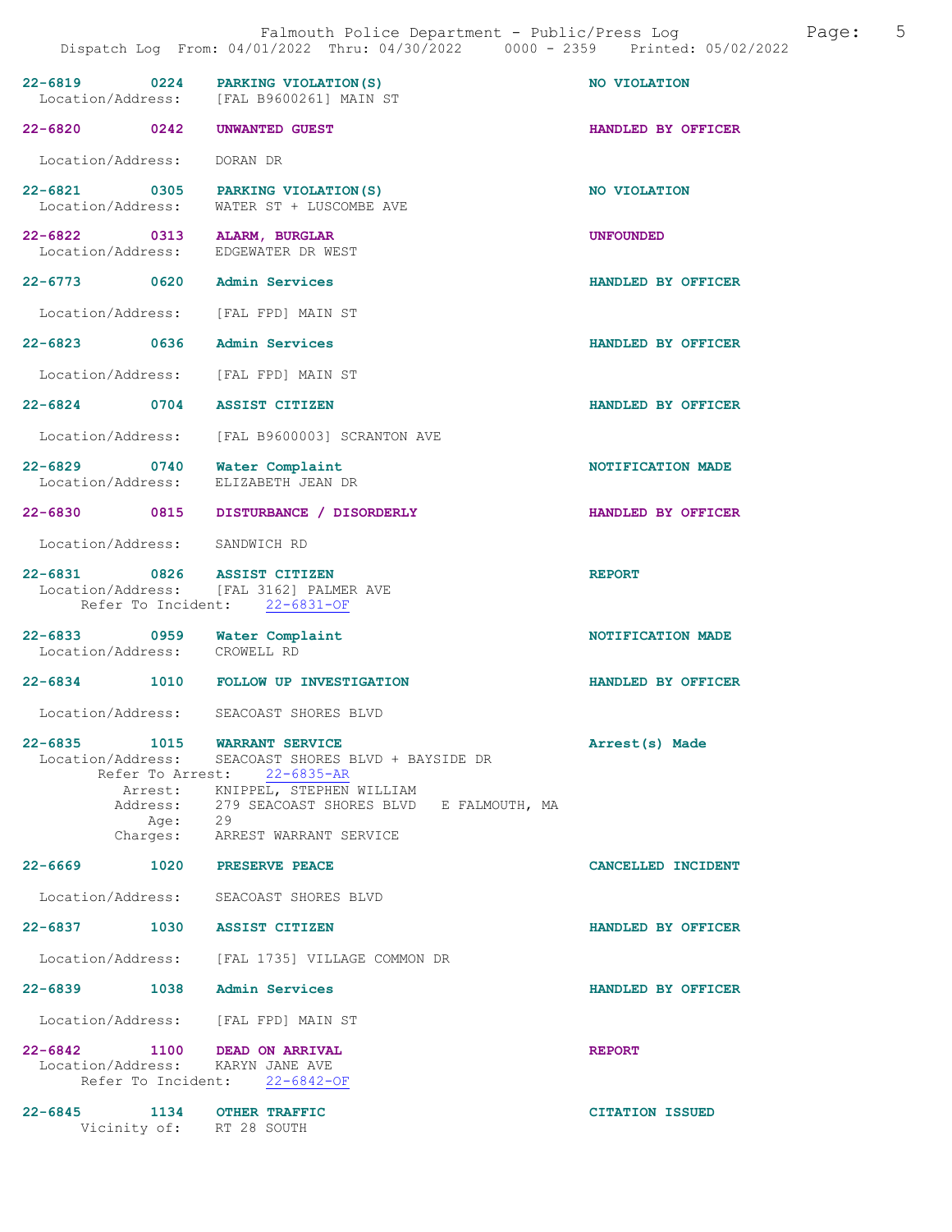| 22-6819 0224 PARKING VIOLATION (S)                               | Location/Address: [FAL B9600261] MAIN ST                                                                                                                                                             | NO VIOLATION           |
|------------------------------------------------------------------|------------------------------------------------------------------------------------------------------------------------------------------------------------------------------------------------------|------------------------|
| 22-6820 0242                                                     | UNWANTED GUEST                                                                                                                                                                                       | HANDLED BY OFFICER     |
| Location/Address:                                                | DORAN DR                                                                                                                                                                                             |                        |
| 22-6821<br>Location/Address:                                     | 0305 PARKING VIOLATION (S)<br>WATER ST + LUSCOMBE AVE                                                                                                                                                | NO VIOLATION           |
| 22-6822 0313 ALARM, BURGLAR<br>Location/Address:                 | EDGEWATER DR WEST                                                                                                                                                                                    | <b>UNFOUNDED</b>       |
| 22-6773 0620 Admin Services                                      |                                                                                                                                                                                                      | HANDLED BY OFFICER     |
| Location/Address: [FAL FPD] MAIN ST                              |                                                                                                                                                                                                      |                        |
| $22 - 6823$<br>0636                                              | <b>Admin Services</b>                                                                                                                                                                                | HANDLED BY OFFICER     |
| Location/Address:                                                | [FAL FPD] MAIN ST                                                                                                                                                                                    |                        |
| 22-6824 0704 ASSIST CITIZEN                                      |                                                                                                                                                                                                      | HANDLED BY OFFICER     |
| Location/Address:                                                | [FAL B9600003] SCRANTON AVE                                                                                                                                                                          |                        |
| $\overline{0740}$<br>$22 - 6829$<br>Location/Address:            | Water Complaint<br>ELIZABETH JEAN DR                                                                                                                                                                 | NOTIFICATION MADE      |
| 22-6830 0815                                                     | DISTURBANCE / DISORDERLY                                                                                                                                                                             | HANDLED BY OFFICER     |
| Location/Address:                                                | SANDWICH RD                                                                                                                                                                                          |                        |
| 22-6831 0826 ASSIST CITIZEN                                      | Location/Address: [FAL 3162] PALMER AVE<br>Refer To Incident: 22-6831-OF                                                                                                                             | <b>REPORT</b>          |
| 22-6833 0959 Water Complaint                                     |                                                                                                                                                                                                      | NOTIFICATION MADE      |
| Location/Address:                                                | CROWELL RD                                                                                                                                                                                           |                        |
| $22 - 6834$                                                      | 1010 FOLLOW UP INVESTIGATION                                                                                                                                                                         | HANDLED BY OFFICER     |
| Location/Address:                                                | SEACOAST SHORES BLVD                                                                                                                                                                                 |                        |
| $22 - 6835$<br>1015                                              | <b>WARRANT SERVICE</b><br>Location/Address: SEACOAST SHORES BLVD + BAYSIDE DR<br>Refer To Arrest: 22-6835-AR<br>Arrest: KNIPPEL, STEPHEN WILLIAM<br>Address: 279 SEACOAST SHORES BLVD E FALMOUTH, MA | Arrest(s) Made         |
|                                                                  | Age: 29<br>Charges: ARREST WARRANT SERVICE                                                                                                                                                           |                        |
| 22-6669 1020 PRESERVE PEACE                                      |                                                                                                                                                                                                      | CANCELLED INCIDENT     |
| Location/Address: SEACOAST SHORES BLVD                           |                                                                                                                                                                                                      |                        |
| 22-6837 1030 ASSIST CITIZEN                                      |                                                                                                                                                                                                      | HANDLED BY OFFICER     |
|                                                                  | Location/Address: [FAL 1735] VILLAGE COMMON DR                                                                                                                                                       |                        |
| 22-6839                                                          | 1038 Admin Services                                                                                                                                                                                  | HANDLED BY OFFICER     |
| Location/Address: [FAL FPD] MAIN ST                              |                                                                                                                                                                                                      |                        |
| 22-6842 1100 DEAD ON ARRIVAL<br>Location/Address: KARYN JANE AVE | Refer To Incident: 22-6842-OF                                                                                                                                                                        | <b>REPORT</b>          |
| $22 - 6845$<br>Vicinity of: RT 28 SOUTH                          | 1134 OTHER TRAFFIC                                                                                                                                                                                   | <b>CITATION ISSUED</b> |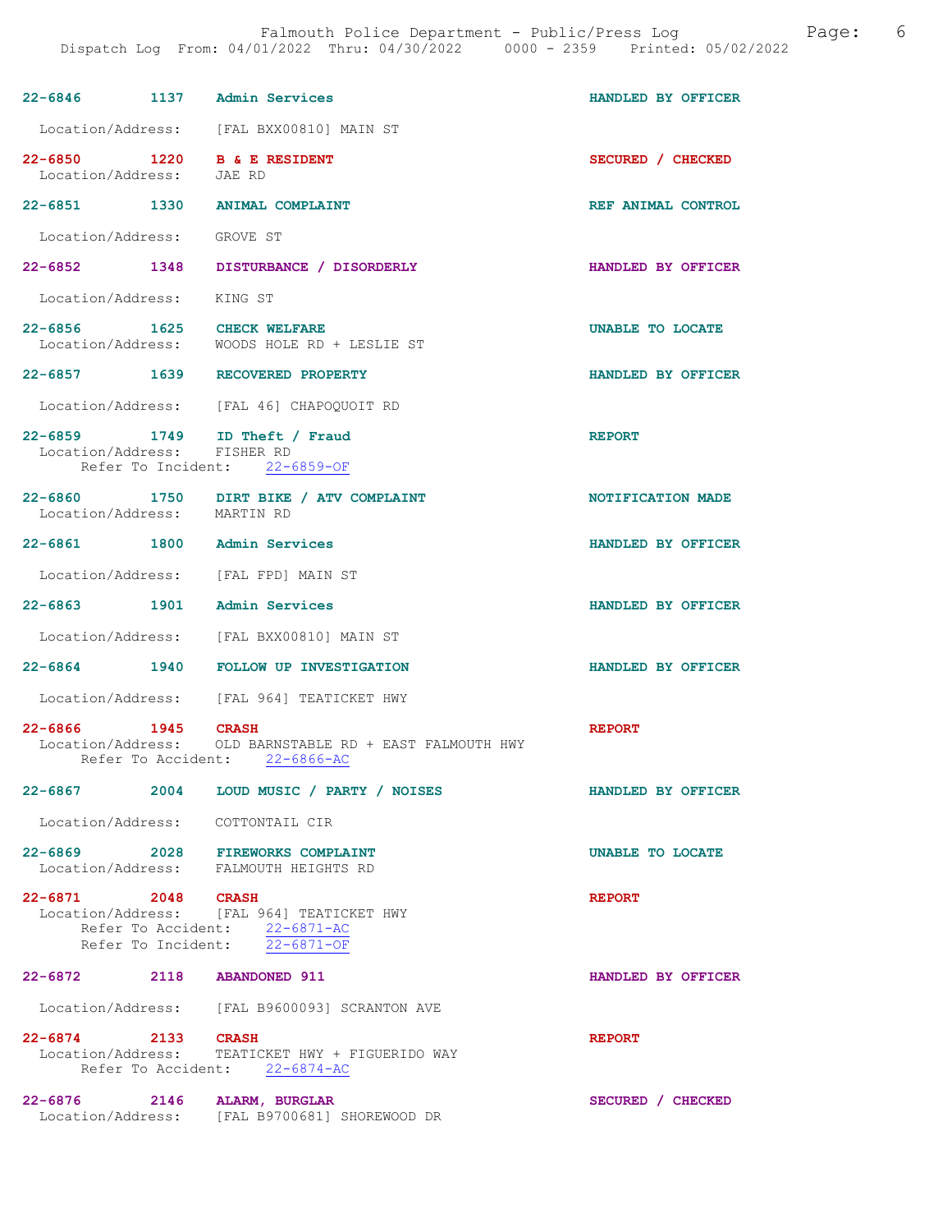| 22-6846 1137 Admin Services                                               |                                                                                                             | HANDLED BY OFFICER |
|---------------------------------------------------------------------------|-------------------------------------------------------------------------------------------------------------|--------------------|
|                                                                           | Location/Address: [FAL BXX00810] MAIN ST                                                                    |                    |
| 22-6850 1220 B & E RESIDENT<br>Location/Address:                          | JAE RD                                                                                                      | SECURED / CHECKED  |
| 22-6851 1330 ANIMAL COMPLAINT                                             |                                                                                                             | REF ANIMAL CONTROL |
| Location/Address: GROVE ST                                                |                                                                                                             |                    |
|                                                                           | 22-6852 1348 DISTURBANCE / DISORDERLY                                                                       | HANDLED BY OFFICER |
| Location/Address: KING ST                                                 |                                                                                                             |                    |
| 22-6856 1625 CHECK WELFARE                                                | Location/Address: WOODS HOLE RD + LESLIE ST                                                                 | UNABLE TO LOCATE   |
| 22-6857 1639 RECOVERED PROPERTY                                           |                                                                                                             | HANDLED BY OFFICER |
|                                                                           | Location/Address: [FAL 46] CHAPOOUOIT RD                                                                    |                    |
| 22-6859 1749 ID Theft / Fraud<br>Location/Address: FISHER RD              | Refer To Incident: 22-6859-OF                                                                               | <b>REPORT</b>      |
| Location/Address: MARTIN RD                                               | 22-6860 1750 DIRT BIKE / ATV COMPLAINT                                                                      | NOTIFICATION MADE  |
| 22-6861 1800 Admin Services                                               |                                                                                                             | HANDLED BY OFFICER |
| Location/Address: [FAL FPD] MAIN ST                                       |                                                                                                             |                    |
| 22-6863 1901 Admin Services                                               |                                                                                                             | HANDLED BY OFFICER |
|                                                                           | Location/Address: [FAL BXX00810] MAIN ST                                                                    |                    |
|                                                                           | 22-6864 1940 FOLLOW UP INVESTIGATION                                                                        | HANDLED BY OFFICER |
|                                                                           | Location/Address: [FAL 964] TEATICKET HWY                                                                   |                    |
| 22-6866 1945                                                              | <b>CRASH</b><br>Location/Address: OLD BARNSTABLE RD + EAST FALMOUTH HWY<br>Refer To Accident: 22-6866-AC    | <b>REPORT</b>      |
|                                                                           | 22-6867 2004 LOUD MUSIC / PARTY / NOISES                                                                    | HANDLED BY OFFICER |
| Location/Address: COTTONTAIL CIR                                          |                                                                                                             |                    |
| 22-6869 2028 FIREWORKS COMPLAINT<br>Location/Address: FALMOUTH HEIGHTS RD |                                                                                                             | UNABLE TO LOCATE   |
| 22-6871 2048 CRASH                                                        | Location/Address: [FAL 964] TEATICKET HWY<br>Refer To Accident: 22-6871-AC<br>Refer To Incident: 22-6871-OF | <b>REPORT</b>      |
| 22-6872 2118 ABANDONED 911                                                |                                                                                                             | HANDLED BY OFFICER |
|                                                                           | Location/Address: [FAL B9600093] SCRANTON AVE                                                               |                    |
| 22-6874 2133                                                              | <b>CRASH</b><br>Location/Address: TEATICKET HWY + FIGUERIDO WAY<br>Refer To Accident: 22-6874-AC            | <b>REPORT</b>      |
| 22-6876 2146 ALARM, BURGLAR<br>Location/Address:                          | [FAL B9700681] SHOREWOOD DR                                                                                 | SECURED / CHECKED  |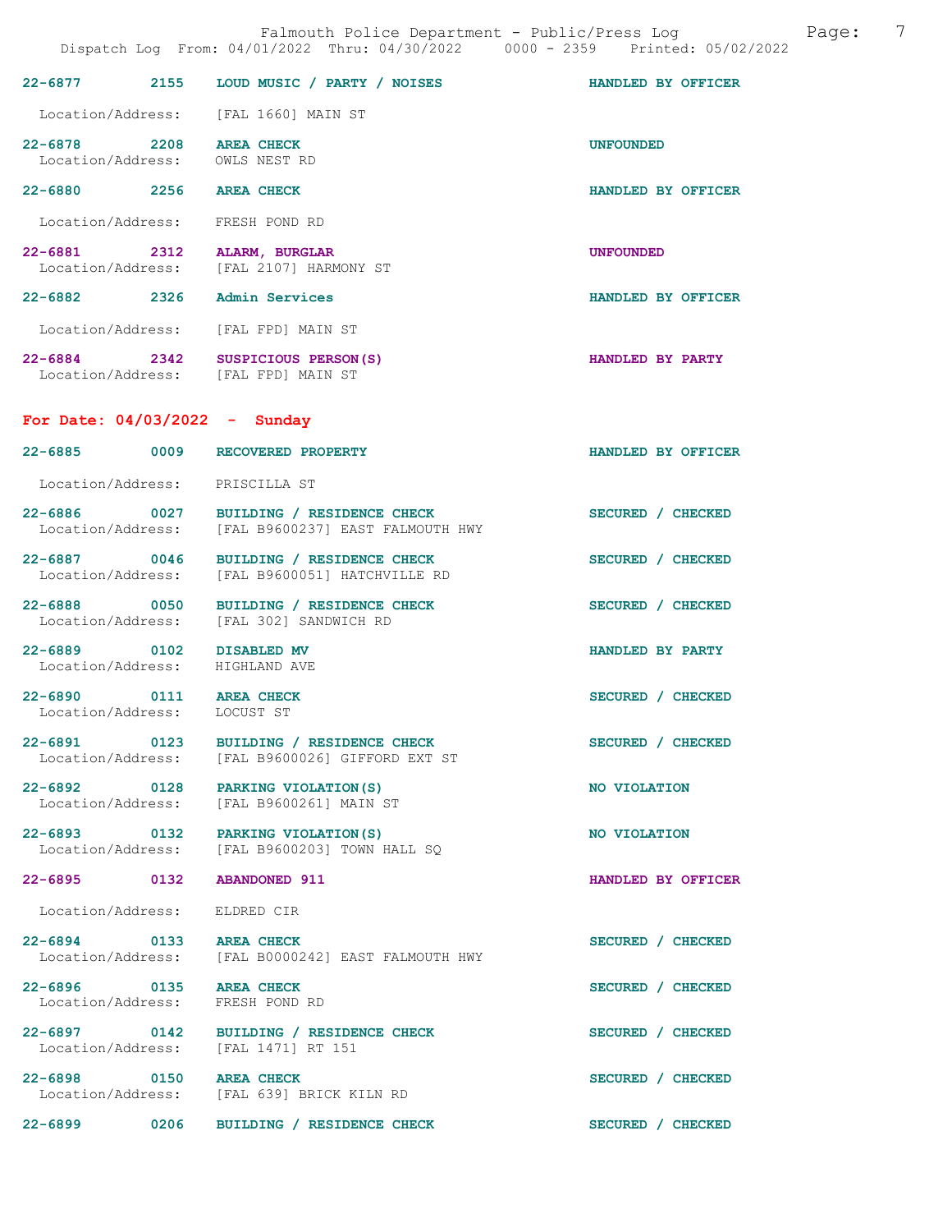|                                                        |      | Falmouth Police Department - Public/Press Log Cage:<br>Dispatch Log From: 04/01/2022 Thru: 04/30/2022 0000 - 2359 Printed: 05/02/2022 |                    | 7 |
|--------------------------------------------------------|------|---------------------------------------------------------------------------------------------------------------------------------------|--------------------|---|
|                                                        |      | 22-6877 2155 LOUD MUSIC / PARTY / NOISES HANDLED BY OFFICER                                                                           |                    |   |
|                                                        |      | Location/Address: [FAL 1660] MAIN ST                                                                                                  |                    |   |
| 22-6878 2208 AREA CHECK                                |      | Location/Address: OWLS NEST RD                                                                                                        | <b>UNFOUNDED</b>   |   |
| 22-6880 2256 AREA CHECK                                |      |                                                                                                                                       | HANDLED BY OFFICER |   |
|                                                        |      | Location/Address: FRESH POND RD                                                                                                       |                    |   |
|                                                        |      | 22-6881 2312 ALARM, BURGLAR<br>Location/Address: [FAL 2107] HARMONY ST                                                                | <b>UNFOUNDED</b>   |   |
|                                                        |      | 22-6882 2326 Admin Services                                                                                                           | HANDLED BY OFFICER |   |
|                                                        |      | Location/Address: [FAL FPD] MAIN ST                                                                                                   |                    |   |
|                                                        |      | 22-6884 2342 SUSPICIOUS PERSON(S)<br>Location/Address: [FAL FPD] MAIN ST                                                              | HANDLED BY PARTY   |   |
|                                                        |      | For Date: $04/03/2022 -$ Sunday                                                                                                       |                    |   |
|                                                        |      | 22-6885 0009 RECOVERED PROPERTY                                                                                                       | HANDLED BY OFFICER |   |
|                                                        |      | Location/Address: PRISCILLA ST                                                                                                        |                    |   |
| Location/Address:                                      |      | 22-6886 0027 BUILDING / RESIDENCE CHECK<br>[FAL B9600237] EAST FALMOUTH HWY                                                           | SECURED / CHECKED  |   |
|                                                        |      | 22-6887 0046 BUILDING / RESIDENCE CHECK<br>Location/Address: [FAL B9600051] HATCHVILLE RD                                             | SECURED / CHECKED  |   |
| Location/Address:                                      |      | 22-6888 0050 BUILDING / RESIDENCE CHECK<br>[FAL 302] SANDWICH RD                                                                      | SECURED / CHECKED  |   |
|                                                        |      | 22-6889 0102 DISABLED MV<br>Location/Address: HIGHLAND AVE                                                                            | HANDLED BY PARTY   |   |
| 22-6890 0111 AREA CHECK<br>Location/Address: LOCUST ST |      |                                                                                                                                       | SECURED / CHECKED  |   |
|                                                        |      | 22-6891 0123 BUILDING / RESIDENCE CHECK<br>Location/Address: [FAL B9600026] GIFFORD EXT ST                                            | SECURED / CHECKED  |   |
| 22-6892 0128                                           |      | PARKING VIOLATION(S)<br>Location/Address: [FAL B9600261] MAIN ST                                                                      | NO VIOLATION       |   |
|                                                        |      | 22-6893 0132 PARKING VIOLATION(S)<br>Location/Address: [FAL B9600203] TOWN HALL SO                                                    | NO VIOLATION       |   |
| 22-6895 0132                                           |      | <b>ABANDONED 911</b>                                                                                                                  | HANDLED BY OFFICER |   |
| Location/Address:                                      |      | ELDRED CIR                                                                                                                            |                    |   |
| 22-6894 0133 AREA CHECK<br>Location/Address:           |      | [FAL B0000242] EAST FALMOUTH HWY                                                                                                      | SECURED / CHECKED  |   |
| 22-6896 0135 AREA CHECK<br>Location/Address:           |      | FRESH POND RD                                                                                                                         | SECURED / CHECKED  |   |
|                                                        |      | 22-6897 0142 BUILDING / RESIDENCE CHECK<br>Location/Address: [FAL 1471] RT 151                                                        | SECURED / CHECKED  |   |
|                                                        |      | 22-6898 0150 AREA CHECK<br>Location/Address: [FAL 639] BRICK KILN RD                                                                  | SECURED / CHECKED  |   |
| $22 - 6899$                                            | 0206 | BUILDING / RESIDENCE CHECK                                                                                                            | SECURED / CHECKED  |   |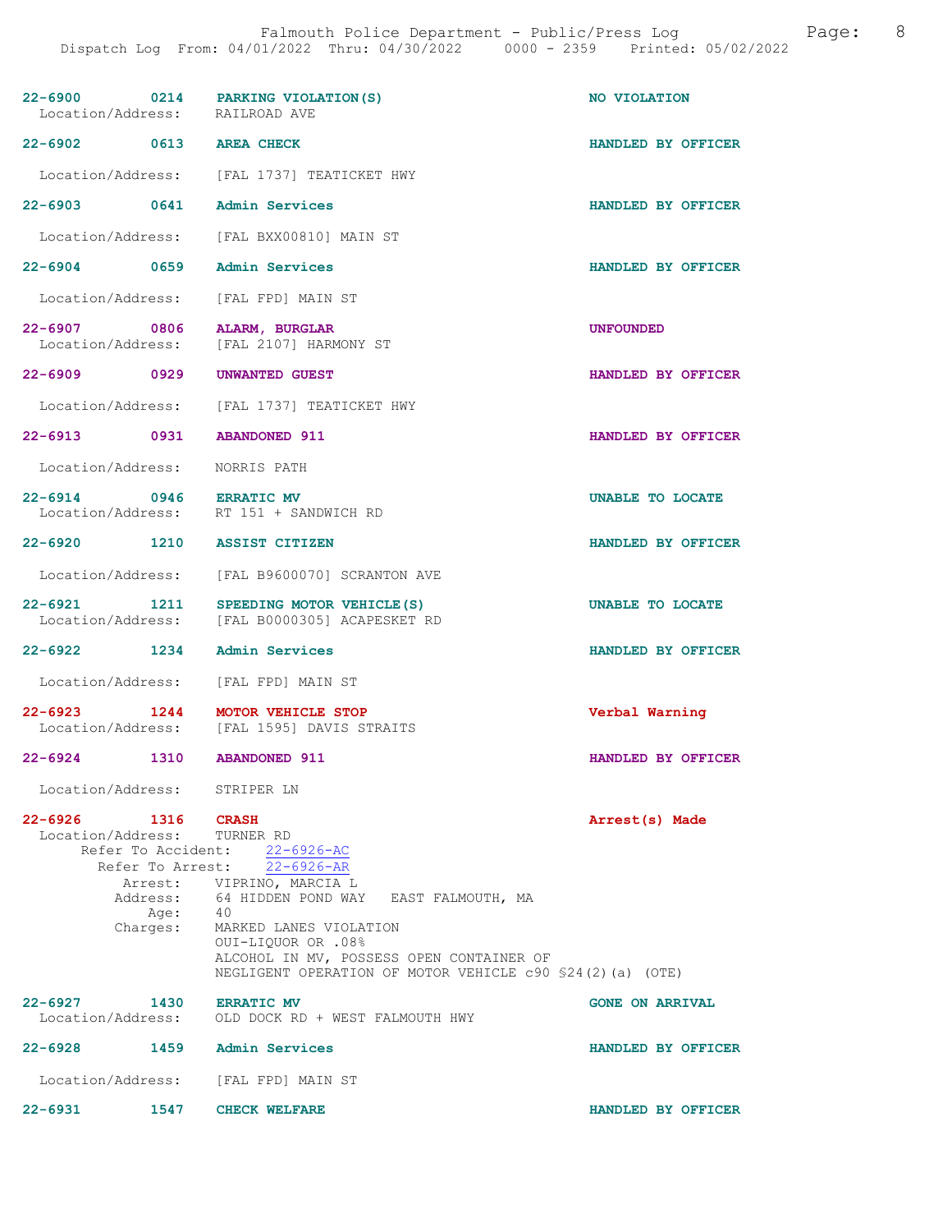| Location/Address: RAILROAD AVE                    | 22-6900 0214 PARKING VIOLATION(S)                                                                                           | NO VIOLATION            |
|---------------------------------------------------|-----------------------------------------------------------------------------------------------------------------------------|-------------------------|
| 22-6902 0613 AREA CHECK                           |                                                                                                                             | HANDLED BY OFFICER      |
|                                                   | Location/Address: [FAL 1737] TEATICKET HWY                                                                                  |                         |
| 22-6903 0641 Admin Services                       |                                                                                                                             | HANDLED BY OFFICER      |
|                                                   | Location/Address: [FAL BXX00810] MAIN ST                                                                                    |                         |
| 22-6904 0659                                      | Admin Services                                                                                                              | HANDLED BY OFFICER      |
|                                                   | Location/Address: [FAL FPD] MAIN ST                                                                                         |                         |
|                                                   | 22-6907 0806 ALARM, BURGLAR<br>Location/Address: [FAL 2107] HARMONY ST                                                      | <b>UNFOUNDED</b>        |
| 22-6909 0929                                      | UNWANTED GUEST                                                                                                              | HANDLED BY OFFICER      |
|                                                   | Location/Address: [FAL 1737] TEATICKET HWY                                                                                  |                         |
| 22-6913 0931                                      | <b>ABANDONED 911</b>                                                                                                        | HANDLED BY OFFICER      |
| Location/Address: NORRIS PATH                     |                                                                                                                             |                         |
|                                                   | 22-6914 0946 ERRATIC MV<br>Location/Address: RT 151 + SANDWICH RD                                                           | <b>UNABLE TO LOCATE</b> |
| 22-6920 1210 ASSIST CITIZEN                       |                                                                                                                             | HANDLED BY OFFICER      |
|                                                   | Location/Address: [FAL B9600070] SCRANTON AVE                                                                               |                         |
| 22-6921 1211                                      | SPEEDING MOTOR VEHICLE (S)<br>Location/Address: [FAL B0000305] ACAPESKET RD                                                 | UNABLE TO LOCATE        |
| 22-6922 1234 Admin Services                       |                                                                                                                             | HANDLED BY OFFICER      |
|                                                   | Location/Address: [FAL FPD] MAIN ST                                                                                         |                         |
| 22-6923 1244                                      | <b>MOTOR VEHICLE STOP</b><br>Location/Address: [FAL 1595] DAVIS STRAITS                                                     | Verbal Warning          |
| $22 - 6924$                                       | 1310 ABANDONED 911                                                                                                          | HANDLED BY OFFICER      |
| Location/Address: STRIPER LN                      |                                                                                                                             |                         |
| 22-6926 1316 CRASH<br>Location/Address: TURNER RD | Refer To Accident: 22-6926-AC                                                                                               | Arrest(s) Made          |
|                                                   | Refer To Arrest: 22-6926-AR                                                                                                 |                         |
|                                                   | Arrest: VIPRINO, MARCIA L                                                                                                   |                         |
| Age:                                              | Address: 64 HIDDEN POND WAY EAST FALMOUTH, MA<br>Age: 40                                                                    |                         |
| Charges:                                          | MARKED LANES VIOLATION                                                                                                      |                         |
|                                                   | 0UI-LIQUOR OR .08%<br>ALCOHOL IN MV, POSSESS OPEN CONTAINER OF<br>NEGLIGENT OPERATION OF MOTOR VEHICLE c90 \$24(2)(a) (OTE) |                         |
| 22-6927 1430 ERRATIC MV<br>Location/Address:      | OLD DOCK RD + WEST FALMOUTH HWY                                                                                             | <b>GONE ON ARRIVAL</b>  |
| 22-6928 1459 Admin Services                       |                                                                                                                             | HANDLED BY OFFICER      |
|                                                   | Location/Address: [FAL FPD] MAIN ST                                                                                         |                         |
| $22 - 6931$<br>1547                               | <b>CHECK WELFARE</b>                                                                                                        | HANDLED BY OFFICER      |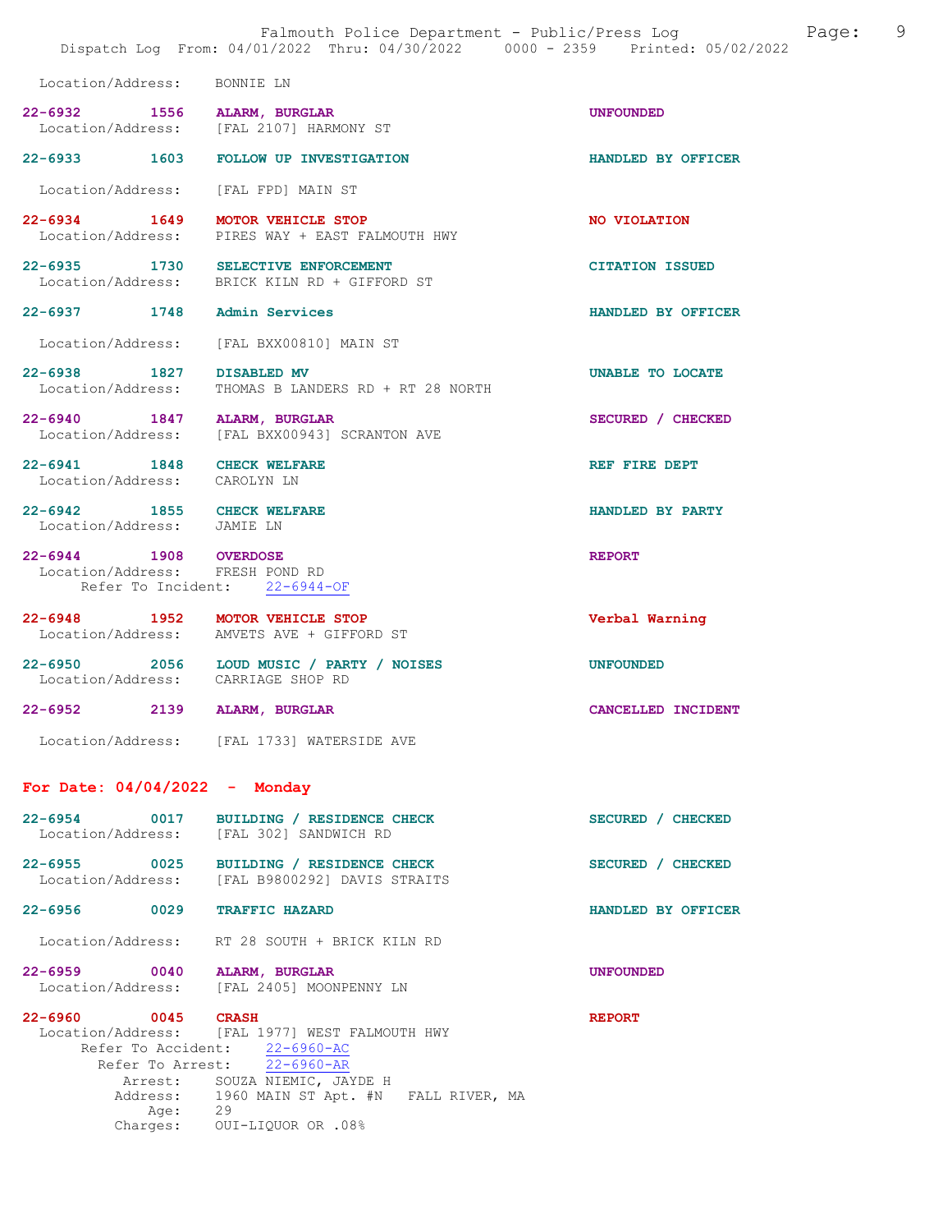|                             | Falmouth Police Department - Public/Press Log<br>Dispatch Log From: 04/01/2022 Thru: 04/30/2022 0000 - 2359 Printed: 05/02/2022 |                        | Page: | 9 |
|-----------------------------|---------------------------------------------------------------------------------------------------------------------------------|------------------------|-------|---|
| Location/Address: BONNIE LN |                                                                                                                                 |                        |       |   |
| 22-6932 1556 ALARM, BURGLAR | Location/Address: [FAL 2107] HARMONY ST                                                                                         | <b>UNFOUNDED</b>       |       |   |
|                             | 22-6933 1603 FOLLOW UP INVESTIGATION                                                                                            | HANDLED BY OFFICER     |       |   |
|                             | Location/Address: [FAL FPD] MAIN ST                                                                                             |                        |       |   |
|                             | 22-6934 1649 MOTOR VEHICLE STOP<br>Location/Address: PIRES WAY + EAST FALMOUTH HWY                                              | NO VIOLATION           |       |   |
|                             | 22-6935 1730 SELECTIVE ENFORCEMENT<br>Location/Address: BRICK KILN RD + GIFFORD ST                                              | <b>CITATION ISSUED</b> |       |   |
| 1748<br>22-6937             | Admin Services                                                                                                                  | HANDLED BY OFFICER     |       |   |
|                             | Location/Address: [FAL BXX00810] MAIN ST                                                                                        |                        |       |   |

22-6938 1827 DISABLED MV UNABLE TO LOCATE<br>
Location/Address: THOMAS B LANDERS RD + RT 28 NORTH THOMAS B LANDERS RD + RT 28 NORTH

22-6940 1847 ALARM, BURGLAR SECURED / CHECKED Location/Address: [FAL BXX00943] SCRANTON AVE

22-6941 1848 CHECK WELFARE REF REF FIRE DEPT Location/Address: CAROLYN LN

22-6942 1855 CHECK WELFARE HANDLED BY PARTY Location/Address: JAMIE LN

22-6944 1908 OVERDOSE REPORT Location/Address: FRESH POND RD Location/Address: FRESH POND RD<br>Refer To Incident: 22-6944-OF Refer To Incident:

22-6948 1952 MOTOR VEHICLE STOP Verbal Warning Location/Address: AMVETS AVE + GIFFORD ST

22-6950 2056 LOUD MUSIC / PARTY / NOISES<br>
Location/Address: CARRIAGE SHOP RD CARRIAGE SHOP RD

22-6952 2139 ALARM, BURGLAR CANCELLED INCIDENT

Location/Address: [FAL 1733] WATERSIDE AVE

## For Date: 04/04/2022 - Monday

22-6954 0017 BUILDING / RESIDENCE CHECK SECURED / CHECKED Location/Address: [FAL 302] SANDWICH RD 22-6955 0025 BUILDING / RESIDENCE CHECK<br>
Location/Address: [FAL B9800292] DAVIS STRAITS [FAL B9800292] DAVIS STRAITS

22-6956 0029 TRAFFIC HAZARD HANDLED BY OFFICER

Location/Address: RT 28 SOUTH + BRICK KILN RD

22-6959 0040 ALARM, BURGLAR UNFOUNDED Location/Address: [FAL 2405] MOONPENNY LN

22-6960 0045 CRASH REPORT Location/Address: [FAL 1977] WEST FALMOUTH HWY Refer To Accident: 22-6960-AC Refer To Arrest: 22-6960-AR Arrest: SOUZA NIEMIC, JAYDE H<br>Address: 1960 MAIN ST Apt. #N 1960 MAIN ST Apt. #N §FALL RIVER, MA<br>29 Age: Charges: OUI-LIQUOR OR .08%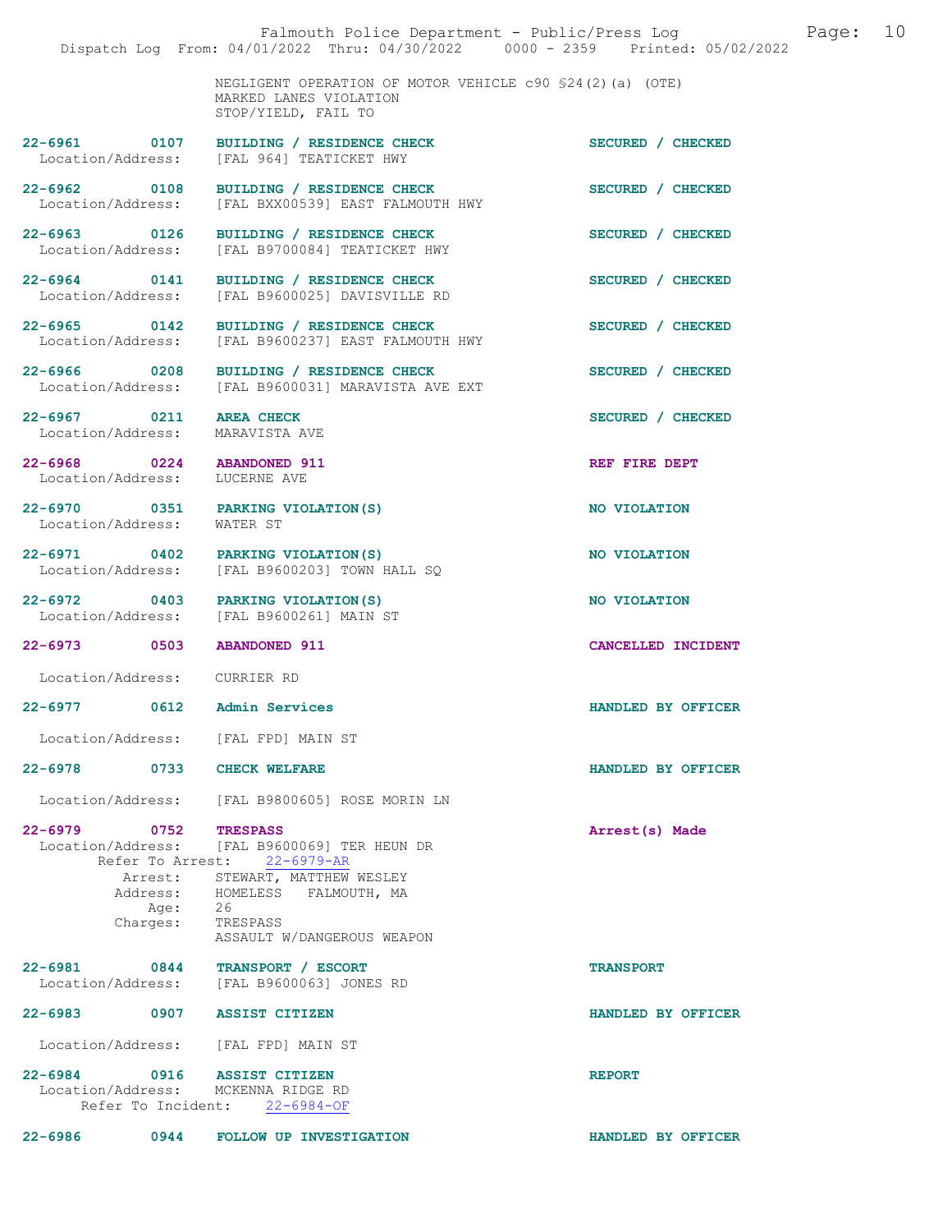|                                                             |                                                                                                            | Dispatch Log From: 04/01/2022 Thru: 04/30/2022 0000 - 2359 Printed: 05/02/2022 |
|-------------------------------------------------------------|------------------------------------------------------------------------------------------------------------|--------------------------------------------------------------------------------|
|                                                             | NEGLIGENT OPERATION OF MOTOR VEHICLE c90 \$24(2)(a) (OTE)<br>MARKED LANES VIOLATION<br>STOP/YIELD, FAIL TO |                                                                                |
| $22 - 6961$ 0107                                            | BUILDING / RESIDENCE CHECK<br>Location/Address: [FAL 964] TEATICKET HWY                                    | SECURED / CHECKED                                                              |
| 22-6962 0108                                                | BUILDING / RESIDENCE CHECK<br>Location/Address: [FAL BXX00539] EAST FALMOUTH HWY                           | SECURED / CHECKED                                                              |
| 22-6963 0126<br>Location/Address:                           | BUILDING / RESIDENCE CHECK<br>[FAL B9700084] TEATICKET HWY                                                 | SECURED / CHECKED                                                              |
| 22-6964 0141<br>Location/Address:                           | BUILDING / RESIDENCE CHECK<br>[FAL B9600025] DAVISVILLE RD                                                 | SECURED / CHECKED                                                              |
| 22-6965 0142                                                | BUILDING / RESIDENCE CHECK<br>Location/Address: [FAL B9600237] EAST FALMOUTH HWY                           | SECURED / CHECKED                                                              |
|                                                             | 22-6966 0208 BUILDING / RESIDENCE CHECK<br>Location/Address: [FAL B9600031] MARAVISTA AVE EXT              | SECURED / CHECKED                                                              |
| 22-6967 0211<br>Location/Address: MARAVISTA AVE             | <b>AREA CHECK</b>                                                                                          | SECURED / CHECKED                                                              |
| 22-6968 0224 ABANDONED 911<br>Location/Address: LUCERNE AVE |                                                                                                            | REF FIRE DEPT                                                                  |
| Location/Address: WATER ST                                  | 22-6970 0351 PARKING VIOLATION(S)                                                                          | NO VIOLATION                                                                   |
|                                                             | 22-6971 0402 PARKING VIOLATION (S)<br>Location/Address: [FAL B9600203] TOWN HALL SQ                        | NO VIOLATION                                                                   |
|                                                             | 22-6972 0403 PARKING VIOLATION (S)<br>Location/Address: [FAL B9600261] MAIN ST                             | NO VIOLATION                                                                   |
| 22-6973 0503                                                | <b>ABANDONED 911</b>                                                                                       | CANCELLED INCIDENT                                                             |
| Location/Address: CURRIER RD                                |                                                                                                            |                                                                                |
| 22-6977 0612 Admin Services                                 |                                                                                                            | HANDLED BY OFFICER                                                             |
|                                                             | Location/Address: [FAL FPD] MAIN ST                                                                        |                                                                                |
| 22-6978 0733 CHECK WELFARE                                  |                                                                                                            | HANDLED BY OFFICER                                                             |
|                                                             | Location/Address: [FAL B9800605] ROSE MORIN LN                                                             |                                                                                |
| 22-6979 0752 TRESPASS                                       | Location/Address: [FAL B9600069] TER HEUN DR<br>Refer To Arrest: 22-6979-AR                                | Arrest(s) Made                                                                 |
| Address:<br>Age: 26                                         | Arrest: STEWART, MATTHEW WESLEY<br>HOMELESS FALMOUTH, MA                                                   |                                                                                |
| Charges:                                                    | TRESPASS<br>ASSAULT W/DANGEROUS WEAPON                                                                     |                                                                                |
|                                                             | 22-6981 0844 TRANSPORT / ESCORT<br>Location/Address: [FAL B9600063] JONES RD                               | <b>TRANSPORT</b>                                                               |
| 22-6983 0907 ASSIST CITIZEN                                 |                                                                                                            | HANDLED BY OFFICER                                                             |
|                                                             | Location/Address: [FAL FPD] MAIN ST                                                                        |                                                                                |
| 22-6984 0916 ASSIST CITIZEN                                 |                                                                                                            | <b>REPORT</b>                                                                  |
|                                                             | Location/Address: MCKENNA RIDGE RD<br>Refer To Incident: 22-6984-OF                                        |                                                                                |
|                                                             | 22-6986 0944 FOLLOW UP INVESTIGATION                                                                       | HANDLED BY OFFICER                                                             |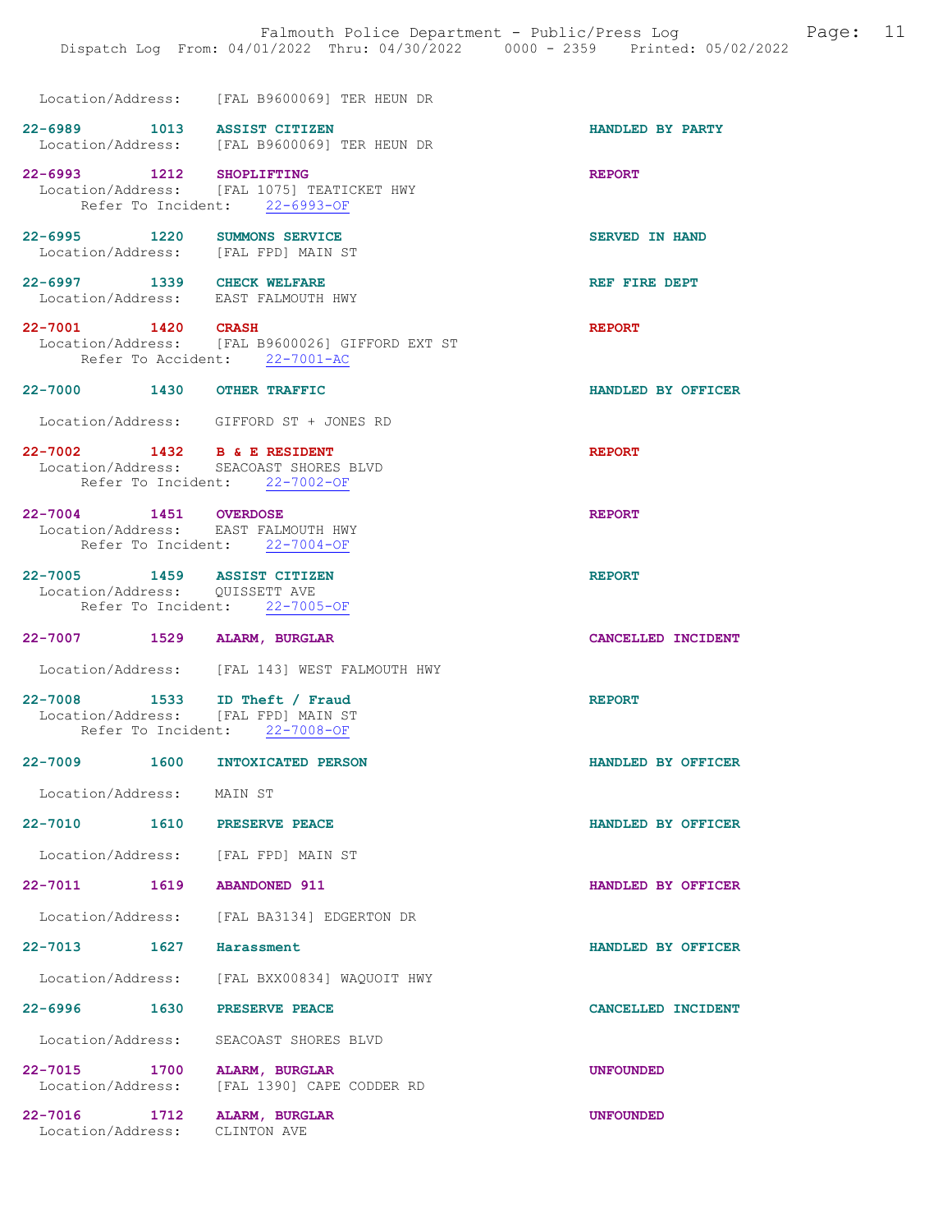|                                          |                                                                                                        | Dispatch Log From: 04/01/2022 Thru: 04/30/2022 0000 - 2359 Printed: 05/02/2022 |
|------------------------------------------|--------------------------------------------------------------------------------------------------------|--------------------------------------------------------------------------------|
|                                          | Location/Address: [FAL B9600069] TER HEUN DR                                                           |                                                                                |
|                                          | 22-6989 1013 ASSIST CITIZEN<br>Location/Address: [FAL B9600069] TER HEUN DR                            | HANDLED BY PARTY                                                               |
| 22-6993 1212 SHOPLIFTING                 | Location/Address: [FAL 1075] TEATICKET HWY<br>Refer To Incident: 22-6993-OF                            | <b>REPORT</b>                                                                  |
|                                          | 22-6995 1220 SUMMONS SERVICE<br>Location/Address: [FAL FPD] MAIN ST                                    | <b>SERVED IN HAND</b>                                                          |
|                                          | 22-6997 1339 CHECK WELFARE<br>Location/Address: EAST FALMOUTH HWY                                      | REF FIRE DEPT                                                                  |
| 22-7001 1420 CRASH                       | Location/Address: [FAL B9600026] GIFFORD EXT ST<br>Refer To Accident: 22-7001-AC                       | <b>REPORT</b>                                                                  |
|                                          | 22-7000 1430 OTHER TRAFFIC                                                                             | HANDLED BY OFFICER                                                             |
|                                          | Location/Address: GIFFORD ST + JONES RD                                                                |                                                                                |
|                                          | 22-7002 1432 B & E RESIDENT<br>Location/Address: SEACOAST SHORES BLVD<br>Refer To Incident: 22-7002-OF | <b>REPORT</b>                                                                  |
| 22-7004 1451 OVERDOSE                    | Location/Address: EAST FALMOUTH HWY<br>Refer To Incident: 22-7004-OF                                   | <b>REPORT</b>                                                                  |
|                                          | 22-7005 1459 ASSIST CITIZEN<br>Location/Address: QUISSETT AVE<br>Refer To Incident: 22-7005-OF         | <b>REPORT</b>                                                                  |
|                                          | 22-7007 1529 ALARM, BURGLAR                                                                            | CANCELLED INCIDENT                                                             |
|                                          | Location/Address: [FAL 143] WEST FALMOUTH HWY                                                          |                                                                                |
|                                          | 22-7008 1533 ID Theft / Fraud<br>Location/Address: [FAL FPD] MAIN ST<br>Refer To Incident: 22-7008-OF  | <b>REPORT</b>                                                                  |
|                                          | 22-7009 1600 INTOXICATED PERSON                                                                        | HANDLED BY OFFICER                                                             |
| Location/Address: MAIN ST                |                                                                                                        |                                                                                |
|                                          | 22-7010   1610   PRESERVE PEACE                                                                        | HANDLED BY OFFICER                                                             |
|                                          | Location/Address: [FAL FPD] MAIN ST                                                                    |                                                                                |
| 22-7011 1619                             | <b>ABANDONED 911</b>                                                                                   | HANDLED BY OFFICER                                                             |
|                                          | Location/Address: [FAL BA3134] EDGERTON DR                                                             |                                                                                |
| 22–7013 1627                             | Harassment                                                                                             | HANDLED BY OFFICER                                                             |
|                                          | Location/Address: [FAL BXX00834] WAQUOIT HWY                                                           |                                                                                |
| 22-6996 1630                             | PRESERVE PEACE                                                                                         | CANCELLED INCIDENT                                                             |
|                                          | Location/Address: SEACOAST SHORES BLVD                                                                 |                                                                                |
| 22-7015 1700<br>Location/Address:        | <b>ALARM, BURGLAR</b><br>[FAL 1390] CAPE CODDER RD                                                     | <b>UNFOUNDED</b>                                                               |
| $22 - 7016$<br>1712<br>Location/Address: | ALARM, BURGLAR<br>CLINTON AVE                                                                          | <b>UNFOUNDED</b>                                                               |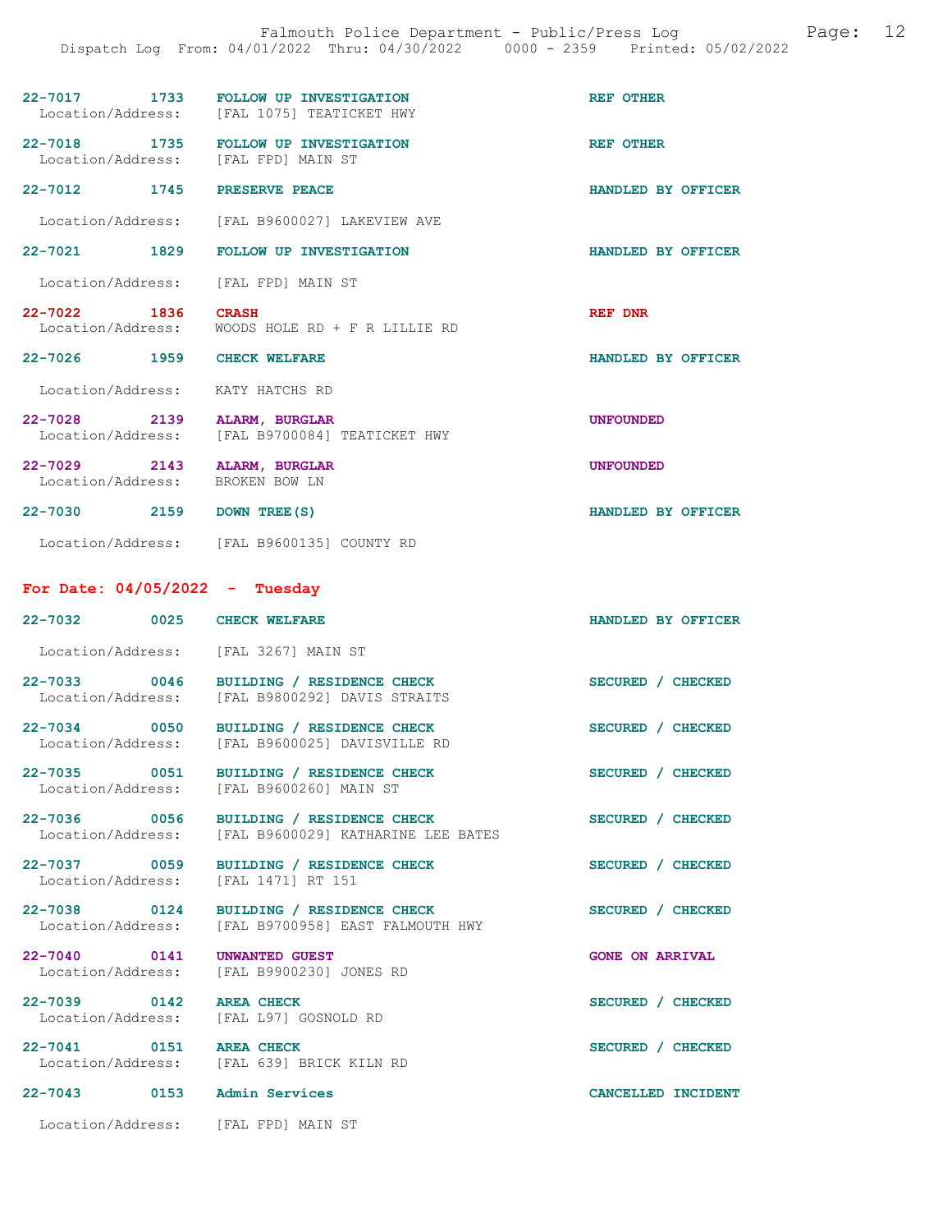|                                                 | Falmouth Police Department - Public/Press Log<br>Dispatch Log From: 04/01/2022 Thru: 04/30/2022 0000 - 2359 Printed: 05/02/2022 |                        |
|-------------------------------------------------|---------------------------------------------------------------------------------------------------------------------------------|------------------------|
|                                                 | 22-7017 1733 FOLLOW UP INVESTIGATION<br>Location/Address: [FAL 1075] TEATICKET HWY                                              | <b>REF OTHER</b>       |
| Location/Address: [FAL FPD] MAIN ST             | 22-7018 1735 FOLLOW UP INVESTIGATION                                                                                            | <b>REF OTHER</b>       |
| 22-7012 1745 PRESERVE PEACE                     |                                                                                                                                 | HANDLED BY OFFICER     |
|                                                 | Location/Address: [FAL B9600027] LAKEVIEW AVE                                                                                   |                        |
|                                                 | 22-7021 1829 FOLLOW UP INVESTIGATION                                                                                            | HANDLED BY OFFICER     |
| Location/Address: [FAL FPD] MAIN ST             |                                                                                                                                 |                        |
| $22 - 7022$<br>1836<br>Location/Address:        | <b>CRASH</b><br>WOODS HOLE RD + F R LILLIE RD                                                                                   | <b>REF DNR</b>         |
| 22-7026 1959 CHECK WELFARE                      |                                                                                                                                 | HANDLED BY OFFICER     |
| Location/Address: KATY HATCHS RD                |                                                                                                                                 |                        |
| 22-7028 2139<br>Location/Address:               | ALARM, BURGLAR<br>[FAL B9700084] TEATICKET HWY                                                                                  | <b>UNFOUNDED</b>       |
| 22-7029 2143<br>Location/Address: BROKEN BOW LN | ALARM, BURGLAR                                                                                                                  | <b>UNFOUNDED</b>       |
| 22-7030 2159 DOWN TREE (S)                      |                                                                                                                                 | HANDLED BY OFFICER     |
|                                                 | Location/Address: [FAL B9600135] COUNTY RD                                                                                      |                        |
| For Date: $04/05/2022 - Tuesday$                |                                                                                                                                 |                        |
| 22-7032 0025 CHECK WELFARE                      |                                                                                                                                 | HANDLED BY OFFICER     |
| Location/Address: [FAL 3267] MAIN ST            |                                                                                                                                 |                        |
|                                                 | 22-7033 0046 BUILDING / RESIDENCE CHECK<br>Location/Address: [FAL B9800292] DAVIS STRAITS                                       | SECURED / CHECKED      |
| 22-7034 0050<br>Location/Address:               | BUILDING / RESIDENCE CHECK<br>[FAL B9600025] DAVISVILLE RD                                                                      | SECURED / CHECKED      |
| 22-7035 0051<br>Location/Address:               | BUILDING / RESIDENCE CHECK<br>[FAL B9600260] MAIN ST                                                                            | SECURED / CHECKED      |
| 22-7036 0056<br>Location/Address:               | BUILDING / RESIDENCE CHECK<br>[FAL B9600029] KATHARINE LEE BATES                                                                | SECURED / CHECKED      |
| 22-7037 0059<br>Location/Address:               | BUILDING / RESIDENCE CHECK<br>[FAL 1471] RT 151                                                                                 | SECURED / CHECKED      |
| 22-7038 0124<br>Location/Address:               | BUILDING / RESIDENCE CHECK<br>[FAL B9700958] EAST FALMOUTH HWY                                                                  | SECURED / CHECKED      |
| $22 - 7040$<br>0141                             | <b>UNWANTED GUEST</b><br>Location/Address: [FAL B9900230] JONES RD                                                              | <b>GONE ON ARRIVAL</b> |

22-7039 0142 AREA CHECK SECURED / CHECKED Location/Address: [FAL L97] GOSNOLD RD

22-7041 0151 AREA CHECK SECURED / CHECKED

Location/Address: [FAL 639] BRICK KILN RD

# 22-7043 0153 Admin Services CANCELLED INCIDENT

Location/Address: [FAL FPD] MAIN ST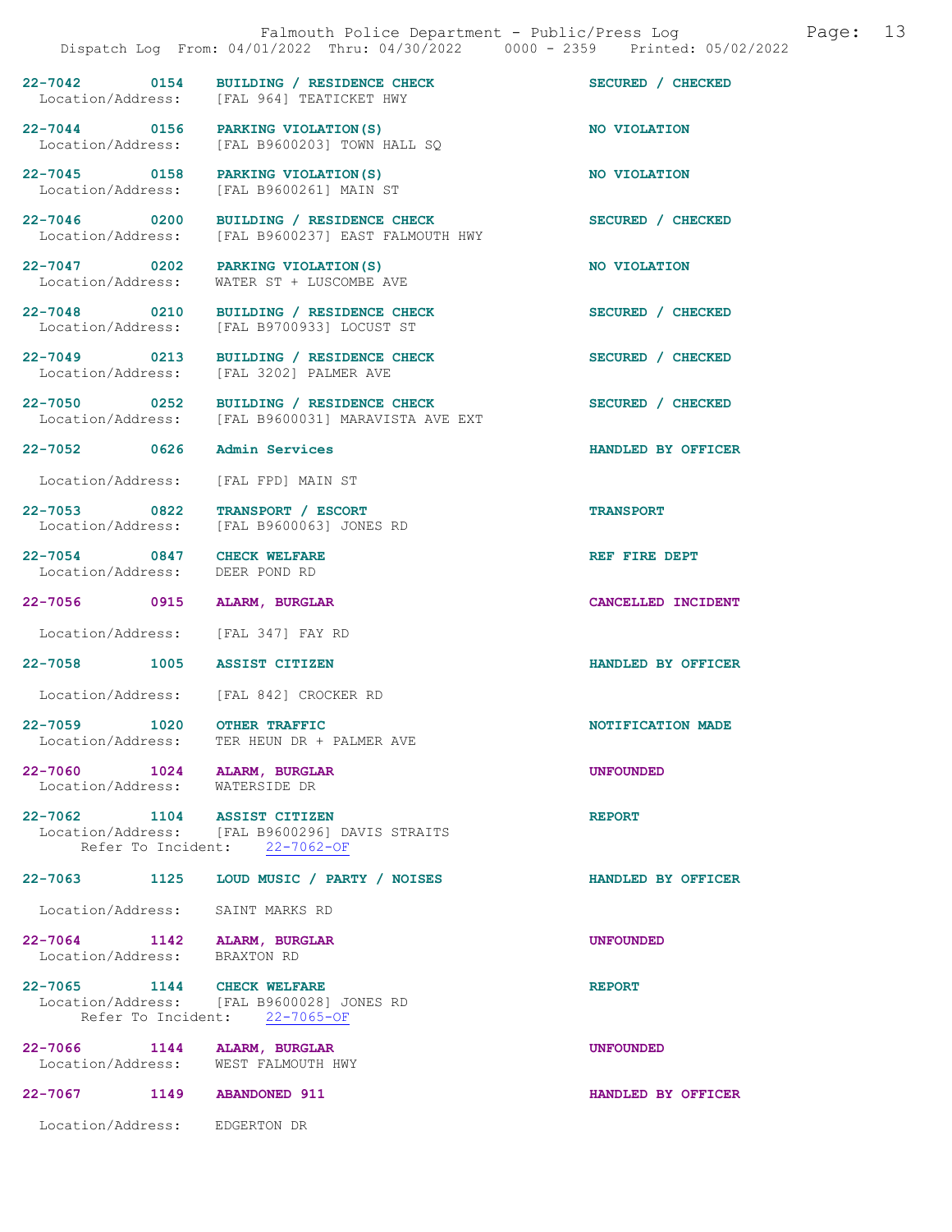| Page: 13<br>Falmouth Police Department - Public/Press Log<br>Dispatch Log From: 04/01/2022 Thru: 04/30/2022 0000 - 2359 Printed: 05/02/2022 |  |                                                                                      |                    |
|---------------------------------------------------------------------------------------------------------------------------------------------|--|--------------------------------------------------------------------------------------|--------------------|
|                                                                                                                                             |  | 22-7042 0154 BUILDING / RESIDENCE CHECK<br>Location/Address: [FAL 964] TEATICKET HWY | SECURED / CHECKED  |
|                                                                                                                                             |  | 22-7044 0156 PARKING VIOLATION (S)<br>Location/Address: [FAL B9600203] TOWN HALL SQ  | NO VIOLATION       |
| Location/Address:                                                                                                                           |  | 22-7045 0158 PARKING VIOLATION (S)<br>[FAL B9600261] MAIN ST                         | NO VIOLATION       |
| 22-7046 0200<br>Location/Address:                                                                                                           |  | BUILDING / RESIDENCE CHECK<br>[FAL B9600237] EAST FALMOUTH HWY                       | SECURED / CHECKED  |
| 22-7047 0202<br>Location/Address:                                                                                                           |  | PARKING VIOLATION (S)<br>WATER ST + LUSCOMBE AVE                                     | NO VIOLATION       |
| 22-7048 0210<br>Location/Address:                                                                                                           |  | BUILDING / RESIDENCE CHECK<br>[FAL B9700933] LOCUST ST                               | SECURED / CHECKED  |
| 22-7049 0213<br>Location/Address:                                                                                                           |  | BUILDING / RESIDENCE CHECK<br>[FAL 3202] PALMER AVE                                  | SECURED / CHECKED  |
| 22-7050 0252<br>Location/Address:                                                                                                           |  | BUILDING / RESIDENCE CHECK<br>[FAL B9600031] MARAVISTA AVE EXT                       | SECURED / CHECKED  |
| 22-7052 0626                                                                                                                                |  | Admin Services                                                                       | HANDLED BY OFFICER |
| Location/Address:                                                                                                                           |  | [FAL FPD] MAIN ST                                                                    |                    |
| 22-7053 0822<br>Location/Address:                                                                                                           |  | TRANSPORT / ESCORT<br>[FAL B9600063] JONES RD                                        | <b>TRANSPORT</b>   |
| 22-7054 0847<br>Location/Address:                                                                                                           |  | <b>CHECK WELFARE</b><br>DEER POND RD                                                 | REF FIRE DEPT      |
| 22-7056 0915 ALARM, BURGLAR                                                                                                                 |  |                                                                                      | CANCELLED INCIDENT |
|                                                                                                                                             |  | Location/Address: [FAL 347] FAY RD                                                   |                    |
| 22-7058 1005 ASSIST CITIZEN                                                                                                                 |  |                                                                                      | HANDLED BY OFFICER |
|                                                                                                                                             |  | Location/Address: [FAL 842] CROCKER RD                                               |                    |
| 22-7059 1020 OTHER TRAFFIC                                                                                                                  |  | Location/Address: TER HEUN DR + PALMER AVE                                           | NOTIFICATION MADE  |
| 22-7060 1024 ALARM, BURGLAR<br>Location/Address: WATERSIDE DR                                                                               |  |                                                                                      | <b>UNFOUNDED</b>   |
| 22-7062 1104 ASSIST CITIZEN                                                                                                                 |  | Location/Address: [FAL B9600296] DAVIS STRAITS<br>Refer To Incident: 22-7062-OF      | <b>REPORT</b>      |
| 22-7063 1125                                                                                                                                |  | LOUD MUSIC / PARTY / NOISES                                                          | HANDLED BY OFFICER |
|                                                                                                                                             |  | Location/Address: SAINT MARKS RD                                                     |                    |
| 22-7064 1142 ALARM, BURGLAR<br>Location/Address: BRAXTON RD                                                                                 |  |                                                                                      | <b>UNFOUNDED</b>   |
| 22-7065 1144 CHECK WELFARE                                                                                                                  |  | Location/Address: [FAL B9600028] JONES RD<br>Refer To Incident: 22-7065-OF           | <b>REPORT</b>      |
| 22-7066 1144 ALARM, BURGLAR                                                                                                                 |  | Location/Address: WEST FALMOUTH HWY                                                  | <b>UNFOUNDED</b>   |
| 22-7067 1149 ABANDONED 911                                                                                                                  |  |                                                                                      | HANDLED BY OFFICER |

Location/Address: EDGERTON DR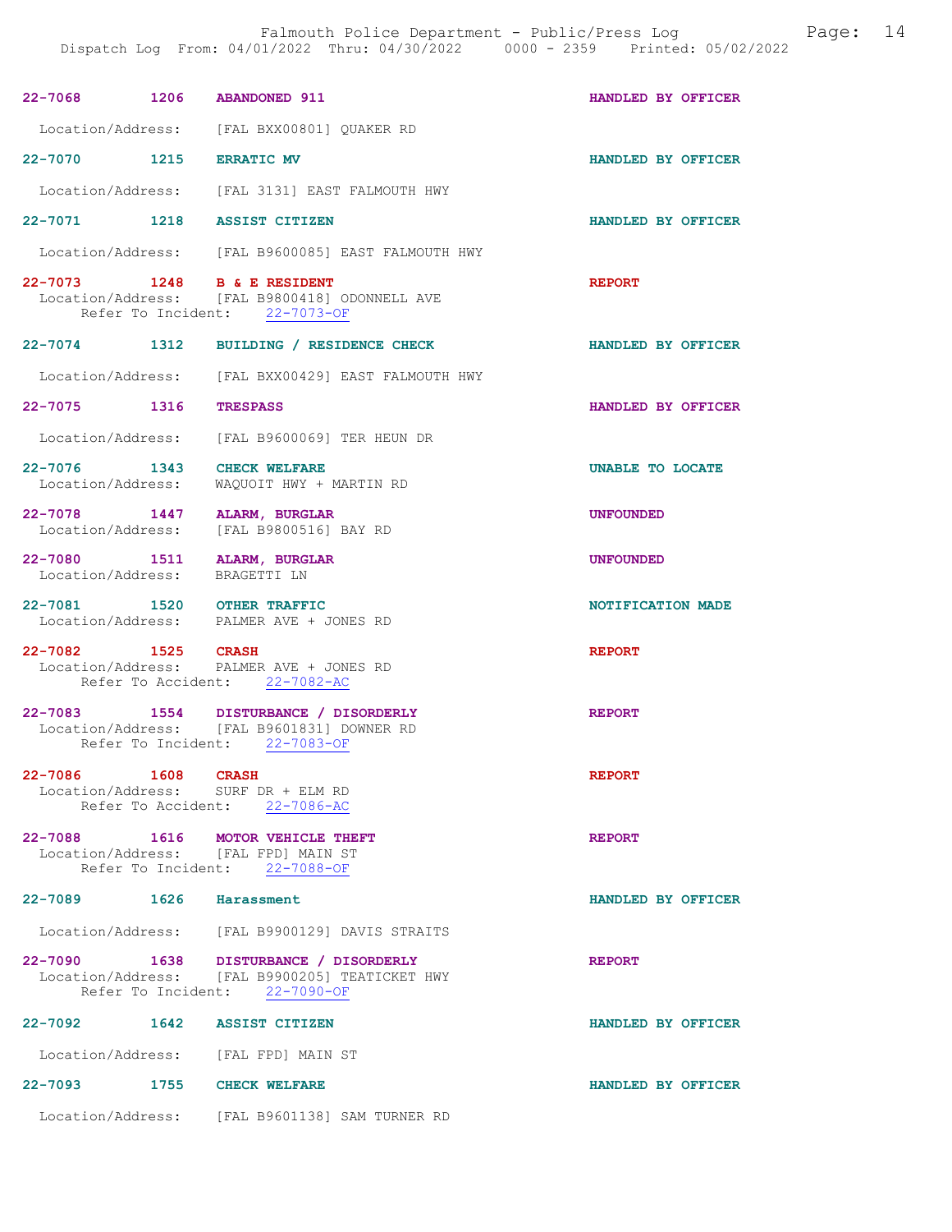| 22-7068 1206 ABANDONED 911                                   |            |                                                                                                                          | HANDLED BY OFFICER |
|--------------------------------------------------------------|------------|--------------------------------------------------------------------------------------------------------------------------|--------------------|
|                                                              |            | Location/Address: [FAL BXX00801] QUAKER RD                                                                               |                    |
| 22-7070 1215                                                 |            | <b>ERRATIC MV</b>                                                                                                        | HANDLED BY OFFICER |
|                                                              |            | Location/Address: [FAL 3131] EAST FALMOUTH HWY                                                                           |                    |
| 22-7071 1218 ASSIST CITIZEN                                  |            |                                                                                                                          | HANDLED BY OFFICER |
|                                                              |            | Location/Address: [FAL B9600085] EAST FALMOUTH HWY                                                                       |                    |
| 22-7073 1248 B & E RESIDENT                                  |            | Location/Address: [FAL B9800418] ODONNELL AVE<br>Refer To Incident: 22-7073-OF                                           | <b>REPORT</b>      |
| 22-7074 1312                                                 |            | BUILDING / RESIDENCE CHECK                                                                                               | HANDLED BY OFFICER |
|                                                              |            | Location/Address: [FAL BXX00429] EAST FALMOUTH HWY                                                                       |                    |
| 22-7075 1316                                                 |            | <b>TRESPASS</b>                                                                                                          | HANDLED BY OFFICER |
|                                                              |            | Location/Address: [FAL B9600069] TER HEUN DR                                                                             |                    |
| 22-7076 1343<br>Location/Address:                            |            | <b>CHECK WELFARE</b><br>WAQUOIT HWY + MARTIN RD                                                                          | UNABLE TO LOCATE   |
| 22-7078 1447 ALARM, BURGLAR<br>Location/Address:             |            | [FAL B9800516] BAY RD                                                                                                    | <b>UNFOUNDED</b>   |
| 22-7080 1511 ALARM, BURGLAR<br>Location/Address: BRAGETTI LN |            |                                                                                                                          | <b>UNFOUNDED</b>   |
| 22-7081 1520 OTHER TRAFFIC                                   |            | Location/Address: PALMER AVE + JONES RD                                                                                  | NOTIFICATION MADE  |
| 22-7082 1525 CRASH                                           |            | Location/Address: PALMER AVE + JONES RD<br>Refer To Accident: 22-7082-AC                                                 | <b>REPORT</b>      |
|                                                              |            | 22-7083 1554 DISTURBANCE / DISORDERLY<br>Location/Address: [FAL B9601831] DOWNER RD<br>Refer To Incident: 22-7083-OF     | <b>REPORT</b>      |
| 22-7086                                                      | 1608 CRASH | Location/Address: SURF DR + ELM RD<br>Refer To Accident: 22-7086-AC                                                      | <b>REPORT</b>      |
|                                                              |            | 22-7088 1616 MOTOR VEHICLE THEFT<br>Location/Address: [FAL FPD] MAIN ST<br>Refer To Incident: 22-7088-OF                 | <b>REPORT</b>      |
| 22-7089 1626 Harassment                                      |            |                                                                                                                          | HANDLED BY OFFICER |
|                                                              |            | Location/Address: [FAL B9900129] DAVIS STRAITS                                                                           |                    |
|                                                              |            | 22-7090 1638 DISTURBANCE / DISORDERLY<br>Location/Address: [FAL B9900205] TEATICKET HWY<br>Refer To Incident: 22-7090-OF | <b>REPORT</b>      |
| 22-7092 1642 ASSIST CITIZEN                                  |            |                                                                                                                          | HANDLED BY OFFICER |
|                                                              |            | Location/Address: [FAL FPD] MAIN ST                                                                                      |                    |
| 22-7093 1755 CHECK WELFARE                                   |            |                                                                                                                          | HANDLED BY OFFICER |
|                                                              |            | Location/Address: [FAL B9601138] SAM TURNER RD                                                                           |                    |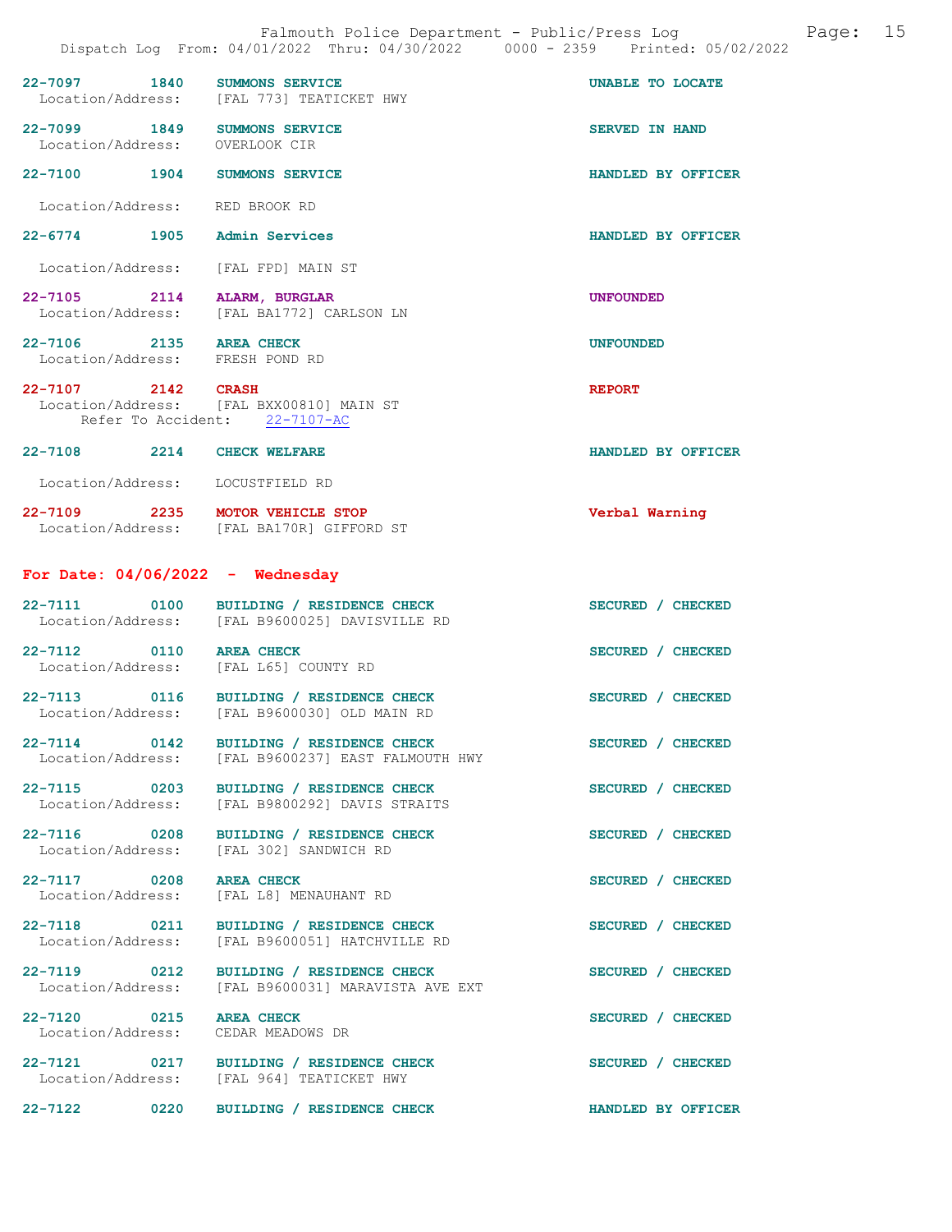|                                                            |      | 22-7097 1840 SUMMONS SERVICE<br>Location/Address: [FAL 773] TEATICKET HWY                 | UNABLE TO LOCATE      |
|------------------------------------------------------------|------|-------------------------------------------------------------------------------------------|-----------------------|
| Location/Address: OVERLOOK CIR                             |      | 22-7099 1849 SUMMONS SERVICE                                                              | <b>SERVED IN HAND</b> |
|                                                            |      | 22-7100 1904 SUMMONS SERVICE                                                              | HANDLED BY OFFICER    |
| Location/Address: RED BROOK RD                             |      |                                                                                           |                       |
| 22-6774 1905 Admin Services                                |      |                                                                                           | HANDLED BY OFFICER    |
|                                                            |      | Location/Address: [FAL FPD] MAIN ST                                                       |                       |
|                                                            |      | 22-7105 2114 ALARM, BURGLAR<br>Location/Address: [FAL BA1772] CARLSON LN                  | <b>UNFOUNDED</b>      |
| 22-7106 2135 AREA CHECK<br>Location/Address: FRESH POND RD |      |                                                                                           | <b>UNFOUNDED</b>      |
| 22-7107 2142 CRASH                                         |      | Location/Address: [FAL BXX00810] MAIN ST<br>Refer To Accident: 22-7107-AC                 | <b>REPORT</b>         |
| 22-7108 2214 CHECK WELFARE                                 |      |                                                                                           | HANDLED BY OFFICER    |
| Location/Address: LOCUSTFIELD RD                           |      |                                                                                           |                       |
|                                                            |      | 22-7109 2235 MOTOR VEHICLE STOP<br>Location/Address: [FAL BA170R] GIFFORD ST              | Verbal Warning        |
|                                                            |      | For Date: $04/06/2022 -$ Wednesday                                                        |                       |
|                                                            |      | 22-7111 0100 BUILDING / RESIDENCE CHECK<br>Location/Address: [FAL B9600025] DAVISVILLE RD | SECURED / CHECKED     |
| 22-7112 0110 AREA CHECK                                    |      | Location/Address: [FAL L65] COUNTY RD                                                     | SECURED / CHECKED     |
|                                                            |      | 22-7113 0116 BUILDING / RESIDENCE CHECK<br>Location/Address: [FAL B9600030] OLD MAIN RD   | SECURED / CHECKED     |
| 22-7114                                                    | 0142 | BUILDING / RESIDENCE CHECK<br>Location/Address: [FAL B9600237] EAST FALMOUTH HWY          | SECURED / CHECKED     |
| 22-7115 0203                                               |      | BUILDING / RESIDENCE CHECK<br>Location/Address: [FAL B9800292] DAVIS STRAITS              | SECURED / CHECKED     |
| 22-7116 0208<br>Location/Address:                          |      | BUILDING / RESIDENCE CHECK<br>[FAL 302] SANDWICH RD                                       | SECURED / CHECKED     |
| 22-7117 0208<br>Location/Address:                          |      | <b>AREA CHECK</b><br>[FAL L8] MENAUHANT RD                                                | SECURED / CHECKED     |
| 22-7118 0211                                               |      | BUILDING / RESIDENCE CHECK<br>Location/Address: [FAL B9600051] HATCHVILLE RD              | SECURED / CHECKED     |
| 22-7119 0212                                               |      | BUILDING / RESIDENCE CHECK<br>Location/Address: [FAL B9600031] MARAVISTA AVE EXT          | SECURED / CHECKED     |
| 22-7120 0215 AREA CHECK                                    |      | Location/Address: CEDAR MEADOWS DR                                                        | SECURED / CHECKED     |
|                                                            |      | 22-7121 0217 BUILDING / RESIDENCE CHECK<br>Location/Address: [FAL 964] TEATICKET HWY      | SECURED / CHECKED     |

22-7122 0220 BUILDING / RESIDENCE CHECK HANDLED BY OFFICER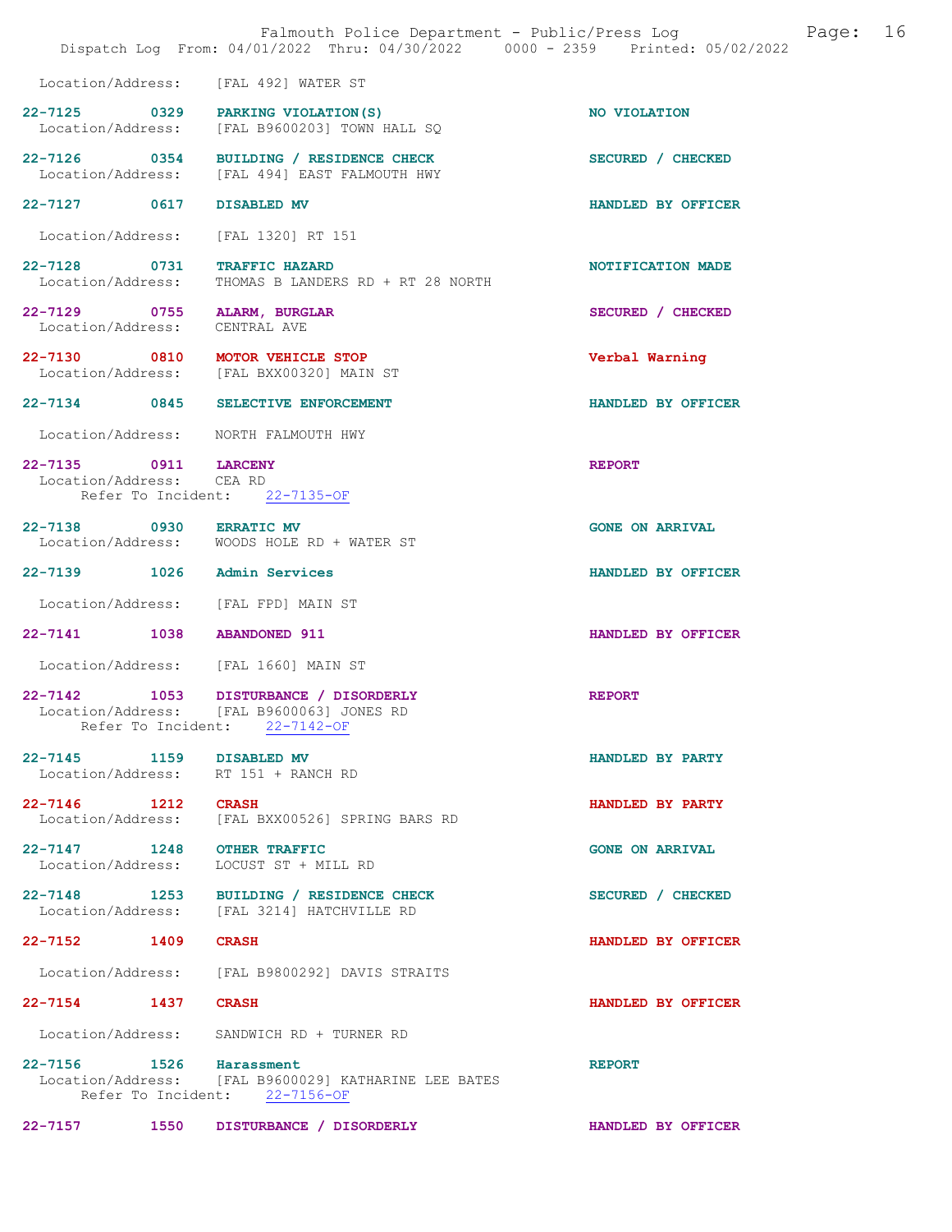|                                                  | Falmouth Police Department - Public/Press Log<br>Dispatch Log From: 04/01/2022 Thru: 04/30/2022 0000 - 2359 Printed: 05/02/2022 | 16<br>Page:            |
|--------------------------------------------------|---------------------------------------------------------------------------------------------------------------------------------|------------------------|
|                                                  | Location/Address: [FAL 492] WATER ST                                                                                            |                        |
|                                                  | 22-7125 0329 PARKING VIOLATION (S)<br>Location/Address: [FAL B9600203] TOWN HALL SQ                                             | NO VIOLATION           |
|                                                  | 22-7126 0354 BUILDING / RESIDENCE CHECK<br>Location/Address: [FAL 494] EAST FALMOUTH HWY                                        | SECURED / CHECKED      |
| 22-7127 0617                                     | DISABLED MV                                                                                                                     | HANDLED BY OFFICER     |
|                                                  | Location/Address: [FAL 1320] RT 151                                                                                             |                        |
| 22-7128 0731                                     | <b>TRAFFIC HAZARD</b><br>Location/Address: THOMAS B LANDERS RD + RT 28 NORTH                                                    | NOTIFICATION MADE      |
| 22-7129 0755 ALARM, BURGLAR<br>Location/Address: | CENTRAL AVE                                                                                                                     | SECURED / CHECKED      |
|                                                  | 22-7130 0810 MOTOR VEHICLE STOP<br>Location/Address: [FAL BXX00320] MAIN ST                                                     | Verbal Warning         |
| 22-7134 0845                                     | SELECTIVE ENFORCEMENT                                                                                                           | HANDLED BY OFFICER     |
| Location/Address:                                | NORTH FALMOUTH HWY                                                                                                              |                        |
| 22-7135 0911 LARCENY<br>Location/Address: CEA RD | Refer To Incident: 22-7135-OF                                                                                                   | <b>REPORT</b>          |
| 22-7138 0930 ERRATIC MV                          | Location/Address: WOODS HOLE RD + WATER ST                                                                                      | <b>GONE ON ARRIVAL</b> |
| 22-7139 1026 Admin Services                      |                                                                                                                                 | HANDLED BY OFFICER     |
| Location/Address:                                | [FAL FPD] MAIN ST                                                                                                               |                        |
| 22-7141 1038 ABANDONED 911                       |                                                                                                                                 | HANDLED BY OFFICER     |
|                                                  | Location/Address: [FAL 1660] MAIN ST                                                                                            |                        |
|                                                  | 22-7142 1053 DISTURBANCE / DISORDERLY<br>Location/Address: [FAL B9600063] JONES RD<br>Refer To Incident: 22-7142-OF             | <b>REPORT</b>          |
| 22-7145 1159 DISABLED MV                         | Location/Address: RT 151 + RANCH RD                                                                                             | HANDLED BY PARTY       |
| 22-7146 1212 CRASH                               | Location/Address: [FAL BXX00526] SPRING BARS RD                                                                                 | HANDLED BY PARTY       |
| 22-7147 1248 OTHER TRAFFIC                       | Location/Address: LOCUST ST + MILL RD                                                                                           | <b>GONE ON ARRIVAL</b> |
|                                                  | 22-7148 1253 BUILDING / RESIDENCE CHECK<br>Location/Address: [FAL 3214] HATCHVILLE RD                                           | SECURED / CHECKED      |
| 22-7152 1409 CRASH                               |                                                                                                                                 | HANDLED BY OFFICER     |
|                                                  | Location/Address: [FAL B9800292] DAVIS STRAITS                                                                                  |                        |
| 22-7154 1437 CRASH                               |                                                                                                                                 | HANDLED BY OFFICER     |
|                                                  | Location/Address: SANDWICH RD + TURNER RD                                                                                       |                        |
| 22-7156 1526 Harassment                          | Location/Address: [FAL B9600029] KATHARINE LEE BATES<br>Refer To Incident: 22-7156-OF                                           | <b>REPORT</b>          |
|                                                  | 22-7157 1550 DISTURBANCE / DISORDERLY                                                                                           | HANDLED BY OFFICER     |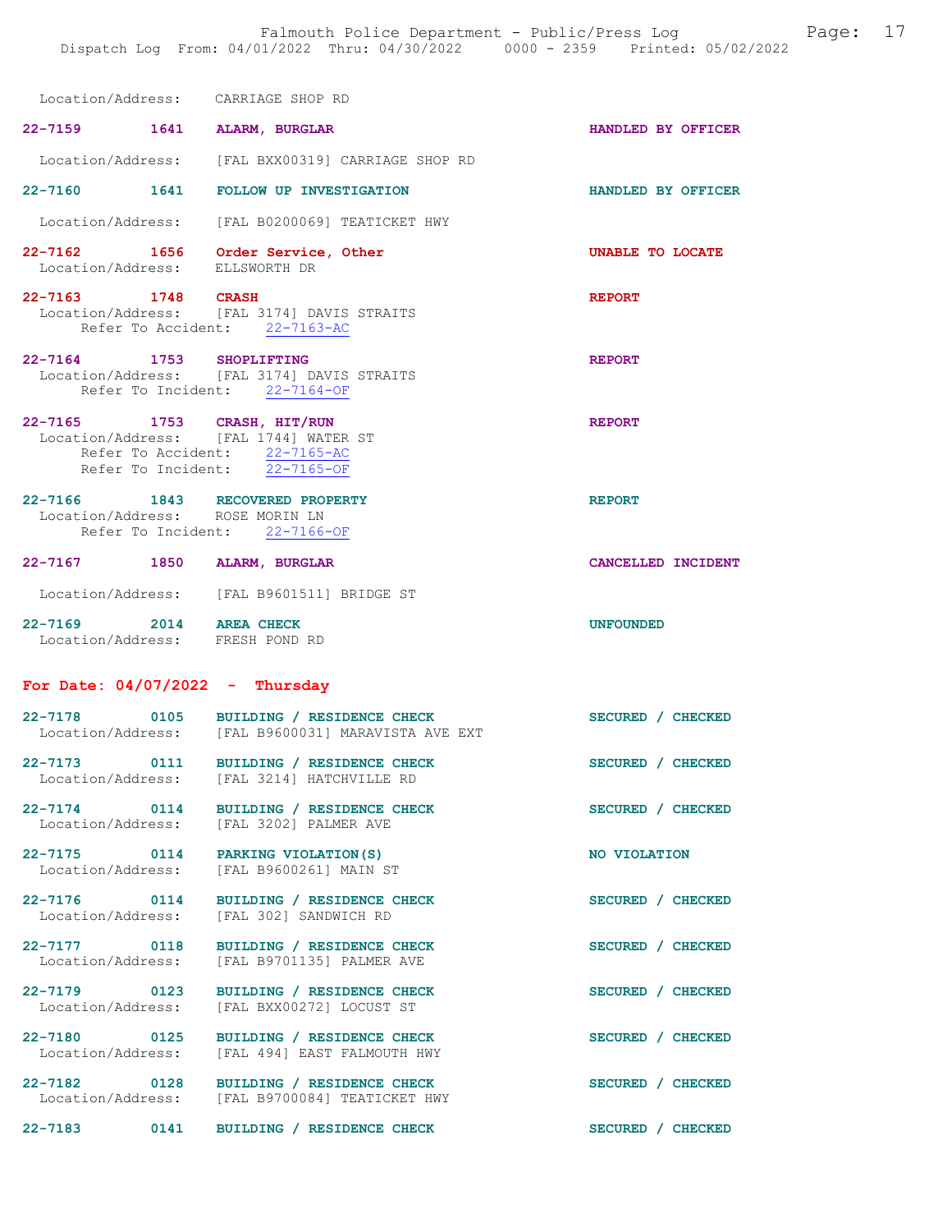Location/Address: CARRIAGE SHOP RD

22-7159 1641 ALARM, BURGLAR HANDLED BY OFFICER Location/Address: [FAL BXX00319] CARRIAGE SHOP RD

22-7160 1641 FOLLOW UP INVESTIGATION HANDLED BY OFFICER

Location/Address: [FAL B0200069] TEATICKET HWY

22-7162 1656 Order Service, Other Service Manusculing the UNABLE TO LOCATE Location/Address: ELLSWORTH DR Location/Address:

#### 22-7163 1748 CRASH REPORT Location/Address: [FAL 3174] DAVIS STRAITS [FAL 3174] DAVIS STRAITS<br>ent: 22-7163-AC Refer To Accident:

- 22-7164 1753 SHOPLIFTING REPORT Location/Address: [FAL 3174] DAVIS STRAITS Refer To Incident: 22-7164-OF
- 22-7165 1753 CRASH, HIT/RUN REPORT Location/Address: [FAL 1744] WATER ST Refer To Accident: 22-7165-AC Refer To Incident: 22-7165-OF

### 22-7166 1843 RECOVERED PROPERTY REPORT Location/Address: ROSE MORIN LN Refer To Incident: 22-7166-OF

# 22-7167 1850 ALARM, BURGLAR CANCELLED INCIDENT

- Location/Address: [FAL B9601511] BRIDGE ST
- 22-7169 2014 AREA CHECK UNFOUNDED Location/Address: FRESH POND RD

For Date:  $04/07/2022 -$  Thursday

| 22-7178           | 0105 | BUILDING / RESIDENCE CHECK       | SECURED / CHECKED |
|-------------------|------|----------------------------------|-------------------|
| Location/Address: |      | [FAL B9600031] MARAVISTA AVE EXT |                   |
| 22-7173           | 0111 | BUILDING / RESIDENCE CHECK       | SECURED / CHECKED |
| Location/Address: |      | [FAL 3214] HATCHVILLE RD         |                   |

22-7174 0114 BUILDING / RESIDENCE CHECK SECURED / CHECKED Location/Address:

22-7175 0114 PARKING VIOLATION(S) NO VIOLATION<br>
Location/Address: [FAL B9600261] MAIN ST

22-7176 0114 BUILDING / RESIDENCE CHECK SECURED / CHECKED Location/Address: [FAL 302] SANDWICH RD

|                       | BUILDING / RESIDENCE CHEC        |
|-----------------------|----------------------------------|
| [FAL 3202] PALMER AVE |                                  |
|                       |                                  |
| PARKING VIOLATION (S) |                                  |
|                       | $[1227, 200000000]$ $M3.7M$ $27$ |

Location/Address: [FAL B9600261] MAIN ST

22-7177 0118 BUILDING / RESIDENCE CHECK SECURED / CHECKED Location/Address: [FAL B9701135] PALMER AVE

22-7179 0123 BUILDING / RESIDENCE CHECK SECURED / CHECKED Location/Address: [FAL BXX00272] LOCUST ST

22-7180 0125 BUILDING / RESIDENCE CHECK SECURED / CHECKED Location/Address: [FAL 494] EAST FALMOUTH HWY

22-7182 0128 BUILDING / RESIDENCE CHECK SECURED / CHECKED Location/Address: [FAL B9700084] TEATICKET HWY

22-7183 0141 BUILDING / RESIDENCE CHECK SECURED / CHECKED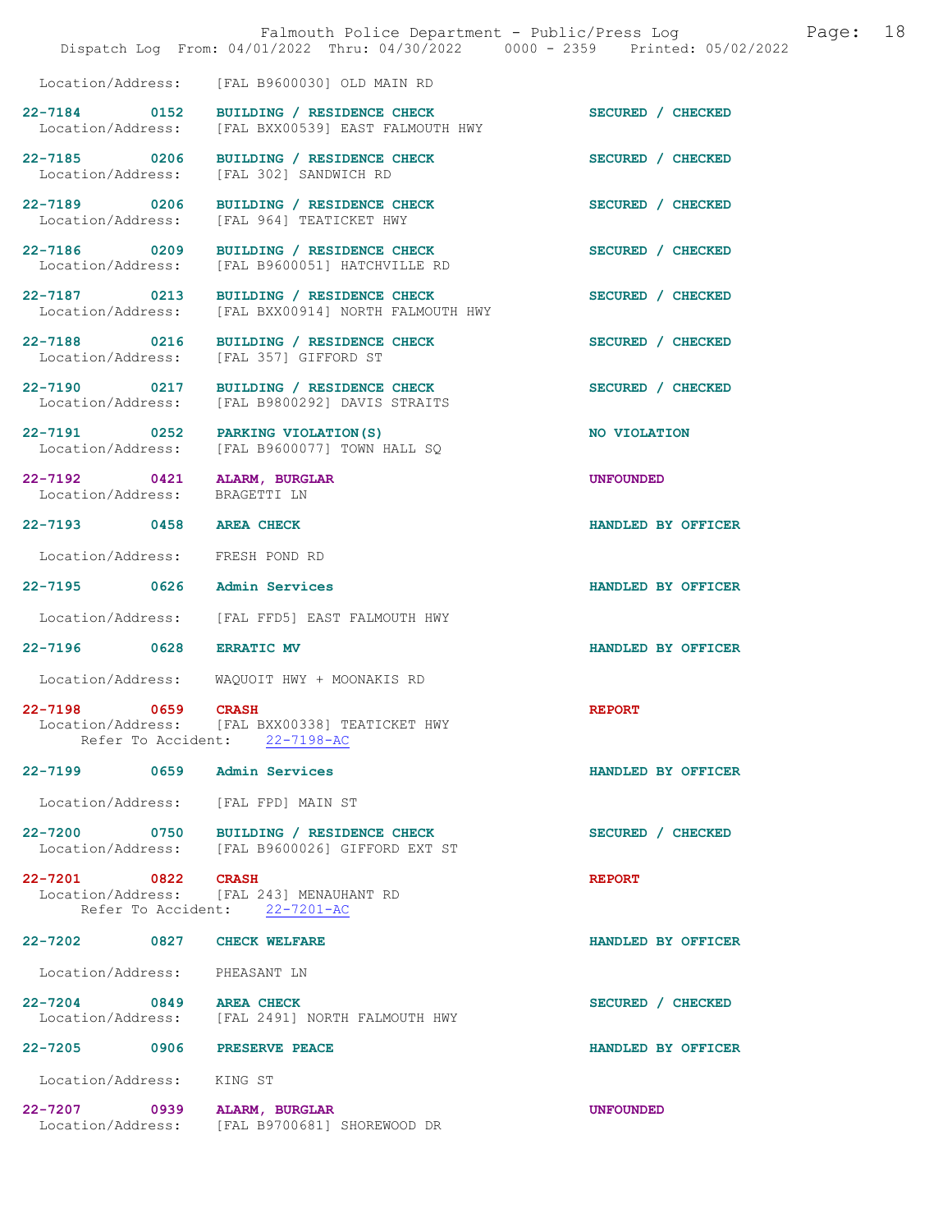|                                     | Falmouth Police Department - Public/Press Log<br>Dispatch Log From: 04/01/2022 Thru: 04/30/2022 0000 - 2359 Printed: 05/02/2022 |                    | Page: | 18 |
|-------------------------------------|---------------------------------------------------------------------------------------------------------------------------------|--------------------|-------|----|
|                                     | Location/Address: [FAL B9600030] OLD MAIN RD                                                                                    |                    |       |    |
| 22-7184 0152<br>Location/Address:   | BUILDING / RESIDENCE CHECK<br>[FAL BXX00539] EAST FALMOUTH HWY                                                                  | SECURED / CHECKED  |       |    |
| 22-7185 0206<br>Location/Address:   | BUILDING / RESIDENCE CHECK<br>[FAL 302] SANDWICH RD                                                                             | SECURED / CHECKED  |       |    |
| 22-7189 0206<br>Location/Address:   | BUILDING / RESIDENCE CHECK<br>[FAL 964] TEATICKET HWY                                                                           | SECURED / CHECKED  |       |    |
| 22-7186 0209<br>Location/Address:   | BUILDING / RESIDENCE CHECK<br>[FAL B9600051] HATCHVILLE RD                                                                      | SECURED / CHECKED  |       |    |
| 22-7187 0213<br>Location/Address:   | BUILDING / RESIDENCE CHECK<br>[FAL BXX00914] NORTH FALMOUTH HWY                                                                 | SECURED / CHECKED  |       |    |
| 22-7188 0216<br>Location/Address:   | BUILDING / RESIDENCE CHECK<br>[FAL 357] GIFFORD ST                                                                              | SECURED / CHECKED  |       |    |
| 22-7190 0217<br>Location/Address:   | BUILDING / RESIDENCE CHECK<br>[FAL B9800292] DAVIS STRAITS                                                                      | SECURED / CHECKED  |       |    |
| 22-7191 0252<br>Location/Address:   | PARKING VIOLATION (S)<br>[FAL B9600077] TOWN HALL SO                                                                            | NO VIOLATION       |       |    |
| 22-7192 0421<br>Location/Address:   | <b>ALARM, BURGLAR</b><br>BRAGETTI LN                                                                                            | <b>UNFOUNDED</b>   |       |    |
| $22 - 7193$<br>0458                 | <b>AREA CHECK</b>                                                                                                               | HANDLED BY OFFICER |       |    |
| Location/Address:                   | FRESH POND RD                                                                                                                   |                    |       |    |
| 22-7195 0626                        | Admin Services                                                                                                                  | HANDLED BY OFFICER |       |    |
| Location/Address:                   | [FAL FFD5] EAST FALMOUTH HWY                                                                                                    |                    |       |    |
| 22-7196 0628                        | <b>ERRATIC MV</b>                                                                                                               | HANDLED BY OFFICER |       |    |
| Location/Address:                   | WAQUOIT HWY + MOONAKIS RD                                                                                                       |                    |       |    |
| $22 - 7198$<br>0659                 | <b>CRASH</b><br>Location/Address: [FAL BXX00338] TEATICKET HWY<br>Refer To Accident: 22-7198-AC                                 | <b>REPORT</b>      |       |    |
| 22-7199 0659                        | Admin Services                                                                                                                  | HANDLED BY OFFICER |       |    |
| Location/Address: [FAL FPD] MAIN ST |                                                                                                                                 |                    |       |    |
|                                     | 22-7200 0750 BUILDING / RESIDENCE CHECK<br>Location/Address: [FAL B9600026] GIFFORD EXT ST                                      | SECURED / CHECKED  |       |    |
| 22-7201 0822                        | <b>CRASH</b><br>Location/Address: [FAL 243] MENAUHANT RD<br>Refer To Accident: 22-7201-AC                                       | <b>REPORT</b>      |       |    |
| 22-7202 0827                        | <b>CHECK WELFARE</b>                                                                                                            | HANDLED BY OFFICER |       |    |
| Location/Address: PHEASANT LN       |                                                                                                                                 |                    |       |    |
| 22-7204 0849                        | <b>AREA CHECK</b><br>Location/Address: [FAL 2491] NORTH FALMOUTH HWY                                                            | SECURED / CHECKED  |       |    |
| 22-7205 0906                        | <b>PRESERVE PEACE</b>                                                                                                           | HANDLED BY OFFICER |       |    |
| Location/Address: KING ST           |                                                                                                                                 |                    |       |    |
| 22-7207 0939<br>Location/Address:   | ALARM, BURGLAR<br>[FAL B9700681] SHOREWOOD DR                                                                                   | <b>UNFOUNDED</b>   |       |    |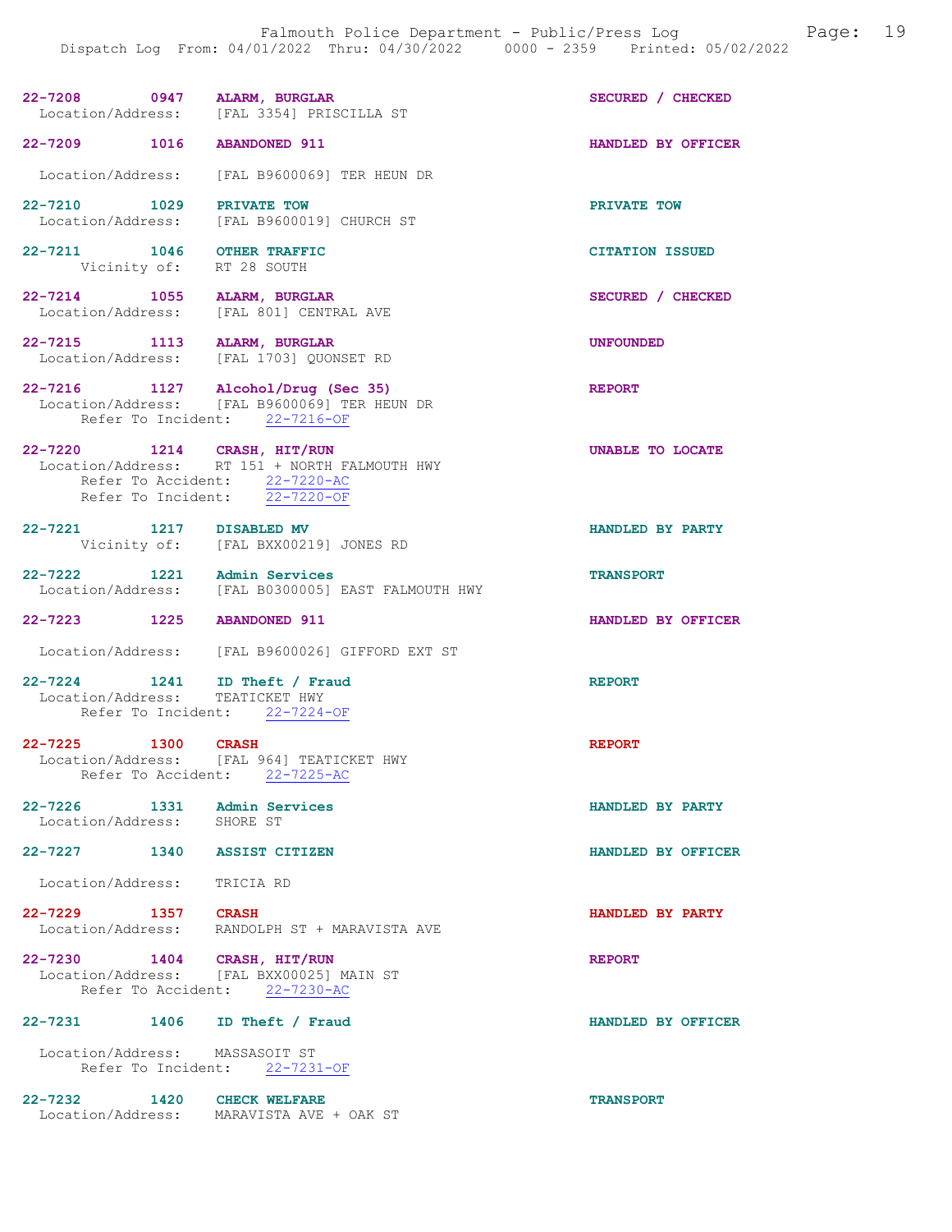| $22 - 7208$ | 0947 ALARM, BURGLAR                       | SECURED / CHECKED |
|-------------|-------------------------------------------|-------------------|
|             | Location/Address: [FAL 3354] PRISCILLA ST |                   |
|             |                                           |                   |

Location/Address: [FAL B9600069] TER HEUN DR

22-7210 1029 PRIVATE TOW DOCATION PRIVATE TOW DOCATION Address: [FAL B9600019] CHURCH ST [FAL B9600019] CHURCH ST

22-7211 1046 OTHER TRAFFIC CITATION ISSUED<br>Vicinity of: RT 28 SOUTH Vicinity of:

22-7214 1055 ALARM, BURGLAR SECURED / CHECKED Location/Address: [FAL 801] CENTRAL AVE

22-7215 1113 ALARM, BURGLAR UNFOUNDED<br>
Location/Address: [FAL 1703] QUONSET RD [FAL 1703] QUONSET RD

22-7216 1127 Alcohol/Drug (Sec 35) REPORT Location/Address: [FAL B9600069] TER HEUN DR Refer To Incident: 22-7216-OF

22-7220 1214 CRASH, HIT/RUN 1999 120 22-7220 UNABLE TO LOCATE Location/Address: RT 151 + NORTH FALMOUTH HWY Refer To Accident: 22-7220-AC Refer To Incident: 22-7220-OF

22-7221 1217 DISABLED MV HANDLED BY PARTY Vicinity of: [FAL BXX00219] JONES RD

22-7222 1221 Admin Services TRANSPORT Location/Address: [FAL B0300005] EAST FALMOUTH HWY

22-7223 1225 ABANDONED 911 HANDLED BY OFFICER

Location/Address: [FAL B9600026] GIFFORD EXT ST

22-7224 1241 ID Theft / Fraud REPORT Location/Address: TEATICKET HWY Refer To Incident: 22-7224-OF

22-7225 1300 CRASH REPORT Location/Address: [FAL 964] TEATICKET HWY Refer To Accident: 22-7225-AC

22-7226 1331 Admin Services HANDLED BY PARTY Location/Address: SHORE ST Location/Address:

22-7227 1340 ASSIST CITIZEN HANDLED BY OFFICER

Location/Address: TRICIA RD

22-7229 1357 CRASH 1357 CRASH HANDLED BY PARTY Location/Address: RANDOLPH ST + MARAVISTA AVE RANDOLPH ST + MARAVISTA AVE

22-7230 1404 CRASH, HIT/RUN REPORT Location/Address: [FAL BXX00025] MAIN ST Refer To Accident: 22-7230-AC

22-7231 1406 ID Theft / Fraud HANDLED BY OFFICER

 Location/Address: MASSASOIT ST Refer To Incident: 22-7231-OF

22-7232 1420 CHECK WELFARE TRANSPORT Location/Address: MARAVISTA AVE + OAK ST

22-7209 1016 ABANDONED 911 HANDLED BY OFFICER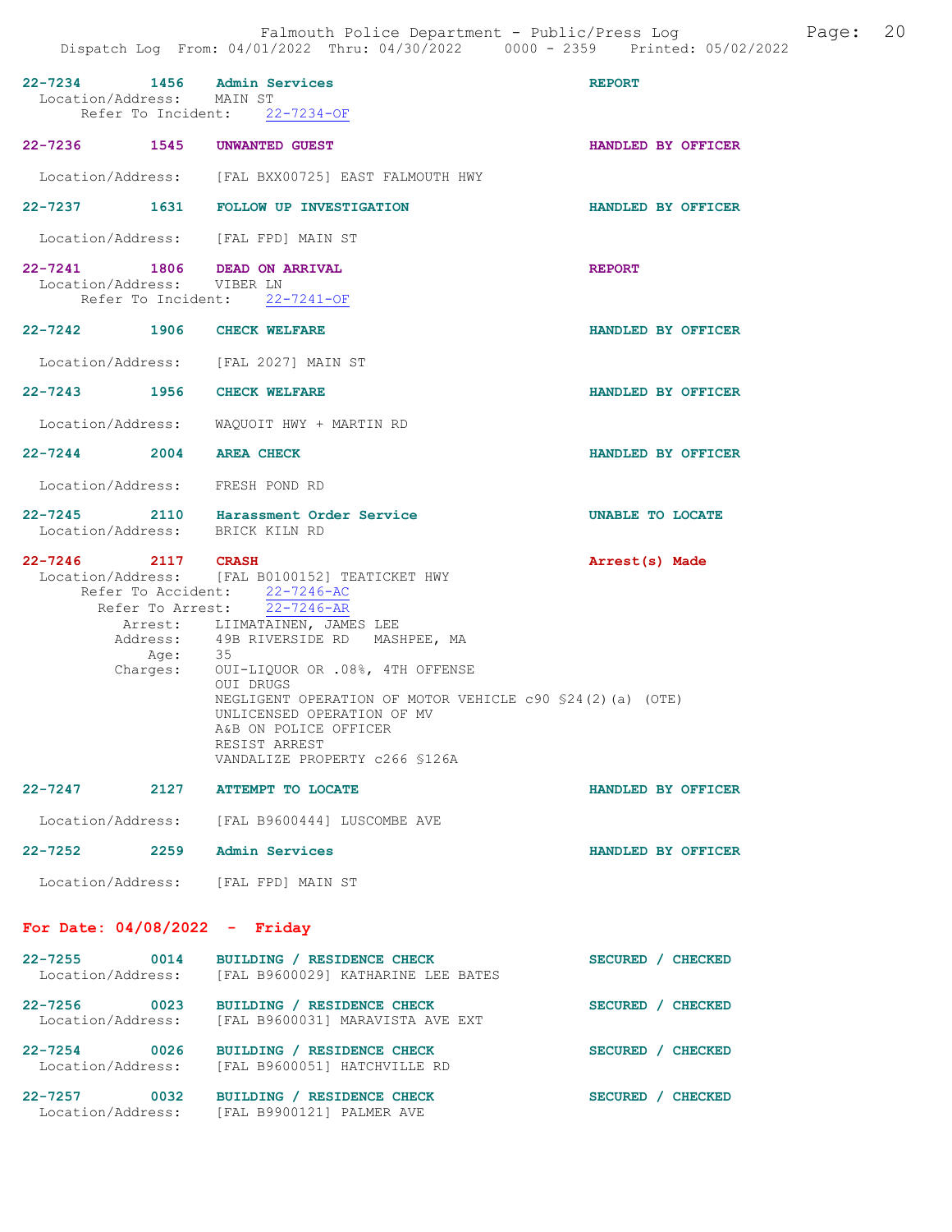| 1456<br>22-7234<br>Location/Address: MAIN ST                             | Admin Services<br>Refer To Incident: 22-7234-OF                                                                                                                                                                                                                                                                                                                                                              | <b>REPORT</b>      |
|--------------------------------------------------------------------------|--------------------------------------------------------------------------------------------------------------------------------------------------------------------------------------------------------------------------------------------------------------------------------------------------------------------------------------------------------------------------------------------------------------|--------------------|
| 22-7236<br>1545                                                          | UNWANTED GUEST                                                                                                                                                                                                                                                                                                                                                                                               | HANDLED BY OFFICER |
|                                                                          | Location/Address: [FAL BXX00725] EAST FALMOUTH HWY                                                                                                                                                                                                                                                                                                                                                           |                    |
|                                                                          | 22-7237 1631 FOLLOW UP INVESTIGATION                                                                                                                                                                                                                                                                                                                                                                         | HANDLED BY OFFICER |
| Location/Address: [FAL FPD] MAIN ST                                      |                                                                                                                                                                                                                                                                                                                                                                                                              |                    |
| 22-7241 1806<br>Location/Address:                                        | <b>DEAD ON ARRIVAL</b><br>VIBER LN<br>Refer To Incident: 22-7241-OF                                                                                                                                                                                                                                                                                                                                          | <b>REPORT</b>      |
| 22-7242 1906                                                             | <b>CHECK WELFARE</b>                                                                                                                                                                                                                                                                                                                                                                                         | HANDLED BY OFFICER |
| Location/Address: [FAL 2027] MAIN ST                                     |                                                                                                                                                                                                                                                                                                                                                                                                              |                    |
| 22-7243 1956                                                             | <b>CHECK WELFARE</b>                                                                                                                                                                                                                                                                                                                                                                                         | HANDLED BY OFFICER |
| Location/Address:                                                        | WAQUOIT HWY + MARTIN RD                                                                                                                                                                                                                                                                                                                                                                                      |                    |
| $22 - 7244$ 2004                                                         | <b>AREA CHECK</b>                                                                                                                                                                                                                                                                                                                                                                                            | HANDLED BY OFFICER |
| Location/Address: FRESH POND RD                                          |                                                                                                                                                                                                                                                                                                                                                                                                              |                    |
| $22 - 7245$<br>Location/Address: BRICK KILN RD                           | 2110 Harassment Order Service                                                                                                                                                                                                                                                                                                                                                                                | UNABLE TO LOCATE   |
| $22 - 7246$<br><b>2117 CRASH</b><br>Refer To Arrest:<br>Age:<br>Charges: | Location/Address: [FAL B0100152] TEATICKET HWY<br>Refer To Accident: 22-7246-AC<br>$22 - 7246 - AR$<br>Arrest: LIIMATAINEN, JAMES LEE<br>Address: 49B RIVERSIDE RD MASHPEE, MA<br>-35<br>OUI-LIQUOR OR .08%, 4TH OFFENSE<br>OUI DRUGS<br>NEGLIGENT OPERATION OF MOTOR VEHICLE c90 \$24(2)(a) (OTE)<br>UNLICENSED OPERATION OF MV<br>A&B ON POLICE OFFICER<br>RESIST ARREST<br>VANDALIZE PROPERTY c266 \$126A | Arrest(s) Made     |
| 22-7247<br>2127                                                          | <b>ATTEMPT TO LOCATE</b>                                                                                                                                                                                                                                                                                                                                                                                     | HANDLED BY OFFICER |
|                                                                          | Location/Address: [FAL B9600444] LUSCOMBE AVE                                                                                                                                                                                                                                                                                                                                                                |                    |
| 22–7252 2259                                                             | Admin Services                                                                                                                                                                                                                                                                                                                                                                                               | HANDLED BY OFFICER |
| Location/Address: [FAL FPD] MAIN ST                                      |                                                                                                                                                                                                                                                                                                                                                                                                              |                    |
| For Date: $04/08/2022 -$ Friday                                          |                                                                                                                                                                                                                                                                                                                                                                                                              |                    |
| 22-7255 0014<br>Location/Address:                                        | BUILDING / RESIDENCE CHECK<br>[FAL B9600029] KATHARINE LEE BATES                                                                                                                                                                                                                                                                                                                                             | SECURED / CHECKED  |
| 22-7256<br>$\sim$ 0023<br>Location/Address:                              | BUILDING / RESIDENCE CHECK<br>[FAL B9600031] MARAVISTA AVE EXT                                                                                                                                                                                                                                                                                                                                               | SECURED / CHECKED  |
| 22-7254 0026<br>Location/Address:                                        | BUILDING / RESIDENCE CHECK<br>[FAL B9600051] HATCHVILLE RD                                                                                                                                                                                                                                                                                                                                                   | SECURED / CHECKED  |
| 22-7257<br>0032<br>Location/Address:                                     | BUILDING / RESIDENCE CHECK<br>[FAL B9900121] PALMER AVE                                                                                                                                                                                                                                                                                                                                                      | SECURED / CHECKED  |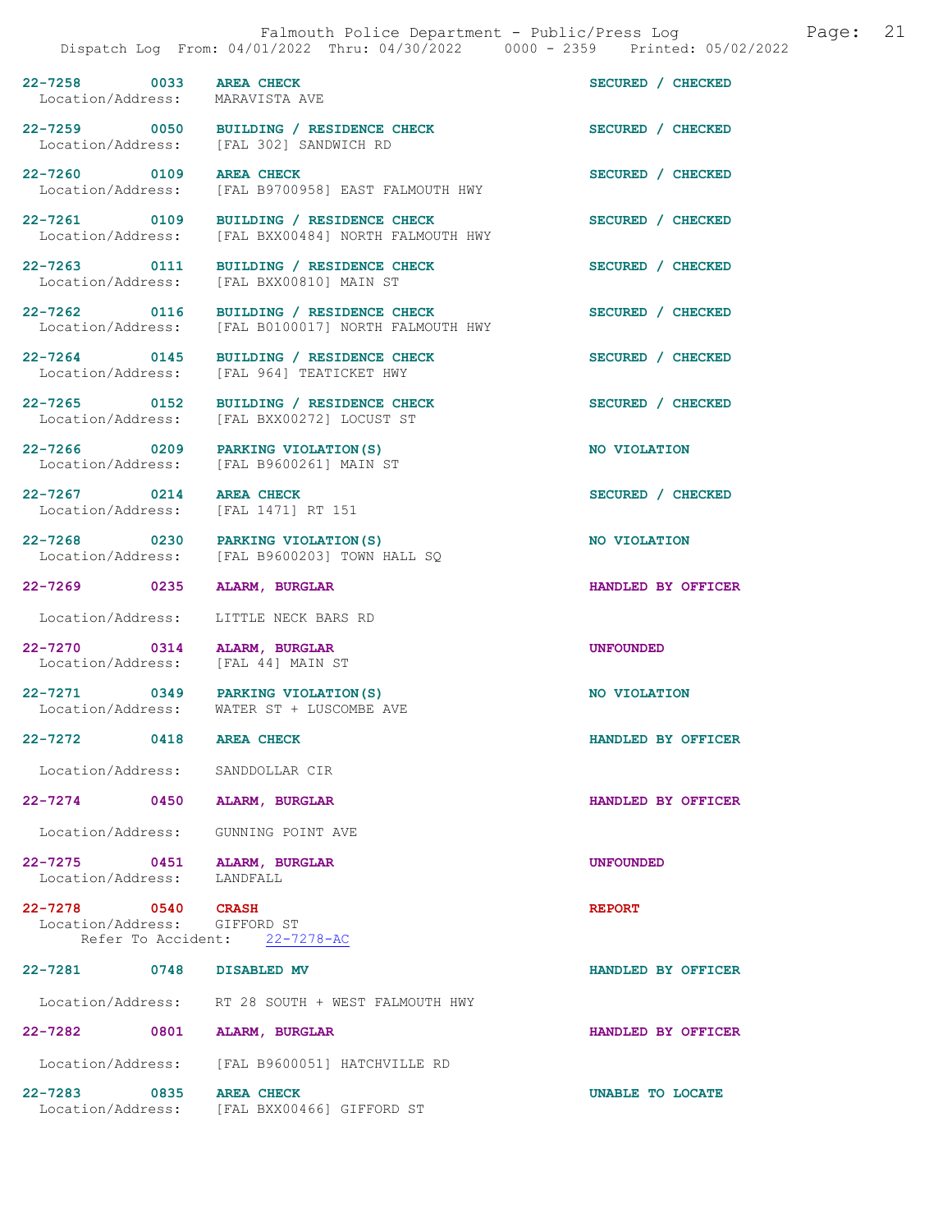22-7258 0033 AREA CHECK SECURED / CHECKED<br>
Location/Address: MARAVISTA AVE Location/Address: 22-7259 0050 BUILDING / RESIDENCE CHECK SECURED / CHECKED Location/Address: [FAL 302] SANDWICH RD [FAL 302] SANDWICH RD

22-7260 0109 AREA CHECK SECURED / CHECKED Location/Address: [FAL B9700958] EAST FALMOUTH HWY

[FAL BXX00810] MAIN ST

Location/Address: [FAL BXX00272] LOCUST ST

[FAL B9600261] MAIN ST

 $[FAL B9600203]$  TOWN HALL SQ

[FAL 1471] RT 151

Location/Address: [FAL 44] MAIN ST

Location/Address: [FAL BXX00484] NORTH FALMOUTH HWY

22-7264 0145 BUILDING / RESIDENCE CHECK SECURED / CHECKED Location/Address: [FAL 964] TEATICKET HWY

22-7266 0209 PARKING VIOLATION(S) NO VIOLATION<br>
Location/Address: [FAL B9600261] MAIN ST

22-7267 0214 AREA CHECK SECURED / CHECKED<br>
Location/Address: [FAL 1471] RT 151

22-7268 0230 PARKING VIOLATION(S) NO VIOLATION<br>
Location/Address: [FAL B9600203] TOWN HALL SO

Location/Address: LITTLE NECK BARS RD

22-7270 0314 ALARM, BURGLAR UNFOUNDED<br>
Location/Address: [FAL 44] MAIN ST

22-7271 0349 PARKING VIOLATION(S) NO VIOLATION Location/Address: WATER ST + LUSCOMBE AVE

Location/Address: SANDDOLLAR CIR

22-7274 0450 ALARM, BURGLAR HANDLED BY OFFICER

Location/Address: GUNNING POINT AVE

22-7275 0451 ALARM, BURGLAR UNE SALARM UNFOUNDED Location/Address:

22-7278 0540 CRASH REPORT Location/Address: GIFFORD ST<br>Refer To Accident: 22-7278-AC Refer To Accident:

22-7281 0748 DISABLED MV HANDLED BY OFFICER

Location/Address: RT 28 SOUTH + WEST FALMOUTH HWY

22-7282 0801 ALARM, BURGLAR HANDLED BY OFFICER Location/Address: [FAL B9600051] HATCHVILLE RD

22-7283 0835 AREA CHECK UNABLE TO LOCATE<br>
Location/Address: [FAL BXX00466] GIFFORD ST [FAL BXX00466] GIFFORD ST

22-7261 0109 BUILDING / RESIDENCE CHECK SECURED / CHECKED 22-7263 0111 BUILDING / RESIDENCE CHECK SECURED / CHECKED Location/Address: [FAL BXX00810] MAIN ST 22-7262 0116 BUILDING / RESIDENCE CHECK SECURED / CHECKED<br>
Location/Address: [FAL B0100017] NORTH FALMOUTH HWY [FAL B0100017] NORTH FALMOUTH HWY

22-7265 0152 BUILDING / RESIDENCE CHECK SECURED / CHECKED Location/Address: [FAL BXX00272] LOCUST ST

22-7269 0235 ALARM, BURGLAR HANDLED BY OFFICER

22-7272 0418 AREA CHECK HANDLED BY OFFICER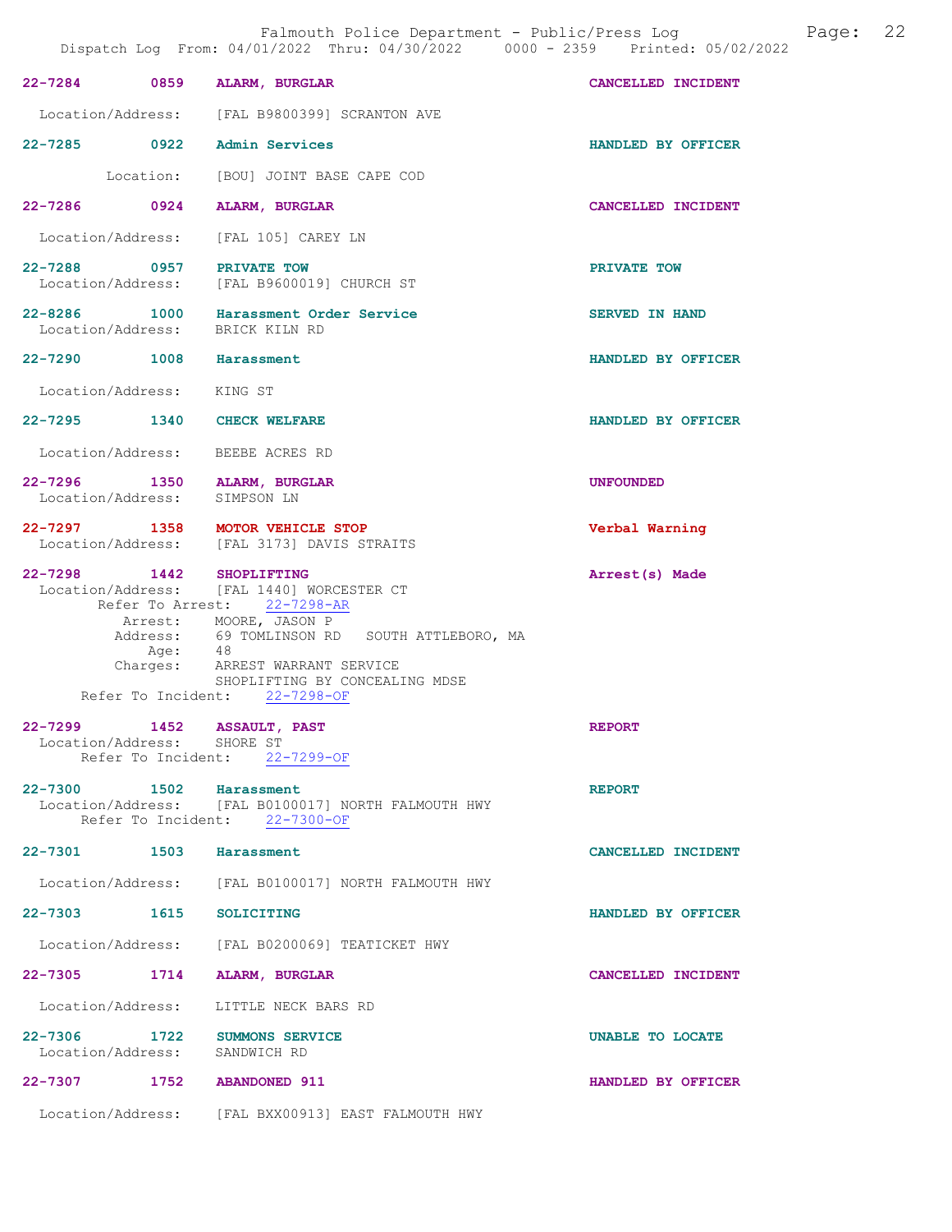| DISPULLED DUY                                               | IIUM, VI/VI/ZVZZ INIU, VI/JV/ZVZZ<br><b>boot</b>                                                                     |                    |
|-------------------------------------------------------------|----------------------------------------------------------------------------------------------------------------------|--------------------|
| 22-7284 0859 ALARM, BURGLAR                                 |                                                                                                                      | CANCELLED INCIDENT |
|                                                             | Location/Address: [FAL B9800399] SCRANTON AVE                                                                        |                    |
| 22-7285 0922 Admin Services                                 |                                                                                                                      | HANDLED BY OFFICER |
|                                                             | Location: [BOU] JOINT BASE CAPE COD                                                                                  |                    |
| 22-7286 0924 ALARM, BURGLAR                                 |                                                                                                                      | CANCELLED INCIDENT |
|                                                             | Location/Address: [FAL 105] CAREY LN                                                                                 |                    |
| 22-7288 0957 PRIVATE TOW                                    | Location/Address: [FAL B9600019] CHURCH ST                                                                           | PRIVATE TOW        |
|                                                             | 22-8286 1000 Harassment Order Service<br>Location/Address: BRICK KILN RD                                             | SERVED IN HAND     |
| 22-7290 1008 Harassment                                     |                                                                                                                      | HANDLED BY OFFICER |
| Location/Address: KING ST                                   |                                                                                                                      |                    |
| 22-7295 1340 CHECK WELFARE                                  |                                                                                                                      | HANDLED BY OFFICER |
| Location/Address: BEEBE ACRES RD                            |                                                                                                                      |                    |
| 22-7296 1350 ALARM, BURGLAR<br>Location/Address: SIMPSON LN |                                                                                                                      | <b>UNFOUNDED</b>   |
|                                                             | 22-7297 1358 MOTOR VEHICLE STOP<br>Location/Address: [FAL 3173] DAVIS STRAITS                                        | Verbal Warning     |
| 22-7298 1442 SHOPLIFTING                                    | Location/Address: [FAL 1440] WORCESTER CT<br>Refer To Arrest: 22-7298-AR                                             | Arrest(s) Made     |
|                                                             | Arrest: MOORE, JASON P<br>Address: 69 TOMLINSON RD SOUTH ATTLEBORO, MA<br>Age: 48<br>Charges: ARREST WARRANT SERVICE |                    |
|                                                             | SHOPLIFTING BY CONCEALING MDSE                                                                                       |                    |
|                                                             | Refer To Incident: 22-7298-OF                                                                                        |                    |
| 22-7299 1452 ASSAULT, PAST<br>Location/Address: SHORE ST    | Refer To Incident: 22-7299-OF                                                                                        | <b>REPORT</b>      |
| 22-7300 1502                                                | Harassment<br>Location/Address: [FAL B0100017] NORTH FALMOUTH HWY<br>Refer To Incident: 22-7300-OF                   | <b>REPORT</b>      |
| 22-7301 1503 Harassment                                     |                                                                                                                      | CANCELLED INCIDENT |
|                                                             | Location/Address: [FAL B0100017] NORTH FALMOUTH HWY                                                                  |                    |
| 22-7303 1615 SOLICITING                                     |                                                                                                                      | HANDLED BY OFFICER |
|                                                             | Location/Address: [FAL B0200069] TEATICKET HWY                                                                       |                    |
| 22-7305 1714                                                | ALARM, BURGLAR                                                                                                       | CANCELLED INCIDENT |
| Location/Address:                                           | LITTLE NECK BARS RD                                                                                                  |                    |
| 22-7306 1722<br>Location/Address: SANDWICH RD               | SUMMONS SERVICE                                                                                                      | UNABLE TO LOCATE   |
| 22-7307 1752 ABANDONED 911                                  |                                                                                                                      | HANDLED BY OFFICER |
|                                                             | Location/Address: [FAL BXX00913] EAST FALMOUTH HWY                                                                   |                    |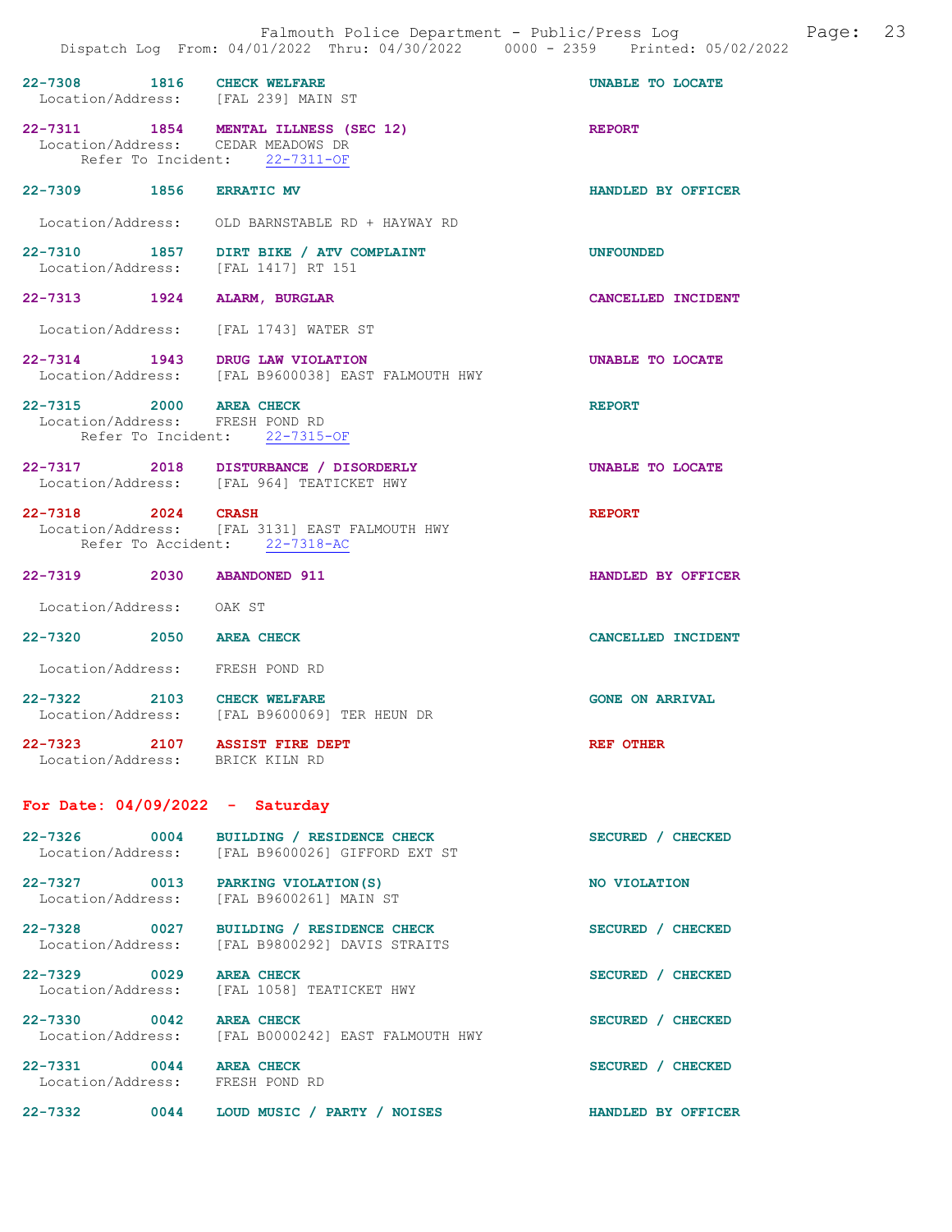| 22-7308 1816 CHECK WELFARE                                 | Location/Address: [FAL 239] MAIN ST                                                                         | <b>UNABLE TO LOCATE</b> |
|------------------------------------------------------------|-------------------------------------------------------------------------------------------------------------|-------------------------|
|                                                            | 22-7311 1854 MENTAL ILLNESS (SEC 12)<br>Location/Address: CEDAR MEADOWS DR<br>Refer To Incident: 22-7311-OF | <b>REPORT</b>           |
| 22-7309 1856 ERRATIC MV                                    |                                                                                                             | HANDLED BY OFFICER      |
|                                                            | Location/Address: OLD BARNSTABLE RD + HAYWAY RD                                                             |                         |
|                                                            | 22-7310 1857 DIRT BIKE / ATV COMPLAINT<br>Location/Address: [FAL 1417] RT 151                               | <b>UNFOUNDED</b>        |
| 22-7313 1924 ALARM, BURGLAR                                |                                                                                                             | CANCELLED INCIDENT      |
|                                                            | Location/Address: [FAL 1743] WATER ST                                                                       |                         |
|                                                            | 22-7314 1943 DRUG LAW VIOLATION<br>Location/Address: [FAL B9600038] EAST FALMOUTH HWY                       | UNABLE TO LOCATE        |
| 22-7315 2000 AREA CHECK<br>Location/Address: FRESH POND RD | Refer To Incident: 22-7315-OF                                                                               | <b>REPORT</b>           |
|                                                            | 22-7317 2018 DISTURBANCE / DISORDERLY<br>Location/Address: [FAL 964] TEATICKET HWY                          | <b>UNABLE TO LOCATE</b> |
| 22-7318 2024                                               | <b>CRASH</b><br>Location/Address: [FAL 3131] EAST FALMOUTH HWY<br>Refer To Accident: 22-7318-AC             | <b>REPORT</b>           |
| 22-7319 2030 ABANDONED 911                                 |                                                                                                             | HANDLED BY OFFICER      |
| Location/Address: OAK ST                                   |                                                                                                             |                         |
| 22-7320 2050 AREA CHECK                                    |                                                                                                             | CANCELLED INCIDENT      |
| Location/Address: FRESH POND RD                            |                                                                                                             |                         |
| 22-7322 2103 CHECK WELFARE                                 | Location/Address: [FAL B9600069] TER HEUN DR                                                                | <b>GONE ON ARRIVAL</b>  |
| 22-7323 2107<br>Location/Address: BRICK KILN RD            | <b>ASSIST FIRE DEPT</b>                                                                                     | <b>REF OTHER</b>        |
| For Date: $04/09/2022 -$ Saturday                          |                                                                                                             |                         |

| $22 - 7326$<br>Location/Address:                | 0004 | BUILDING / RESIDENCE CHECK<br>[FAL B9600026] GIFFORD EXT ST | <b>SECURED</b><br><b>CHECKED</b> |
|-------------------------------------------------|------|-------------------------------------------------------------|----------------------------------|
| $22 - 7327$<br>Location/Address:                | 0013 | PARKING VIOLATION (S)<br>[FAL B9600261] MAIN ST             | NO VIOLATION                     |
| 0027<br>$22 - 7328$<br>Location/Address:        |      | BUILDING / RESIDENCE CHECK<br>[FAL B9800292] DAVIS STRAITS  | SECURED /<br><b>CHECKED</b>      |
| $22 - 7329$<br>Location/Address:                | 0029 | <b>AREA CHECK</b><br>[FAL 1058] TEATICKET HWY               | <b>CHECKED</b><br><b>SECURED</b> |
| $22 - 7330$<br>$\sim$ 0042<br>Location/Address: |      | <b>AREA CHECK</b><br>[FAL B0000242] EAST FALMOUTH HWY       | <b>SECURED</b><br><b>CHECKED</b> |
| $22 - 7331$<br>0044<br>Location/Address:        |      | <b>AREA CHECK</b><br>FRESH POND RD                          | <b>SECURED</b><br><b>CHECKED</b> |
| $22 - 7332$                                     | 0044 | LOUD MUSIC /<br>PARTY /<br><b>NOISES</b>                    | HANDLED BY OFFICER               |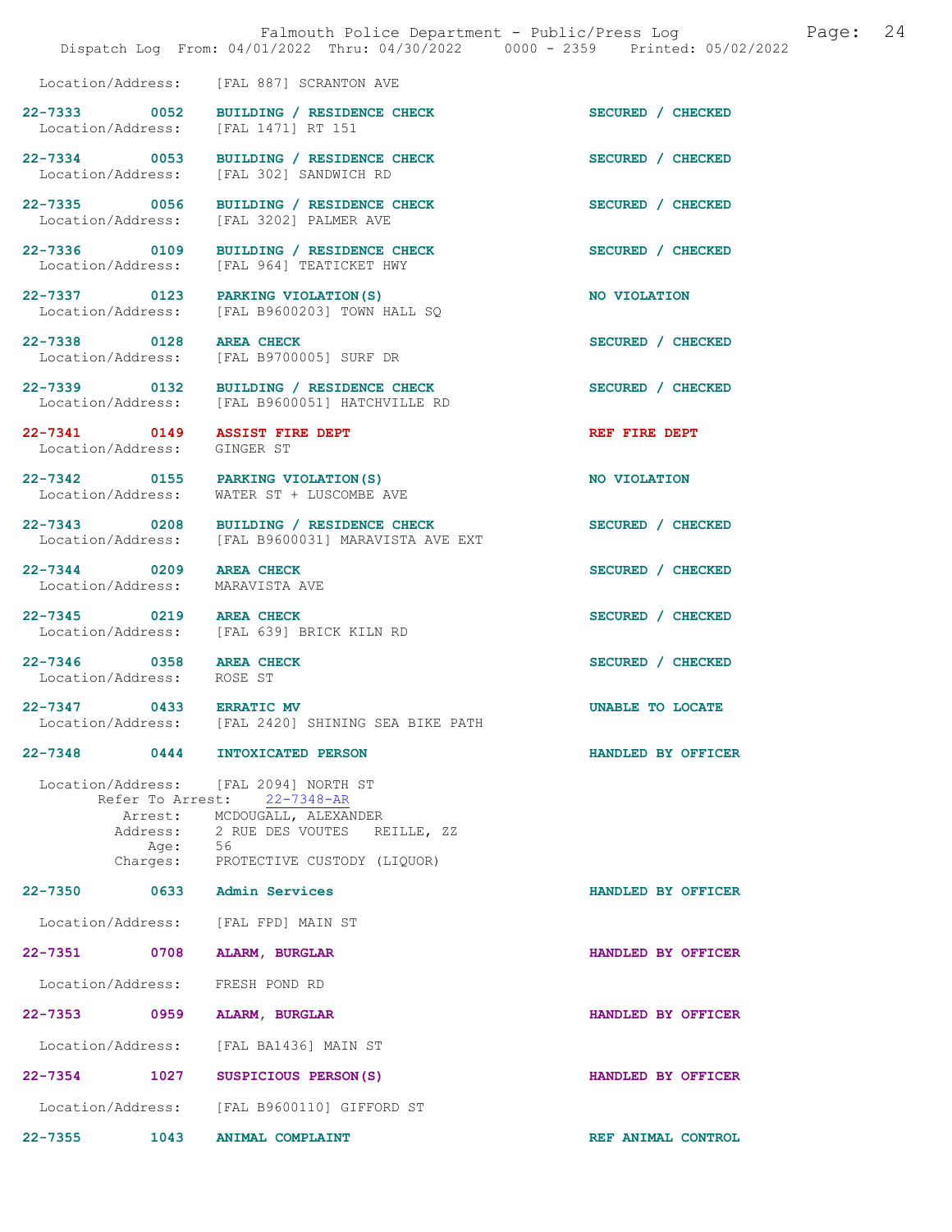|                                                              | Falmouth Police Department - Public/Press Log Fage: 24<br>Dispatch Log From: 04/01/2022 Thru: 04/30/2022 0000 - 2359 Printed: 05/02/2022 |                   |  |
|--------------------------------------------------------------|------------------------------------------------------------------------------------------------------------------------------------------|-------------------|--|
|                                                              | Location/Address: [FAL 887] SCRANTON AVE                                                                                                 |                   |  |
| Location/Address: [FAL 1471] RT 151                          | 22-7333 0052 BUILDING / RESIDENCE CHECK                                                                                                  | SECURED / CHECKED |  |
|                                                              | 22-7334 0053 BUILDING / RESIDENCE CHECK<br>Location/Address: [FAL 302] SANDWICH RD                                                       | SECURED / CHECKED |  |
|                                                              | 22-7335 0056 BUILDING / RESIDENCE CHECK<br>Location/Address: [FAL 3202] PALMER AVE                                                       | SECURED / CHECKED |  |
|                                                              | 22-7336 0109 BUILDING / RESIDENCE CHECK<br>Location/Address: [FAL 964] TEATICKET HWY                                                     | SECURED / CHECKED |  |
| Location/Address:                                            | 22-7337 0123 PARKING VIOLATION (S)<br>[FAL B9600203] TOWN HALL SO                                                                        | NO VIOLATION      |  |
|                                                              | 22-7338 0128 AREA CHECK<br>Location/Address: [FAL B9700005] SURF DR                                                                      | SECURED / CHECKED |  |
|                                                              | 22-7339 0132 BUILDING / RESIDENCE CHECK<br>Location/Address: [FAL B9600051] HATCHVILLE RD                                                | SECURED / CHECKED |  |
| 22-7341 0149 ASSIST FIRE DEPT<br>Location/Address: GINGER ST |                                                                                                                                          | REF FIRE DEPT     |  |
|                                                              | 22-7342 0155 PARKING VIOLATION (S)<br>Location/Address: WATER ST + LUSCOMBE AVE                                                          | NO VIOLATION      |  |
|                                                              | 22-7343 0208 BUILDING / RESIDENCE CHECK<br>Location/Address: [FAL B9600031] MARAVISTA AVE EXT                                            | SECURED / CHECKED |  |
| 22-7344 0209 AREA CHECK<br>Location/Address: MARAVISTA AVE   |                                                                                                                                          | SECURED / CHECKED |  |
| $\overline{0219}$<br>$22 - 7345$                             | <b>AREA CHECK</b>                                                                                                                        | SECURED / CHECKED |  |

Location/Address: [FAL 639] BRICK KILN RD

22-7346 0358 AREA CHECK SECURED / CHECKED Location/Address: ROSE ST Location/Address:

22-7347 0433 ERRATIC MV UNABLE TO LOCATE Location/Address: [FAL 2420] SHINING SEA BIKE PATH

## 22-7348 0444 INTOXICATED PERSON HANDLED BY OFFICER

 Location/Address: [FAL 2094] NORTH ST Refer To Arrest: 22-7348-AR Arrest: MCDOUGALL, ALEXANDER<br>Address: 2 RUE DES VOUTES RI 2 RUE DES VOUTES REILLE, ZZ<br>56 Age:<br>:Charges PROTECTIVE CUSTODY (LIQUOR)

22-7350 0633 Admin Services HANDLED BY OFFICER

 Location/Address: [FAL FPD] MAIN ST 22-7351 0708 ALARM, BURGLAR HANDLED BY OFFICER Location/Address: FRESH POND RD

22-7353 0959 ALARM, BURGLAR HANDLED BY OFFICER Location/Address: [FAL BA1436] MAIN ST 22-7354 1027 SUSPICIOUS PERSON(S) HANDLED BY OFFICER

Location/Address: [FAL B9600110] GIFFORD ST

22-7355 1043 ANIMAL COMPLAINT REF ANIMAL CONTROL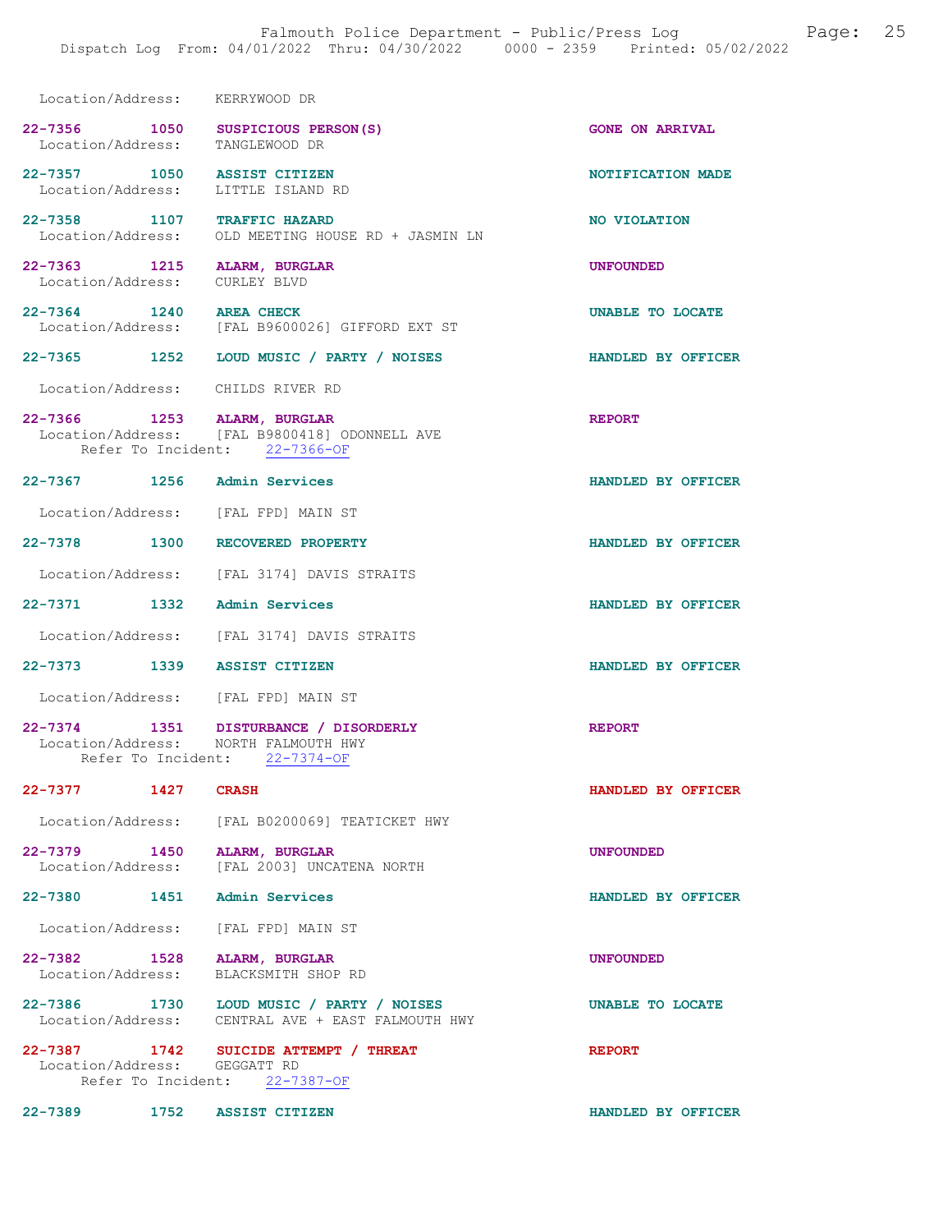| Location/Address: KERRYWOOD DR    |      |                                                                                                                |                           |
|-----------------------------------|------|----------------------------------------------------------------------------------------------------------------|---------------------------|
|                                   |      | 22-7356 1050 SUSPICIOUS PERSON(S)<br>Location/Address: TANGLEWOOD DR                                           | <b>GONE ON ARRIVAL</b>    |
| 22-7357 1050                      |      | <b>ASSIST CITIZEN</b><br>Location/Address: LITTLE ISLAND RD                                                    | NOTIFICATION MADE         |
|                                   |      | 22-7358 1107 TRAFFIC HAZARD<br>Location/Address: OLD MEETING HOUSE RD + JASMIN LN                              | NO VIOLATION              |
| 22-7363 1215<br>Location/Address: |      | ALARM, BURGLAR<br>CURLEY BLVD                                                                                  | <b>UNFOUNDED</b>          |
| 22-7364 1240                      |      | <b>AREA CHECK</b><br>Location/Address: [FAL B9600026] GIFFORD EXT ST                                           | UNABLE TO LOCATE          |
|                                   |      | 22-7365 1252 LOUD MUSIC / PARTY / NOISES                                                                       | HANDLED BY OFFICER        |
|                                   |      | Location/Address: CHILDS RIVER RD                                                                              |                           |
|                                   |      | 22-7366 1253 ALARM, BURGLAR<br>Location/Address: [FAL B9800418] ODONNELL AVE<br>Refer To Incident: 22-7366-OF  | <b>REPORT</b>             |
|                                   |      | 22-7367 1256 Admin Services                                                                                    | HANDLED BY OFFICER        |
|                                   |      | Location/Address: [FAL FPD] MAIN ST                                                                            |                           |
|                                   |      | 22-7378 1300 RECOVERED PROPERTY                                                                                | HANDLED BY OFFICER        |
|                                   |      | Location/Address: [FAL 3174] DAVIS STRAITS                                                                     |                           |
| 22-7371 1332 Admin Services       |      |                                                                                                                | HANDLED BY OFFICER        |
|                                   |      | Location/Address: [FAL 3174] DAVIS STRAITS                                                                     |                           |
|                                   |      | 22-7373 1339 ASSIST CITIZEN                                                                                    | HANDLED BY OFFICER        |
|                                   |      | Location/Address: [FAL FPD] MAIN ST                                                                            |                           |
|                                   |      | 22-7374 1351 DISTURBANCE / DISORDERLY<br>Location/Address: NORTH FALMOUTH HWY<br>Refer To Incident: 22-7374-OF | <b>REPORT</b>             |
| 22-7377                           | 1427 | <b>CRASH</b>                                                                                                   | <b>HANDLED BY OFFICER</b> |
|                                   |      | Location/Address: [FAL B0200069] TEATICKET HWY                                                                 |                           |
| 22-7379 1450                      |      | ALARM, BURGLAR<br>Location/Address: [FAL 2003] UNCATENA NORTH                                                  | <b>UNFOUNDED</b>          |
|                                   |      | 22-7380 1451 Admin Services                                                                                    | HANDLED BY OFFICER        |
|                                   |      | Location/Address: [FAL FPD] MAIN ST                                                                            |                           |
| 22-7382 1528<br>Location/Address: |      | <b>ALARM, BURGLAR</b><br>BLACKSMITH SHOP RD                                                                    | <b>UNFOUNDED</b>          |
| 22-7386 1730                      |      | LOUD MUSIC / PARTY / NOISES<br>Location/Address: CENTRAL AVE + EAST FALMOUTH HWY                               | UNABLE TO LOCATE          |
| Location/Address: GEGGATT RD      |      | 22-7387 1742 SUICIDE ATTEMPT / THREAT<br>Refer To Incident: 22-7387-OF                                         | <b>REPORT</b>             |
| 22-7389 1752 ASSIST CITIZEN       |      |                                                                                                                | HANDLED BY OFFICER        |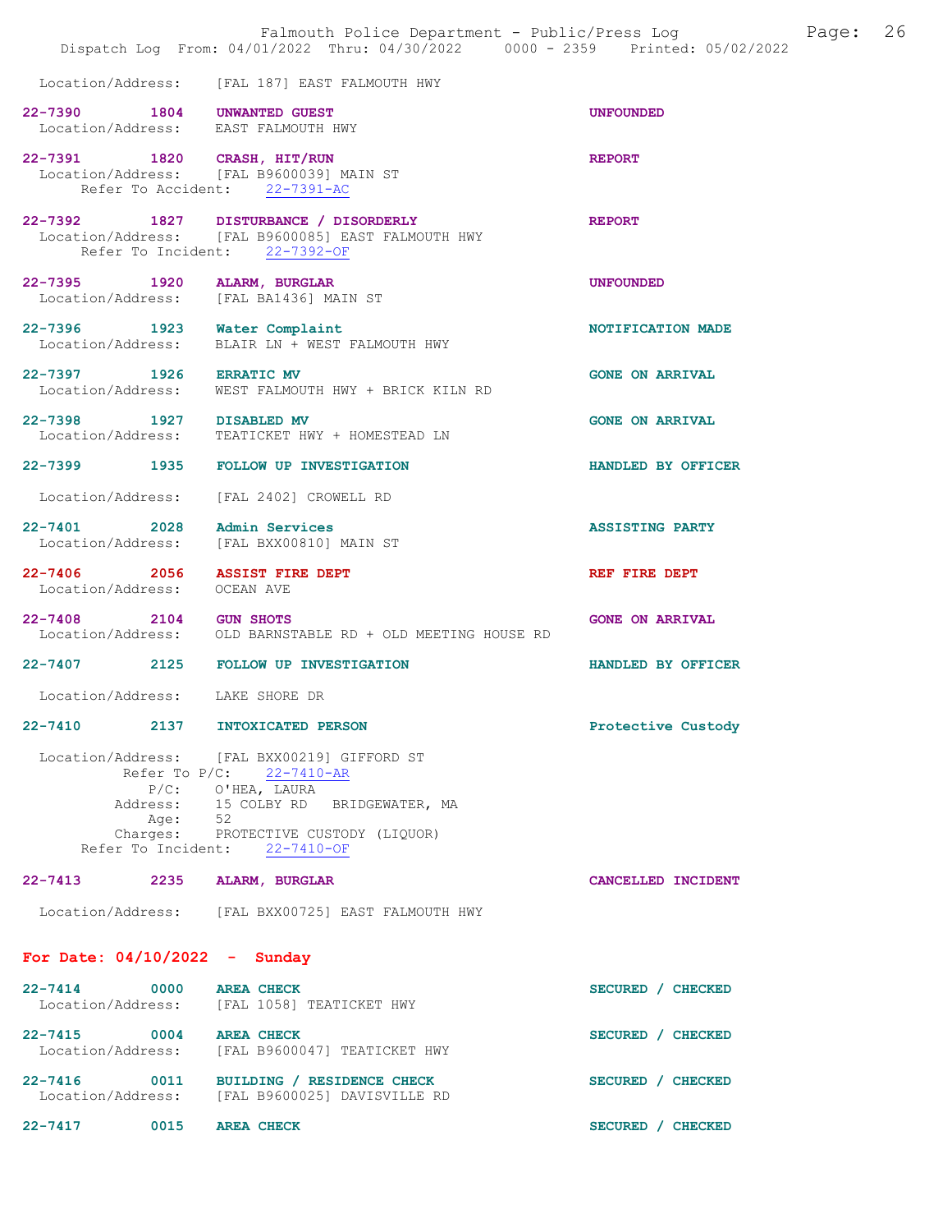|                                   |                     | Falmouth Police Department - Public/Press Log<br>Dispatch Log From: 04/01/2022 Thru: 04/30/2022 0000 - 2359 Printed: 05/02/2022                                                                        |                        | Page: | 26 |
|-----------------------------------|---------------------|--------------------------------------------------------------------------------------------------------------------------------------------------------------------------------------------------------|------------------------|-------|----|
|                                   |                     | Location/Address: [FAL 187] EAST FALMOUTH HWY                                                                                                                                                          |                        |       |    |
|                                   |                     | 22-7390 1804 UNWANTED GUEST<br>Location/Address: EAST FALMOUTH HWY                                                                                                                                     | <b>UNFOUNDED</b>       |       |    |
|                                   |                     | 22-7391 1820 CRASH, HIT/RUN<br>Location/Address: [FAL B9600039] MAIN ST<br>Refer To Accident: 22-7391-AC                                                                                               | <b>REPORT</b>          |       |    |
|                                   |                     | 22-7392 1827 DISTURBANCE / DISORDERLY<br>Location/Address: [FAL B9600085] EAST FALMOUTH HWY<br>Refer To Incident: 22-7392-OF                                                                           | <b>REPORT</b>          |       |    |
|                                   |                     | 22-7395 1920 ALARM, BURGLAR<br>Location/Address: [FAL BA1436] MAIN ST                                                                                                                                  | <b>UNFOUNDED</b>       |       |    |
| Location/Address:                 |                     | 22-7396 1923 Water Complaint<br>BLAIR LN + WEST FALMOUTH HWY                                                                                                                                           | NOTIFICATION MADE      |       |    |
| 22-7397 1926 ERRATIC MV           |                     | Location/Address: WEST FALMOUTH HWY + BRICK KILN RD                                                                                                                                                    | <b>GONE ON ARRIVAL</b> |       |    |
| 22-7398 1927 DISABLED MV          |                     | Location/Address: TEATICKET HWY + HOMESTEAD LN                                                                                                                                                         | <b>GONE ON ARRIVAL</b> |       |    |
|                                   |                     | 22-7399 1935 FOLLOW UP INVESTIGATION                                                                                                                                                                   | HANDLED BY OFFICER     |       |    |
| Location/Address:                 |                     | [FAL 2402] CROWELL RD                                                                                                                                                                                  |                        |       |    |
|                                   |                     | 22-7401 2028 Admin Services<br>Location/Address: [FAL BXX00810] MAIN ST                                                                                                                                | <b>ASSISTING PARTY</b> |       |    |
| 22-7406 2056<br>Location/Address: |                     | <b>ASSIST FIRE DEPT</b><br>OCEAN AVE                                                                                                                                                                   | REF FIRE DEPT          |       |    |
| 22-7408 2104 GUN SHOTS            |                     | Location/Address: OLD BARNSTABLE RD + OLD MEETING HOUSE RD                                                                                                                                             | <b>GONE ON ARRIVAL</b> |       |    |
|                                   |                     | 22-7407 2125 FOLLOW UP INVESTIGATION                                                                                                                                                                   | HANDLED BY OFFICER     |       |    |
| Location/Address: LAKE SHORE DR   |                     |                                                                                                                                                                                                        |                        |       |    |
| $22 - 7410$                       | 2137                | INTOXICATED PERSON                                                                                                                                                                                     | Protective Custody     |       |    |
|                                   | Address:<br>Age: 52 | Location/Address: [FAL BXX00219] GIFFORD ST<br>Refer To P/C: 22-7410-AR<br>$P/C:$ O'HEA, LAURA<br>15 COLBY RD BRIDGEWATER, MA<br>Charges: PROTECTIVE CUSTODY (LIQUOR)<br>Refer To Incident: 22-7410-OF |                        |       |    |
|                                   |                     | 22-7413 2235 ALARM, BURGLAR                                                                                                                                                                            | CANCELLED INCIDENT     |       |    |
|                                   |                     | Location/Address: [FAL BXX00725] EAST FALMOUTH HWY                                                                                                                                                     |                        |       |    |
| For Date: $04/10/2022 -$ Sunday   |                     |                                                                                                                                                                                                        |                        |       |    |
| $22 - 7414$<br>Location/Address:  | 0000                | <b>AREA CHECK</b><br>[FAL 1058] TEATICKET HWY                                                                                                                                                          | SECURED / CHECKED      |       |    |
| 22-7415 0004<br>Location/Address: |                     | <b>AREA CHECK</b><br>[FAL B9600047] TEATICKET HWY                                                                                                                                                      | SECURED / CHECKED      |       |    |
|                                   |                     | 22-7416 0011 BUILDING / RESIDENCE CHECK<br>Location/Address: [FAL B9600025] DAVISVILLE RD                                                                                                              | SECURED / CHECKED      |       |    |
| $22 - 7417$                       | 0015                | <b>AREA CHECK</b>                                                                                                                                                                                      | SECURED / CHECKED      |       |    |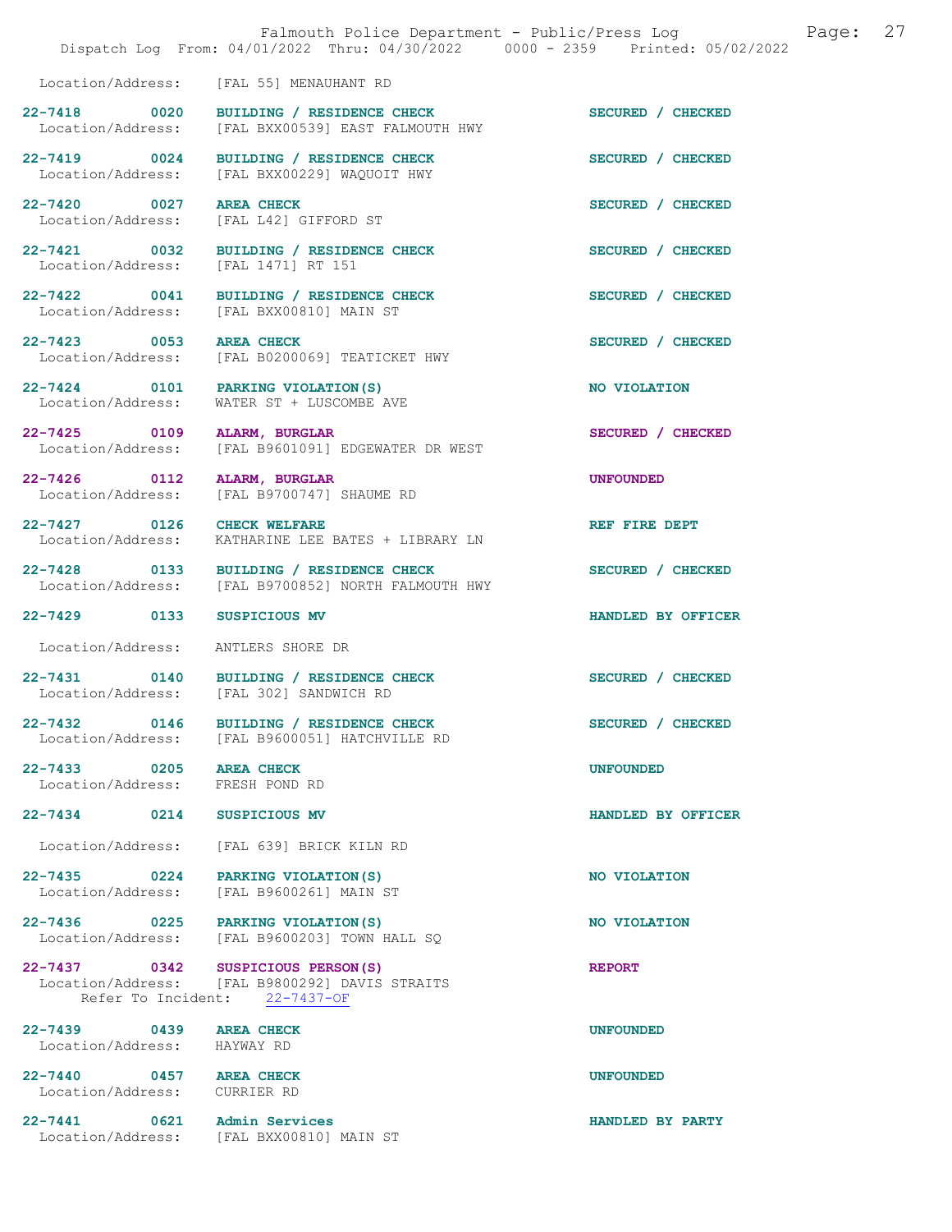|                                                         |      | Falmouth Police Department - Public/Press Log Cage:<br>Dispatch Log From: 04/01/2022 Thru: 04/30/2022 0000 - 2359 Printed: 05/02/2022 |                    | 27 |
|---------------------------------------------------------|------|---------------------------------------------------------------------------------------------------------------------------------------|--------------------|----|
|                                                         |      | Location/Address: [FAL 55] MENAUHANT RD                                                                                               |                    |    |
| 22-7418 0020                                            |      | BUILDING / RESIDENCE CHECK<br>Location/Address: [FAL BXX00539] EAST FALMOUTH HWY                                                      | SECURED / CHECKED  |    |
| 22-7419 0024                                            |      | BUILDING / RESIDENCE CHECK<br>Location/Address: [FAL BXX00229] WAQUOIT HWY                                                            | SECURED / CHECKED  |    |
| 22-7420 0027                                            |      | <b>AREA CHECK</b><br>Location/Address: [FAL L42] GIFFORD ST                                                                           | SECURED / CHECKED  |    |
|                                                         |      | 22-7421 0032 BUILDING / RESIDENCE CHECK<br>Location/Address: [FAL 1471] RT 151                                                        | SECURED / CHECKED  |    |
| 22-7422 0041                                            |      | BUILDING / RESIDENCE CHECK<br>Location/Address: [FAL BXX00810] MAIN ST                                                                | SECURED / CHECKED  |    |
|                                                         |      | 22-7423 0053 AREA CHECK<br>Location/Address: [FAL B0200069] TEATICKET HWY                                                             | SECURED / CHECKED  |    |
| Location/Address:                                       |      | 22-7424 0101 PARKING VIOLATION (S)<br>WATER ST + LUSCOMBE AVE                                                                         | NO VIOLATION       |    |
| 22-7425 0109                                            |      | ALARM, BURGLAR<br>Location/Address: [FAL B9601091] EDGEWATER DR WEST                                                                  | SECURED / CHECKED  |    |
| 22-7426 0112                                            |      | ALARM, BURGLAR<br>Location/Address: [FAL B9700747] SHAUME RD                                                                          | <b>UNFOUNDED</b>   |    |
| 22-7427 0126<br>Location/Address:                       |      | <b>CHECK WELFARE</b><br>KATHARINE LEE BATES + LIBRARY LN                                                                              | REF FIRE DEPT      |    |
| 22-7428 0133                                            |      | BUILDING / RESIDENCE CHECK<br>Location/Address: [FAL B9700852] NORTH FALMOUTH HWY                                                     | SECURED / CHECKED  |    |
| 22-7429 0133                                            |      | <b>SUSPICIOUS MV</b>                                                                                                                  | HANDLED BY OFFICER |    |
|                                                         |      | Location/Address: ANTLERS SHORE DR                                                                                                    |                    |    |
|                                                         |      | 22-7431 0140 BUILDING / RESIDENCE CHECK<br>Location/Address: [FAL 302] SANDWICH RD                                                    | SECURED / CHECKED  |    |
|                                                         |      | 22-7432 0146 BUILDING / RESIDENCE CHECK<br>Location/Address: [FAL B9600051] HATCHVILLE RD                                             | SECURED / CHECKED  |    |
| 22-7433 0205<br>Location/Address: FRESH POND RD         |      | <b>AREA CHECK</b>                                                                                                                     | <b>UNFOUNDED</b>   |    |
| 22-7434 0214                                            |      | SUSPICIOUS MV                                                                                                                         | HANDLED BY OFFICER |    |
| Location/Address:                                       |      | [FAL 639] BRICK KILN RD                                                                                                               |                    |    |
| 22-7435 0224<br>Location/Address:                       |      | PARKING VIOLATION (S)<br>[FAL B9600261] MAIN ST                                                                                       | NO VIOLATION       |    |
|                                                         |      | 22-7436 0225 PARKING VIOLATION (S)<br>Location/Address: [FAL B9600203] TOWN HALL SQ                                                   | NO VIOLATION       |    |
|                                                         |      | 22-7437 0342 SUSPICIOUS PERSON(S)<br>Location/Address: [FAL B9800292] DAVIS STRAITS<br>Refer To Incident: 22-7437-OF                  | <b>REPORT</b>      |    |
| 22-7439 0439<br>Location/Address: HAYWAY RD             |      | <b>AREA CHECK</b>                                                                                                                     | <b>UNFOUNDED</b>   |    |
| 22-7440 0457 AREA CHECK<br>Location/Address: CURRIER RD |      |                                                                                                                                       | <b>UNFOUNDED</b>   |    |
| $22 - 7441$                                             | 0621 | Admin Services                                                                                                                        | HANDLED BY PARTY   |    |

Location/Address: [FAL BXX00810] MAIN ST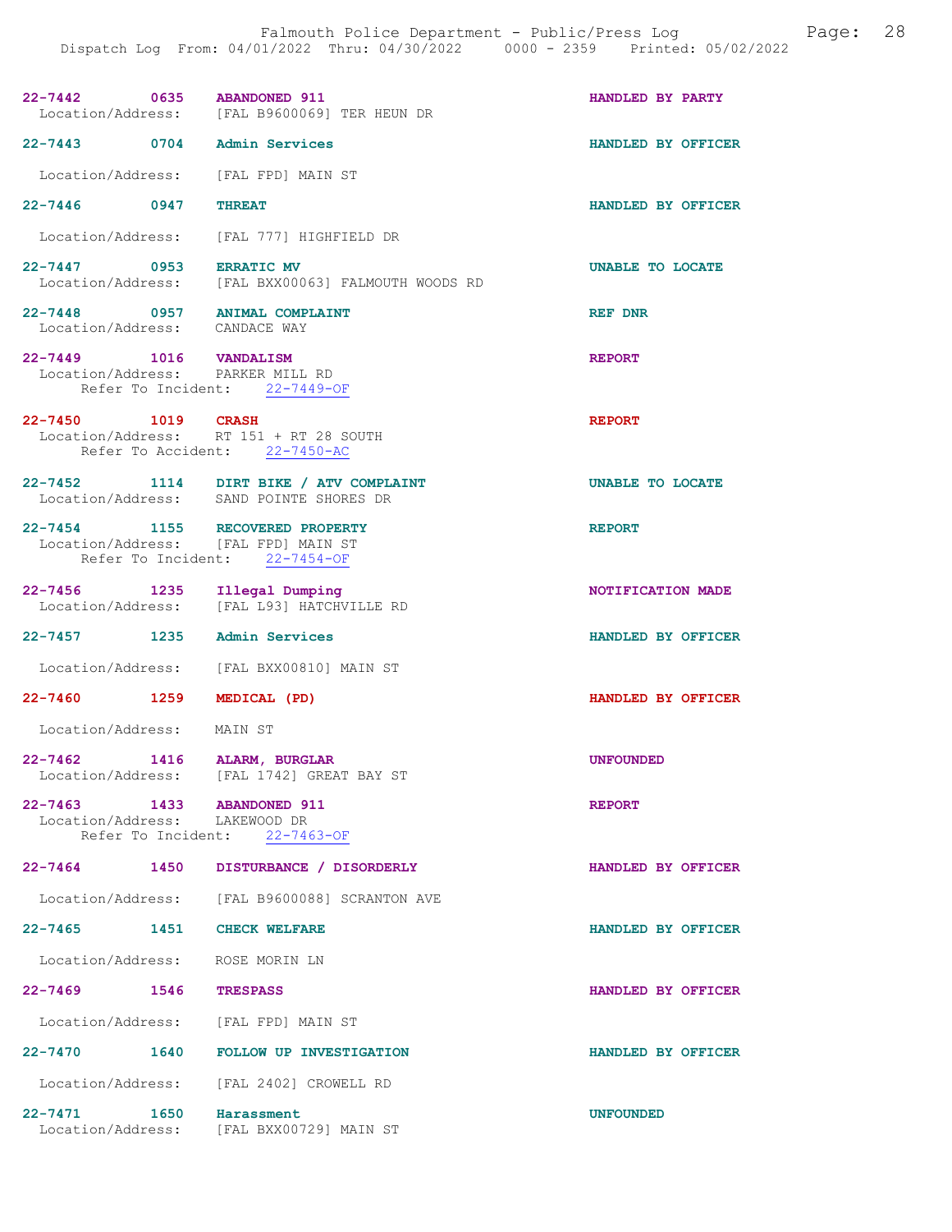| 22-7442 0635 ABANDONED 911                    | Location/Address: [FAL B9600069] TER HEUN DR                                                            | HANDLED BY PARTY   |
|-----------------------------------------------|---------------------------------------------------------------------------------------------------------|--------------------|
| 22-7443 0704 Admin Services                   |                                                                                                         | HANDLED BY OFFICER |
|                                               | Location/Address: [FAL FPD] MAIN ST                                                                     |                    |
| 22-7446 0947                                  | <b>THREAT</b>                                                                                           | HANDLED BY OFFICER |
|                                               | Location/Address: [FAL 777] HIGHFIELD DR                                                                |                    |
| 22-7447 0953 ERRATIC MV                       | Location/Address: [FAL BXX00063] FALMOUTH WOODS RD                                                      | UNABLE TO LOCATE   |
| Location/Address: CANDACE WAY                 | 22-7448 0957 ANIMAL COMPLAINT                                                                           | <b>REF DNR</b>     |
| 22-7449 1016 VANDALISM                        | Location/Address: PARKER MILL RD<br>Refer To Incident: 22-7449-OF                                       | <b>REPORT</b>      |
| 22-7450 1019 CRASH                            | Location/Address: RT 151 + RT 28 SOUTH<br>Refer To Accident: 22-7450-AC                                 | <b>REPORT</b>      |
|                                               | 22-7452 1114 DIRT BIKE / ATV COMPLAINT<br>Location/Address: SAND POINTE SHORES DR                       | UNABLE TO LOCATE   |
|                                               | 22-7454 1155 RECOVERED PROPERTY<br>Location/Address: [FAL FPD] MAIN ST<br>Refer To Incident: 22-7454-OF | <b>REPORT</b>      |
|                                               | 22-7456 1235 Illegal Dumping<br>Location/Address: [FAL L93] HATCHVILLE RD                               | NOTIFICATION MADE  |
| 22-7457 1235 Admin Services                   |                                                                                                         | HANDLED BY OFFICER |
|                                               | Location/Address: [FAL BXX00810] MAIN ST                                                                |                    |
| 22-7460 1259 MEDICAL (PD)                     |                                                                                                         | HANDLED BY OFFICER |
| Location/Address: MAIN ST                     |                                                                                                         |                    |
| $22 - 7462$                                   | 1416 ALARM, BURGLAR<br>Location/Address: [FAL 1742] GREAT BAY ST                                        | <b>UNFOUNDED</b>   |
| 22–7463 1433<br>Location/Address: LAKEWOOD DR | <b>ABANDONED 911</b><br>Refer To Incident: 22-7463-OF                                                   | <b>REPORT</b>      |
|                                               | 22-7464 1450 DISTURBANCE / DISORDERLY                                                                   | HANDLED BY OFFICER |
|                                               | Location/Address: [FAL B9600088] SCRANTON AVE                                                           |                    |
| 22-7465 1451 CHECK WELFARE                    |                                                                                                         | HANDLED BY OFFICER |
|                                               | Location/Address: ROSE MORIN LN                                                                         |                    |
| 22-7469 1546 TRESPASS                         |                                                                                                         | HANDLED BY OFFICER |
|                                               | Location/Address: [FAL FPD] MAIN ST                                                                     |                    |
|                                               | 22-7470   1640   FOLLOW UP INVESTIGATION                                                                | HANDLED BY OFFICER |
|                                               | Location/Address: [FAL 2402] CROWELL RD                                                                 |                    |
| 22-7471 1650                                  | Harassment                                                                                              | <b>UNFOUNDED</b>   |

Location/Address: [FAL BXX00729] MAIN ST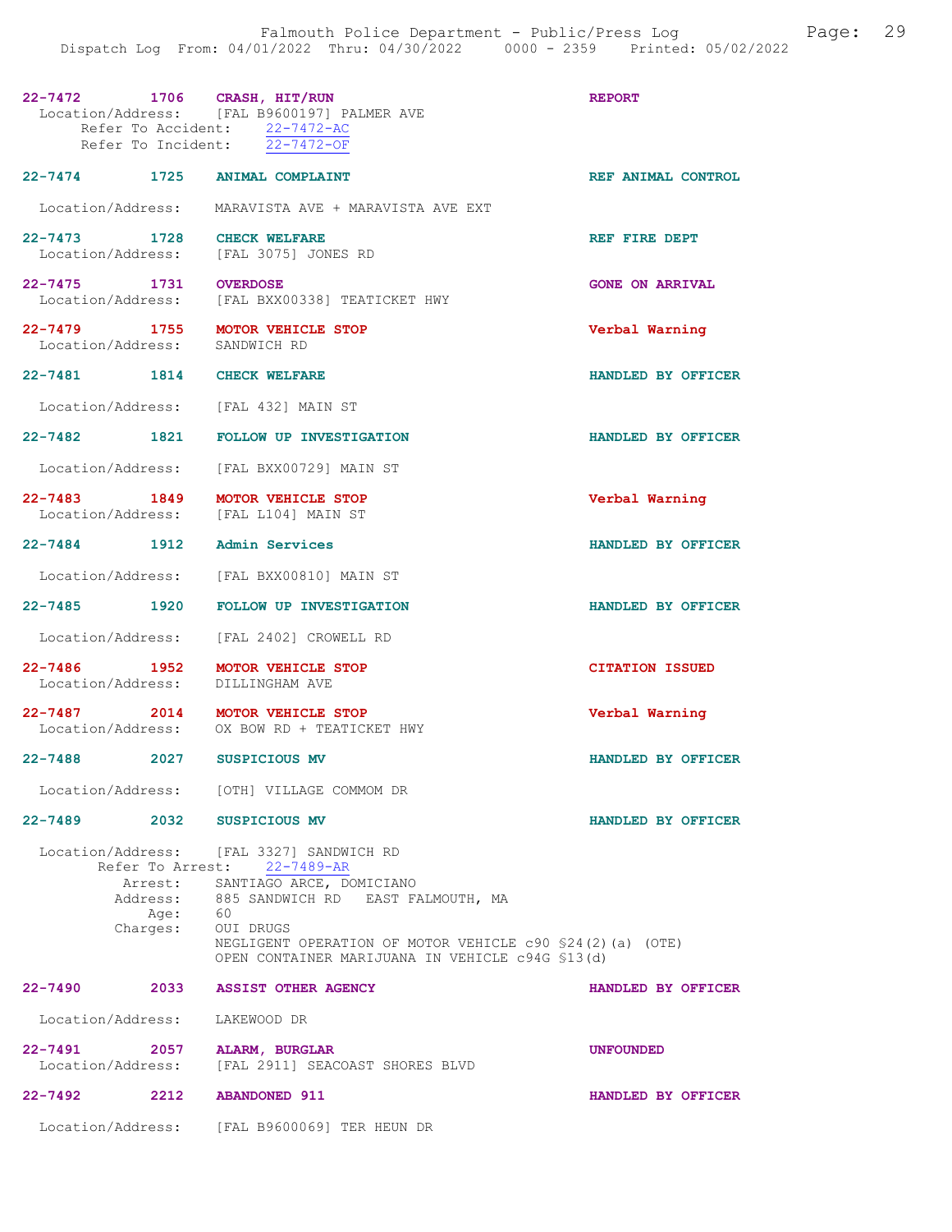| 22-7472 1706 CRASH, HIT/RUN              |          | Location/Address: [FAL B9600197] PALMER AVE<br>Refer To Accident: 22-7472-AC<br>Refer To Incident: 22-7472-OF              | <b>REPORT</b>          |
|------------------------------------------|----------|----------------------------------------------------------------------------------------------------------------------------|------------------------|
|                                          |          | 22-7474 1725 ANIMAL COMPLAINT                                                                                              | REF ANIMAL CONTROL     |
|                                          |          | Location/Address: MARAVISTA AVE + MARAVISTA AVE EXT                                                                        |                        |
| 22-7473 1728<br>Location/Address:        |          | <b>CHECK WELFARE</b><br>[FAL 3075] JONES RD                                                                                | REF FIRE DEPT          |
| 22-7475 1731<br>Location/Address:        |          | <b>OVERDOSE</b><br>[FAL BXX00338] TEATICKET HWY                                                                            | <b>GONE ON ARRIVAL</b> |
| 22-7479 1755<br>Location/Address:        |          | <b>MOTOR VEHICLE STOP</b><br>SANDWICH RD                                                                                   | Verbal Warning         |
| 22-7481 1814                             |          | <b>CHECK WELFARE</b>                                                                                                       | HANDLED BY OFFICER     |
|                                          |          | Location/Address: [FAL 432] MAIN ST                                                                                        |                        |
| 22-7482 1821                             |          | <b>FOLLOW UP INVESTIGATION</b>                                                                                             | HANDLED BY OFFICER     |
| Location/Address:                        |          | [FAL BXX00729] MAIN ST                                                                                                     |                        |
| 22-7483 1849                             |          | <b>MOTOR VEHICLE STOP</b><br>Location/Address: [FAL L104] MAIN ST                                                          | Verbal Warning         |
| 22-7484 1912                             |          | Admin Services                                                                                                             | HANDLED BY OFFICER     |
| Location/Address:                        |          | [FAL BXX00810] MAIN ST                                                                                                     |                        |
| 22–7485 1920                             |          | <b>FOLLOW UP INVESTIGATION</b>                                                                                             | HANDLED BY OFFICER     |
| Location/Address:                        |          | [FAL 2402] CROWELL RD                                                                                                      |                        |
| $22 - 7486$<br>1952<br>Location/Address: |          | <b>MOTOR VEHICLE STOP</b><br>DILLINGHAM AVE                                                                                | <b>CITATION ISSUED</b> |
|                                          |          | 22-7487 2014 MOTOR VEHICLE STOP<br>Location/Address: OX BOW RD + TEATICKET HWY                                             | Verbal Warning         |
| $22 - 7488$                              | 2027     | SUSPICIOUS MV                                                                                                              | HANDLED BY OFFICER     |
| Location/Address:                        |          | [OTH] VILLAGE COMMOM DR                                                                                                    |                        |
| $22 - 7489$                              | 2032     | <b>SUSPICIOUS MV</b>                                                                                                       | HANDLED BY OFFICER     |
|                                          |          | Location/Address: [FAL 3327] SANDWICH RD<br>Refer To Arrest: 22-7489-AR                                                    |                        |
|                                          |          | Arrest: SANTIAGO ARCE, DOMICIANO<br>Address: 885 SANDWICH RD EAST FALMOUTH, MA<br>Age: 60                                  |                        |
|                                          | Charges: | OUI DRUGS<br>NEGLIGENT OPERATION OF MOTOR VEHICLE c90 \$24(2)(a) (OTE)<br>OPEN CONTAINER MARIJUANA IN VEHICLE c94G \$13(d) |                        |
| $22 - 7490$                              | 2033     | <b>ASSIST OTHER AGENCY</b>                                                                                                 | HANDLED BY OFFICER     |
| Location/Address:                        |          | LAKEWOOD DR                                                                                                                |                        |
| $22 - 7491$<br>Location/Address:         | 2057     | <b>ALARM, BURGLAR</b><br>[FAL 2911] SEACOAST SHORES BLVD                                                                   | <b>UNFOUNDED</b>       |
| $22 - 7492$                              | 2212     | <b>ABANDONED 911</b>                                                                                                       | HANDLED BY OFFICER     |
|                                          |          | Location/Address: [FAL B9600069] TER HEUN DR                                                                               |                        |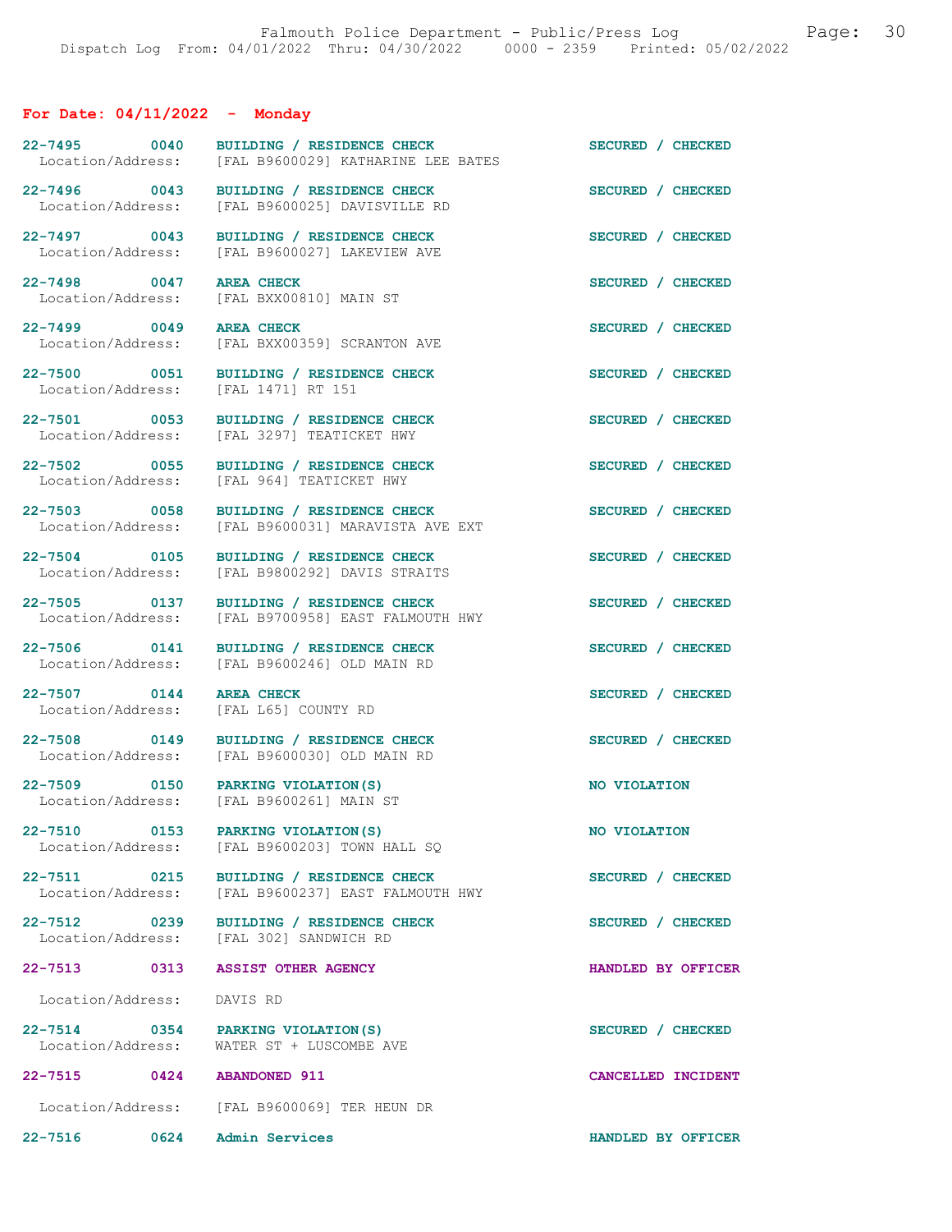# For Date: 04/11/2022 - Monday

| BUILDING / RESIDENCE CHECK                                                                    | SECURED / CHECKED                                                                |
|-----------------------------------------------------------------------------------------------|----------------------------------------------------------------------------------|
|                                                                                               |                                                                                  |
| [FAL B9600025] DAVISVILLE RD                                                                  | SECURED / CHECKED                                                                |
| BUILDING / RESIDENCE CHECK<br>[FAL B9600027] LAKEVIEW AVE                                     | SECURED / CHECKED                                                                |
| <b>AREA CHECK</b><br>[FAL BXX00810] MAIN ST                                                   | SECURED / CHECKED                                                                |
| <b>AREA CHECK</b><br>[FAL BXX00359] SCRANTON AVE                                              | SECURED / CHECKED                                                                |
| BUILDING / RESIDENCE CHECK<br>[FAL 1471] RT 151                                               | SECURED / CHECKED                                                                |
| BUILDING / RESIDENCE CHECK<br>Location/Address: [FAL 3297] TEATICKET HWY                      | SECURED / CHECKED                                                                |
| 22-7502 0055<br>BUILDING / RESIDENCE CHECK<br>Location/Address: [FAL 964] TEATICKET HWY       | SECURED / CHECKED                                                                |
| BUILDING / RESIDENCE CHECK<br>Location/Address: [FAL B9600031] MARAVISTA AVE EXT              | SECURED / CHECKED                                                                |
| BUILDING / RESIDENCE CHECK<br>[FAL B9800292] DAVIS STRAITS                                    | SECURED / CHECKED                                                                |
| 22-7505 0137<br>BUILDING / RESIDENCE CHECK<br>[FAL B9700958] EAST FALMOUTH HWY                | SECURED / CHECKED                                                                |
| 22-7506 0141<br>BUILDING / RESIDENCE CHECK<br>Location/Address: [FAL B9600246] OLD MAIN RD    | SECURED / CHECKED                                                                |
| <b>AREA CHECK</b><br>[FAL L65] COUNTY RD                                                      | SECURED / CHECKED                                                                |
| 22-7508 0149<br>BUILDING / RESIDENCE CHECK<br>Location/Address: [FAL B9600030] OLD MAIN RD    | SECURED / CHECKED                                                                |
| 22-7509 0150 PARKING VIOLATION(S)<br>Location/Address: [FAL B9600261] MAIN ST                 | NO VIOLATION                                                                     |
| 0153 PARKING VIOLATION (S)<br>Location/Address: [FAL B9600203] TOWN HALL SQ                   | NO VIOLATION                                                                     |
| 22-7511 0215 BUILDING / RESIDENCE CHECK<br>Location/Address: [FAL B9600237] EAST FALMOUTH HWY | SECURED / CHECKED                                                                |
| 0239 BUILDING / RESIDENCE CHECK<br>Location/Address: [FAL 302] SANDWICH RD                    | SECURED / CHECKED                                                                |
| 22-7513 0313 ASSIST OTHER AGENCY                                                              | HANDLED BY OFFICER                                                               |
| Location/Address: DAVIS RD                                                                    |                                                                                  |
| 0354 PARKING VIOLATION (S)<br>Location/Address: WATER ST + LUSCOMBE AVE                       | SECURED / CHECKED                                                                |
| 22-7515 0424 ABANDONED 911                                                                    | CANCELLED INCIDENT                                                               |
| Location/Address: [FAL B9600069] TER HEUN DR                                                  |                                                                                  |
| 0624 Admin Services                                                                           | HANDLED BY OFFICER                                                               |
|                                                                                               | [FAL B9600029] KATHARINE LEE BATES<br>22-7496 0043<br>BUILDING / RESIDENCE CHECK |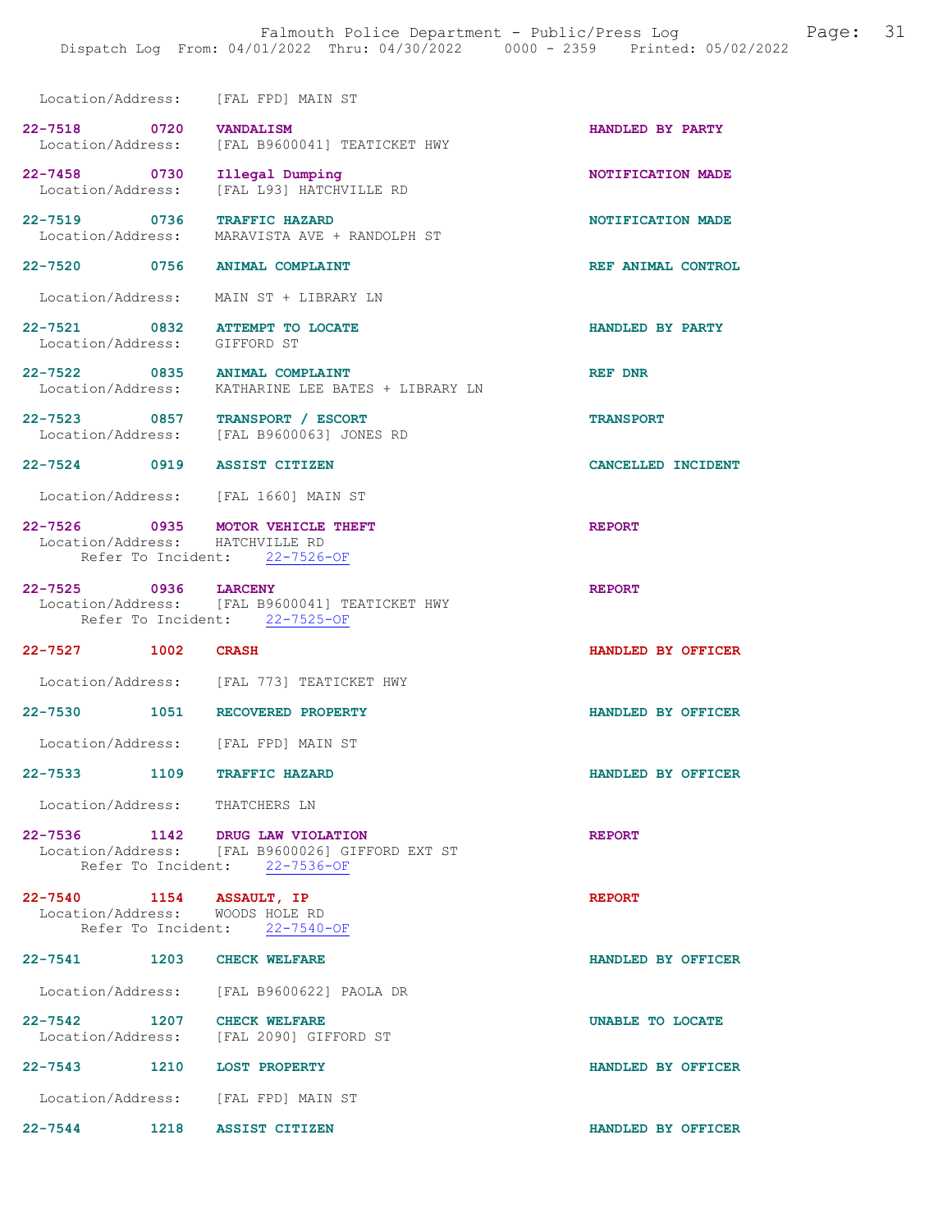|                                   | DISPACCH LOG FIOM. 04/01/2022 INIU. 04/30/2022                                                         | UUUU T ZJJJ<br>FIINCEU. UJ/UZ/ZUZZ |
|-----------------------------------|--------------------------------------------------------------------------------------------------------|------------------------------------|
|                                   | Location/Address: [FAL FPD] MAIN ST                                                                    |                                    |
| 22-7518 0720 VANDALISM            | Location/Address: [FAL B9600041] TEATICKET HWY                                                         | HANDLED BY PARTY                   |
| 22-7458 0730<br>Location/Address: | Illegal Dumping<br>[FAL L93] HATCHVILLE RD                                                             | NOTIFICATION MADE                  |
|                                   | 22-7519 0736 TRAFFIC HAZARD<br>Location/Address: MARAVISTA AVE + RANDOLPH ST                           | NOTIFICATION MADE                  |
|                                   | 22-7520 0756 ANIMAL COMPLAINT                                                                          | REF ANIMAL CONTROL                 |
|                                   | Location/Address: MAIN ST + LIBRARY LN                                                                 |                                    |
| Location/Address: GIFFORD ST      | 22-7521 0832 ATTEMPT TO LOCATE                                                                         | HANDLED BY PARTY                   |
|                                   | 22-7522 0835 ANIMAL COMPLAINT<br>Location/Address: KATHARINE LEE BATES + LIBRARY LN                    | REF DNR                            |
|                                   | 22-7523 0857 TRANSPORT / ESCORT<br>Location/Address: [FAL B9600063] JONES RD                           | <b>TRANSPORT</b>                   |
|                                   | 22-7524 0919 ASSIST CITIZEN                                                                            | <b>CANCELLED INCIDENT</b>          |
|                                   | Location/Address: [FAL 1660] MAIN ST                                                                   |                                    |
| 22-7526 0935                      | MOTOR VEHICLE THEFT<br>Location/Address: HATCHVILLE RD<br>Refer To Incident: 22-7526-OF                | <b>REPORT</b>                      |
| 22-7525 0936                      | <b>LARCENY</b><br>Location/Address: [FAL B9600041] TEATICKET HWY<br>Refer To Incident: 22-7525-OF      | <b>REPORT</b>                      |
| 22-7527 1002                      | <b>CRASH</b>                                                                                           | HANDLED BY OFFICER                 |
|                                   | Location/Address: [FAL 773] TEATICKET HWY                                                              |                                    |
|                                   | 22-7530 1051 RECOVERED PROPERTY                                                                        | HANDLED BY OFFICER                 |
|                                   | Location/Address: [FAL FPD] MAIN ST                                                                    |                                    |
| 22–7533 1109                      | <b>TRAFFIC HAZARD</b>                                                                                  | HANDLED BY OFFICER                 |
| Location/Address: THATCHERS LN    |                                                                                                        |                                    |
| 22-7536 1142                      | DRUG LAW VIOLATION<br>Location/Address: [FAL B9600026] GIFFORD EXT ST<br>Refer To Incident: 22-7536-OF | <b>REPORT</b>                      |
|                                   |                                                                                                        |                                    |

22-7540 1154 ASSAULT, IP REPORT Location/Address: WOODS HOLE RD Refer To Incident: 22-7540-OF 22-7541 1203 CHECK WELFARE HANDLED BY OFFICER

 Location/Address: [FAL B9600622] PAOLA DR 22-7542 1207 CHECK WELFARE **1207** CHECK WELFARE Location/Address: [FAL 2090] GIFFORD ST

22-7543 1210 LOST PROPERTY HANDLED BY OFFICER Location/Address: [FAL FPD] MAIN ST 22-7544 1218 ASSIST CITIZEN HANDLED BY OFFICER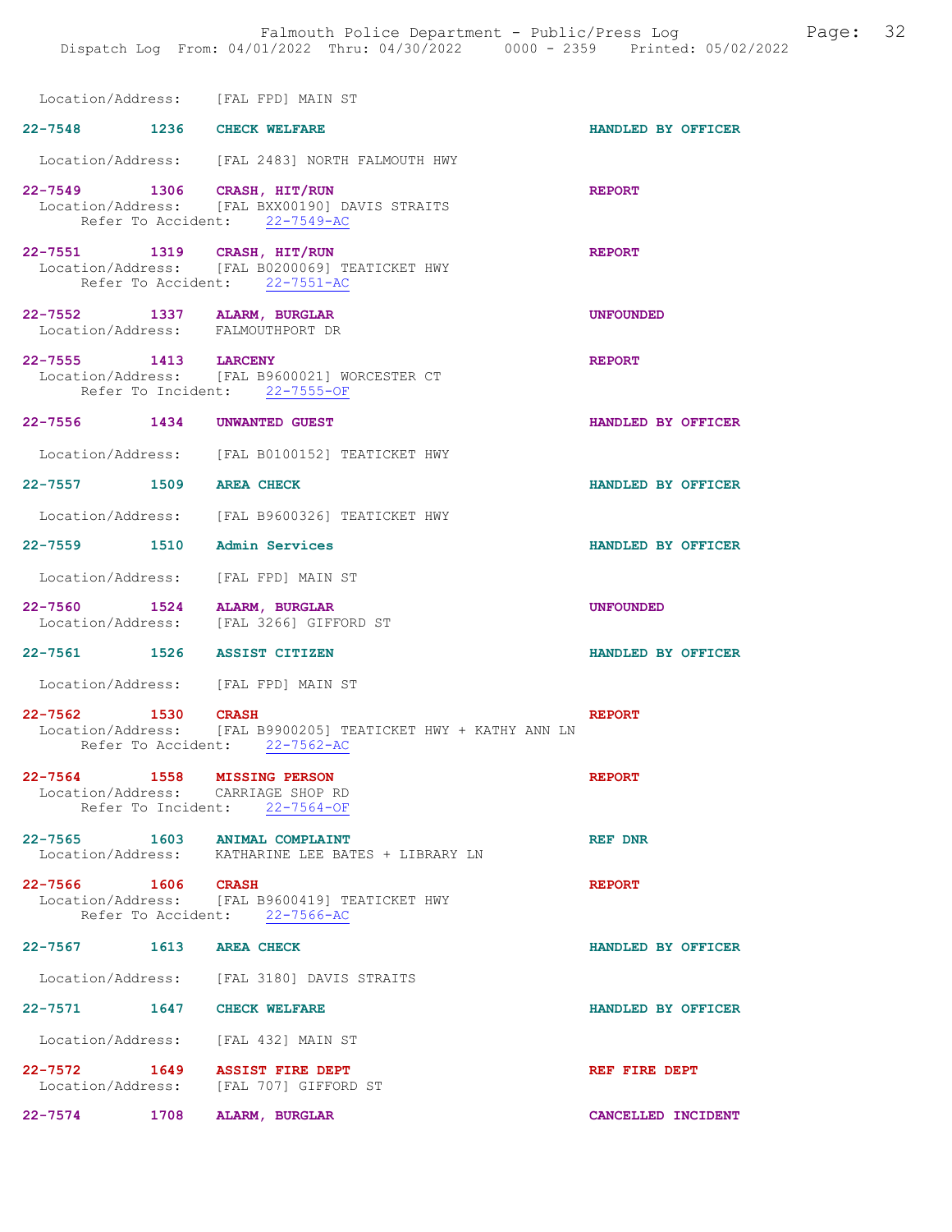|                                                                  | Location/Address: [FAL FPD] MAIN ST                                                                            |                    |
|------------------------------------------------------------------|----------------------------------------------------------------------------------------------------------------|--------------------|
| 22-7548 1236 CHECK WELFARE                                       |                                                                                                                | HANDLED BY OFFICER |
|                                                                  | Location/Address: [FAL 2483] NORTH FALMOUTH HWY                                                                |                    |
|                                                                  | 22-7549 1306 CRASH, HIT/RUN<br>Location/Address: [FAL BXX00190] DAVIS STRAITS<br>Refer To Accident: 22-7549-AC | <b>REPORT</b>      |
| 22-7551 1319 CRASH, HIT/RUN                                      | Location/Address: [FAL B0200069] TEATICKET HWY<br>Refer To Accident: 22-7551-AC                                | <b>REPORT</b>      |
| 22-7552 1337 ALARM, BURGLAR<br>Location/Address: FALMOUTHPORT DR |                                                                                                                | <b>UNFOUNDED</b>   |
| 22-7555 1413 LARCENY                                             | Location/Address: [FAL B9600021] WORCESTER CT<br>Refer To Incident: 22-7555-OF                                 | <b>REPORT</b>      |
| 22-7556 1434 UNWANTED GUEST                                      |                                                                                                                | HANDLED BY OFFICER |
|                                                                  | Location/Address: [FAL B0100152] TEATICKET HWY                                                                 |                    |
| 22-7557 1509 AREA CHECK                                          |                                                                                                                | HANDLED BY OFFICER |
|                                                                  | Location/Address: [FAL B9600326] TEATICKET HWY                                                                 |                    |
| 22-7559 1510 Admin Services                                      |                                                                                                                | HANDLED BY OFFICER |
|                                                                  | Location/Address: [FAL FPD] MAIN ST                                                                            |                    |
| 22-7560 1524                                                     | ALARM, BURGLAR<br>Location/Address: [FAL 3266] GIFFORD ST                                                      | <b>UNFOUNDED</b>   |
| 22-7561 1526 ASSIST CITIZEN                                      |                                                                                                                | HANDLED BY OFFICER |
|                                                                  | Location/Address: [FAL FPD] MAIN ST                                                                            |                    |
| 22-7562 1530 CRASH                                               | Location/Address: [FAL B9900205] TEATICKET HWY + KATHY ANN LN<br>Refer To Accident: 22-7562-AC                 | <b>REPORT</b>      |
| $22 - 7564$<br>1558<br>Location/Address: CARRIAGE SHOP RD        | <b>MISSING PERSON</b><br>Refer To Incident: 22-7564-OF                                                         | <b>REPORT</b>      |
| 22-7565 1603 ANIMAL COMPLAINT                                    | Location/Address: KATHARINE LEE BATES + LIBRARY LN                                                             | REF DNR            |
| 22-7566 1606 CRASH                                               | Location/Address: [FAL B9600419] TEATICKET HWY<br>Refer To Accident: 22-7566-AC                                | <b>REPORT</b>      |
| 22-7567 1613 AREA CHECK                                          |                                                                                                                | HANDLED BY OFFICER |
|                                                                  | Location/Address: [FAL 3180] DAVIS STRAITS                                                                     |                    |
| 22-7571                                                          | 1647 CHECK WELFARE                                                                                             | HANDLED BY OFFICER |
|                                                                  | Location/Address: [FAL 432] MAIN ST                                                                            |                    |
| 22-7572 1649 ASSIST FIRE DEPT<br>Location/Address:               | [FAL 707] GIFFORD ST                                                                                           | REF FIRE DEPT      |
| 22-7574 1708 ALARM, BURGLAR                                      |                                                                                                                | CANCELLED INCIDENT |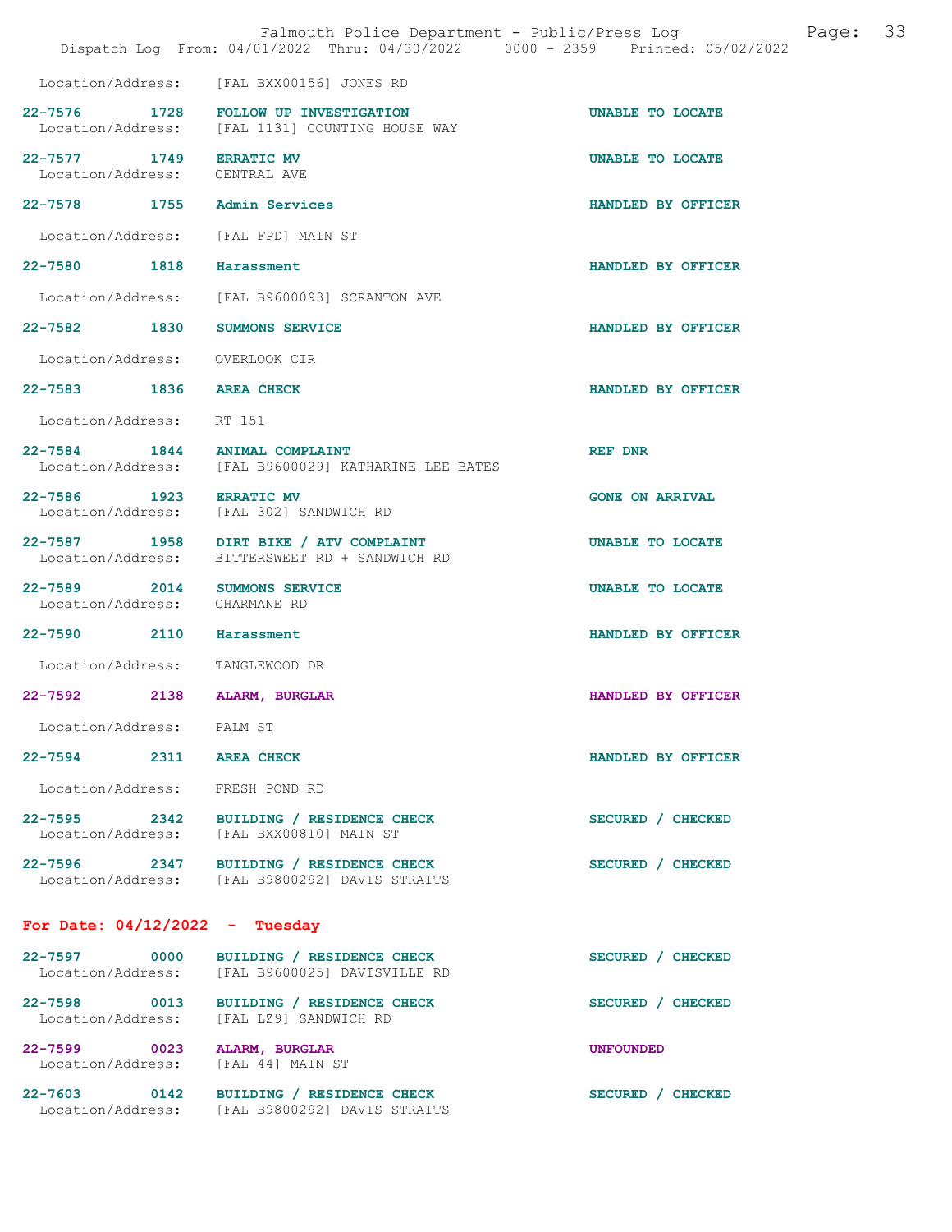|                                                               | Dispatch Log From: 04/01/2022 Thru: 04/30/2022 0000 - 2359 Printed: 05/02/2022            |                        |
|---------------------------------------------------------------|-------------------------------------------------------------------------------------------|------------------------|
|                                                               | Location/Address: [FAL BXX00156] JONES RD                                                 |                        |
|                                                               | 22-7576 1728 FOLLOW UP INVESTIGATION<br>Location/Address: [FAL 1131] COUNTING HOUSE WAY   | UNABLE TO LOCATE       |
| 22-7577 1749 ERRATIC MV<br>Location/Address: CENTRAL AVE      |                                                                                           | UNABLE TO LOCATE       |
| 22-7578 1755 Admin Services                                   |                                                                                           | HANDLED BY OFFICER     |
|                                                               | Location/Address: [FAL FPD] MAIN ST                                                       |                        |
| 22-7580 1818 Harassment                                       |                                                                                           | HANDLED BY OFFICER     |
|                                                               | Location/Address: [FAL B9600093] SCRANTON AVE                                             |                        |
| 22-7582 1830                                                  | <b>SUMMONS SERVICE</b>                                                                    | HANDLED BY OFFICER     |
| Location/Address: OVERLOOK CIR                                |                                                                                           |                        |
| 22-7583 1836 AREA CHECK                                       |                                                                                           | HANDLED BY OFFICER     |
| Location/Address:                                             | RT 151                                                                                    |                        |
| 22-7584 1844 ANIMAL COMPLAINT                                 | Location/Address: [FAL B9600029] KATHARINE LEE BATES                                      | REF DNR                |
| 22-7586 1923 ERRATIC MV                                       | Location/Address: [FAL 302] SANDWICH RD                                                   | <b>GONE ON ARRIVAL</b> |
|                                                               | 22-7587 1958 DIRT BIKE / ATV COMPLAINT<br>Location/Address: BITTERSWEET RD + SANDWICH RD  | UNABLE TO LOCATE       |
| 22-7589 2014 SUMMONS SERVICE<br>Location/Address: CHARMANE RD |                                                                                           | UNABLE TO LOCATE       |
| 22-7590 2110                                                  | Harassment                                                                                | HANDLED BY OFFICER     |
| Location/Address: TANGLEWOOD DR                               |                                                                                           |                        |
| 22-7592                                                       | 2138 ALARM, BURGLAR                                                                       | HANDLED BY OFFICER     |
| Location/Address: PALM ST                                     |                                                                                           |                        |
| 22-7594 2311 AREA CHECK                                       |                                                                                           | HANDLED BY OFFICER     |
| Location/Address: FRESH POND RD                               |                                                                                           |                        |
|                                                               | 22-7595 2342 BUILDING / RESIDENCE CHECK<br>Location/Address: [FAL BXX00810] MAIN ST       | SECURED / CHECKED      |
|                                                               | 22-7596 2347 BUILDING / RESIDENCE CHECK<br>Location/Address: [FAL B9800292] DAVIS STRAITS | SECURED / CHECKED      |
| For Date: $04/12/2022 -$ Tuesday                              |                                                                                           |                        |
|                                                               | 22-7597 0000 BUILDING / RESIDENCE CHECK<br>Location/Address: [FAL B9600025] DAVISVILLE RD | SECURED / CHECKED      |
|                                                               | 22-7598 0013 BUILDING / RESIDENCE CHECK<br>Location/Address: [FAL LZ9] SANDWICH RD        | SECURED / CHECKED      |
| 22-7599 0023 ALARM, BURGLAR<br>Location/Address:              | [FAL 44] MAIN ST                                                                          | <b>UNFOUNDED</b>       |
|                                                               | 22-7603 0142 BUILDING / RESIDENCE CHECK<br>Location/Address: [FAL B9800292] DAVIS STRAITS | SECURED / CHECKED      |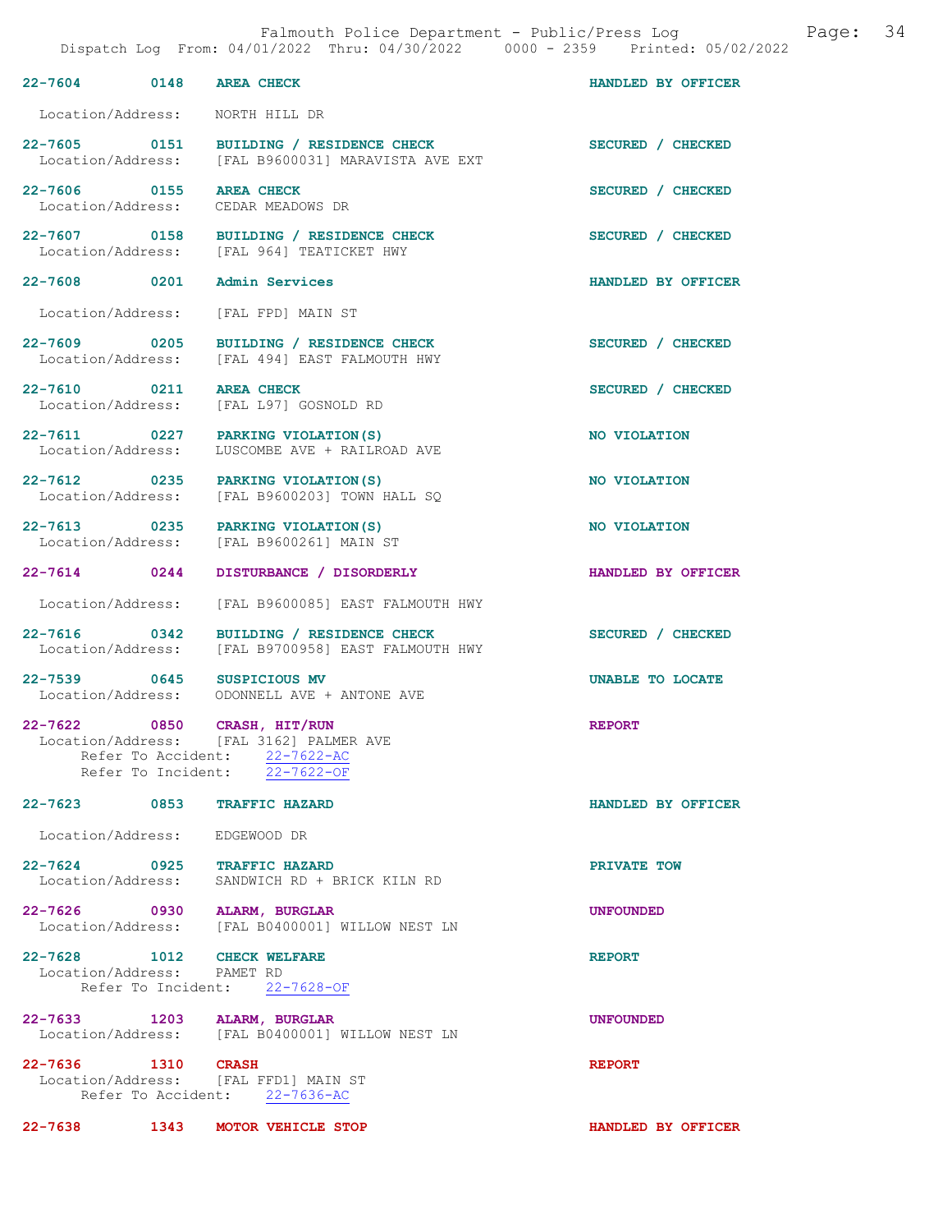| 22-7604 0148                                             | <b>AREA CHECK</b>                                                                                         | HANDLED BY OFFICER |
|----------------------------------------------------------|-----------------------------------------------------------------------------------------------------------|--------------------|
| Location/Address:                                        | NORTH HILL DR                                                                                             |                    |
|                                                          |                                                                                                           |                    |
| 22-7605 0151<br>Location/Address:                        | BUILDING / RESIDENCE CHECK<br>[FAL B9600031] MARAVISTA AVE EXT                                            | SECURED / CHECKED  |
| 22-7606 0155<br>Location/Address:                        | <b>AREA CHECK</b><br>CEDAR MEADOWS DR                                                                     | SECURED / CHECKED  |
| 22-7607 0158<br>Location/Address:                        | BUILDING / RESIDENCE CHECK<br>FRAL 9641 TEATICKET HWY                                                     | SECURED / CHECKED  |
| 22-7608 0201                                             | Admin Services                                                                                            | HANDLED BY OFFICER |
| Location/Address:                                        | [FAL FPD] MAIN ST                                                                                         |                    |
| 22-7609 0205                                             | BUILDING / RESIDENCE CHECK<br>Location/Address: [FAL 494] EAST FALMOUTH HWY                               | SECURED / CHECKED  |
| 22-7610 0211                                             | <b>AREA CHECK</b><br>Location/Address: [FAL L97] GOSNOLD RD                                               | SECURED / CHECKED  |
| Location/Address:                                        | 22-7611 0227 PARKING VIOLATION(S)<br>LUSCOMBE AVE + RAILROAD AVE                                          | NO VIOLATION       |
| 22-7612 0235<br>Location/Address:                        | PARKING VIOLATION (S)<br>[FAL B9600203] TOWN HALL SQ                                                      | NO VIOLATION       |
| 22-7613 0235<br>Location/Address:                        | PARKING VIOLATION (S)<br>[FAL B9600261] MAIN ST                                                           | NO VIOLATION       |
| 22-7614 0244                                             | DISTURBANCE / DISORDERLY                                                                                  | HANDLED BY OFFICER |
| Location/Address:                                        | [FAL B9600085] EAST FALMOUTH HWY                                                                          |                    |
| 22-7616 0342<br>Location/Address:                        | BUILDING / RESIDENCE CHECK<br>[FAL B9700958] EAST FALMOUTH HWY                                            | SECURED / CHECKED  |
| 22-7539 0645<br>Location/Address:                        | SUSPICIOUS MV<br>ODONNELL AVE + ANTONE AVE                                                                | UNABLE TO LOCATE   |
| 22-7622 0850 CRASH, HIT/RUN                              | Location/Address: [FAL 3162] PALMER AVE<br>Refer To Accident: 22-7622-AC<br>Refer To Incident: 22-7622-OF | <b>REPORT</b>      |
| 22-7623 0853 TRAFFIC HAZARD                              |                                                                                                           | HANDLED BY OFFICER |
| Location/Address: EDGEWOOD DR                            |                                                                                                           |                    |
| 22-7624 0925 TRAFFIC HAZARD                              |                                                                                                           | PRIVATE TOW        |
|                                                          | Location/Address: SANDWICH RD + BRICK KILN RD                                                             |                    |
| 22-7626 0930 ALARM, BURGLAR                              | Location/Address: [FAL B0400001] WILLOW NEST LN                                                           | <b>UNFOUNDED</b>   |
| 22-7628 1012 CHECK WELFARE<br>Location/Address: PAMET RD | Refer To Incident: 22-7628-OF                                                                             | <b>REPORT</b>      |
|                                                          | 22-7633 1203 ALARM, BURGLAR<br>Location/Address: [FAL B0400001] WILLOW NEST LN                            | <b>UNFOUNDED</b>   |
| 22-7636 1310 CRASH                                       | Location/Address: [FAL FFD1] MAIN ST<br>Refer To Accident: 22-7636-AC                                     | <b>REPORT</b>      |

22-7638 1343 MOTOR VEHICLE STOP HANDLED BY OFFICER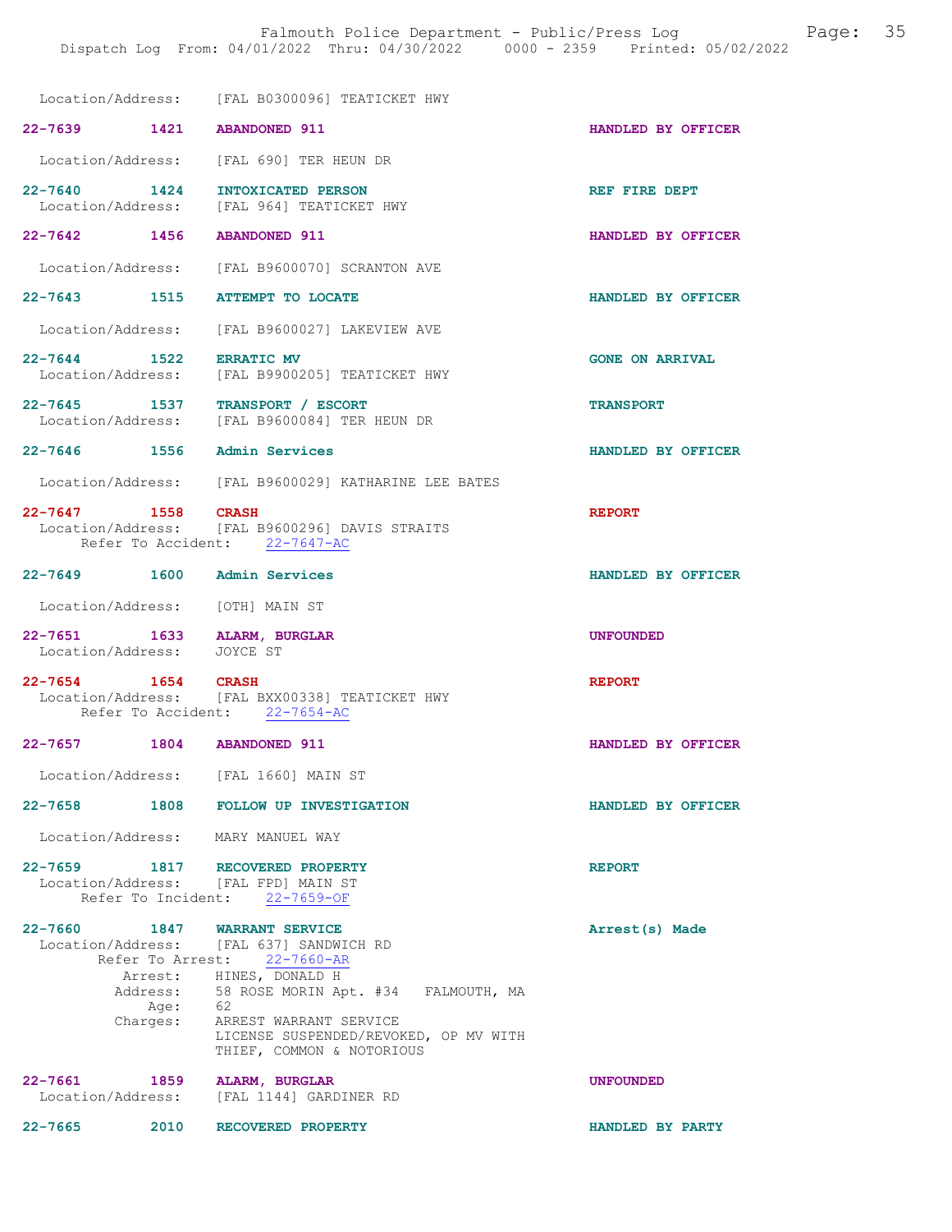|                                                                        | Location/Address: [FAL B0300096] TEATICKET HWY                                                  |                        |
|------------------------------------------------------------------------|-------------------------------------------------------------------------------------------------|------------------------|
| 22-7639 1421 ABANDONED 911                                             |                                                                                                 | HANDLED BY OFFICER     |
|                                                                        | Location/Address: [FAL 690] TER HEUN DR                                                         |                        |
| $22 - 7640$ 1424                                                       | INTOXICATED PERSON                                                                              | REF FIRE DEPT          |
|                                                                        | Location/Address: [FAL 964] TEATICKET HWY                                                       |                        |
| 22-7642 1456                                                           | <b>ABANDONED 911</b>                                                                            | HANDLED BY OFFICER     |
|                                                                        | Location/Address: [FAL B9600070] SCRANTON AVE                                                   |                        |
| 22-7643 1515                                                           | <b>ATTEMPT TO LOCATE</b>                                                                        | HANDLED BY OFFICER     |
|                                                                        | Location/Address: [FAL B9600027] LAKEVIEW AVE                                                   |                        |
| 22-7644 1522<br>Location/Address:                                      | <b>ERRATIC MV</b><br>[FAL B9900205] TEATICKET HWY                                               | <b>GONE ON ARRIVAL</b> |
| 22-7645 1537 TRANSPORT / ESCORT<br>Location/Address:                   | [FAL B9600084] TER HEUN DR                                                                      | <b>TRANSPORT</b>       |
| 22-7646 1556 Admin Services                                            |                                                                                                 | HANDLED BY OFFICER     |
|                                                                        | Location/Address: [FAL B9600029] KATHARINE LEE BATES                                            |                        |
| 22-7647 1558 CRASH                                                     | Location/Address: [FAL B9600296] DAVIS STRAITS<br>Refer To Accident: 22-7647-AC                 | <b>REPORT</b>          |
| 22-7649 1600 Admin Services                                            |                                                                                                 | HANDLED BY OFFICER     |
| Location/Address: [OTH] MAIN ST                                        |                                                                                                 |                        |
| 22-7651 1633 ALARM, BURGLAR<br>Location/Address:                       | JOYCE ST                                                                                        | <b>UNFOUNDED</b>       |
| 22-7654 1654                                                           | <b>CRASH</b><br>Location/Address: [FAL BXX00338] TEATICKET HWY<br>Refer To Accident: 22-7654-AC | <b>REPORT</b>          |
| $22 - 7657$                                                            | 1804 ABANDONED 911                                                                              | HANDLED BY OFFICER     |
| Location/Address: [FAL 1660] MAIN ST                                   |                                                                                                 |                        |
| $22 - 7658$                                                            | 1808 FOLLOW UP INVESTIGATION                                                                    | HANDLED BY OFFICER     |
| Location/Address: MARY MANUEL WAY                                      |                                                                                                 |                        |
| 22-7659 1817 RECOVERED PROPERTY<br>Location/Address: [FAL FPD] MAIN ST | Refer To Incident: 22-7659-OF                                                                   | <b>REPORT</b>          |
| 22-7660 1847 WARRANT SERVICE                                           | Location/Address: [FAL 637] SANDWICH RD<br>Refer To Arrest: 22-7660-AR                          | Arrest(s) Made         |
| Address:<br>Age:                                                       | Arrest: HINES, DONALD H<br>58 ROSE MORIN Apt. #34 FALMOUTH, MA<br>- 62                          |                        |
| Charges:                                                               | ARREST WARRANT SERVICE<br>LICENSE SUSPENDED/REVOKED, OP MV WITH<br>THIEF, COMMON & NOTORIOUS    |                        |
| $22 - 7661$<br>1859                                                    | ALARM, BURGLAR<br>Location/Address: [FAL 1144] GARDINER RD                                      | <b>UNFOUNDED</b>       |

22-7665 2010 RECOVERED PROPERTY HANDLED BY PARTY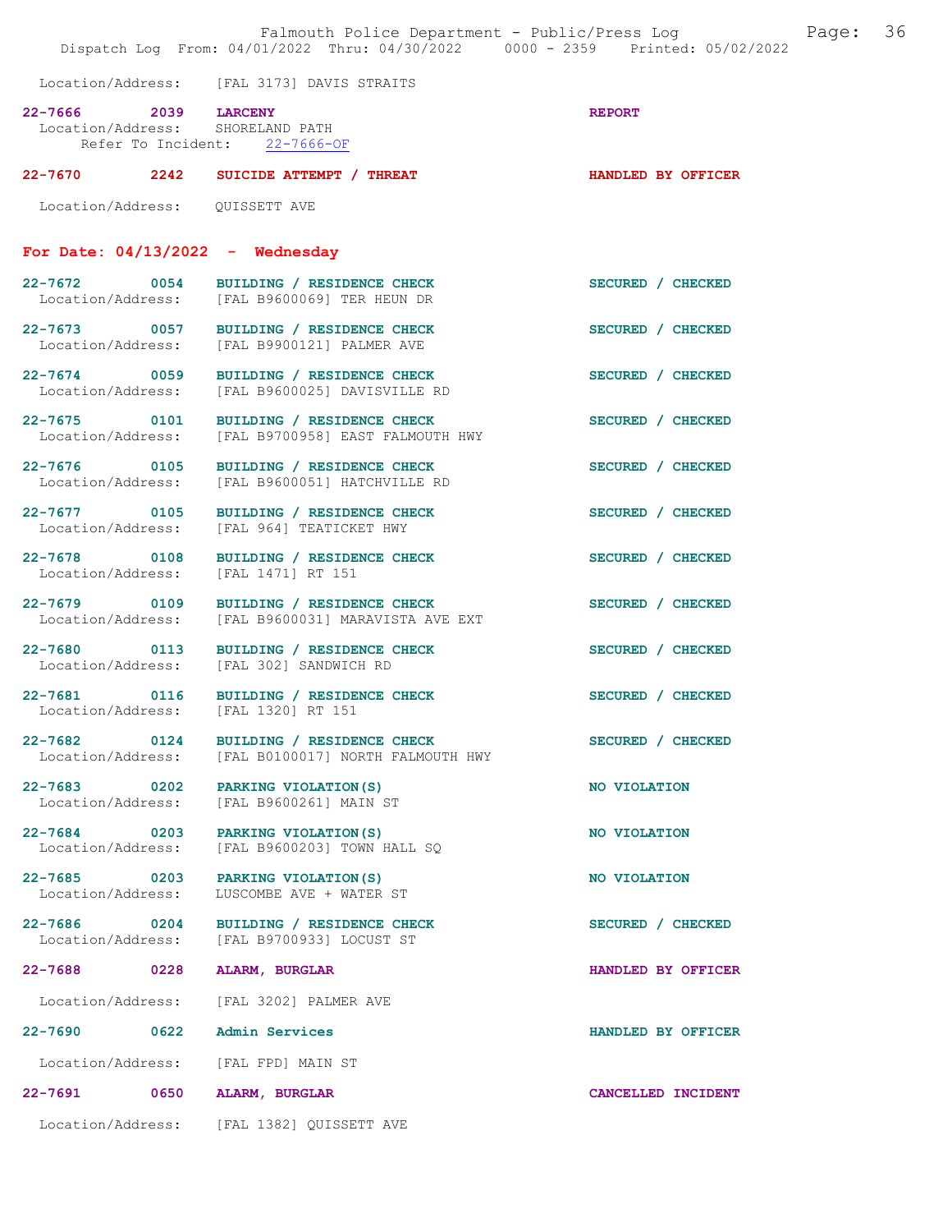| Falmouth Police Department - Public/Press Log<br>Dispatch Log From: 04/01/2022 Thru: 04/30/2022 0000 - 2359 Printed: 05/02/2022 |  |                                                                                                |                    | Page: | 36 |
|---------------------------------------------------------------------------------------------------------------------------------|--|------------------------------------------------------------------------------------------------|--------------------|-------|----|
| Location/Address: [FAL 3173] DAVIS STRAITS                                                                                      |  |                                                                                                |                    |       |    |
| 22-7666 2039 LARCENY                                                                                                            |  | Location/Address: SHORELAND PATH<br>Refer To Incident: 22-7666-OF                              | <b>REPORT</b>      |       |    |
|                                                                                                                                 |  | 22-7670 2242 SUICIDE ATTEMPT / THREAT                                                          | HANDLED BY OFFICER |       |    |
| Location/Address: QUISSETT AVE                                                                                                  |  |                                                                                                |                    |       |    |
|                                                                                                                                 |  | For Date: $04/13/2022 -$ Wednesday                                                             |                    |       |    |
|                                                                                                                                 |  | 22-7672 0054 BUILDING / RESIDENCE CHECK<br>Location/Address: [FAL B9600069] TER HEUN DR        | SECURED / CHECKED  |       |    |
|                                                                                                                                 |  | 22-7673 0057 BUILDING / RESIDENCE CHECK<br>Location/Address: [FAL B9900121] PALMER AVE         | SECURED / CHECKED  |       |    |
| 22-7674 0059                                                                                                                    |  | BUILDING / RESIDENCE CHECK<br>Location/Address: [FAL B9600025] DAVISVILLE RD                   | SECURED / CHECKED  |       |    |
| Location/Address:                                                                                                               |  | 22-7675 0101 BUILDING / RESIDENCE CHECK<br>[FAL B9700958] EAST FALMOUTH HWY                    | SECURED / CHECKED  |       |    |
| 22-7676 0105<br>Location/Address:                                                                                               |  | BUILDING / RESIDENCE CHECK<br>[FAL B9600051] HATCHVILLE RD                                     | SECURED / CHECKED  |       |    |
| 22-7677 0105<br>Location/Address:                                                                                               |  | BUILDING / RESIDENCE CHECK<br>[FAL 964] TEATICKET HWY                                          | SECURED / CHECKED  |       |    |
| 22-7678 0108<br>Location/Address:                                                                                               |  | BUILDING / RESIDENCE CHECK<br>[FAL 1471] RT 151                                                | SECURED / CHECKED  |       |    |
| Location/Address:                                                                                                               |  | 22-7679 0109 BUILDING / RESIDENCE CHECK<br>[FAL B9600031] MARAVISTA AVE EXT                    | SECURED / CHECKED  |       |    |
|                                                                                                                                 |  | 22-7680 0113 BUILDING / RESIDENCE CHECK<br>Location/Address: [FAL 302] SANDWICH RD             | SECURED / CHECKED  |       |    |
|                                                                                                                                 |  | 22-7681 0116 BUILDING / RESIDENCE CHECK<br>Location/Address: [FAL 1320] RT 151                 | SECURED / CHECKED  |       |    |
|                                                                                                                                 |  | 22-7682 0124 BUILDING / RESIDENCE CHECK<br>Location/Address: [FAL B0100017] NORTH FALMOUTH HWY | SECURED / CHECKED  |       |    |
| 22-7683 0202<br>Location/Address:                                                                                               |  | PARKING VIOLATION (S)<br>[FAL B9600261] MAIN ST                                                | NO VIOLATION       |       |    |
| 22-7684 0203<br>Location/Address:                                                                                               |  | PARKING VIOLATION (S)<br>[FAL B9600203] TOWN HALL SQ                                           | NO VIOLATION       |       |    |
| 22-7685 0203<br>Location/Address:                                                                                               |  | PARKING VIOLATION (S)<br>LUSCOMBE AVE + WATER ST                                               | NO VIOLATION       |       |    |
| 22-7686 0204<br>Location/Address:                                                                                               |  | BUILDING / RESIDENCE CHECK<br>[FAL B9700933] LOCUST ST                                         | SECURED / CHECKED  |       |    |
| 22-7688 0228                                                                                                                    |  | ALARM, BURGLAR                                                                                 | HANDLED BY OFFICER |       |    |
| Location/Address:                                                                                                               |  | [FAL 3202] PALMER AVE                                                                          |                    |       |    |
| 22-7690 0622                                                                                                                    |  | Admin Services                                                                                 | HANDLED BY OFFICER |       |    |
| Location/Address:                                                                                                               |  | [FAL FPD] MAIN ST                                                                              |                    |       |    |
| 22-7691 0650                                                                                                                    |  | ALARM, BURGLAR                                                                                 | CANCELLED INCIDENT |       |    |
|                                                                                                                                 |  | Location/Address: [FAL 1382] QUISSETT AVE                                                      |                    |       |    |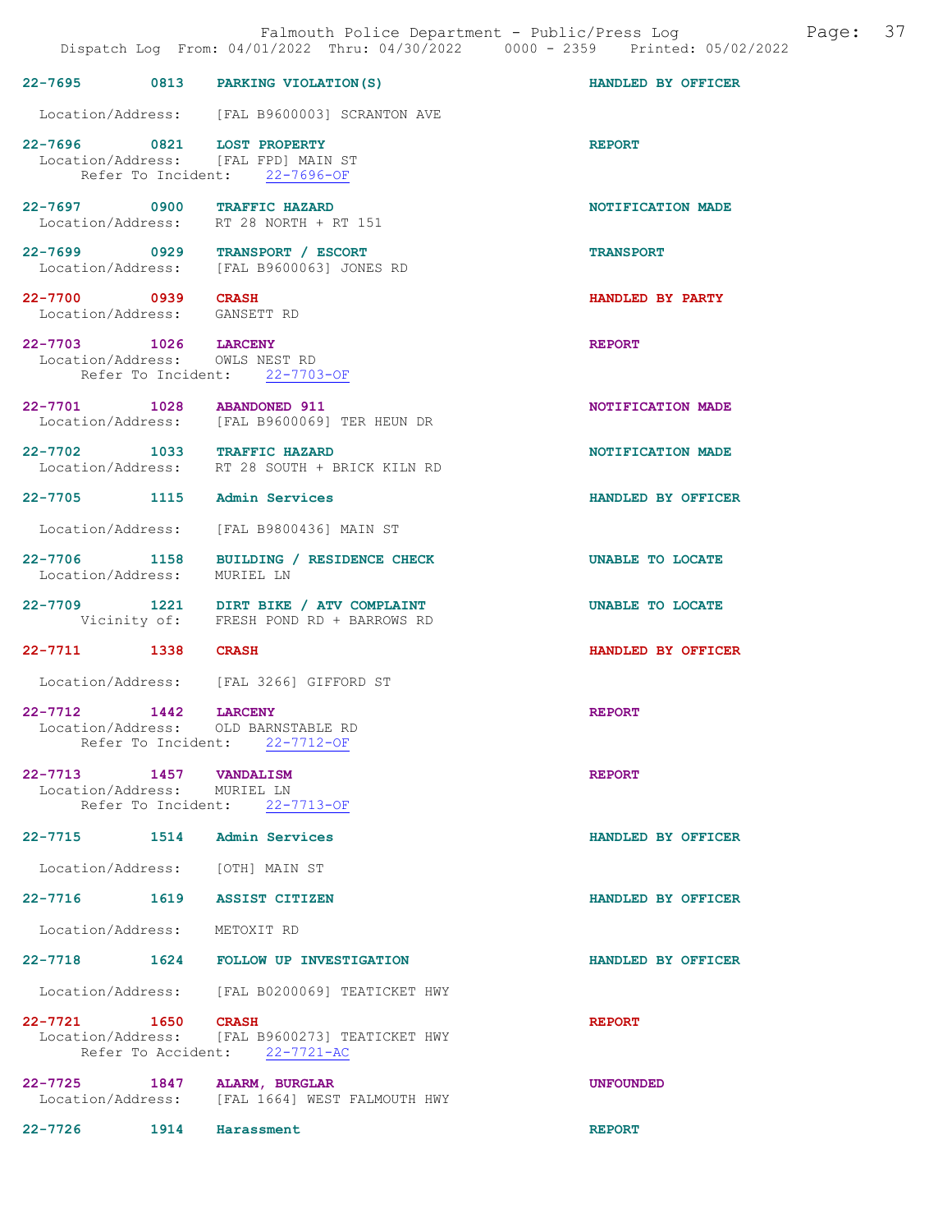|                                                    |      | Falmouth Police Department - Public/Press Log<br>Dispatch Log From: 04/01/2022 Thru: 04/30/2022 0000 - 2359 Printed: 05/02/2022 |                    | Page: | 37 |
|----------------------------------------------------|------|---------------------------------------------------------------------------------------------------------------------------------|--------------------|-------|----|
|                                                    |      | 22-7695 0813 PARKING VIOLATION (S)                                                                                              | HANDLED BY OFFICER |       |    |
|                                                    |      | Location/Address: [FAL B9600003] SCRANTON AVE                                                                                   |                    |       |    |
|                                                    |      | 22-7696 0821 LOST PROPERTY<br>Location/Address: [FAL FPD] MAIN ST<br>Refer To Incident: 22-7696-OF                              | <b>REPORT</b>      |       |    |
|                                                    |      | 22-7697 0900 TRAFFIC HAZARD<br>Location/Address: RT 28 NORTH + RT 151                                                           | NOTIFICATION MADE  |       |    |
|                                                    |      | 22-7699 0929 TRANSPORT / ESCORT<br>Location/Address: [FAL B9600063] JONES RD                                                    | <b>TRANSPORT</b>   |       |    |
| 22-7700 0939 CRASH<br>Location/Address: GANSETT RD |      |                                                                                                                                 | HANDLED BY PARTY   |       |    |
| 22-7703 1026 LARCENY                               |      | Location/Address: OWLS NEST RD<br>Refer To Incident: 22-7703-OF                                                                 | <b>REPORT</b>      |       |    |
| 22-7701 1028                                       |      | <b>ABANDONED 911</b><br>Location/Address: [FAL B9600069] TER HEUN DR                                                            | NOTIFICATION MADE  |       |    |
|                                                    |      | 22-7702 1033 TRAFFIC HAZARD<br>Location/Address: RT 28 SOUTH + BRICK KILN RD                                                    | NOTIFICATION MADE  |       |    |
|                                                    |      | 22-7705 1115 Admin Services                                                                                                     | HANDLED BY OFFICER |       |    |
| Location/Address:                                  |      | [FAL B9800436] MAIN ST                                                                                                          |                    |       |    |
| Location/Address:                                  |      | 22-7706 1158 BUILDING / RESIDENCE CHECK<br>MURIEL LN                                                                            | UNABLE TO LOCATE   |       |    |
|                                                    |      | 22-7709 1221 DIRT BIKE / ATV COMPLAINT<br>Vicinity of: FRESH POND RD + BARROWS RD                                               | UNABLE TO LOCATE   |       |    |
| 22-7711 1338                                       |      | <b>CRASH</b>                                                                                                                    | HANDLED BY OFFICER |       |    |
|                                                    |      | Location/Address: [FAL 3266] GIFFORD ST                                                                                         |                    |       |    |
| $22 - 7712$                                        | 1442 | <b>LARCENY</b><br>Location/Address: OLD BARNSTABLE RD<br>Refer To Incident: 22-7712-OF                                          | <b>REPORT</b>      |       |    |
| 22–7713 1457<br>Location/Address: MURIEL LN        |      | <b>VANDALISM</b><br>Refer To Incident: 22-7713-OF                                                                               | <b>REPORT</b>      |       |    |
|                                                    |      | 22-7715 1514 Admin Services                                                                                                     | HANDLED BY OFFICER |       |    |
|                                                    |      | Location/Address: [OTH] MAIN ST                                                                                                 |                    |       |    |
|                                                    |      | 22-7716 1619 ASSIST CITIZEN                                                                                                     | HANDLED BY OFFICER |       |    |
| Location/Address:                                  |      | METOXIT RD                                                                                                                      |                    |       |    |
|                                                    |      | 22-7718 1624 FOLLOW UP INVESTIGATION                                                                                            | HANDLED BY OFFICER |       |    |
|                                                    |      | Location/Address: [FAL B0200069] TEATICKET HWY                                                                                  |                    |       |    |
| 22-7721 1650 CRASH                                 |      | Location/Address: [FAL B9600273] TEATICKET HWY<br>Refer To Accident: 22-7721-AC                                                 | <b>REPORT</b>      |       |    |
| 22-7725 1847                                       |      | ALARM, BURGLAR<br>Location/Address: [FAL 1664] WEST FALMOUTH HWY                                                                | <b>UNFOUNDED</b>   |       |    |
| 22-7726                                            | 1914 | Harassment                                                                                                                      | <b>REPORT</b>      |       |    |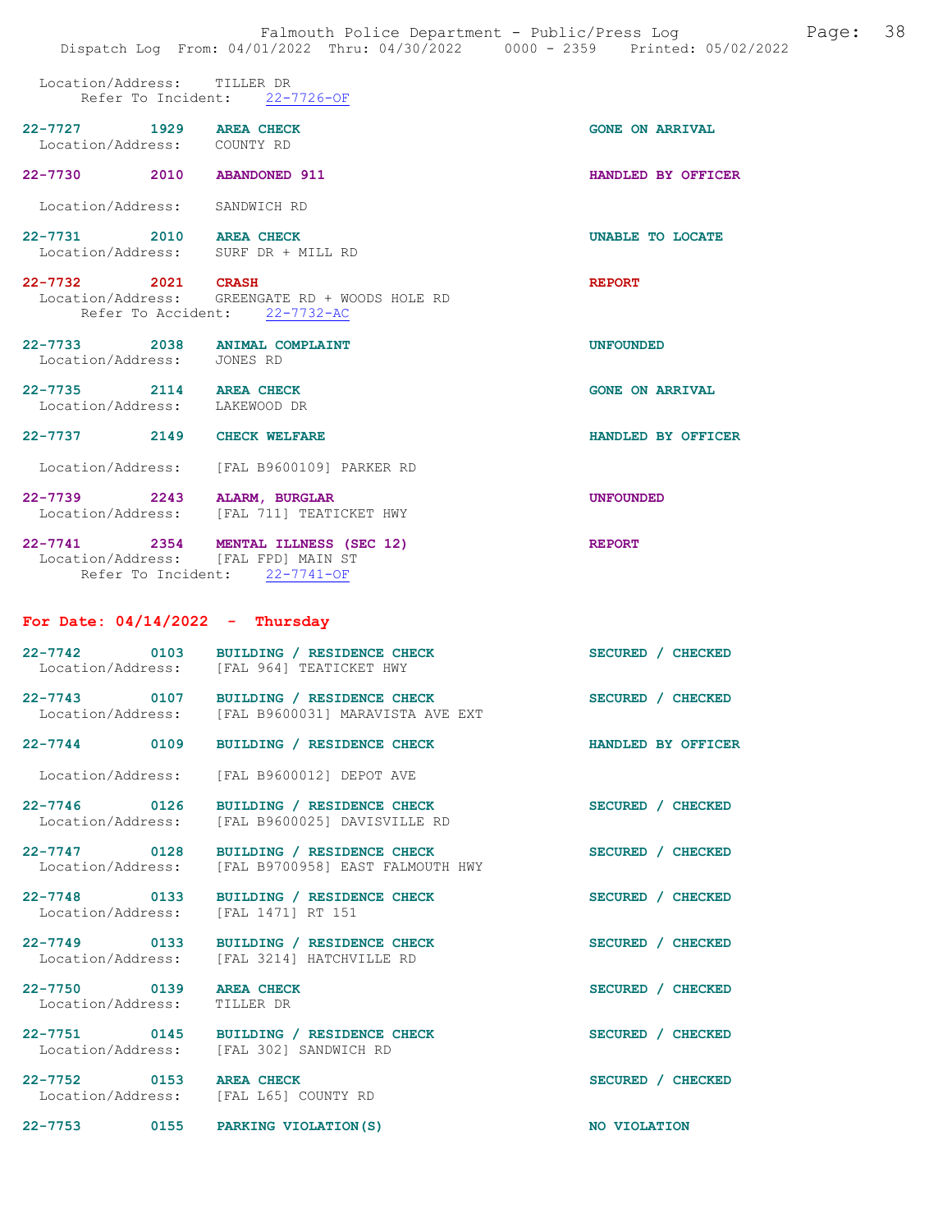Location/Address: TILLER DR Refer To Incident: 22-7726-OF

| $22 - 7727$ | 1929 | <b>AREA CHECK</b><br>Location/Address: COUNTY RD |  |
|-------------|------|--------------------------------------------------|--|
| $22 - 7730$ | 2010 | <b>ABANDONED 911</b>                             |  |

Location/Address: SANDWICH RD

- 22-7731 2010 AREA CHECK UNABLE TO LOCATE Location/Address: SURF DR + MILL RD SURF DR + MILL RD
- 22-7732 2021 CRASH 2001 2021 CRASH REPORT Location/Address: GREENGATE RD + WOODS HOLE RD GREENGATE RD + WOODS HOLE RD Refer To Accident: 22-7732-AC
- 22-7733 2038 ANIMAL COMPLAINT UNFOUNDED Location/Address: JONES RD
- 22-7735 2114 AREA CHECK GONE ON ARRIVAL Location/Address: LAKEWOOD DR
- 22-7737 2149 CHECK WELFARE HANDLED BY OFFICER Location/Address: [FAL B9600109] PARKER RD
- 22-7739 2243 ALARM, BURGLAR UNFOUNDED Location/Address: [FAL 711] TEATICKET HWY
- 22-7741 2354 MENTAL ILLNESS (SEC 12) REPORT<br>Location/Address: [FAL FPD] MAIN ST Location/Address: [FAL FPD] MAIN ST<br>Refer To Incident: 22-7741-OF Refer To Incident:

#### For Date:  $04/14/2022 -$  Thursday

| 22-7742<br>Location/Address: | 0103 | BUILDING / RESIDENCE CHECK<br>[FAL 964] TEATICKET HWY                            | SECURED / CHECKED |                    |
|------------------------------|------|----------------------------------------------------------------------------------|-------------------|--------------------|
| $22 - 7743$                  | 0107 | BUILDING / RESIDENCE CHECK<br>Location/Address: [FAL B9600031] MARAVISTA AVE EXT | SECURED / CHECKED |                    |
| $22 - 7744$                  | 0109 | BUILDING / RESIDENCE CHECK                                                       |                   | HANDLED BY OFFICER |

- Location/Address: [FAL B9600012] DEPOT AVE
- 22-7746 0126 BUILDING / RESIDENCE CHECK SECURED / CHECKED Location/Address: [FAL B9600025] DAVISVILLE RD [FAL B9600025] DAVISVILLE RD
- 22-7747 0128 BUILDING / RESIDENCE CHECK<br>
Location/Address: [FAL B9700958] EAST FALMOUTH HWY [FAL B9700958] EAST FALMOUTH HWY
- 22-7748 0133 BUILDING / RESIDENCE CHECK SECURED / CHECKED Location/Address: [FAL 1471] RT 151
- 22-7749 0133 BUILDING / RESIDENCE CHECK SECURED / CHECKED Location/Address: [FAL 3214] HATCHVILLE RD
- 22-7750 0139 AREA CHECK SECURED / CHECKED Location/Address: TILLER DR
- Location/Address:
- 22-7751 0145 BUILDING / RESIDENCE CHECK SECURED / CHECKED Location/Address: [FAL 302] SANDWICH RD
- 22-7752 0153 AREA CHECK SECURED / CHECKED
	- Location/Address: [FAL L65] COUNTY RD
- 22-7753 0155 PARKING VIOLATION(S) NO VIOLATION

[FAL 302] SANDWICH RD

[FAL 3214] HATCHVILLE RD

**GONE ON ARRIVAL** 

HANDLED BY OFFICER

- 
- 
- 
- 

- -
	-
- -
	-
	-
	-
-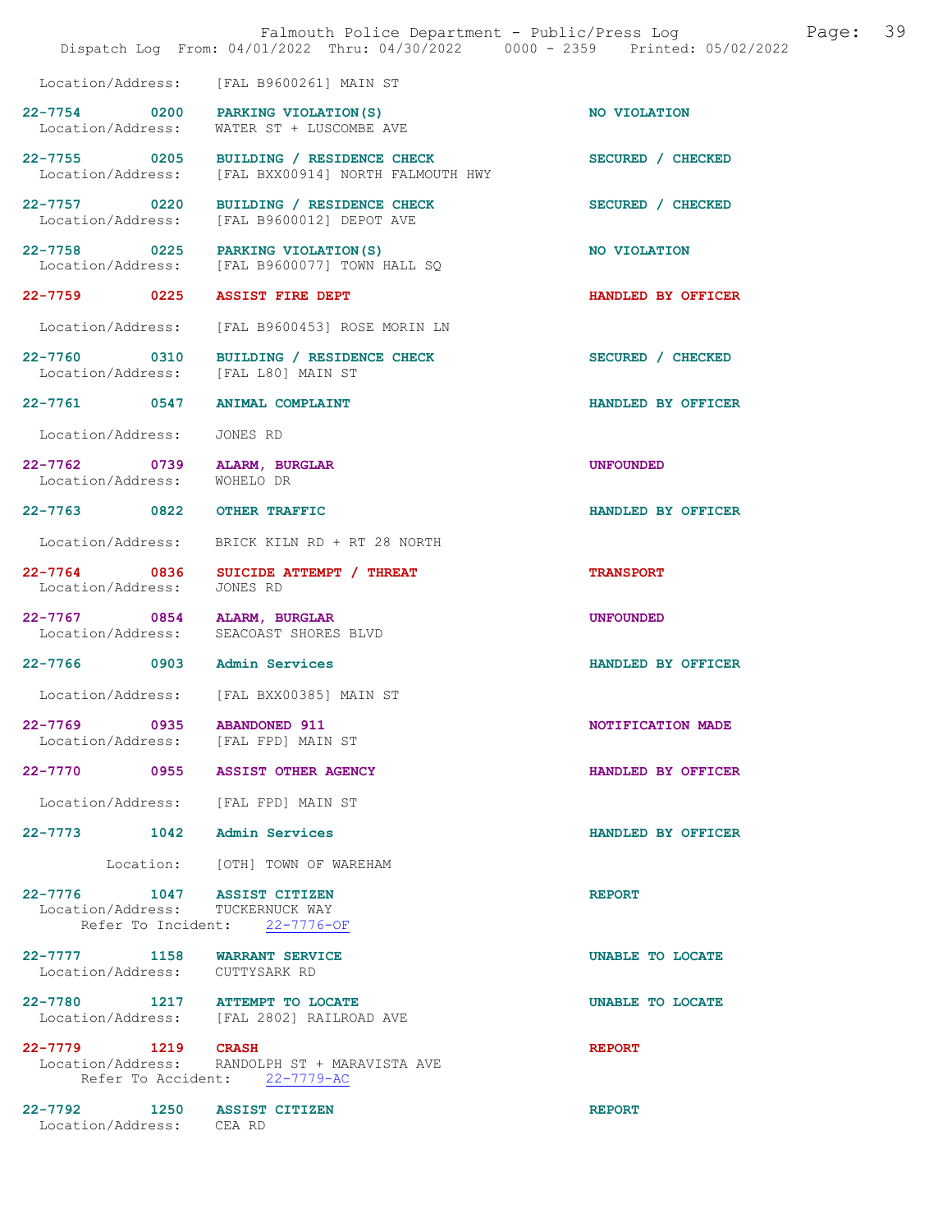|                                                                       | Falmouth Police Department - Public/Press Log<br>Dispatch Log From: 04/01/2022 Thru: 04/30/2022 0000 - 2359 Printed: 05/02/2022 | 39<br>Page:        |
|-----------------------------------------------------------------------|---------------------------------------------------------------------------------------------------------------------------------|--------------------|
|                                                                       | Location/Address: [FAL B9600261] MAIN ST                                                                                        |                    |
| 22-7754 0200<br>Location/Address:                                     | PARKING VIOLATION (S)<br>WATER ST + LUSCOMBE AVE                                                                                | NO VIOLATION       |
| 22-7755 0205<br>Location/Address:                                     | BUILDING / RESIDENCE CHECK<br>[FAL BXX00914] NORTH FALMOUTH HWY                                                                 | SECURED / CHECKED  |
| 22-7757 0220<br>Location/Address:                                     | BUILDING / RESIDENCE CHECK<br>[FAL B9600012] DEPOT AVE                                                                          | SECURED / CHECKED  |
| 22-7758 0225                                                          | PARKING VIOLATION(S)<br>Location/Address: [FAL B9600077] TOWN HALL SQ                                                           | NO VIOLATION       |
| 22-7759 0225                                                          | <b>ASSIST FIRE DEPT</b>                                                                                                         | HANDLED BY OFFICER |
| Location/Address:                                                     | [FAL B9600453] ROSE MORIN LN                                                                                                    |                    |
| 22-7760 0310<br>Location/Address: [FAL L80] MAIN ST                   | BUILDING / RESIDENCE CHECK                                                                                                      | SECURED / CHECKED  |
| 22-7761 0547                                                          | <b>ANIMAL COMPLAINT</b>                                                                                                         | HANDLED BY OFFICER |
| Location/Address:                                                     | JONES RD                                                                                                                        |                    |
| 22-7762 0739<br>Location/Address:                                     | ALARM, BURGLAR<br>WOHELO DR                                                                                                     | <b>UNFOUNDED</b>   |
| 22-7763 0822                                                          | <b>OTHER TRAFFIC</b>                                                                                                            | HANDLED BY OFFICER |
| Location/Address:                                                     | BRICK KILN RD + RT 28 NORTH                                                                                                     |                    |
| 22-7764 0836<br>Location/Address:                                     | SUICIDE ATTEMPT / THREAT<br>JONES RD                                                                                            | <b>TRANSPORT</b>   |
| 22-7767 0854 ALARM, BURGLAR<br>Location/Address: SEACOAST SHORES BLVD |                                                                                                                                 | <b>UNFOUNDED</b>   |
| 22-7766 0903                                                          | <b>Admin Services</b>                                                                                                           | HANDLED BY OFFICER |
|                                                                       | Location/Address: [FAL BXX00385] MAIN ST                                                                                        |                    |
| 22-7769 0935 ABANDONED 911<br>Location/Address: [FAL FPD] MAIN ST     |                                                                                                                                 | NOTIFICATION MADE  |
| 22-7770 0955 ASSIST OTHER AGENCY                                      |                                                                                                                                 | HANDLED BY OFFICER |
| Location/Address: [FAL FPD] MAIN ST                                   |                                                                                                                                 |                    |
| 22-7773 1042 Admin Services                                           |                                                                                                                                 | HANDLED BY OFFICER |
|                                                                       | Location: [OTH] TOWN OF WAREHAM                                                                                                 |                    |
| 22-7776 1047 ASSIST CITIZEN<br>Location/Address: TUCKERNUCK WAY       | Refer To Incident: 22-7776-OF                                                                                                   | <b>REPORT</b>      |
| 22-7777 1158 WARRANT SERVICE                                          |                                                                                                                                 | UNABLE TO LOCATE   |
| Location/Address: CUTTYSARK RD                                        |                                                                                                                                 |                    |
| 22-7780 1217 ATTEMPT TO LOCATE                                        | Location/Address: [FAL 2802] RAILROAD AVE                                                                                       | UNABLE TO LOCATE   |
| 22-7779 1219 CRASH                                                    | Location/Address: RANDOLPH ST + MARAVISTA AVE<br>Refer To Accident: 22-7779-AC                                                  | <b>REPORT</b>      |
| 22-7792 1250 ASSIST CITIZEN<br>Location/Address: CEA RD               |                                                                                                                                 | <b>REPORT</b>      |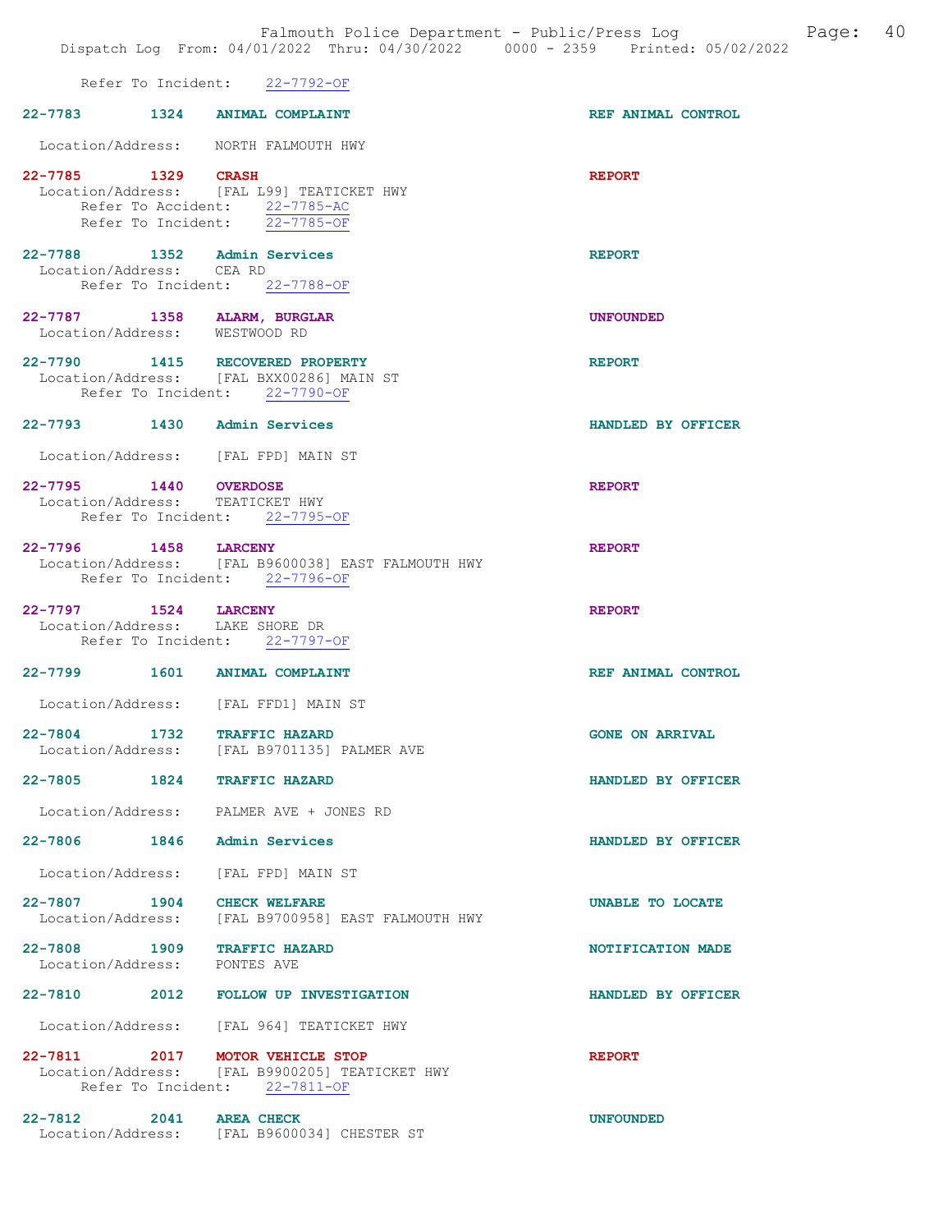|                          | Refer To Incident: 22-7792-OF                                                                                 |                        |
|--------------------------|---------------------------------------------------------------------------------------------------------------|------------------------|
|                          | 22-7783 1324 ANIMAL COMPLAINT                                                                                 | REF ANIMAL CONTROL     |
|                          | Location/Address: NORTH FALMOUTH HWY                                                                          |                        |
| 22-7785 1329 CRASH       | Location/Address: [FAL L99] TEATICKET HWY<br>Refer To Accident: 22-7785-AC<br>Refer To Incident: $22-7785-OF$ | <b>REPORT</b>          |
| Location/Address: CEA RD | 22-7788 1352 Admin Services<br>Refer To Incident: 22-7788-OF                                                  | <b>REPORT</b>          |
|                          | 22-7787 1358 ALARM, BURGLAR<br>Location/Address: WESTWOOD RD                                                  | <b>UNFOUNDED</b>       |
|                          | 22-7790 1415 RECOVERED PROPERTY<br>Location/Address: [FAL BXX00286] MAIN ST<br>Refer To Incident: 22-7790-OF  | <b>REPORT</b>          |
|                          | 22-7793 1430 Admin Services                                                                                   | HANDLED BY OFFICER     |
|                          | Location/Address: [FAL FPD] MAIN ST                                                                           |                        |
| 22-7795 1440 OVERDOSE    | Location/Address: TEATICKET HWY<br>Refer To Incident: 22-7795-OF                                              | <b>REPORT</b>          |
| 22-7796 1458 LARCENY     | Location/Address: [FAL B9600038] EAST FALMOUTH HWY<br>Refer To Incident: 22-7796-OF                           | <b>REPORT</b>          |
|                          | 22-7797 1524 LARCENY<br>Location/Address: LAKE SHORE DR<br>Refer To Incident: 22-7797-OF                      | <b>REPORT</b>          |
|                          | 22-7799 1601 ANIMAL COMPLAINT                                                                                 | REF ANIMAL CONTROL     |
|                          | Location/Address: [FAL FFD1] MAIN ST                                                                          |                        |
|                          | 22-7804 1732 TRAFFIC HAZARD<br>Location/Address: [FAL B9701135] PALMER AVE                                    | <b>GONE ON ARRIVAL</b> |
| 22-7805 1824             | <b>TRAFFIC HAZARD</b>                                                                                         | HANDLED BY OFFICER     |
|                          | Location/Address: PALMER AVE + JONES RD                                                                       |                        |
|                          | 22-7806 1846 Admin Services                                                                                   | HANDLED BY OFFICER     |
|                          | Location/Address: [FAL FPD] MAIN ST                                                                           |                        |
|                          | 22-7807 1904 CHECK WELFARE<br>Location/Address: [FAL B9700958] EAST FALMOUTH HWY                              | UNABLE TO LOCATE       |
|                          | 22-7808 1909 TRAFFIC HAZARD<br>Location/Address: PONTES AVE                                                   | NOTIFICATION MADE      |
|                          | 22-7810 2012 FOLLOW UP INVESTIGATION                                                                          | HANDLED BY OFFICER     |
|                          | Location/Address: [FAL 964] TEATICKET HWY                                                                     |                        |
|                          |                                                                                                               |                        |

22-7811 2017 MOTOR VEHICLE STOP 2017 REPORT Location/Address: [FAL B9900205] TEATICKET HWY Refer To Incident: 22-7811-OF

22-7812 2041 AREA CHECK UNFOUNDED Location/Address: [FAL B9600034] CHESTER ST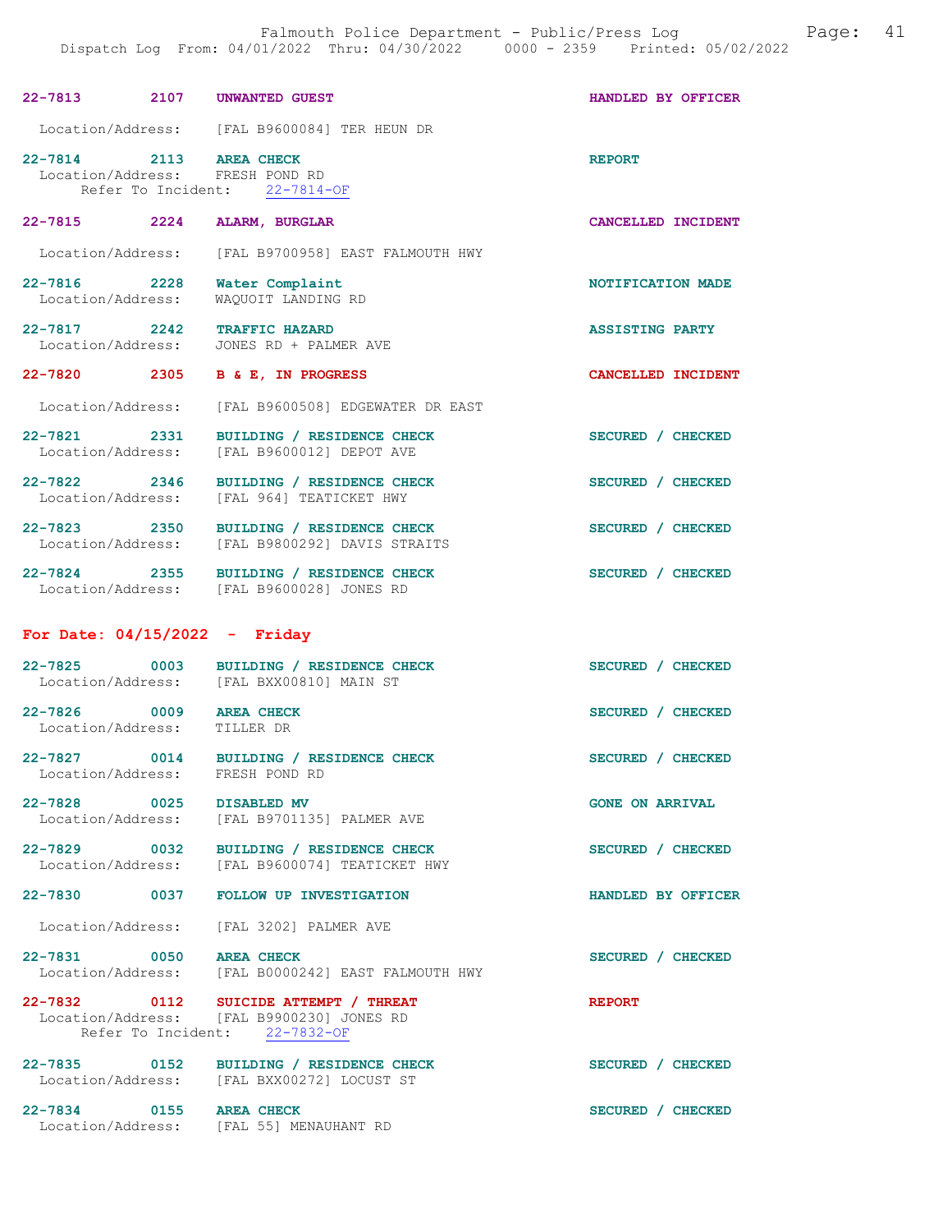| 22-7813 2107 UNWANTED GUEST                                           |                                                                                                                     | HANDLED BY OFFICER     |
|-----------------------------------------------------------------------|---------------------------------------------------------------------------------------------------------------------|------------------------|
|                                                                       | Location/Address: [FAL B9600084] TER HEUN DR                                                                        |                        |
| 22-7814 2113<br>Location/Address: FRESH POND RD<br>Refer To Incident: | <b>AREA CHECK</b><br>$22 - 7814 - OF$                                                                               | <b>REPORT</b>          |
| 2224<br>22-7815                                                       | ALARM, BURGLAR                                                                                                      | CANCELLED INCIDENT     |
| Location/Address:                                                     | [FAL B9700958] EAST FALMOUTH HWY                                                                                    |                        |
| 22-7816 2228<br>Location/Address:                                     | Water Complaint<br>WAQUOIT LANDING RD                                                                               | NOTIFICATION MADE      |
| 22-7817 2242<br>Location/Address:                                     | <b>TRAFFIC HAZARD</b><br>JONES RD + PALMER AVE                                                                      | <b>ASSISTING PARTY</b> |
| 22-7820 2305                                                          | B & E, IN PROGRESS                                                                                                  | CANCELLED INCIDENT     |
| Location/Address:                                                     | [FAL B9600508] EDGEWATER DR EAST                                                                                    |                        |
| 22-7821 2331<br>Location/Address:                                     | BUILDING / RESIDENCE CHECK<br>[FAL B9600012] DEPOT AVE                                                              | SECURED / CHECKED      |
| 22-7822 2346<br>Location/Address:                                     | BUILDING / RESIDENCE CHECK<br>[FAL 964] TEATICKET HWY                                                               | SECURED / CHECKED      |
| 22-7823 2350<br>Location/Address:                                     | BUILDING / RESIDENCE CHECK<br>[FAL B9800292] DAVIS STRAITS                                                          | SECURED / CHECKED      |
|                                                                       | 22-7824 2355 BUILDING / RESIDENCE CHECK<br>Location/Address: [FAL B9600028] JONES RD                                | SECURED / CHECKED      |
|                                                                       |                                                                                                                     |                        |
| For Date: $04/15/2022 -$ Friday                                       |                                                                                                                     |                        |
| 22-7825 0003<br>Location/Address:                                     | BUILDING / RESIDENCE CHECK<br>[FAL BXX00810] MAIN ST                                                                | SECURED / CHECKED      |
| 22-7826 0009<br>Location/Address:                                     | <b>AREA CHECK</b><br>TILLER DR                                                                                      | SECURED / CHECKED      |
| $22 - 7827$<br>0014<br>Location/Address:                              | BUILDING / RESIDENCE CHECK<br>FRESH POND RD                                                                         | SECURED / CHECKED      |
| 22-7828 0025 DISABLED MV                                              | Location/Address: [FAL B9701135] PALMER AVE                                                                         | <b>GONE ON ARRIVAL</b> |
|                                                                       | 22-7829 0032 BUILDING / RESIDENCE CHECK<br>Location/Address: [FAL B9600074] TEATICKET HWY                           | SECURED / CHECKED      |
|                                                                       | 22-7830 0037 FOLLOW UP INVESTIGATION                                                                                | HANDLED BY OFFICER     |
|                                                                       | Location/Address: [FAL 3202] PALMER AVE                                                                             |                        |
| 22-7831 0050 AREA CHECK<br>Location/Address:                          | [FAL B0000242] EAST FALMOUTH HWY                                                                                    | SECURED / CHECKED      |
|                                                                       | 22-7832 0112 SUICIDE ATTEMPT / THREAT<br>Location/Address: [FAL B9900230] JONES RD<br>Refer To Incident: 22-7832-OF | <b>REPORT</b>          |
|                                                                       | 22-7835 0152 BUILDING / RESIDENCE CHECK<br>Location/Address: [FAL BXX00272] LOCUST ST                               | SECURED / CHECKED      |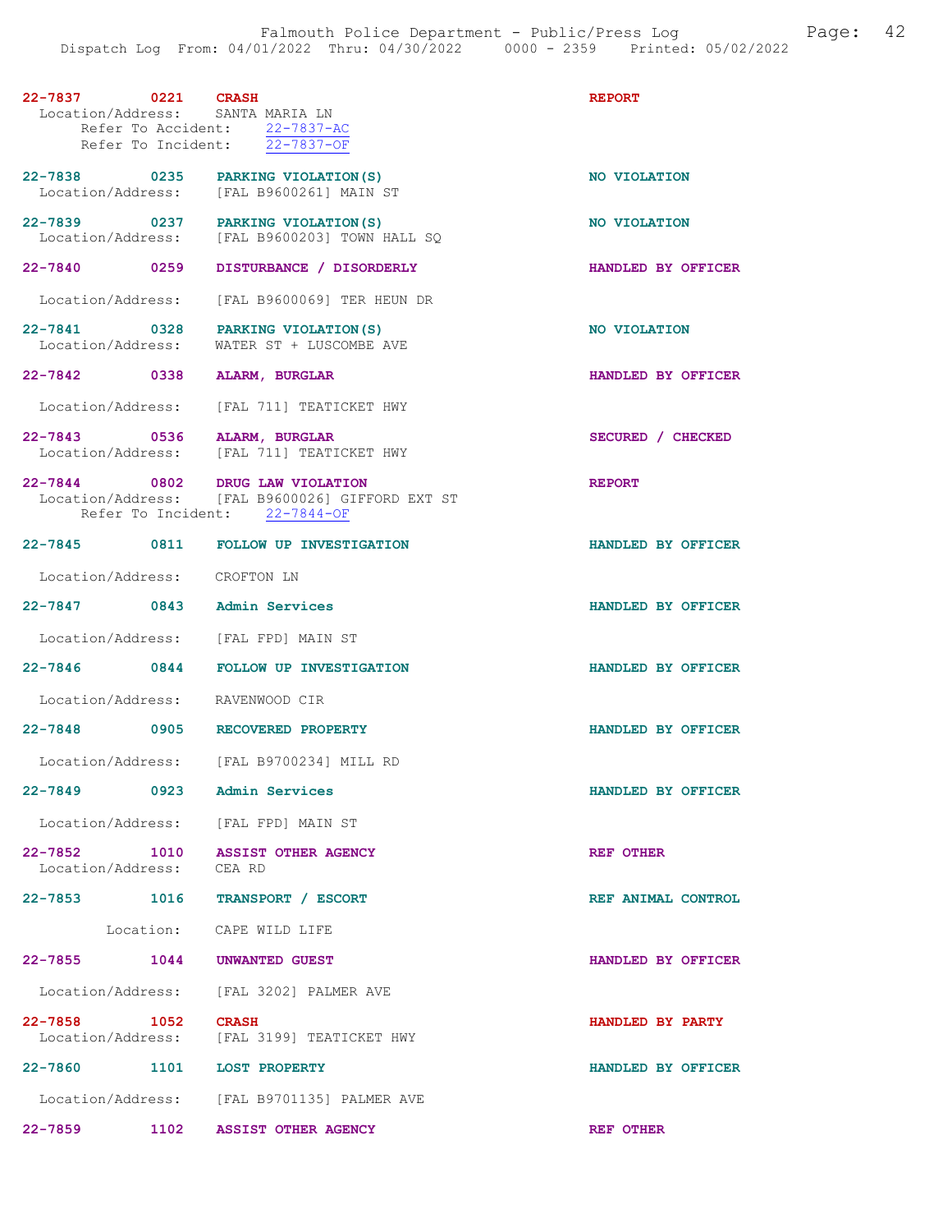| 22-7837 0221 CRASH<br>Location/Address: SANTA MARIA LN       | Refer To Accident: 22-7837-AC<br>Refer To Incident: $22-7837-OF$                 | <b>REPORT</b>      |
|--------------------------------------------------------------|----------------------------------------------------------------------------------|--------------------|
| 22-7838 0235 PARKING VIOLATION (S)                           | Location/Address: [FAL B9600261] MAIN ST                                         | NO VIOLATION       |
| 22-7839 0237<br>Location/Address:                            | PARKING VIOLATION (S)<br>[FAL B9600203] TOWN HALL SQ                             | NO VIOLATION       |
|                                                              | 22-7840 0259 DISTURBANCE / DISORDERLY                                            | HANDLED BY OFFICER |
|                                                              | Location/Address: [FAL B9600069] TER HEUN DR                                     |                    |
| 22-7841 0328 PARKING VIOLATION (S)<br>Location/Address:      | WATER ST + LUSCOMBE AVE                                                          | NO VIOLATION       |
| 22-7842 0338 ALARM, BURGLAR                                  |                                                                                  | HANDLED BY OFFICER |
|                                                              | Location/Address: [FAL 711] TEATICKET HWY                                        |                    |
| 22-7843 0536 ALARM, BURGLAR                                  | Location/Address: [FAL 711] TEATICKET HWY                                        | SECURED / CHECKED  |
| 22-7844 0802 DRUG LAW VIOLATION                              | Location/Address: [FAL B9600026] GIFFORD EXT ST<br>Refer To Incident: 22-7844-OF | <b>REPORT</b>      |
|                                                              | 22-7845 0811 FOLLOW UP INVESTIGATION                                             | HANDLED BY OFFICER |
| Location/Address: CROFTON LN                                 |                                                                                  |                    |
| $22 - 7847$<br>0843                                          | <b>Admin Services</b>                                                            | HANDLED BY OFFICER |
| Location/Address: [FAL FPD] MAIN ST                          |                                                                                  |                    |
|                                                              | 22-7846 0844 FOLLOW UP INVESTIGATION                                             | HANDLED BY OFFICER |
| Location/Address: RAVENWOOD CIR                              |                                                                                  |                    |
| 22-7848 0905 RECOVERED PROPERTY                              |                                                                                  | HANDLED BY OFFICER |
|                                                              | Location/Address: [FAL B9700234] MILL RD                                         |                    |
| 22-7849<br>0923                                              | Admin Services                                                                   | HANDLED BY OFFICER |
| Location/Address: [FAL FPD] MAIN ST                          |                                                                                  |                    |
| 22-7852 1010 ASSIST OTHER AGENCY<br>Location/Address: CEA RD |                                                                                  | <b>REF OTHER</b>   |
| 22-7853 1016                                                 | TRANSPORT / ESCORT                                                               | REF ANIMAL CONTROL |
|                                                              | Location: CAPE WILD LIFE                                                         |                    |
| 22-7855 1044 UNWANTED GUEST                                  |                                                                                  | HANDLED BY OFFICER |
|                                                              | Location/Address: [FAL 3202] PALMER AVE                                          |                    |
| $22 - 7858$<br>1052 CRASH                                    | Location/Address: [FAL 3199] TEATICKET HWY                                       | HANDLED BY PARTY   |
| 22-7860                                                      | 1101 LOST PROPERTY                                                               | HANDLED BY OFFICER |
|                                                              | Location/Address: [FAL B9701135] PALMER AVE                                      |                    |
| $22 - 7859$                                                  | 1102 ASSIST OTHER AGENCY                                                         | REF OTHER          |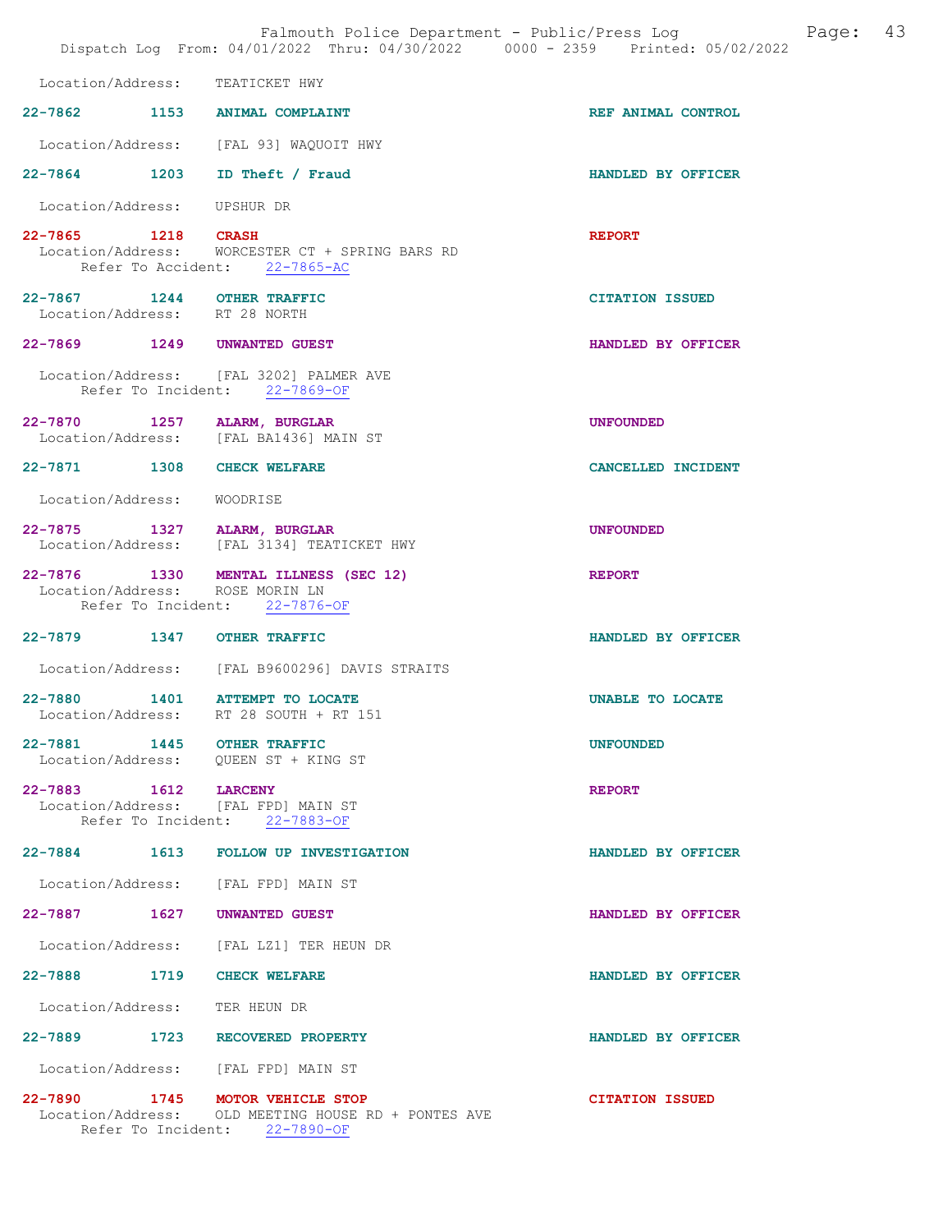|                                                             | Falmouth Police Department - Public/Press Log<br>Dispatch Log From: 04/01/2022 Thru: 04/30/2022 0000 - 2359 Printed: 05/02/2022 |                        | Page: | 43 |
|-------------------------------------------------------------|---------------------------------------------------------------------------------------------------------------------------------|------------------------|-------|----|
| Location/Address: TEATICKET HWY                             |                                                                                                                                 |                        |       |    |
|                                                             | 22-7862 1153 ANIMAL COMPLAINT                                                                                                   | REF ANIMAL CONTROL     |       |    |
|                                                             | Location/Address: [FAL 93] WAQUOIT HWY                                                                                          |                        |       |    |
|                                                             | 22-7864 1203 ID Theft / Fraud                                                                                                   | HANDLED BY OFFICER     |       |    |
| Location/Address: UPSHUR DR                                 |                                                                                                                                 |                        |       |    |
| 22-7865 1218 CRASH                                          | Location/Address: WORCESTER CT + SPRING BARS RD<br>Refer To Accident: 22-7865-AC                                                | <b>REPORT</b>          |       |    |
| 22-7867 1244 OTHER TRAFFIC<br>Location/Address: RT 28 NORTH |                                                                                                                                 | <b>CITATION ISSUED</b> |       |    |
| 22-7869 1249 UNWANTED GUEST                                 |                                                                                                                                 | HANDLED BY OFFICER     |       |    |
|                                                             | Location/Address: [FAL 3202] PALMER AVE<br>Refer To Incident: 22-7869-OF                                                        |                        |       |    |
| 22-7870 1257 ALARM, BURGLAR                                 | Location/Address: [FAL BA1436] MAIN ST                                                                                          | <b>UNFOUNDED</b>       |       |    |
| 22-7871 1308 CHECK WELFARE                                  |                                                                                                                                 | CANCELLED INCIDENT     |       |    |
| Location/Address: WOODRISE                                  |                                                                                                                                 |                        |       |    |
| 22-7875 1327 ALARM, BURGLAR                                 | Location/Address: [FAL 3134] TEATICKET HWY                                                                                      | <b>UNFOUNDED</b>       |       |    |
| Location/Address: ROSE MORIN LN                             | 22-7876 1330 MENTAL ILLNESS (SEC 12)<br>Refer To Incident: 22-7876-OF                                                           | <b>REPORT</b>          |       |    |
| 22-7879 1347 OTHER TRAFFIC                                  |                                                                                                                                 | HANDLED BY OFFICER     |       |    |
|                                                             | Location/Address: [FAL B9600296] DAVIS STRAITS                                                                                  |                        |       |    |
|                                                             | 22-7880 1401 ATTEMPT TO LOCATE<br>Location/Address: RT 28 SOUTH + RT 151                                                        | UNABLE TO LOCATE       |       |    |
| 22-7881 1445 OTHER TRAFFIC                                  | Location/Address: QUEEN ST + KING ST                                                                                            | <b>UNFOUNDED</b>       |       |    |
| 22-7883 1612 LARCENY                                        | Location/Address: [FAL FPD] MAIN ST<br>Refer To Incident: 22-7883-OF                                                            | <b>REPORT</b>          |       |    |
|                                                             | 22-7884 1613 FOLLOW UP INVESTIGATION                                                                                            | HANDLED BY OFFICER     |       |    |
|                                                             | Location/Address: [FAL FPD] MAIN ST                                                                                             |                        |       |    |
| 22-7887 1627 UNWANTED GUEST                                 |                                                                                                                                 | HANDLED BY OFFICER     |       |    |
|                                                             | Location/Address: [FAL LZ1] TER HEUN DR                                                                                         |                        |       |    |
| 22-7888 1719 CHECK WELFARE                                  |                                                                                                                                 | HANDLED BY OFFICER     |       |    |
| Location/Address: TER HEUN DR                               |                                                                                                                                 |                        |       |    |
|                                                             | 22-7889 1723 RECOVERED PROPERTY                                                                                                 | HANDLED BY OFFICER     |       |    |
|                                                             | Location/Address: [FAL FPD] MAIN ST                                                                                             |                        |       |    |
|                                                             | 22-7890 1745 MOTOR VEHICLE STOP<br>Location/Address: OLD MEETING HOUSE RD + PONTES AVE<br>Refer To Incident: 22-7890-OF         | <b>CITATION ISSUED</b> |       |    |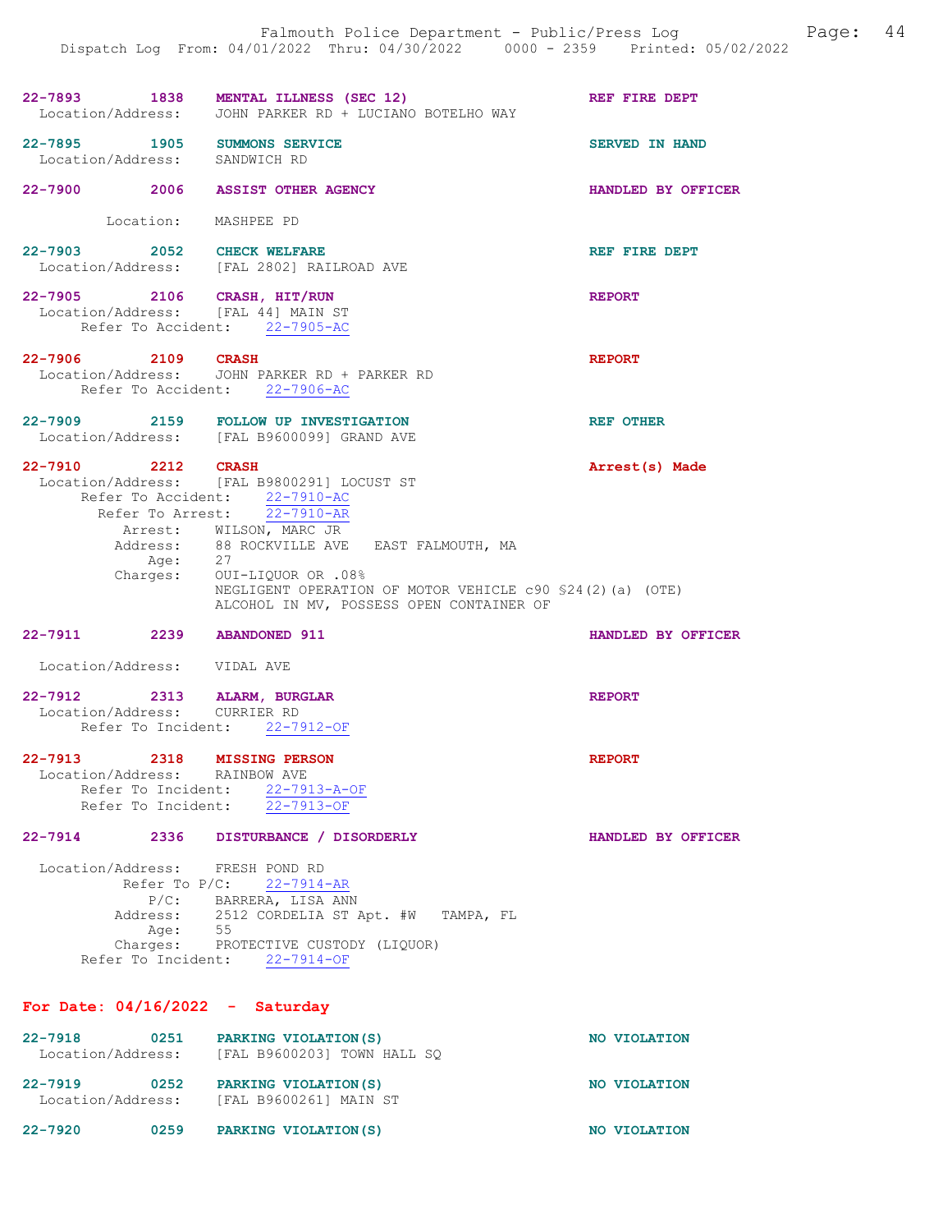|                               | 22-7893 1838 MENTAL ILLNESS (SEC 12)<br>Location/Address: JOHN PARKER RD + LUCIANO BOTELHO WAY                                   | REF FIRE DEPT         |
|-------------------------------|----------------------------------------------------------------------------------------------------------------------------------|-----------------------|
| Location/Address: SANDWICH RD | 22-7895 1905 SUMMONS SERVICE                                                                                                     | <b>SERVED IN HAND</b> |
|                               | 22-7900 2006 ASSIST OTHER AGENCY                                                                                                 | HANDLED BY OFFICER    |
|                               | Location: MASHPEE PD                                                                                                             |                       |
| 22-7903 2052 CHECK WELFARE    | Location/Address: [FAL 2802] RAILROAD AVE                                                                                        | REF FIRE DEPT         |
|                               | 22-7905 2106 CRASH, HIT/RUN<br>Location/Address: [FAL 44] MAIN ST<br>Refer To Accident: 22-7905-AC                               | <b>REPORT</b>         |
| 22-7906 2109 CRASH            | Location/Address: JOHN PARKER RD + PARKER RD<br>Refer To Accident: 22-7906-AC                                                    | <b>REPORT</b>         |
|                               | 22-7909 2159 FOLLOW UP INVESTIGATION<br>Location/Address: [FAL B9600099] GRAND AVE                                               | <b>REF OTHER</b>      |
|                               | 22-7910 2212 CRASH<br>Location/Address: [FAL B9800291] LOCUST ST<br>Refer To Accident: 22-7910-AC<br>Refer To Arrest: 22-7910-AR | Arrest(s) Made        |
|                               | Arrest: WILSON, MARC JR                                                                                                          |                       |
|                               | Address: 88 ROCKVILLE AVE EAST FALMOUTH, MA                                                                                      |                       |
|                               | Age: 27<br>Charges: OUI-LIQUOR OR .08%                                                                                           |                       |
|                               | NEGLIGENT OPERATION OF MOTOR VEHICLE c90 \$24(2)(a) (OTE)<br>ALCOHOL IN MV, POSSESS OPEN CONTAINER OF                            |                       |
| 22-7911 2239 ABANDONED 911    |                                                                                                                                  | HANDLED BY OFFICER    |
| Location/Address: VIDAL AVE   |                                                                                                                                  |                       |
|                               | 22-7912 2313 ALARM, BURGLAR                                                                                                      | <b>REPORT</b>         |
| Location/Address: CURRIER RD  |                                                                                                                                  |                       |
|                               | Refer To Incident: 22-7912-OF                                                                                                    |                       |
| 22-7913                       | 2318 MISSING PERSON                                                                                                              | <b>REPORT</b>         |
| Location/Address: RAINBOW AVE |                                                                                                                                  |                       |
|                               | Refer To Incident: 22-7913-A-OF                                                                                                  |                       |
|                               | Refer To Incident: 22-7913-OF                                                                                                    |                       |
| 22-7914 2336                  | DISTURBANCE / DISORDERLY                                                                                                         | HANDLED BY OFFICER    |
|                               | Location/Address: FRESH POND RD                                                                                                  |                       |
|                               | Refer To $P/C: 22-7914-AR$                                                                                                       |                       |
|                               | P/C: BARRERA, LISA ANN                                                                                                           |                       |
|                               | Address: 2512 CORDELIA ST Apt. #W TAMPA, FL                                                                                      |                       |
| Age:<br>Charges:              | 55<br>PROTECTIVE CUSTODY (LIQUOR)                                                                                                |                       |
|                               |                                                                                                                                  |                       |

Refer To Incident: 22-7914-OF

## For Date: 04/16/2022 - Saturday

| $22 - 7918$<br>Location/Address: | 0251 | PARKING VIOLATION (S)<br>[FAL B9600203] TOWN HALL SO | NO VIOLATION |
|----------------------------------|------|------------------------------------------------------|--------------|
| 22-7919<br>Location/Address:     | 0252 | PARKING VIOLATION (S)<br>[FAL B9600261] MAIN ST      | NO VIOLATION |
| 22-7920                          | 0259 | PARKING VIOLATION (S)                                | NO VIOLATION |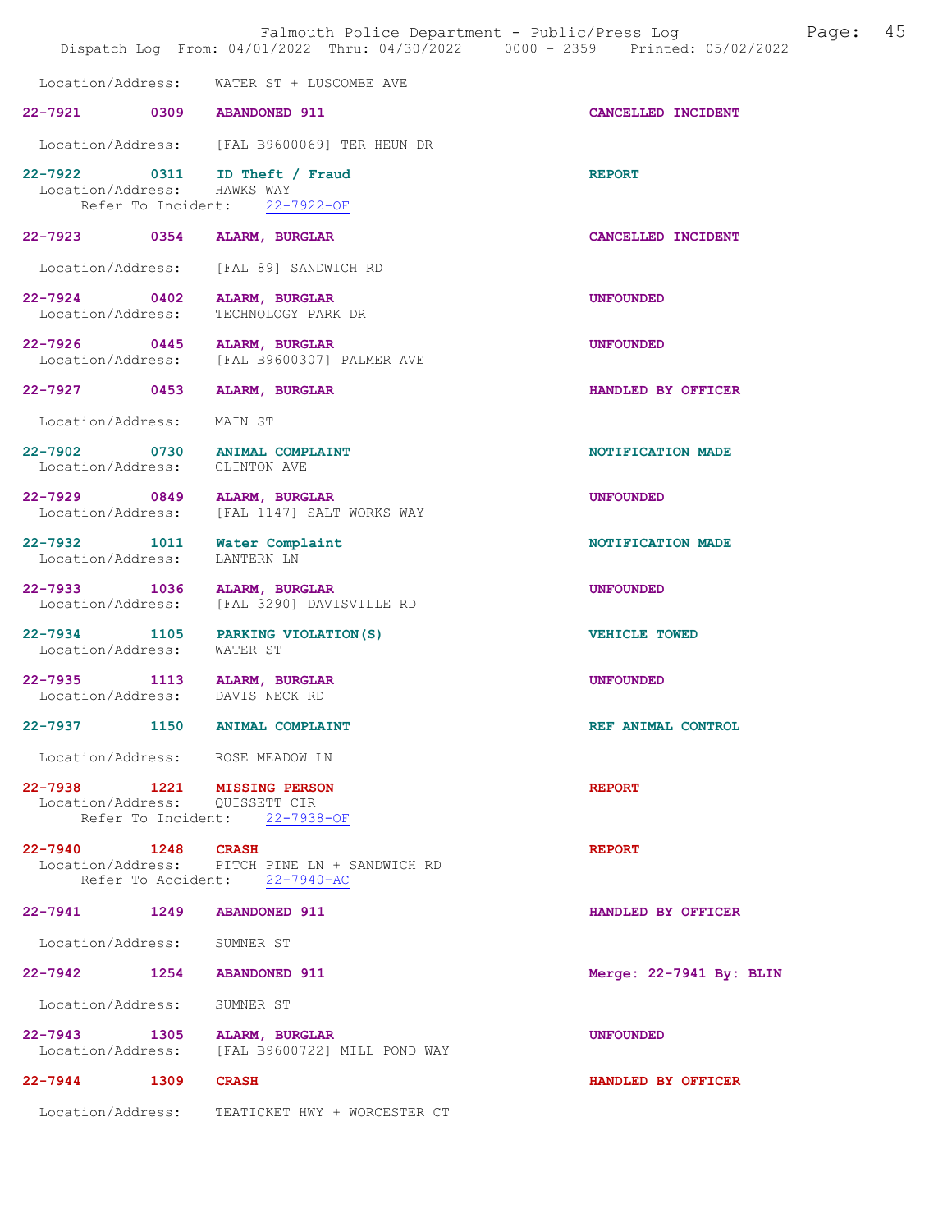|                                 | Falmouth Police Department - Public/Press Log<br>Dispatch Log From: 04/01/2022 Thru: 04/30/2022 0000 - 2359 Printed: 05/02/2022 |                         | Page: | 45 |
|---------------------------------|---------------------------------------------------------------------------------------------------------------------------------|-------------------------|-------|----|
|                                 | Location/Address: WATER ST + LUSCOMBE AVE                                                                                       |                         |       |    |
| 22-7921 0309 ABANDONED 911      |                                                                                                                                 | CANCELLED INCIDENT      |       |    |
|                                 | Location/Address: [FAL B9600069] TER HEUN DR                                                                                    |                         |       |    |
| Location/Address: HAWKS WAY     | 22-7922 0311 ID Theft / Fraud<br>Refer To Incident: 22-7922-OF                                                                  | <b>REPORT</b>           |       |    |
|                                 | 22-7923 0354 ALARM, BURGLAR                                                                                                     | CANCELLED INCIDENT      |       |    |
|                                 | Location/Address: [FAL 89] SANDWICH RD                                                                                          |                         |       |    |
|                                 | 22-7924 0402 ALARM, BURGLAR<br>Location/Address: TECHNOLOGY PARK DR                                                             | <b>UNFOUNDED</b>        |       |    |
| Location/Address:               | 22-7926 0445 ALARM, BURGLAR<br>[FAL B9600307] PALMER AVE                                                                        | <b>UNFOUNDED</b>        |       |    |
|                                 | 22-7927 0453 ALARM, BURGLAR                                                                                                     | HANDLED BY OFFICER      |       |    |
| Location/Address: MAIN ST       |                                                                                                                                 |                         |       |    |
| Location/Address: CLINTON AVE   | 22-7902 0730 ANIMAL COMPLAINT                                                                                                   | NOTIFICATION MADE       |       |    |
| Location/Address:               | 22-7929 0849 ALARM, BURGLAR<br>[FAL 1147] SALT WORKS WAY                                                                        | <b>UNFOUNDED</b>        |       |    |
| Location/Address:               | 22-7932 1011 Water Complaint<br>LANTERN LN                                                                                      | NOTIFICATION MADE       |       |    |
| Location/Address:               | 22-7933 1036 ALARM, BURGLAR<br>[FAL 3290] DAVISVILLE RD                                                                         | <b>UNFOUNDED</b>        |       |    |
| Location/Address: WATER ST      | 22-7934 1105 PARKING VIOLATION (S)                                                                                              | VEHICLE TOWED           |       |    |
| Location/Address: DAVIS NECK RD | 22-7935 1113 ALARM, BURGLAR                                                                                                     | <b>UNFOUNDED</b>        |       |    |
| $22 - 7937$                     | 1150 ANIMAL COMPLAINT                                                                                                           | REF ANIMAL CONTROL      |       |    |
|                                 | Location/Address: ROSE MEADOW LN                                                                                                |                         |       |    |
| Location/Address: QUISSETT CIR  | 22-7938 1221 MISSING PERSON<br>Refer To Incident: 22-7938-OF                                                                    | <b>REPORT</b>           |       |    |
| 22-7940 1248 CRASH              | Location/Address: PITCH PINE LN + SANDWICH RD<br>Refer To Accident: 22-7940-AC                                                  | <b>REPORT</b>           |       |    |
| 22-7941 1249 ABANDONED 911      |                                                                                                                                 | HANDLED BY OFFICER      |       |    |
| Location/Address: SUMNER ST     |                                                                                                                                 |                         |       |    |
| 22-7942 1254 ABANDONED 911      |                                                                                                                                 | Merge: 22-7941 By: BLIN |       |    |
| Location/Address: SUMNER ST     |                                                                                                                                 |                         |       |    |
|                                 | 22-7943 1305 ALARM, BURGLAR<br>Location/Address: [FAL B9600722] MILL POND WAY                                                   | <b>UNFOUNDED</b>        |       |    |
| 22-7944 1309 CRASH              |                                                                                                                                 | HANDLED BY OFFICER      |       |    |
|                                 | Location/Address: TEATICKET HWY + WORCESTER CT                                                                                  |                         |       |    |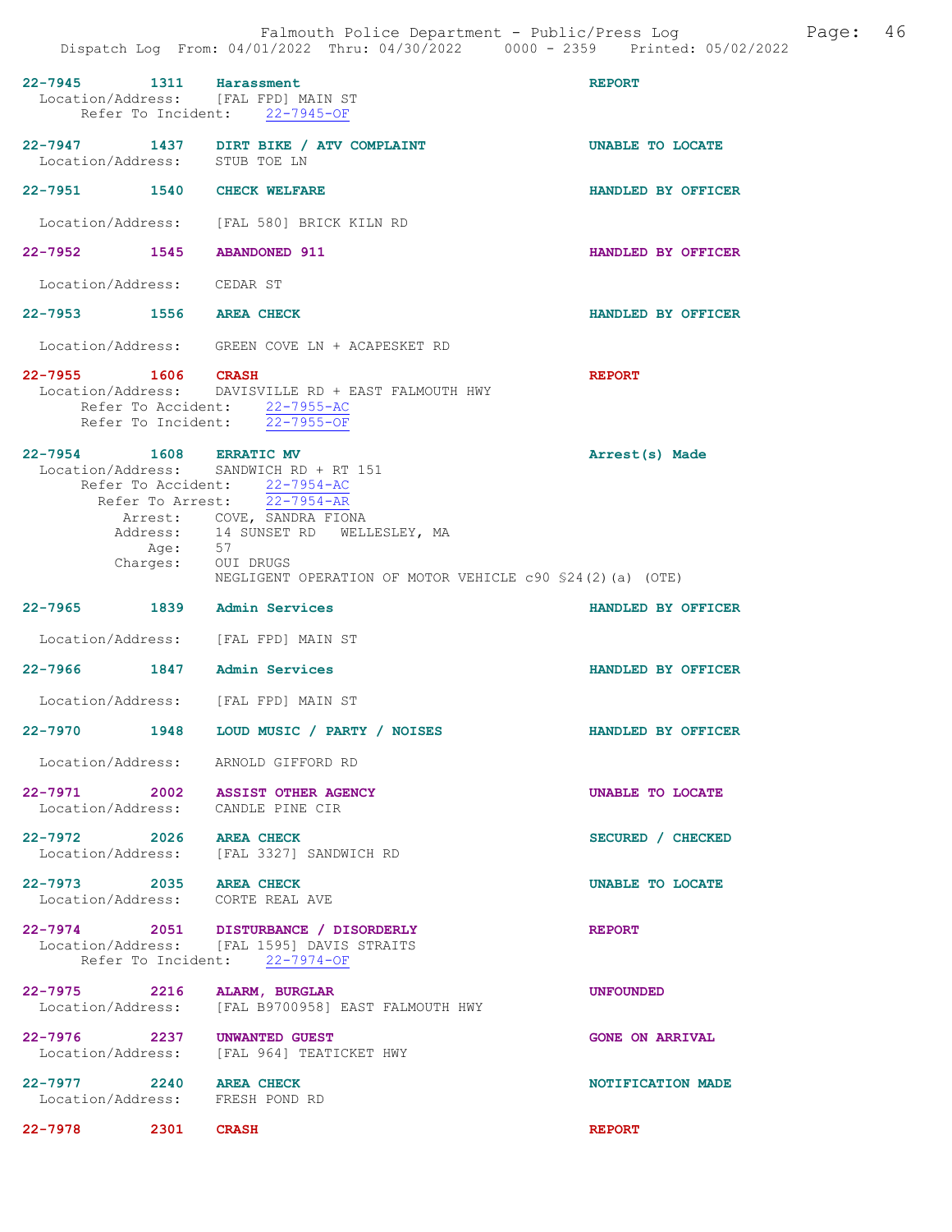| 22-7945 1311 Harassment<br>Location/Address: [FAL FPD] MAIN ST        | Refer To Incident: 22-7945-OF                                                                                                                                                                                                            | <b>REPORT</b>           |
|-----------------------------------------------------------------------|------------------------------------------------------------------------------------------------------------------------------------------------------------------------------------------------------------------------------------------|-------------------------|
| Location/Address: STUB TOE LN                                         | 22-7947 1437 DIRT BIKE / ATV COMPLAINT                                                                                                                                                                                                   | <b>UNABLE TO LOCATE</b> |
| 22-7951 1540 CHECK WELFARE                                            |                                                                                                                                                                                                                                          | HANDLED BY OFFICER      |
|                                                                       | Location/Address: [FAL 580] BRICK KILN RD                                                                                                                                                                                                |                         |
| 22-7952 1545 ABANDONED 911                                            |                                                                                                                                                                                                                                          | HANDLED BY OFFICER      |
| Location/Address: CEDAR ST                                            |                                                                                                                                                                                                                                          |                         |
| 22-7953 1556 AREA CHECK                                               |                                                                                                                                                                                                                                          | HANDLED BY OFFICER      |
|                                                                       | Location/Address: GREEN COVE LN + ACAPESKET RD                                                                                                                                                                                           |                         |
| 22-7955 1606 CRASH                                                    | Location/Address: DAVISVILLE RD + EAST FALMOUTH HWY<br>Refer To Accident: 22-7955-AC<br>Refer To Incident: 22-7955-OF                                                                                                                    | <b>REPORT</b>           |
| 22-7954 1608 ERRATIC MV<br>Age: 57<br>Charges: OUI DRUGS              | Location/Address: SANDWICH RD + RT 151<br>Refer To Accident: 22-7954-AC<br>Refer To Arrest: 22-7954-AR<br>Arrest: COVE, SANDRA FIONA<br>Address: 14 SUNSET RD WELLESLEY, MA<br>NEGLIGENT OPERATION OF MOTOR VEHICLE c90 \$24(2)(a) (OTE) | Arrest(s) Made          |
|                                                                       |                                                                                                                                                                                                                                          |                         |
| 22-7965 1839 Admin Services                                           |                                                                                                                                                                                                                                          | HANDLED BY OFFICER      |
| Location/Address: [FAL FPD] MAIN ST                                   |                                                                                                                                                                                                                                          |                         |
| 22-7966 1847                                                          | Admin Services                                                                                                                                                                                                                           | HANDLED BY OFFICER      |
| Location/Address: [FAL FPD] MAIN ST                                   |                                                                                                                                                                                                                                          |                         |
|                                                                       | 22-7970 1948 LOUD MUSIC / PARTY / NOISES                                                                                                                                                                                                 | HANDLED BY OFFICER      |
| Location/Address: ARNOLD GIFFORD RD                                   |                                                                                                                                                                                                                                          |                         |
| 22-7971 2002 ASSIST OTHER AGENCY<br>Location/Address: CANDLE PINE CIR |                                                                                                                                                                                                                                          | UNABLE TO LOCATE        |
|                                                                       | 22-7972 2026 AREA CHECK<br>Location/Address: [FAL 3327] SANDWICH RD                                                                                                                                                                      | SECURED / CHECKED       |
| 22-7973 2035 AREA CHECK<br>Location/Address: CORTE REAL AVE           |                                                                                                                                                                                                                                          | UNABLE TO LOCATE        |
|                                                                       | 22-7974 2051 DISTURBANCE / DISORDERLY<br>Location/Address: [FAL 1595] DAVIS STRAITS<br>Refer To Incident: 22-7974-OF                                                                                                                     | <b>REPORT</b>           |
| 22-7975 2216 ALARM, BURGLAR                                           | Location/Address: [FAL B9700958] EAST FALMOUTH HWY                                                                                                                                                                                       | <b>UNFOUNDED</b>        |
| 22-7976 2237 UNWANTED GUEST                                           | Location/Address: [FAL 964] TEATICKET HWY                                                                                                                                                                                                | <b>GONE ON ARRIVAL</b>  |
| 22-7977 2240 AREA CHECK<br>Location/Address: FRESH POND RD            |                                                                                                                                                                                                                                          | NOTIFICATION MADE       |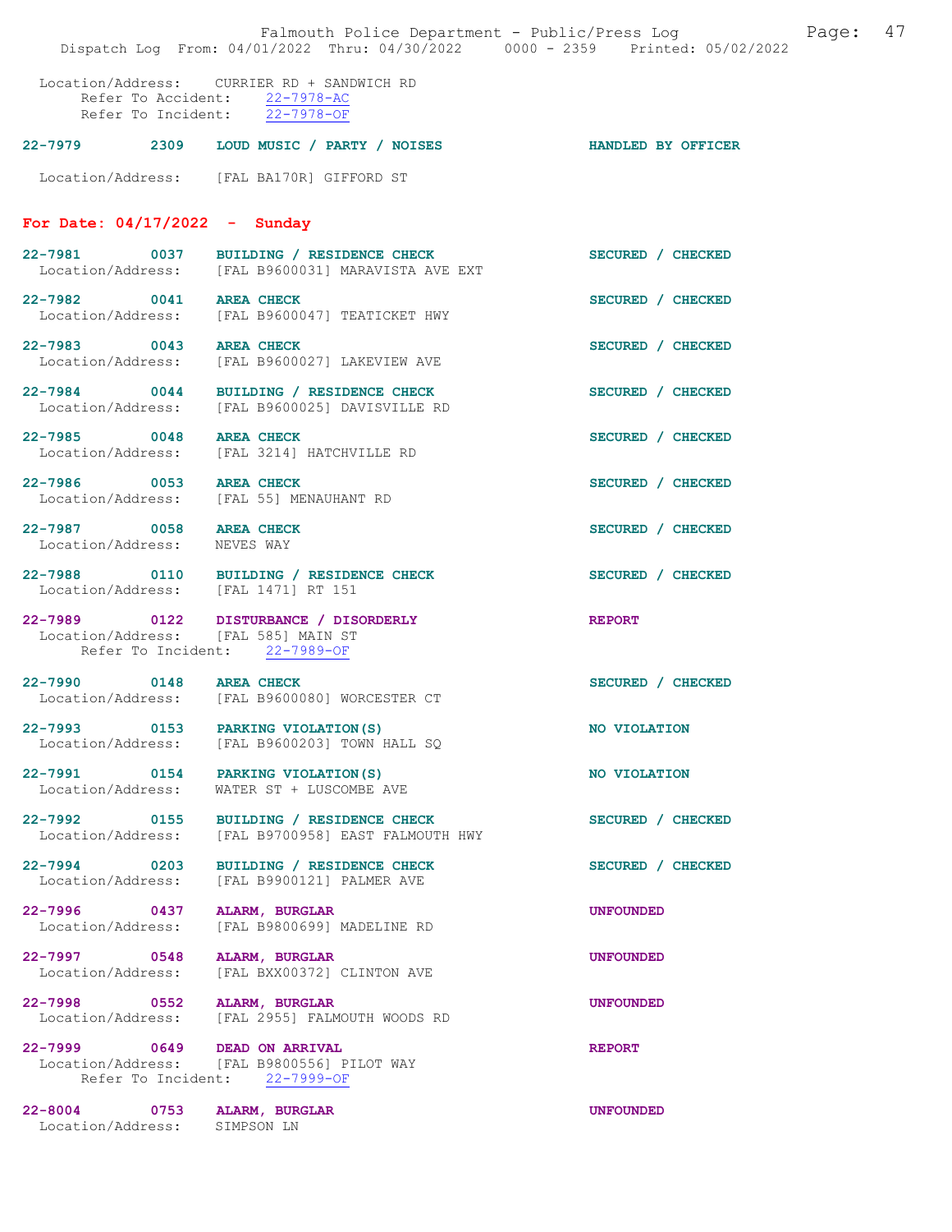|                                                        | Falmouth Police Department - Public/Press Log<br>Dispatch Log From: 04/01/2022 Thru: 04/30/2022 0000 - 2359 Printed: 05/02/2022 | 47<br>Page:               |
|--------------------------------------------------------|---------------------------------------------------------------------------------------------------------------------------------|---------------------------|
|                                                        | Location/Address: CURRIER RD + SANDWICH RD<br>Refer To Accident: 22-7978-AC<br>Refer To Incident: $22-7978-OF$                  |                           |
|                                                        | 22-7979 2309 LOUD MUSIC / PARTY / NOISES                                                                                        | <b>HANDLED BY OFFICER</b> |
|                                                        | Location/Address: [FAL BA170R] GIFFORD ST                                                                                       |                           |
| For Date: $04/17/2022 -$ Sunday                        |                                                                                                                                 |                           |
|                                                        | 22-7981 0037 BUILDING / RESIDENCE CHECK<br>Location/Address: [FAL B9600031] MARAVISTA AVE EXT                                   | SECURED / CHECKED         |
| 22-7982 0041                                           | <b>AREA CHECK</b><br>Location/Address: [FAL B9600047] TEATICKET HWY                                                             | SECURED / CHECKED         |
| 22-7983 0043 AREA CHECK<br>Location/Address:           | [FAL B9600027] LAKEVIEW AVE                                                                                                     | SECURED / CHECKED         |
|                                                        | 22-7984 0044 BUILDING / RESIDENCE CHECK<br>Location/Address: [FAL B9600025] DAVISVILLE RD                                       | SECURED / CHECKED         |
| 22-7985 0048 AREA CHECK                                | Location/Address: [FAL 3214] HATCHVILLE RD                                                                                      | SECURED / CHECKED         |
| 22-7986 0053 AREA CHECK                                | Location/Address: [FAL 55] MENAUHANT RD                                                                                         | SECURED / CHECKED         |
| 22-7987 0058 AREA CHECK<br>Location/Address: NEVES WAY |                                                                                                                                 | SECURED / CHECKED         |
| Location/Address: [FAL 1471] RT 151                    | 22-7988 0110 BUILDING / RESIDENCE CHECK                                                                                         | SECURED / CHECKED         |
| Location/Address: [FAL 585] MAIN ST                    | 22-7989 0122 DISTURBANCE / DISORDERLY<br>Refer To Incident: 22-7989-OF                                                          | <b>REPORT</b>             |
| 22-7990 0148 AREA CHECK                                | Location/Address: [FAL B9600080] WORCESTER CT                                                                                   | SECURED / CHECKED         |
| 22-7993 0153<br>Location/Address:                      | PARKING VIOLATION (S)<br>[FAL B9600203] TOWN HALL SQ                                                                            | NO VIOLATION              |
| 22-7991 0154<br>Location/Address:                      | PARKING VIOLATION (S)<br>WATER ST + LUSCOMBE AVE                                                                                | NO VIOLATION              |
| 22-7992 0155<br>Location/Address:                      | BUILDING / RESIDENCE CHECK<br>[FAL B9700958] EAST FALMOUTH HWY                                                                  | SECURED / CHECKED         |
| 22-7994 0203<br>Location/Address:                      | BUILDING / RESIDENCE CHECK<br>[FAL B9900121] PALMER AVE                                                                         | SECURED / CHECKED         |
| 22-7996 0437<br>Location/Address:                      | ALARM, BURGLAR<br>[FAL B9800699] MADELINE RD                                                                                    | <b>UNFOUNDED</b>          |
| 22-7997 0548<br>Location/Address:                      | ALARM, BURGLAR<br>[FAL BXX00372] CLINTON AVE                                                                                    | <b>UNFOUNDED</b>          |
| 22-7998 0552<br>Location/Address:                      | ALARM, BURGLAR<br>[FAL 2955] FALMOUTH WOODS RD                                                                                  | <b>UNFOUNDED</b>          |
| 22-7999 0649 DEAD ON ARRIVAL                           | Location/Address: [FAL B9800556] PILOT WAY<br>Refer To Incident: 22-7999-OF                                                     | <b>REPORT</b>             |
| 22-8004 0753<br>Location/Address: SIMPSON LN           | <b>ALARM, BURGLAR</b>                                                                                                           | <b>UNFOUNDED</b>          |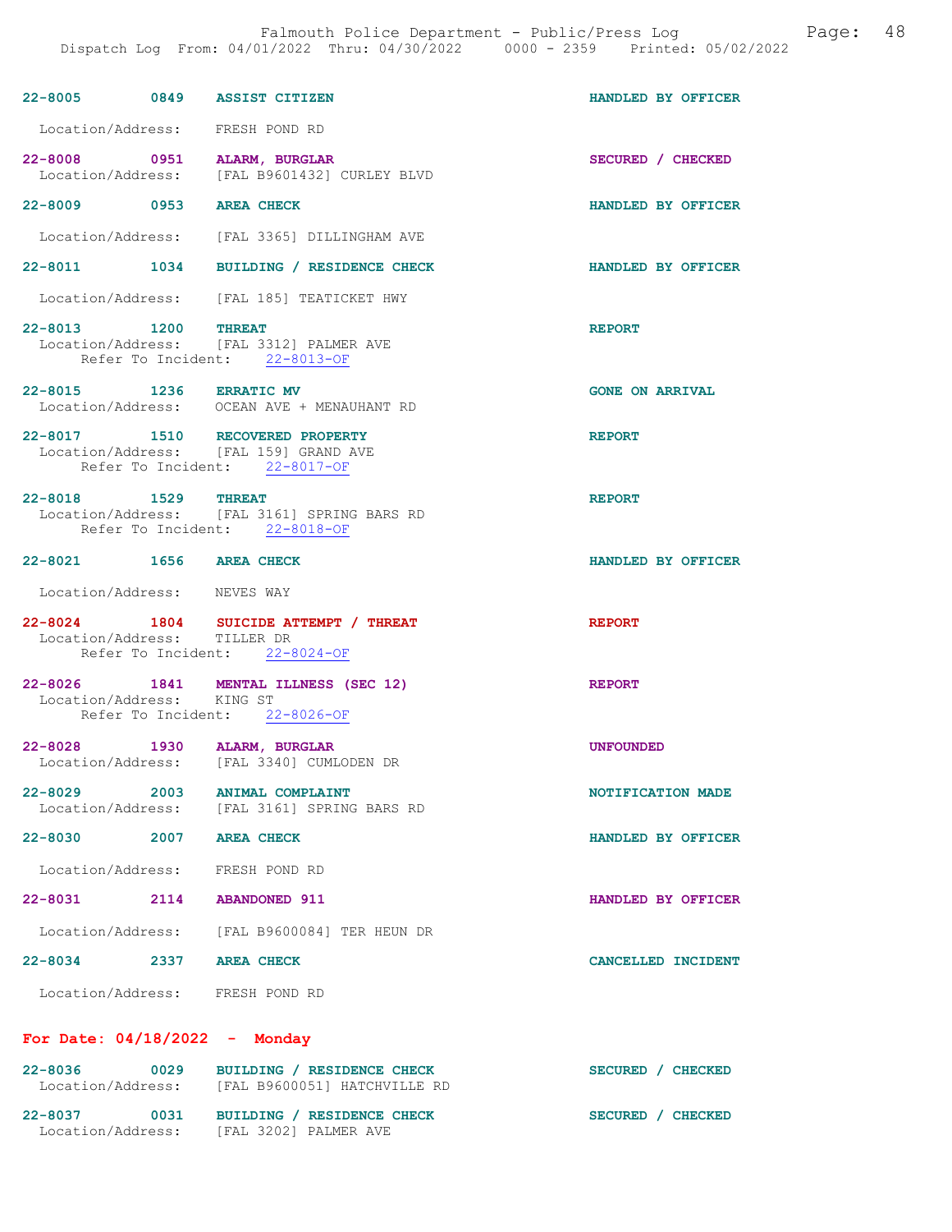|                                 |      | 22-8005 0849 ASSIST CITIZEN                                                                               | HANDLED BY OFFICER     |
|---------------------------------|------|-----------------------------------------------------------------------------------------------------------|------------------------|
|                                 |      | Location/Address: FRESH POND RD                                                                           |                        |
|                                 |      | 22-8008 0951 ALARM, BURGLAR<br>Location/Address: [FAL B9601432] CURLEY BLVD                               | SECURED / CHECKED      |
| 22-8009 0953 AREA CHECK         |      |                                                                                                           | HANDLED BY OFFICER     |
|                                 |      | Location/Address: [FAL 3365] DILLINGHAM AVE                                                               |                        |
|                                 |      | 22-8011 1034 BUILDING / RESIDENCE CHECK                                                                   | HANDLED BY OFFICER     |
|                                 |      | Location/Address: [FAL 185] TEATICKET HWY                                                                 |                        |
| 22-8013 1200 THREAT             |      | Location/Address: [FAL 3312] PALMER AVE<br>Refer To Incident: 22-8013-OF                                  | <b>REPORT</b>          |
| 22-8015 1236 ERRATIC MV         |      | Location/Address: OCEAN AVE + MENAUHANT RD                                                                | <b>GONE ON ARRIVAL</b> |
|                                 |      | 22-8017 1510 RECOVERED PROPERTY<br>Location/Address: [FAL 159] GRAND AVE<br>Refer To Incident: 22-8017-OF | <b>REPORT</b>          |
| 22-8018 1529 THREAT             |      | Location/Address: [FAL 3161] SPRING BARS RD<br>Refer To Incident: 22-8018-OF                              | <b>REPORT</b>          |
| 22-8021 1656 AREA CHECK         |      |                                                                                                           | HANDLED BY OFFICER     |
|                                 |      |                                                                                                           |                        |
| Location/Address: NEVES WAY     |      |                                                                                                           |                        |
| Location/Address: TILLER DR     |      | 22-8024 1804 SUICIDE ATTEMPT / THREAT<br>Refer To Incident: 22-8024-OF                                    | <b>REPORT</b>          |
| Location/Address: KING ST       |      | 22-8026 1841 MENTAL ILLNESS (SEC 12)<br>Refer To Incident: 22-8026-OF                                     | <b>REPORT</b>          |
| 22-8028                         |      | 1930 ALARM, BURGLAR<br>Location/Address: [FAL 3340] CUMLODEN DR                                           | <b>UNFOUNDED</b>       |
| $22 - 8029$                     | 2003 | <b>ANIMAL COMPLAINT</b><br>Location/Address: [FAL 3161] SPRING BARS RD                                    | NOTIFICATION MADE      |
| 22-8030 2007 AREA CHECK         |      |                                                                                                           | HANDLED BY OFFICER     |
|                                 |      | Location/Address: FRESH POND RD                                                                           |                        |
| 22-8031 2114 ABANDONED 911      |      |                                                                                                           | HANDLED BY OFFICER     |
|                                 |      | Location/Address: [FAL B9600084] TER HEUN DR                                                              |                        |
| 22-8034 2337 AREA CHECK         |      |                                                                                                           | CANCELLED INCIDENT     |
|                                 |      | Location/Address: FRESH POND RD                                                                           |                        |
| For Date: $04/18/2022 -$ Monday |      |                                                                                                           |                        |

22-8037 0031 BUILDING / RESIDENCE CHECK SECURED / CHECKED Location/Address: [FAL 3202] PALMER AVE

Location/Address: [FAL B9600051] HATCHVILLE RD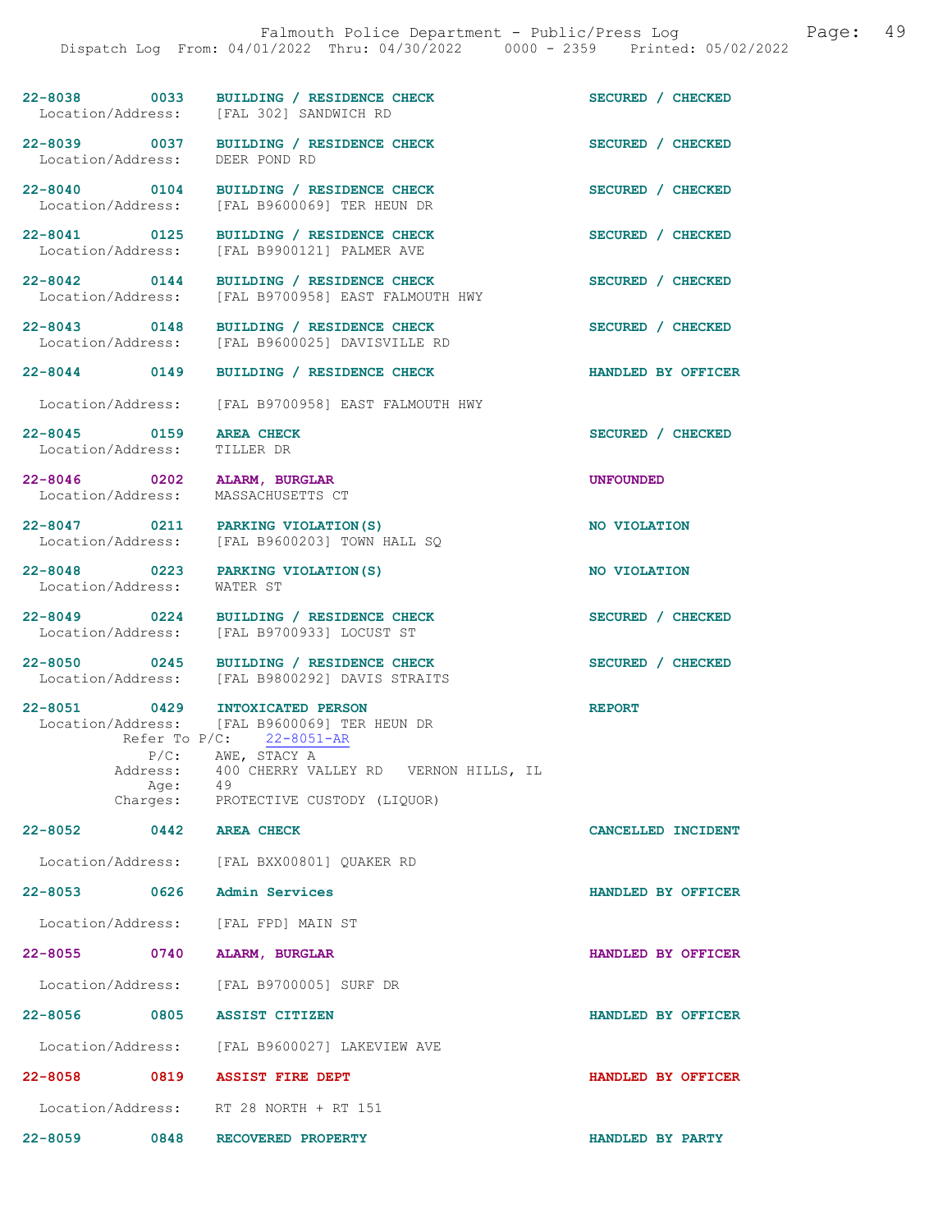22-8038 0033 BUILDING / RESIDENCE CHECK SECURED / CHECKED Location/Address: [FAL 302] SANDWICH RD [FAL 302] SANDWICH RD 22-8039 0037 BUILDING / RESIDENCE CHECK SECURED / CHECKED Location/Address: DEER POND RD Location/Address: 22-8040 0104 BUILDING / RESIDENCE CHECK SECURED / CHECKED Location/Address: [FAL B9600069] TER HEUN DR [FAL B9600069] TER HEUN DR 22-8041 0125 BUILDING / RESIDENCE CHECK SECURED / CHECKED Location/Address: [FAL B9900121] PALMER AVE 22-8042 0144 BUILDING / RESIDENCE CHECK SECURED / CHECKED Location/Address: [FAL B9700958] EAST FALMOUTH HWY 22-8043 0148 BUILDING / RESIDENCE CHECK SECURED / CHECKED Location/Address: [FAL B9600025] DAVISVILLE RD [FAL B9600025] DAVISVILLE RD 22-8044 0149 BUILDING / RESIDENCE CHECK HANDLED BY OFFICER Location/Address: [FAL B9700958] EAST FALMOUTH HWY 22-8045 0159 AREA CHECK SECURED / CHECKED<br>
Location/Address: TILLER DR Location/Address: 22-8046 0202 ALARM, BURGLAR 22-8046 0202 ALARM, BURGLAR UNFOUNDED Location/Address: 22-8047 0211 PARKING VIOLATION(S) NO VIOLATION Location/Address: [FAL B9600203] TOWN HALL SQ 22-8048 0223 PARKING VIOLATION(S) NO VIOLATION Location/Address: WATER ST 22-8049 0224 BUILDING / RESIDENCE CHECK SECURED / CHECKED Location/Address: [FAL B9700933] LOCUST ST 22-8050 0245 BUILDING / RESIDENCE CHECK SECURED / CHECKED Location/Address: [FAL B9800292] DAVIS STRAITS [FAL B9800292] DAVIS STRAITS 22-8051 0429 INTOXICATED PERSON REPORT Location/Address: [FAL B9600069] TER HEUN DR [FAL B9600069] TER HEUN DR<br>/C: 22-8051-AR Refer To  $P/C$ :<br> $P/C$ : AWE AWE, STACY A Address: 400 CHERRY VALLEY RD VERNON HILLS, IL<br>Age: 49 Age: Charges: PROTECTIVE CUSTODY (LIQUOR) 22-8052 0442 AREA CHECK CANCELLED INCIDENT Location/Address: [FAL BXX00801] QUAKER RD 22-8053 0626 Admin Services HANDLED BY OFFICER Location/Address: [FAL FPD] MAIN ST 22-8055 0740 ALARM, BURGLAR HANDLED BY OFFICER Location/Address: [FAL B9700005] SURF DR 22-8056 0805 ASSIST CITIZEN HANDLED BY OFFICER Location/Address: [FAL B9600027] LAKEVIEW AVE 22-8058 0819 ASSIST FIRE DEPT HANDLED BY OFFICER

Location/Address: RT 28 NORTH + RT 151

22-8059 0848 RECOVERED PROPERTY HANDLED BY PARTY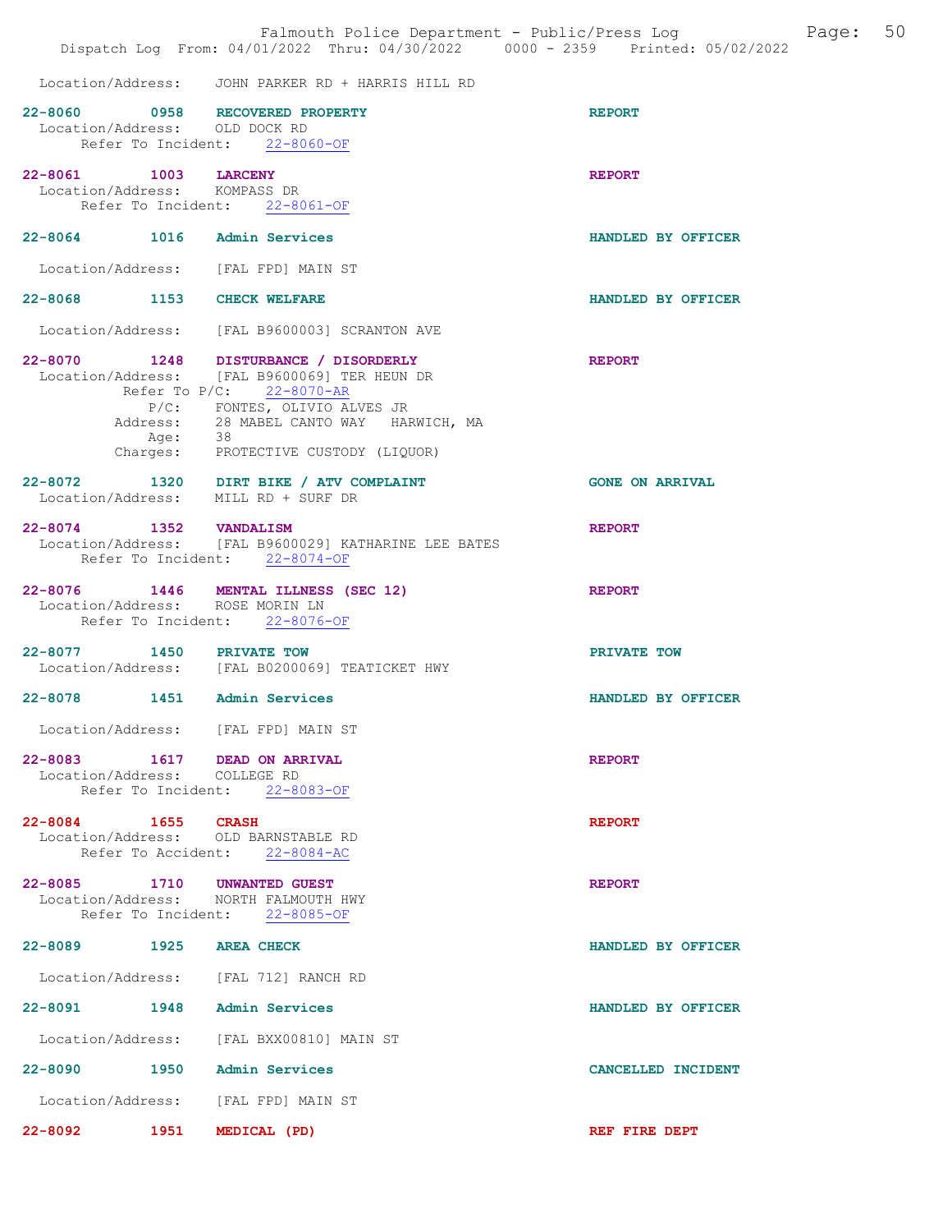|                      |         | Dispatch Log From: 04/01/2022 Thru: 04/30/2022 0000 - 2359 Printed: 05/02/2022                                                                                                                                                       | Falmouth Police Department - Public/Press Log Mage: 50 |  |
|----------------------|---------|--------------------------------------------------------------------------------------------------------------------------------------------------------------------------------------------------------------------------------------|--------------------------------------------------------|--|
|                      |         | Location/Address: JOHN PARKER RD + HARRIS HILL RD                                                                                                                                                                                    |                                                        |  |
|                      |         | 22-8060 0958 RECOVERED PROPERTY<br>Location/Address: OLD DOCK RD<br>Refer To Incident: 22-8060-OF                                                                                                                                    | <b>REPORT</b>                                          |  |
| 22-8061 1003 LARCENY |         | Location/Address: KOMPASS DR<br>Refer To Incident: 22-8061-OF                                                                                                                                                                        | <b>REPORT</b>                                          |  |
|                      |         | 22-8064 1016 Admin Services                                                                                                                                                                                                          | HANDLED BY OFFICER                                     |  |
|                      |         | Location/Address: [FAL FPD] MAIN ST                                                                                                                                                                                                  |                                                        |  |
|                      |         | 22-8068 1153 CHECK WELFARE                                                                                                                                                                                                           | HANDLED BY OFFICER                                     |  |
|                      |         | Location/Address: [FAL B9600003] SCRANTON AVE                                                                                                                                                                                        |                                                        |  |
|                      | Age: 38 | 22-8070 1248 DISTURBANCE / DISORDERLY<br>Location/Address: [FAL B9600069] TER HEUN DR<br>Refer To P/C: 22-8070-AR<br>P/C: FONTES, OLIVIO ALVES JR<br>Address: 28 MABEL CANTO WAY HARWICH, MA<br>Charges: PROTECTIVE CUSTODY (LIQUOR) | <b>REPORT</b>                                          |  |
|                      |         | 22-8072 1320 DIRT BIKE / ATV COMPLAINT<br>Location/Address: MILL RD + SURF DR                                                                                                                                                        | <b>GONE ON ARRIVAL</b>                                 |  |
|                      |         | 22-8074 1352 VANDALISM<br>Location/Address: [FAL B9600029] KATHARINE LEE BATES<br>Refer To Incident: 22-8074-OF                                                                                                                      | <b>REPORT</b>                                          |  |
|                      |         | 22-8076 1446 MENTAL ILLNESS (SEC 12)<br>Location/Address: ROSE MORIN LN<br>Refer To Incident: 22-8076-OF                                                                                                                             | <b>REPORT</b>                                          |  |
|                      |         | 22-8077 1450 PRIVATE TOW<br>Location/Address: [FAL B0200069] TEATICKET HWY                                                                                                                                                           | PRIVATE TOW                                            |  |
|                      |         | 22-8078 1451 Admin Services                                                                                                                                                                                                          | HANDLED BY OFFICER                                     |  |
|                      |         | Location/Address: [FAL FPD] MAIN ST                                                                                                                                                                                                  |                                                        |  |
|                      |         | 22-8083 1617 DEAD ON ARRIVAL<br>Location/Address: COLLEGE RD<br>Refer To Incident: 22-8083-OF                                                                                                                                        | <b>REPORT</b>                                          |  |
| 22-8084 1655 CRASH   |         | Location/Address: OLD BARNSTABLE RD<br>Refer To Accident: 22-8084-AC                                                                                                                                                                 | <b>REPORT</b>                                          |  |
|                      |         | 22-8085 1710 UNWANTED GUEST<br>Location/Address: NORTH FALMOUTH HWY<br>Refer To Incident: 22-8085-OF                                                                                                                                 | <b>REPORT</b>                                          |  |
|                      |         | 22-8089 1925 AREA CHECK                                                                                                                                                                                                              | HANDLED BY OFFICER                                     |  |
|                      |         | Location/Address: [FAL 712] RANCH RD                                                                                                                                                                                                 |                                                        |  |
|                      |         | 22-8091 1948 Admin Services                                                                                                                                                                                                          | HANDLED BY OFFICER                                     |  |
|                      |         | Location/Address: [FAL BXX00810] MAIN ST                                                                                                                                                                                             |                                                        |  |
|                      |         | 22-8090 1950 Admin Services                                                                                                                                                                                                          | CANCELLED INCIDENT                                     |  |
|                      |         | Location/Address: [FAL FPD] MAIN ST                                                                                                                                                                                                  |                                                        |  |
|                      |         | 22-8092 1951 MEDICAL (PD)                                                                                                                                                                                                            | REF FIRE DEPT                                          |  |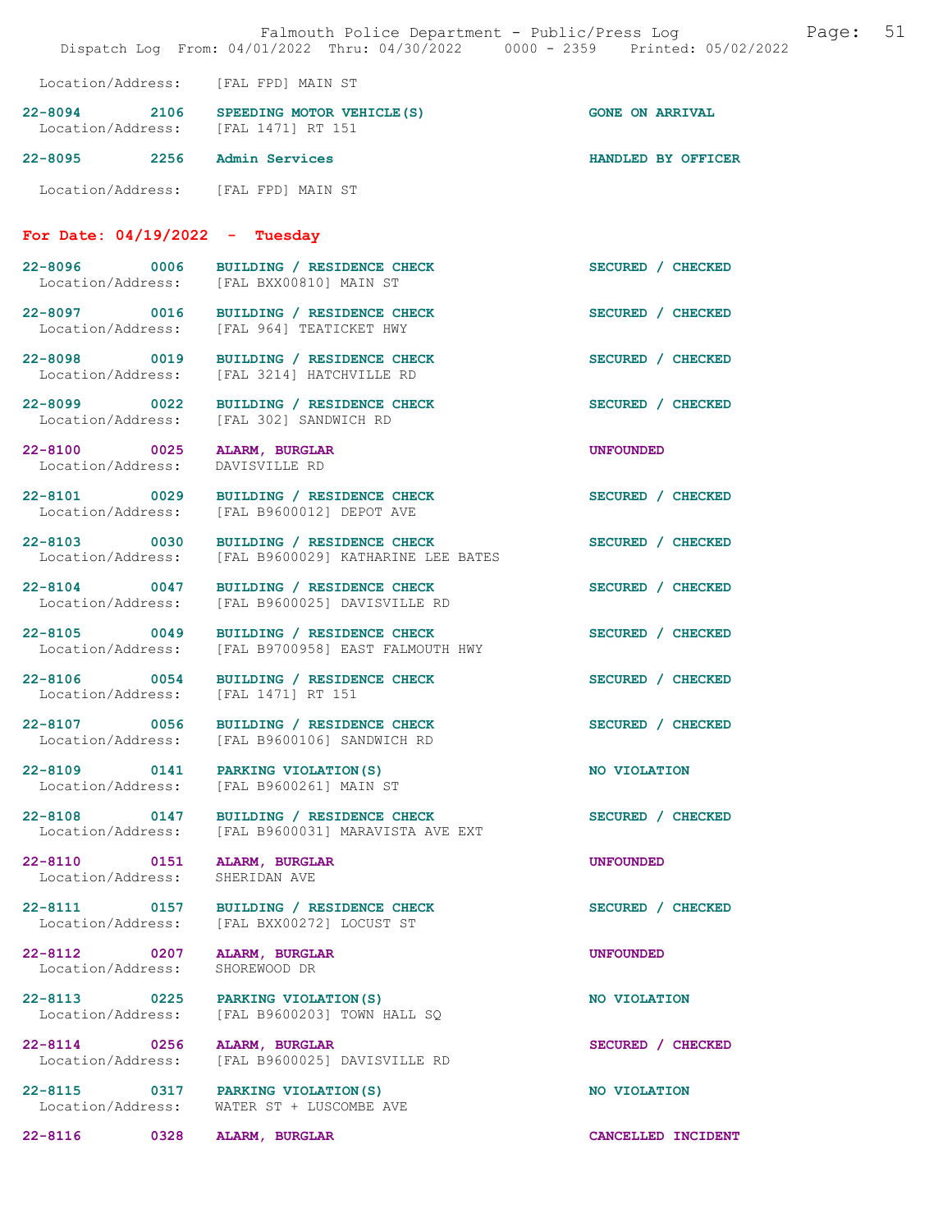|                                   | Falmouth Police Department - Public/Press Log Cage:<br>Dispatch Log From: 04/01/2022 Thru: 04/30/2022 0000 - 2359 Printed: 05/02/2022 |                        | 51 |
|-----------------------------------|---------------------------------------------------------------------------------------------------------------------------------------|------------------------|----|
|                                   | Location/Address: [FAL FPD] MAIN ST                                                                                                   |                        |    |
|                                   | 22-8094 2106 SPEEDING MOTOR VEHICLE (S)<br>Location/Address: [FAL 1471] RT 151                                                        | <b>GONE ON ARRIVAL</b> |    |
|                                   | 22-8095 2256 Admin Services                                                                                                           | HANDLED BY OFFICER     |    |
|                                   | Location/Address: [FAL FPD] MAIN ST                                                                                                   |                        |    |
|                                   | For Date: $04/19/2022 - Tuesday$                                                                                                      |                        |    |
|                                   | 22-8096 0006 BUILDING / RESIDENCE CHECK<br>Location/Address: [FAL BXX00810] MAIN ST                                                   | SECURED / CHECKED      |    |
|                                   | 22-8097 0016 BUILDING / RESIDENCE CHECK<br>Location/Address: [FAL 964] TEATICKET HWY                                                  | SECURED / CHECKED      |    |
|                                   | 22-8098 0019 BUILDING / RESIDENCE CHECK<br>Location/Address: [FAL 3214] HATCHVILLE RD                                                 | SECURED / CHECKED      |    |
| 22-8099 0022<br>Location/Address: | BUILDING / RESIDENCE CHECK<br>[FAL 302] SANDWICH RD                                                                                   | SECURED / CHECKED      |    |
|                                   | 22-8100 0025 ALARM, BURGLAR<br>Location/Address: DAVISVILLE RD                                                                        | <b>UNFOUNDED</b>       |    |
| 22-8101 0029<br>Location/Address: | BUILDING / RESIDENCE CHECK<br>[FAL B9600012] DEPOT AVE                                                                                | SECURED / CHECKED      |    |
| 22-8103 0030<br>Location/Address: | BUILDING / RESIDENCE CHECK<br>[FAL B9600029] KATHARINE LEE BATES                                                                      | SECURED / CHECKED      |    |
| 22-8104 0047<br>Location/Address: | BUILDING / RESIDENCE CHECK<br>[FAL B9600025] DAVISVILLE RD                                                                            | SECURED / CHECKED      |    |
| 22-8105 0049                      | BUILDING / RESIDENCE CHECK<br>Location/Address: [FAL B9700958] EAST FALMOUTH HWY                                                      | SECURED / CHECKED      |    |
|                                   | 22-8106 0054 BUILDING / RESIDENCE CHECK<br>Location/Address: [FAL 1471] RT 151                                                        | SECURED / CHECKED      |    |
| 22-8107 0056<br>Location/Address: | BUILDING / RESIDENCE CHECK<br>[FAL B9600106] SANDWICH RD                                                                              | SECURED / CHECKED      |    |
| 22-8109 0141<br>Location/Address: | PARKING VIOLATION (S)<br>[FAL B9600261] MAIN ST                                                                                       | NO VIOLATION           |    |
| 22-8108 0147<br>Location/Address: | BUILDING / RESIDENCE CHECK<br>[FAL B9600031] MARAVISTA AVE EXT                                                                        | SECURED / CHECKED      |    |
| 22-8110 0151<br>Location/Address: | ALARM, BURGLAR<br>SHERIDAN AVE                                                                                                        | <b>UNFOUNDED</b>       |    |
| 22-8111 0157<br>Location/Address: | BUILDING / RESIDENCE CHECK<br>[FAL BXX00272] LOCUST ST                                                                                | SECURED / CHECKED      |    |
| 22-8112 0207<br>Location/Address: | ALARM, BURGLAR<br>SHOREWOOD DR                                                                                                        | <b>UNFOUNDED</b>       |    |
| 22-8113 0225<br>Location/Address: | PARKING VIOLATION (S)<br>[FAL B9600203] TOWN HALL SQ                                                                                  | NO VIOLATION           |    |
| 22-8114 0256<br>Location/Address: | ALARM, BURGLAR<br>[FAL B9600025] DAVISVILLE RD                                                                                        | SECURED / CHECKED      |    |
| 22-8115 0317<br>Location/Address: | PARKING VIOLATION (S)<br>WATER ST + LUSCOMBE AVE                                                                                      | NO VIOLATION           |    |
| $22 - 8116$<br>0328               | ALARM, BURGLAR                                                                                                                        | CANCELLED INCIDENT     |    |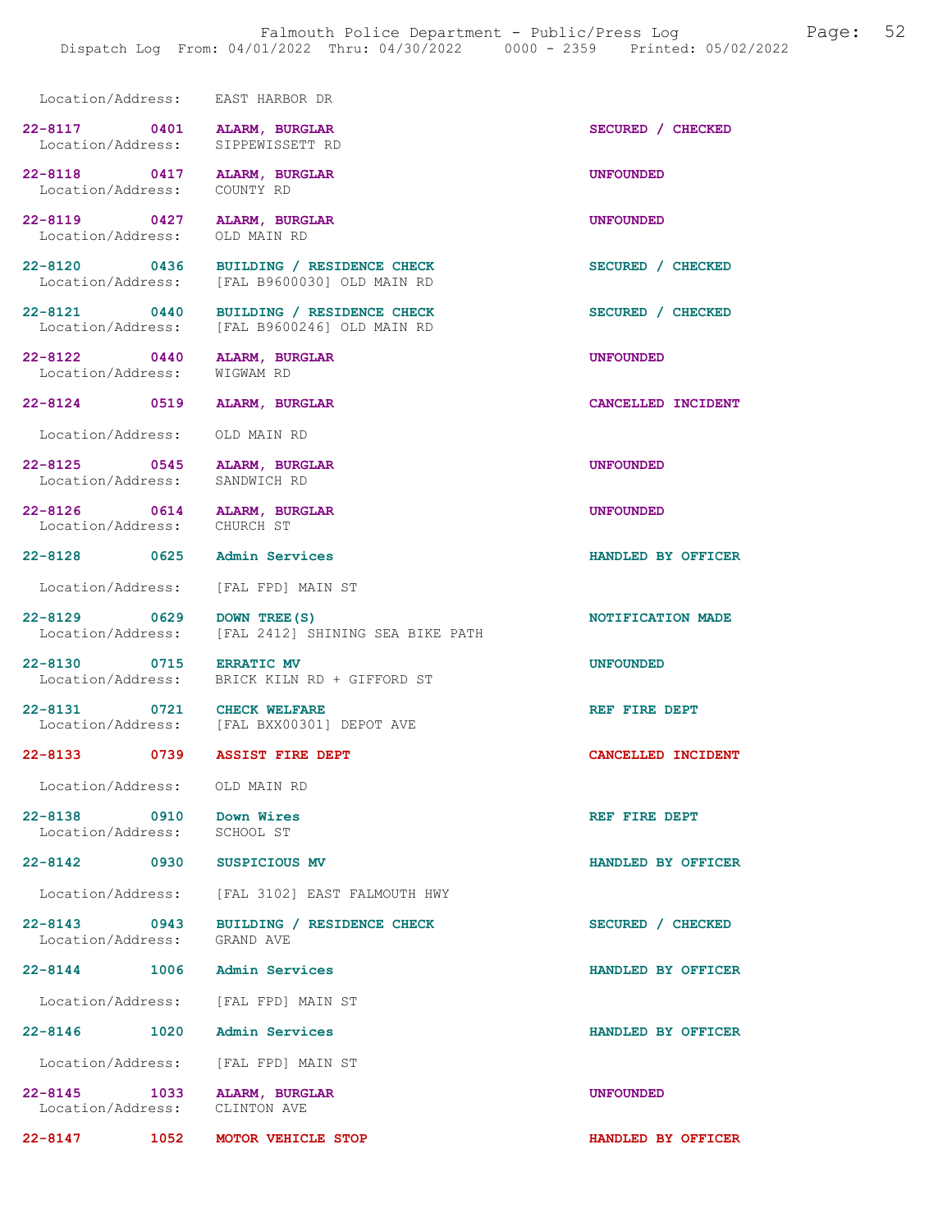Location/Address: EAST HARBOR DR 22-8117 0401 ALARM, BURGLAR SECURED / CHECKED Location/Address: SIPPEWISSETT RD Location/Address: 22-8118 0417 ALARM, BURGLAR UNFOUNDED<br>
Location/Address: COUNTYRD Location/Address: 22-8119 0427 ALARM, BURGLAR UNE CONSUMED UNFOUNDED<br>
Location/Address: OLD MAIN RD Location/Address: 22-8120 0436 BUILDING / RESIDENCE CHECK SECURED / CHECKED Location/Address: [FAL B9600030] OLD MAIN RD [FAL B9600030] OLD MAIN RD 22-8121 0440 BUILDING / RESIDENCE CHECK SECURED / CHECKED Location/Address: [FAL B9600246] OLD MAIN RD [FAL B9600246] OLD MAIN RD 22-8122 0440 ALARM, BURGLAR UNFOUNDED Location/Address: WIGWAM RD 22-8124 0519 ALARM, BURGLAR CANCELLED INCIDENT Location/Address: OLD MAIN RD 22-8125 0545 ALARM, BURGLAR UNFOUNDED Location/Address: SANDWICH RD 22-8126 0614 ALARM, BURGLAR 22-8126 UNFOUNDED Location/Address: 22-8128 0625 Admin Services HANDLED BY OFFICER Location/Address: [FAL FPD] MAIN ST 22-8129 0629 DOWN TREE(S) 0629 DOWN TREE(S) NOTIFICATION MADE [FAL 2412] SHINING SEA BIKE PATH 22-8130 0715 ERRATIC MV<br>Location/Address: BRICK KILN RD + GIFFORD ST BRICK KILN RD + GIFFORD ST 22-8131 0721 CHECK WELFARE **REF FIRE DEPT** Location/Address: [FAL BXX00301] DEPOT AVE [FAL BXX00301] DEPOT AVE 22-8133 0739 ASSIST FIRE DEPT CANCELLED INCIDENT Location/Address: OLD MAIN RD 22-8138 0910 Down Wires REF FIRE DEPT Location/Address: SCHOOL ST Location/Address: 22-8142 0930 SUSPICIOUS MV HANDLED BY OFFICER Location/Address: [FAL 3102] EAST FALMOUTH HWY 22-8143 0943 BUILDING / RESIDENCE CHECK SECURED / CHECKED Location/Address: GRAND AVE Location/Address: 22-8144 1006 Admin Services HANDLED BY OFFICER Location/Address: [FAL FPD] MAIN ST 22-8146 1020 Admin Services HANDLED BY OFFICER Location/Address: [FAL FPD] MAIN ST 22-8145 1033 ALARM, BURGLAR UNFOUNDED

Location/Address: CLINTON AVE

22-8147 1052 MOTOR VEHICLE STOP HANDLED BY OFFICER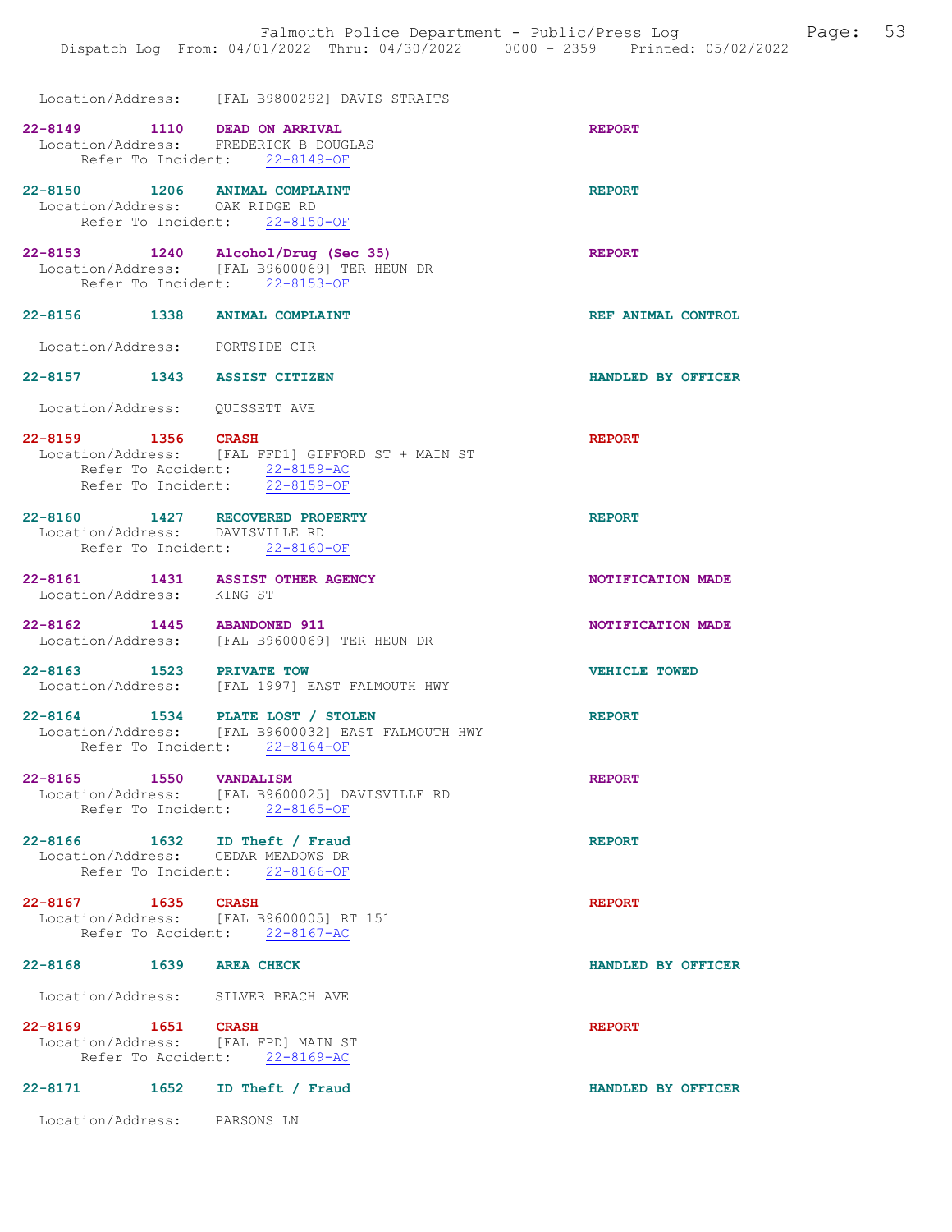|                                                                       | Location/Address: [FAL B9800292] DAVIS STRAITS                                                                      |                      |
|-----------------------------------------------------------------------|---------------------------------------------------------------------------------------------------------------------|----------------------|
| 22-8149 1110 DEAD ON ARRIVAL<br>Location/Address: FREDERICK B DOUGLAS | Refer To Incident: 22-8149-OF                                                                                       | <b>REPORT</b>        |
| 22-8150 1206 ANIMAL COMPLAINT<br>Location/Address: OAK RIDGE RD       | Refer To Incident: 22-8150-OF                                                                                       | <b>REPORT</b>        |
|                                                                       | 22-8153 1240 Alcohol/Drug (Sec 35)<br>Location/Address: [FAL B9600069] TER HEUN DR<br>Refer To Incident: 22-8153-OF | <b>REPORT</b>        |
| 22-8156 1338 ANIMAL COMPLAINT                                         |                                                                                                                     | REF ANIMAL CONTROL   |
| Location/Address: PORTSIDE CIR                                        |                                                                                                                     |                      |
| 22-8157 1343 ASSIST CITIZEN                                           |                                                                                                                     | HANDLED BY OFFICER   |
| Location/Address: QUISSETT AVE                                        |                                                                                                                     |                      |
| 22-8159 1356 CRASH                                                    | Location/Address: [FAL FFD1] GIFFORD ST + MAIN ST<br>Refer To Accident: 22-8159-AC<br>Refer To Incident: 22-8159-OF | <b>REPORT</b>        |
| 22-8160 1427 RECOVERED PROPERTY<br>Location/Address: DAVISVILLE RD    | Refer To Incident: 22-8160-OF                                                                                       | <b>REPORT</b>        |
| 22-8161 1431 ASSIST OTHER AGENCY<br>Location/Address: KING ST         |                                                                                                                     | NOTIFICATION MADE    |
| 22-8162 1445 ABANDONED 911                                            | Location/Address: [FAL B9600069] TER HEUN DR                                                                        | NOTIFICATION MADE    |
|                                                                       | 22-8163 1523 PRIVATE TOW<br>Location/Address: [FAL 1997] EAST FALMOUTH HWY                                          | <b>VEHICLE TOWED</b> |
| 22-8164 1534 PLATE LOST / STOLEN                                      | Location/Address: [FAL B9600032] EAST FALMOUTH HWY<br>Refer To Incident: 22-8164-OF                                 | <b>REPORT</b>        |
| $22 - 8165$<br>1550 VANDALISM                                         | Location/Address: [FAL B9600025] DAVISVILLE RD<br>Refer To Incident: 22-8165-OF                                     | <b>REPORT</b>        |
| 22-8166 1632 ID Theft / Fraud<br>Location/Address: CEDAR MEADOWS DR   | Refer To Incident: 22-8166-OF                                                                                       | <b>REPORT</b>        |
| 22-8167 1635 CRASH                                                    | Location/Address: [FAL B9600005] RT 151<br>Refer To Accident: 22-8167-AC                                            | <b>REPORT</b>        |
| 22-8168 1639 AREA CHECK                                               |                                                                                                                     | HANDLED BY OFFICER   |
| Location/Address: SILVER BEACH AVE                                    |                                                                                                                     |                      |
| 22-8169 1651 CRASH<br>Location/Address: [FAL FPD] MAIN ST             | Refer To Accident: 22-8169-AC                                                                                       | <b>REPORT</b>        |
| 22-8171 1652                                                          | ID Theft / Fraud                                                                                                    | HANDLED BY OFFICER   |

Location/Address: PARSONS LN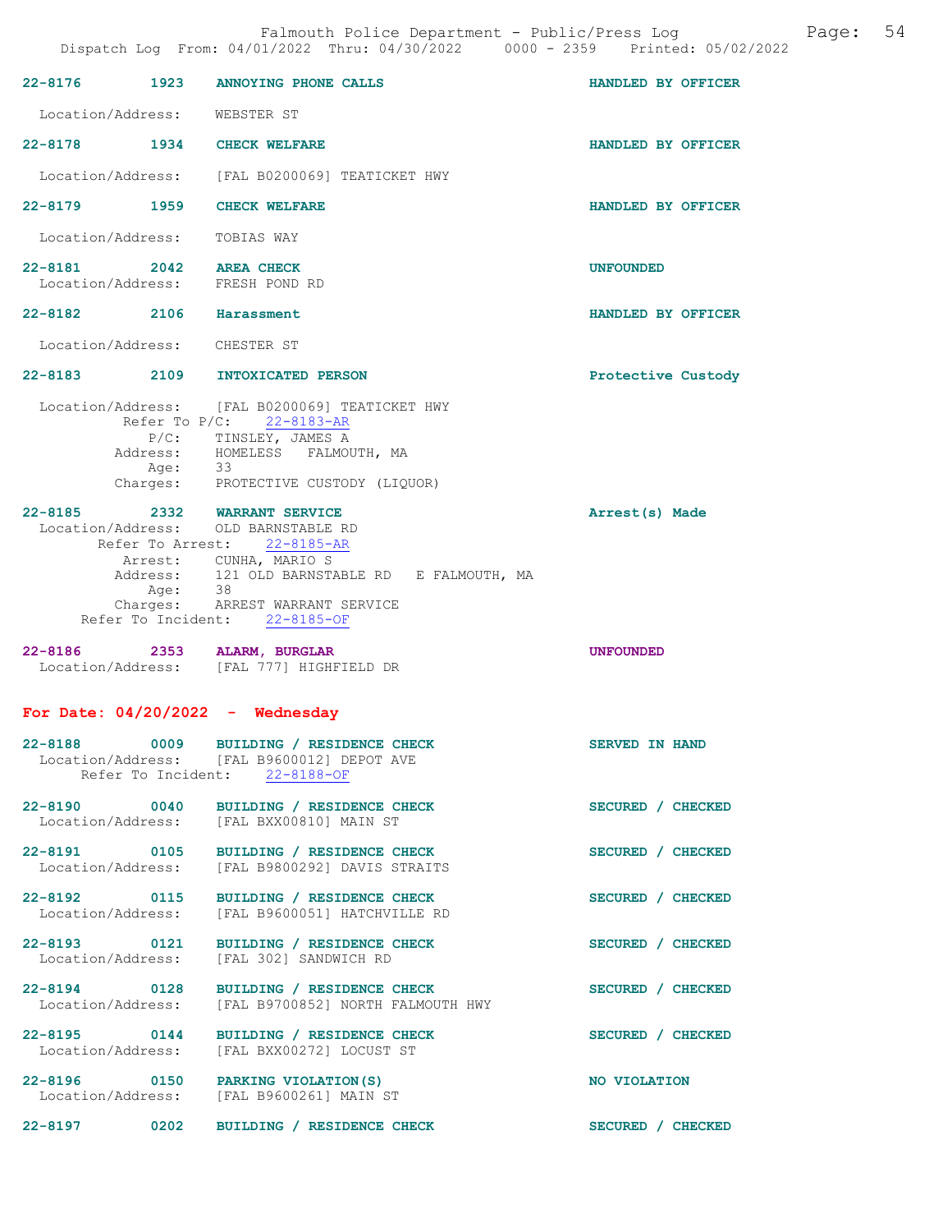22-8176 1923 ANNOYING PHONE CALLS HANDLED BY OFFICER Location/Address: WEBSTER ST 22-8178 1934 CHECK WELFARE HANDLED BY OFFICER Location/Address: [FAL B0200069] TEATICKET HWY 22-8179 1959 CHECK WELFARE HANDLED BY OFFICER Location/Address: TOBIAS WAY 22-8181 2042 AREA CHECK UNFOUNDED Location/Address: FRESH POND RD 22-8182 2106 Harassment HANDLED BY OFFICER Location/Address: CHESTER ST 22-8183 2109 INTOXICATED PERSON Protective Custody Location/Address: [FAL B0200069] TEATICKET HWY Refer To P/C: 22-8183-AR P/C: TINSLEY, JAMES A<br>Address: HOMELESS FALMO Address: HOMELESS FALMOUTH, MA Age: 33 Charges: PROTECTIVE CUSTODY (LIQUOR) 22-8185 2332 WARRANT SERVICE Arrest(s) Made Location/Address: OLD BARNSTABLE RD Refer To Arrest: 22-8185-AR Arrest: CUNHA, MARIO S Address: 121 OLD BARNSTABLE RD E FALMOUTH, MA Age: 38 Charges: ARREST WARRANT SERVICE Refer To Incident: 22-8185-OF 22-8186 2353 ALARM, BURGLAR UNFOUNDED Location/Address: [FAL 777] HIGHFIELD DR For Date:  $04/20/2022 -$  Wednesday 22-8188 0009 BUILDING / RESIDENCE CHECK SERVED IN HAND Location/Address: [FAL B9600012] DEPOT AVE Refer To Incident: 22-8188-OF 22-8190 0040 BUILDING / RESIDENCE CHECK SECURED / CHECKED Location/Address: [FAL BXX00810] MAIN ST [FAL BXX00810] MAIN ST 22-8191 0105 BUILDING / RESIDENCE CHECK SECURED / CHECKED Location/Address: [FAL B9800292] DAVIS STRAITS 22-8192 0115 BUILDING / RESIDENCE CHECK SECURED / CHECKED Location/Address: [FAL B9600051] HATCHVILLE RD 22-8193 0121 BUILDING / RESIDENCE CHECK SECURED / CHECKED Location/Address: [FAL 302] SANDWICH RD 22-8194 0128 BUILDING / RESIDENCE CHECK SECURED / CHECKED Location/Address: [FAL B9700852] NORTH FALMOUTH HWY 22-8195 0144 BUILDING / RESIDENCE CHECK SECURED / CHECKED Location/Address: [FAL BXX00272] LOCUST ST [FAL BXX00272] LOCUST ST 22-8196 0150 PARKING VIOLATION(S) NO VIOLATION<br>
Location/Address: [FAL B9600261] MAIN ST [FAL B9600261] MAIN ST

22-8197 0202 BUILDING / RESIDENCE CHECK SECURED / CHECKED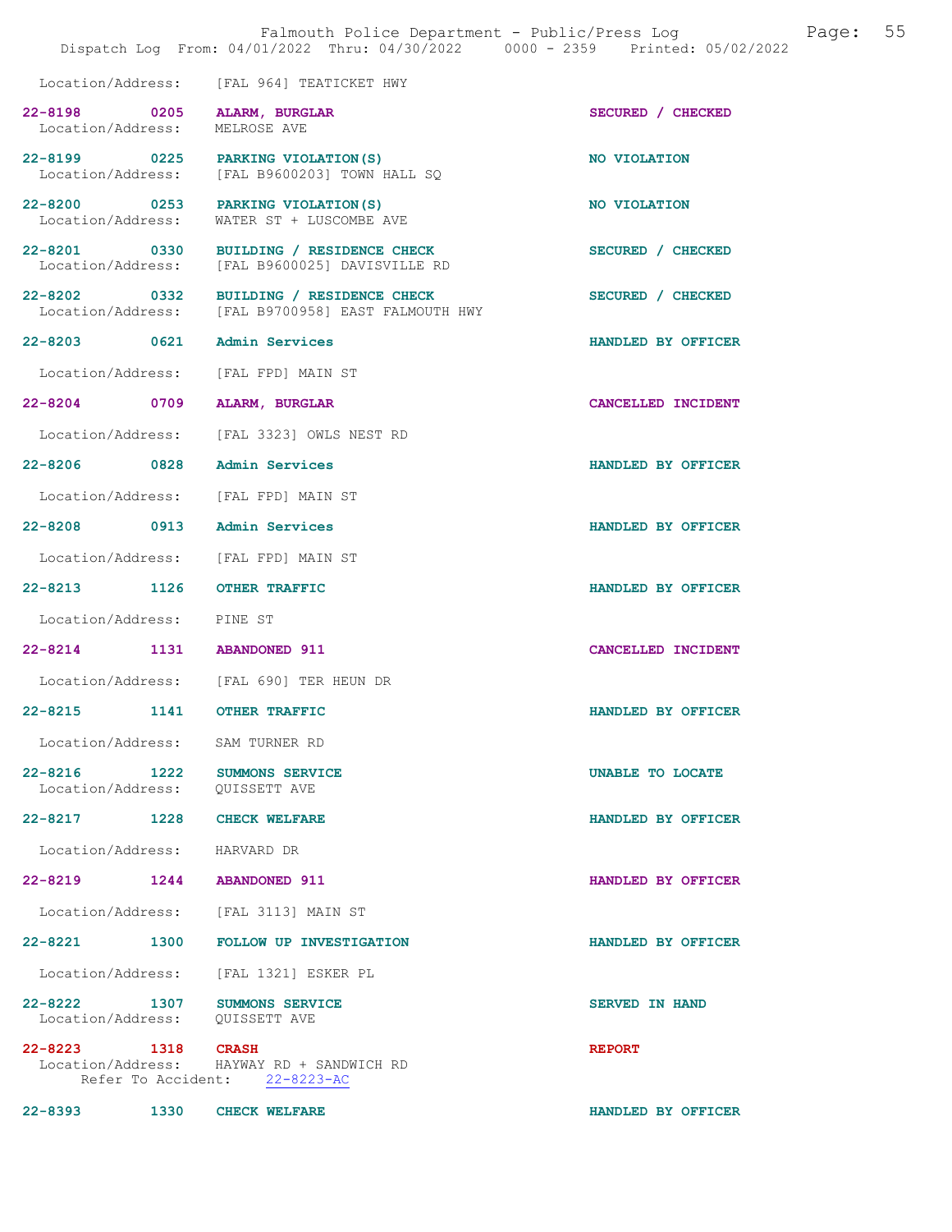|                                                              | Dispatch Log From: 04/01/2022 Thru: 04/30/2022 0000 - 2359 Printed: 05/02/2022                | Falmouth Police Department - Public/Press Log | Page: 55 |
|--------------------------------------------------------------|-----------------------------------------------------------------------------------------------|-----------------------------------------------|----------|
|                                                              | Location/Address: [FAL 964] TEATICKET HWY                                                     |                                               |          |
| 22-8198 0205 ALARM, BURGLAR<br>Location/Address: MELROSE AVE |                                                                                               | SECURED / CHECKED                             |          |
|                                                              | 22-8199 0225 PARKING VIOLATION (S)<br>Location/Address: [FAL B9600203] TOWN HALL SQ           | NO VIOLATION                                  |          |
| Location/Address:                                            | 22-8200 0253 PARKING VIOLATION (S)<br>WATER ST + LUSCOMBE AVE                                 | NO VIOLATION                                  |          |
|                                                              | 22-8201 0330 BUILDING / RESIDENCE CHECK<br>Location/Address: [FAL B9600025] DAVISVILLE RD     | SECURED / CHECKED                             |          |
|                                                              | 22-8202 0332 BUILDING / RESIDENCE CHECK<br>Location/Address: [FAL B9700958] EAST FALMOUTH HWY | SECURED / CHECKED                             |          |
| 22-8203 0621 Admin Services                                  |                                                                                               | HANDLED BY OFFICER                            |          |
|                                                              | Location/Address: [FAL FPD] MAIN ST                                                           |                                               |          |
| 22-8204 0709 ALARM, BURGLAR                                  |                                                                                               | CANCELLED INCIDENT                            |          |
|                                                              | Location/Address: [FAL 3323] OWLS NEST RD                                                     |                                               |          |
| 22-8206 0828 Admin Services                                  |                                                                                               | HANDLED BY OFFICER                            |          |
|                                                              | Location/Address: [FAL FPD] MAIN ST                                                           |                                               |          |
| 22-8208 0913 Admin Services                                  |                                                                                               | HANDLED BY OFFICER                            |          |
|                                                              | Location/Address: [FAL FPD] MAIN ST                                                           |                                               |          |
| 22-8213 1126 OTHER TRAFFIC                                   |                                                                                               | HANDLED BY OFFICER                            |          |
| Location/Address: PINE ST                                    |                                                                                               |                                               |          |
| 22-8214 1131 ABANDONED 911                                   |                                                                                               | CANCELLED INCIDENT                            |          |
|                                                              | Location/Address: [FAL 690] TER HEUN DR                                                       |                                               |          |
| 22-8215 1141 OTHER TRAFFIC                                   |                                                                                               | HANDLED BY OFFICER                            |          |
| Location/Address: SAM TURNER RD                              |                                                                                               |                                               |          |
| Location/Address: QUISSETT AVE                               | 22-8216 1222 SUMMONS SERVICE                                                                  | UNABLE TO LOCATE                              |          |
| 22-8217 1228 CHECK WELFARE                                   |                                                                                               | HANDLED BY OFFICER                            |          |
| Location/Address: HARVARD DR                                 |                                                                                               |                                               |          |
| 22-8219 1244 ABANDONED 911                                   |                                                                                               | HANDLED BY OFFICER                            |          |
|                                                              | Location/Address: [FAL 3113] MAIN ST                                                          |                                               |          |
|                                                              | 22-8221 1300 FOLLOW UP INVESTIGATION                                                          | HANDLED BY OFFICER                            |          |
|                                                              | Location/Address: [FAL 1321] ESKER PL                                                         |                                               |          |
| Location/Address: QUISSETT AVE                               | 22-8222 1307 SUMMONS SERVICE                                                                  | <b>SERVED IN HAND</b>                         |          |
| 22-8223 1318 CRASH                                           | Location/Address: HAYWAY RD + SANDWICH RD<br>Refer To Accident: 22-8223-AC                    | <b>REPORT</b>                                 |          |
| 22-8393 1330 CHECK WELFARE                                   |                                                                                               | HANDLED BY OFFICER                            |          |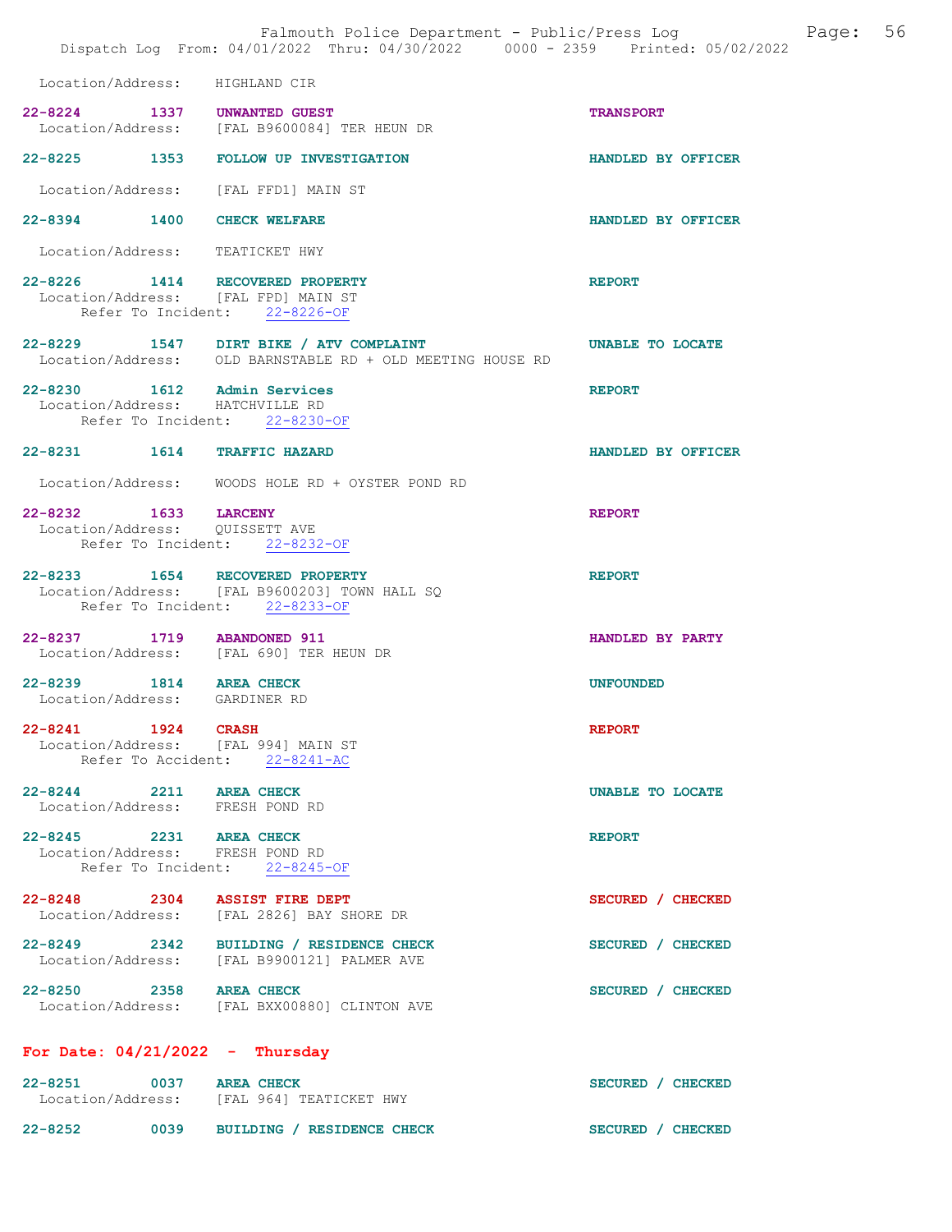|                                                                              | Falmouth Police Department - Public/Press Log<br>Dispatch Log From: 04/01/2022 Thru: 04/30/2022 0000 - 2359 Printed: 05/02/2022 | 56<br>Page:        |
|------------------------------------------------------------------------------|---------------------------------------------------------------------------------------------------------------------------------|--------------------|
| Location/Address: HIGHLAND CIR                                               |                                                                                                                                 |                    |
| 22-8224 1337 UNWANTED GUEST                                                  | Location/Address: [FAL B9600084] TER HEUN DR                                                                                    | <b>TRANSPORT</b>   |
| 22-8225 1353                                                                 | FOLLOW UP INVESTIGATION                                                                                                         | HANDLED BY OFFICER |
|                                                                              | Location/Address: [FAL FFD1] MAIN ST                                                                                            |                    |
| 22-8394 1400                                                                 | <b>CHECK WELFARE</b>                                                                                                            | HANDLED BY OFFICER |
| Location/Address: TEATICKET HWY                                              |                                                                                                                                 |                    |
| 22-8226 1414 RECOVERED PROPERTY<br>Location/Address: [FAL FPD] MAIN ST       | Refer To Incident: 22-8226-OF                                                                                                   | <b>REPORT</b>      |
|                                                                              | 22-8229 1547 DIRT BIKE / ATV COMPLAINT<br>Location/Address: OLD BARNSTABLE RD + OLD MEETING HOUSE RD                            | UNABLE TO LOCATE   |
| 22-8230 1612 Admin Services<br>Location/Address: HATCHVILLE RD               | Refer To Incident: 22-8230-OF                                                                                                   | <b>REPORT</b>      |
| 22-8231 1614                                                                 | <b>TRAFFIC HAZARD</b>                                                                                                           | HANDLED BY OFFICER |
| Location/Address:                                                            | WOODS HOLE RD + OYSTER POND RD                                                                                                  |                    |
| 22-8232 1633 LARCENY<br>Location/Address: QUISSETT AVE<br>Refer To Incident: | 22-8232-OF                                                                                                                      | <b>REPORT</b>      |
| $22 - 8233$                                                                  | 1654 RECOVERED PROPERTY<br>Location/Address: [FAL B9600203] TOWN HALL SQ<br>Refer To Incident: 22-8233-OF                       | <b>REPORT</b>      |
| $22 - 8237$<br>1719                                                          | <b>ABANDONED 911</b><br>Location/Address: [FAL 690] TER HEUN DR                                                                 | HANDLED BY PARTY   |
| 1814<br>$22 - 8239$<br>Location/Address: GARDINER RD                         | <b>AREA CHECK</b>                                                                                                               | <b>UNFOUNDED</b>   |
| 22-8241 1924 CRASH<br>Location/Address: [FAL 994] MAIN ST                    | Refer To Accident: 22-8241-AC                                                                                                   | <b>REPORT</b>      |
| 22-8244 2211 AREA CHECK<br>Location/Address: FRESH POND RD                   |                                                                                                                                 | UNABLE TO LOCATE   |
| 22-8245 2231 AREA CHECK<br>Location/Address: FRESH POND RD                   | Refer To Incident: 22-8245-OF                                                                                                   | <b>REPORT</b>      |
| 22-8248 2304 ASSIST FIRE DEPT                                                | Location/Address: [FAL 2826] BAY SHORE DR                                                                                       | SECURED / CHECKED  |
|                                                                              | 22-8249 2342 BUILDING / RESIDENCE CHECK<br>Location/Address: [FAL B9900121] PALMER AVE                                          | SECURED / CHECKED  |
| 22-8250 2358 AREA CHECK                                                      | Location/Address: [FAL BXX00880] CLINTON AVE                                                                                    | SECURED / CHECKED  |
| For Date: $04/21/2022 - Thursday$                                            |                                                                                                                                 |                    |
| 22-8251 0037 AREA CHECK                                                      | Location/Address: [FAL 964] TEATICKET HWY                                                                                       | SECURED / CHECKED  |
| 22-8252                                                                      | 0039 BUILDING / RESIDENCE CHECK                                                                                                 | SECURED / CHECKED  |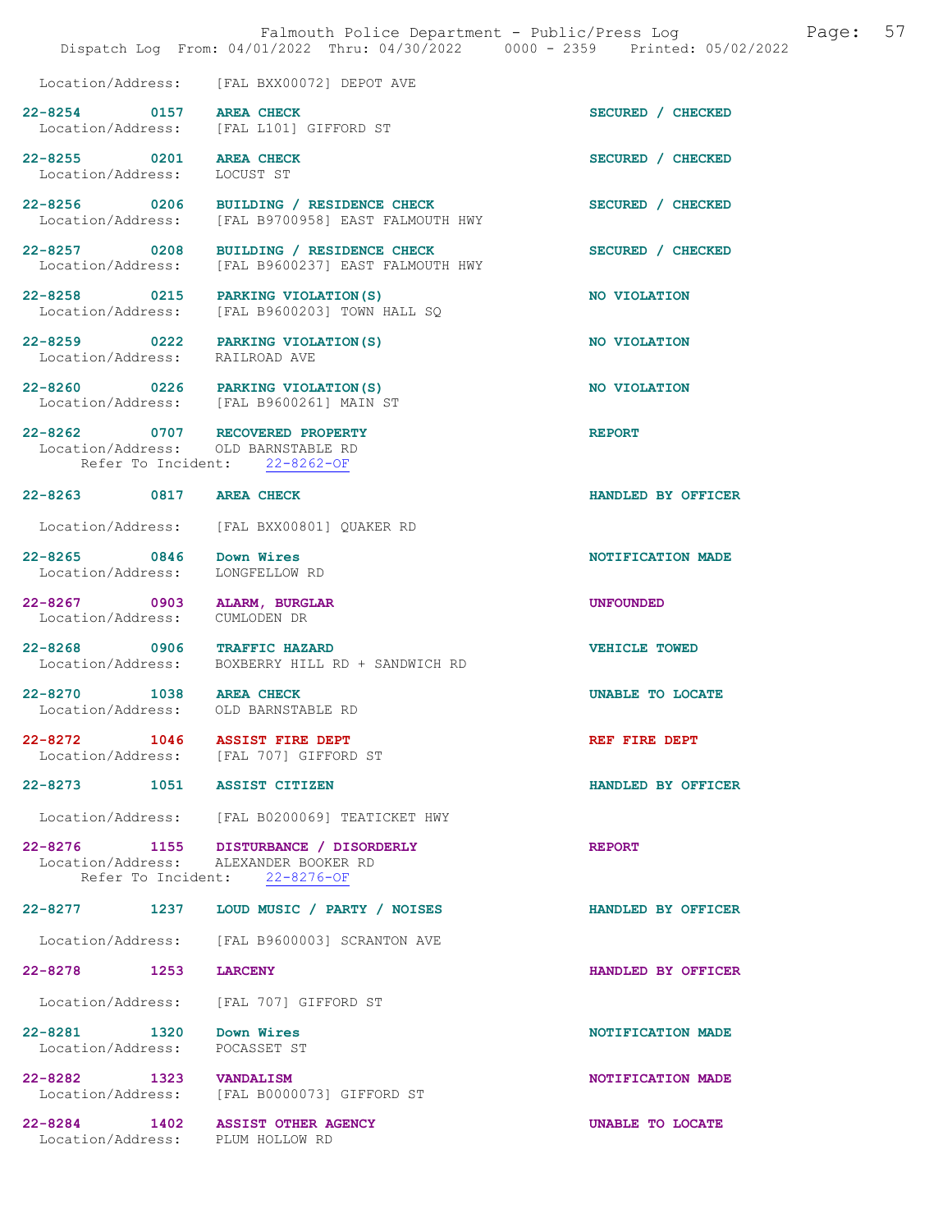|                                                                        | Falmouth Police Department - Public/Press Log<br>Dispatch Log From: 04/01/2022 Thru: 04/30/2022 0000 - 2359 Printed: 05/02/2022 | 57<br>Page:        |
|------------------------------------------------------------------------|---------------------------------------------------------------------------------------------------------------------------------|--------------------|
|                                                                        | Location/Address: [FAL BXX00072] DEPOT AVE                                                                                      |                    |
| 22-8254 0157 AREA CHECK                                                | Location/Address: [FAL L101] GIFFORD ST                                                                                         | SECURED / CHECKED  |
| 22-8255 0201 AREA CHECK<br>Location/Address:                           | LOCUST ST                                                                                                                       | SECURED / CHECKED  |
|                                                                        | 22-8256 0206 BUILDING / RESIDENCE CHECK<br>Location/Address: [FAL B9700958] EAST FALMOUTH HWY                                   | SECURED / CHECKED  |
| Location/Address:                                                      | 22-8257 0208 BUILDING / RESIDENCE CHECK<br>[FAL B9600237] EAST FALMOUTH HWY                                                     | SECURED / CHECKED  |
| 22-8258 0215<br>Location/Address:                                      | PARKING VIOLATION (S)<br>[FAL B9600203] TOWN HALL SQ                                                                            | NO VIOLATION       |
| 22-8259 0222 PARKING VIOLATION (S)<br>Location/Address: RAILROAD AVE   |                                                                                                                                 | NO VIOLATION       |
|                                                                        | 22-8260 0226 PARKING VIOLATION(S)<br>Location/Address: [FAL B9600261] MAIN ST                                                   | NO VIOLATION       |
| 22-8262 0707 RECOVERED PROPERTY<br>Location/Address: OLD BARNSTABLE RD | Refer To Incident: 22-8262-OF                                                                                                   | <b>REPORT</b>      |
| 22-8263 0817 AREA CHECK                                                |                                                                                                                                 | HANDLED BY OFFICER |
| Location/Address:                                                      | [FAL BXX00801] QUAKER RD                                                                                                        |                    |
| 22-8265 0846<br>Location/Address:                                      | Down Wires<br>LONGFELLOW RD                                                                                                     | NOTIFICATION MADE  |
| 22-8267 0903<br>Location/Address:                                      | ALARM, BURGLAR<br>CUMLODEN DR                                                                                                   | <b>UNFOUNDED</b>   |
| 22-8268 0906 TRAFFIC HAZARD                                            | Location/Address: BOXBERRY HILL RD + SANDWICH RD                                                                                | VEHICLE TOWED      |
| 22-8270 1038 AREA CHECK<br>Location/Address: OLD BARNSTABLE RD         |                                                                                                                                 | UNABLE TO LOCATE   |
| 22-8272 1046 ASSIST FIRE DEPT                                          | Location/Address: [FAL 707] GIFFORD ST                                                                                          | REF FIRE DEPT      |
| 22-8273 1051 ASSIST CITIZEN                                            |                                                                                                                                 | HANDLED BY OFFICER |
|                                                                        | Location/Address: [FAL B0200069] TEATICKET HWY                                                                                  |                    |
|                                                                        | 22-8276 1155 DISTURBANCE / DISORDERLY<br>Location/Address: ALEXANDER BOOKER RD<br>Refer To Incident: 22-8276-OF                 | <b>REPORT</b>      |
| 22-8277 1237                                                           | LOUD MUSIC / PARTY / NOISES                                                                                                     | HANDLED BY OFFICER |
| Location/Address:                                                      | [FAL B9600003] SCRANTON AVE                                                                                                     |                    |
| 22-8278 1253                                                           | <b>LARCENY</b>                                                                                                                  | HANDLED BY OFFICER |
| Location/Address:                                                      | [FAL 707] GIFFORD ST                                                                                                            |                    |
| 22-8281 1320<br>Location/Address:                                      | Down Wires<br>POCASSET ST                                                                                                       | NOTIFICATION MADE  |
| 22-8282 1323<br>Location/Address:                                      | <b>VANDALISM</b><br>[FAL B0000073] GIFFORD ST                                                                                   | NOTIFICATION MADE  |
| 22-8284 1402<br>Location/Address: PLUM HOLLOW RD                       | <b>ASSIST OTHER AGENCY</b>                                                                                                      | UNABLE TO LOCATE   |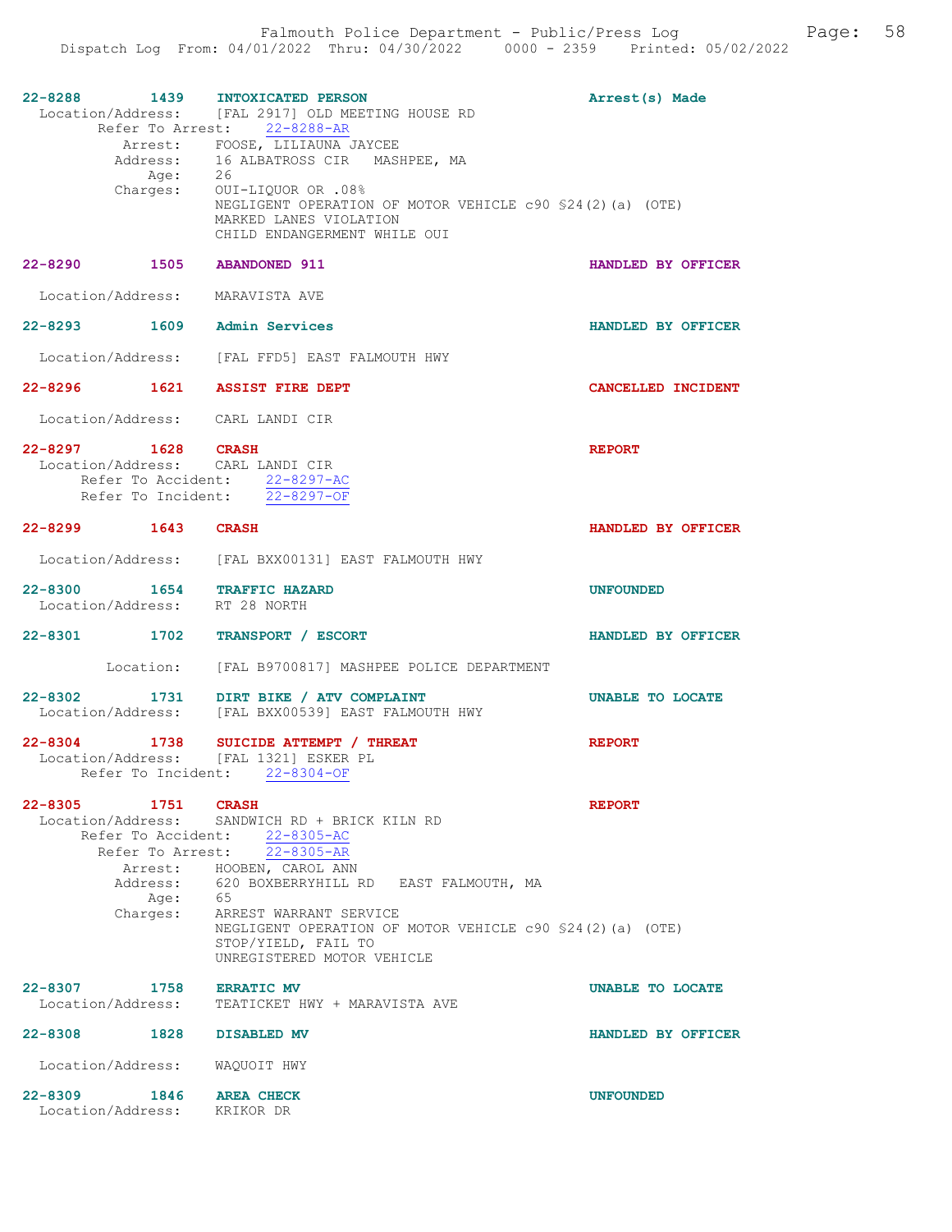| 22-8288 1439 INTOXICATED PERSON                              | Location/Address: [FAL 2917] OLD MEETING HOUSE RD<br>Refer To Arrest: 22-8288-AR<br>Arrest: FOOSE, LILIAUNA JAYCEE<br>Address: 16 ALBATROSS CIR MASHPEE, MA<br>Age: 26<br>Charges: OUI-LIQUOR OR .08%<br>NEGLIGENT OPERATION OF MOTOR VEHICLE c90 \$24(2)(a) (OTE)<br>MARKED LANES VIOLATION                                             | Arrest(s) Made     |
|--------------------------------------------------------------|------------------------------------------------------------------------------------------------------------------------------------------------------------------------------------------------------------------------------------------------------------------------------------------------------------------------------------------|--------------------|
|                                                              | CHILD ENDANGERMENT WHILE OUI                                                                                                                                                                                                                                                                                                             |                    |
| 22-8290 1505 ABANDONED 911                                   |                                                                                                                                                                                                                                                                                                                                          | HANDLED BY OFFICER |
| Location/Address: MARAVISTA AVE                              |                                                                                                                                                                                                                                                                                                                                          |                    |
| 22-8293 1609 Admin Services                                  |                                                                                                                                                                                                                                                                                                                                          | HANDLED BY OFFICER |
|                                                              | Location/Address: [FAL FFD5] EAST FALMOUTH HWY                                                                                                                                                                                                                                                                                           |                    |
| 22-8296 1621 ASSIST FIRE DEPT                                |                                                                                                                                                                                                                                                                                                                                          | CANCELLED INCIDENT |
| Location/Address: CARL LANDI CIR                             |                                                                                                                                                                                                                                                                                                                                          |                    |
| 22-8297 1628 CRASH<br>Location/Address: CARL LANDI CIR       | Refer To Accident: 22-8297-AC<br>Refer To Incident: 22-8297-OF                                                                                                                                                                                                                                                                           | <b>REPORT</b>      |
| 22-8299 1643 CRASH                                           |                                                                                                                                                                                                                                                                                                                                          | HANDLED BY OFFICER |
|                                                              | Location/Address: [FAL BXX00131] EAST FALMOUTH HWY                                                                                                                                                                                                                                                                                       |                    |
| 22-8300 1654 TRAFFIC HAZARD<br>Location/Address: RT 28 NORTH |                                                                                                                                                                                                                                                                                                                                          | UNFOUNDED          |
| 22-8301 1702 TRANSPORT / ESCORT                              |                                                                                                                                                                                                                                                                                                                                          | HANDLED BY OFFICER |
|                                                              | Location: [FAL B9700817] MASHPEE POLICE DEPARTMENT                                                                                                                                                                                                                                                                                       |                    |
|                                                              | 22-8302 1731 DIRT BIKE / ATV COMPLAINT<br>Location/Address: [FAL BXX00539] EAST FALMOUTH HWY                                                                                                                                                                                                                                             | UNABLE TO LOCATE   |
| Location/Address: [FAL 1321] ESKER PL                        | 22-8304 1738 SUICIDE ATTEMPT / THREAT<br>Refer To Incident: 22-8304-OF                                                                                                                                                                                                                                                                   | <b>REPORT</b>      |
| $22 - 8305$<br>1751 CRASH<br>Age: 65<br>Charges:             | Location/Address: SANDWICH RD + BRICK KILN RD<br>Refer To Accident: 22-8305-AC<br>Refer To Arrest: 22-8305-AR<br>Arrest: HOOBEN, CAROL ANN<br>Address: 620 BOXBERRYHILL RD EAST FALMOUTH, MA<br>ARREST WARRANT SERVICE<br>NEGLIGENT OPERATION OF MOTOR VEHICLE c90 \$24(2)(a) (OTE)<br>STOP/YIELD, FAIL TO<br>UNREGISTERED MOTOR VEHICLE | <b>REPORT</b>      |
| 22-8307<br>1758<br>Location/Address:                         | <b>ERRATIC MV</b><br>TEATICKET HWY + MARAVISTA AVE                                                                                                                                                                                                                                                                                       | UNABLE TO LOCATE   |
| 22-8308 1828                                                 | <b>DISABLED MV</b>                                                                                                                                                                                                                                                                                                                       | HANDLED BY OFFICER |
| Location/Address:                                            | WAQUOIT HWY                                                                                                                                                                                                                                                                                                                              |                    |
| $22 - 8309$<br>1846<br>Location/Address:                     | <b>AREA CHECK</b><br>KRIKOR DR                                                                                                                                                                                                                                                                                                           | <b>UNFOUNDED</b>   |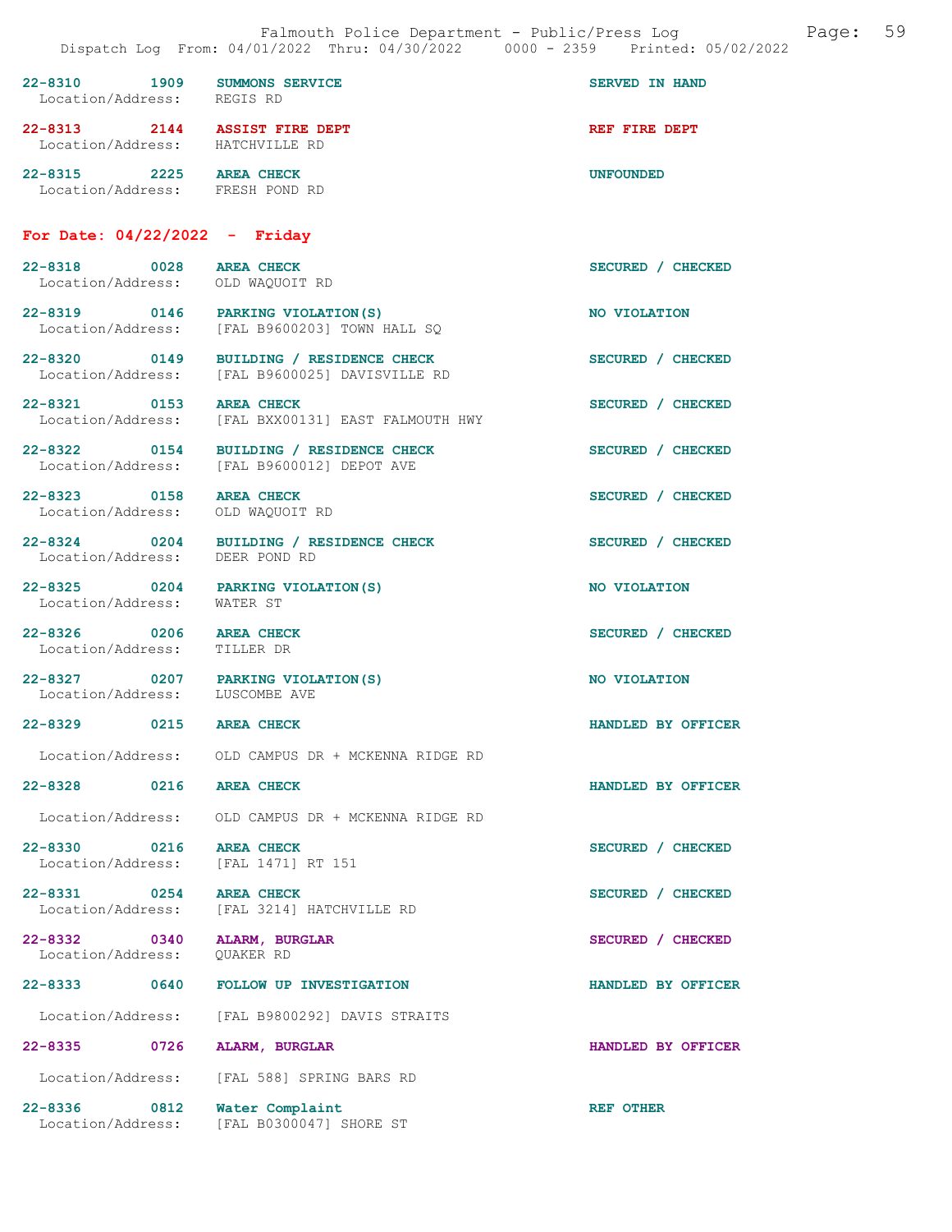| $22 - 8310$<br>Location/Address: | 1909 | <b>SUMMONS SERVICE</b><br>REGIS RD       | SERVED IN HAND   |
|----------------------------------|------|------------------------------------------|------------------|
| $22 - 8313$<br>Location/Address: | 2144 | <b>ASSIST FIRE DEPT</b><br>HATCHVILLE RD | REF FIRE DEPT    |
| $22 - 8315$<br>Location/Address: | 2225 | <b>AREA CHECK</b><br>FRESH POND RD       | <b>UNFOUNDED</b> |

## For Date: 04/22/2022 - Friday

| 22-8318 0028 AREA CHECK<br>Location/Address: OLD WAQUOIT RD          |                                                                                       | SECURED / CHECKED  |
|----------------------------------------------------------------------|---------------------------------------------------------------------------------------|--------------------|
| 22-8319 0146 PARKING VIOLATION(S)<br>Location/Address:               | [FAL B9600203] TOWN HALL SQ                                                           | NO VIOLATION       |
| Location/Address:                                                    | 22-8320 0149 BUILDING / RESIDENCE CHECK<br>[FAL B9600025] DAVISVILLE RD               | SECURED / CHECKED  |
| 22-8321 0153<br>Location/Address:                                    | <b>AREA CHECK</b><br>[FAL BXX00131] EAST FALMOUTH HWY                                 | SECURED / CHECKED  |
|                                                                      | 22-8322 0154 BUILDING / RESIDENCE CHECK<br>Location/Address: [FAL B9600012] DEPOT AVE | SECURED / CHECKED  |
| 22-8323 0158<br>Location/Address:                                    | <b>AREA CHECK</b><br>OLD WAQUOIT RD                                                   | SECURED / CHECKED  |
| Location/Address: DEER POND RD                                       | 22-8324 0204 BUILDING / RESIDENCE CHECK                                               | SECURED / CHECKED  |
| 22-8325 0204 PARKING VIOLATION (S)<br>Location/Address: WATER ST     |                                                                                       | NO VIOLATION       |
| 22-8326 0206 AREA CHECK<br>Location/Address: TILLER DR               |                                                                                       | SECURED / CHECKED  |
| 22-8327 0207 PARKING VIOLATION (S)<br>Location/Address: LUSCOMBE AVE |                                                                                       | NO VIOLATION       |
| 22-8329 0215 AREA CHECK                                              |                                                                                       | HANDLED BY OFFICER |
|                                                                      | Location/Address: OLD CAMPUS DR + MCKENNA RIDGE RD                                    |                    |
| 22-8328 0216 AREA CHECK                                              |                                                                                       | HANDLED BY OFFICER |
|                                                                      | Location/Address: OLD CAMPUS DR + MCKENNA RIDGE RD                                    |                    |
| 22-8330 0216 AREA CHECK<br>Location/Address: [FAL 1471] RT 151       |                                                                                       | SECURED / CHECKED  |
| 22-8331 0254 AREA CHECK                                              | Location/Address: [FAL 3214] HATCHVILLE RD                                            | SECURED / CHECKED  |
| $22 - 8332$<br>0340<br>Location/Address:                             | ALARM, BURGLAR<br>QUAKER RD                                                           | SECURED / CHECKED  |
| $22 - 8333$<br>0640                                                  | FOLLOW UP INVESTIGATION                                                               | HANDLED BY OFFICER |
| Location/Address:                                                    | [FAL B9800292] DAVIS STRAITS                                                          |                    |
| 22-8335<br>0726                                                      | ALARM, BURGLAR                                                                        | HANDLED BY OFFICER |
| Location/Address:                                                    | [FAL 588] SPRING BARS RD                                                              |                    |
| 22-8336<br>0812<br>Location/Address:                                 | Water Complaint<br>[FAL B0300047] SHORE ST                                            | <b>REF OTHER</b>   |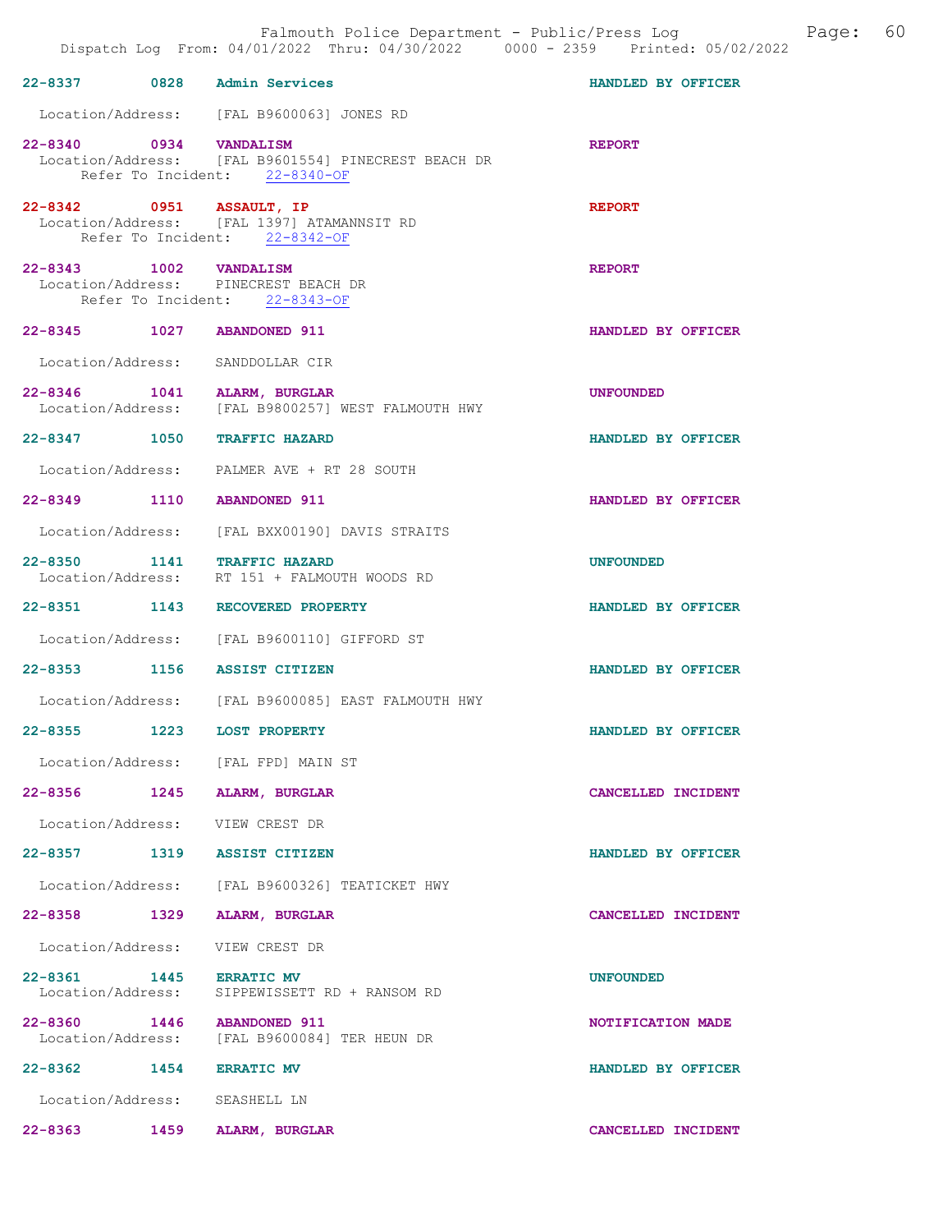|             |      | Falmouth Police Department - Public/Press Log<br>Dispatch Log From: 04/01/2022 Thru: 04/30/2022 0000 - 2359 Printed: 05/02/2022 |                    | Page: | 60 |
|-------------|------|---------------------------------------------------------------------------------------------------------------------------------|--------------------|-------|----|
|             |      | 22-8337 0828 Admin Services                                                                                                     | HANDLED BY OFFICER |       |    |
|             |      | Location/Address: [FAL B9600063] JONES RD                                                                                       |                    |       |    |
|             |      | 22-8340 0934 VANDALISM<br>Location/Address: [FAL B9601554] PINECREST BEACH DR<br>Refer To Incident: 22-8340-OF                  | <b>REPORT</b>      |       |    |
|             |      | 22-8342 0951 ASSAULT, IP<br>Location/Address: [FAL 1397] ATAMANNSIT RD<br>Refer To Incident: 22-8342-OF                         | <b>REPORT</b>      |       |    |
|             |      | 22-8343 1002 VANDALISM<br>Location/Address: PINECREST BEACH DR<br>Refer To Incident: 22-8343-OF                                 | <b>REPORT</b>      |       |    |
|             |      | 22-8345 1027 ABANDONED 911                                                                                                      | HANDLED BY OFFICER |       |    |
|             |      | Location/Address: SANDDOLLAR CIR                                                                                                |                    |       |    |
|             |      | 22-8346 1041 ALARM, BURGLAR<br>Location/Address: [FAL B9800257] WEST FALMOUTH HWY                                               | <b>UNFOUNDED</b>   |       |    |
|             |      | 22-8347 1050 TRAFFIC HAZARD                                                                                                     | HANDLED BY OFFICER |       |    |
|             |      | Location/Address: PALMER AVE + RT 28 SOUTH                                                                                      |                    |       |    |
|             |      | 22-8349 1110 ABANDONED 911                                                                                                      | HANDLED BY OFFICER |       |    |
|             |      | Location/Address: [FAL BXX00190] DAVIS STRAITS                                                                                  |                    |       |    |
|             |      | 22-8350 1141 TRAFFIC HAZARD<br>Location/Address: RT 151 + FALMOUTH WOODS RD                                                     | <b>UNFOUNDED</b>   |       |    |
|             |      | 22-8351 1143 RECOVERED PROPERTY                                                                                                 | HANDLED BY OFFICER |       |    |
|             |      | Location/Address: [FAL B9600110] GIFFORD ST                                                                                     |                    |       |    |
|             |      | 22-8353 1156 ASSIST CITIZEN                                                                                                     | HANDLED BY OFFICER |       |    |
|             |      | Location/Address: [FAL B9600085] EAST FALMOUTH HWY                                                                              |                    |       |    |
| $22 - 8355$ | 1223 | <b>LOST PROPERTY</b>                                                                                                            | HANDLED BY OFFICER |       |    |
|             |      | Location/Address: [FAL FPD] MAIN ST                                                                                             |                    |       |    |
|             |      | 22-8356 1245 ALARM, BURGLAR                                                                                                     | CANCELLED INCIDENT |       |    |
|             |      | Location/Address: VIEW CREST DR                                                                                                 |                    |       |    |
|             |      | 22-8357 1319 ASSIST CITIZEN                                                                                                     | HANDLED BY OFFICER |       |    |
|             |      | Location/Address: [FAL B9600326] TEATICKET HWY                                                                                  |                    |       |    |
|             |      | 22-8358 1329 ALARM, BURGLAR                                                                                                     | CANCELLED INCIDENT |       |    |
|             |      | Location/Address: VIEW CREST DR                                                                                                 |                    |       |    |
|             |      | 22-8361 1445 ERRATIC MV<br>Location/Address: SIPPEWISSETT RD + RANSOM RD                                                        | <b>UNFOUNDED</b>   |       |    |
|             |      | 22-8360 1446 ABANDONED 911<br>Location/Address: [FAL B9600084] TER HEUN DR                                                      | NOTIFICATION MADE  |       |    |
|             |      | 22-8362 1454 ERRATIC MV                                                                                                         | HANDLED BY OFFICER |       |    |
|             |      | Location/Address: SEASHELL LN                                                                                                   |                    |       |    |
| $22 - 8363$ | 1459 | ALARM, BURGLAR                                                                                                                  | CANCELLED INCIDENT |       |    |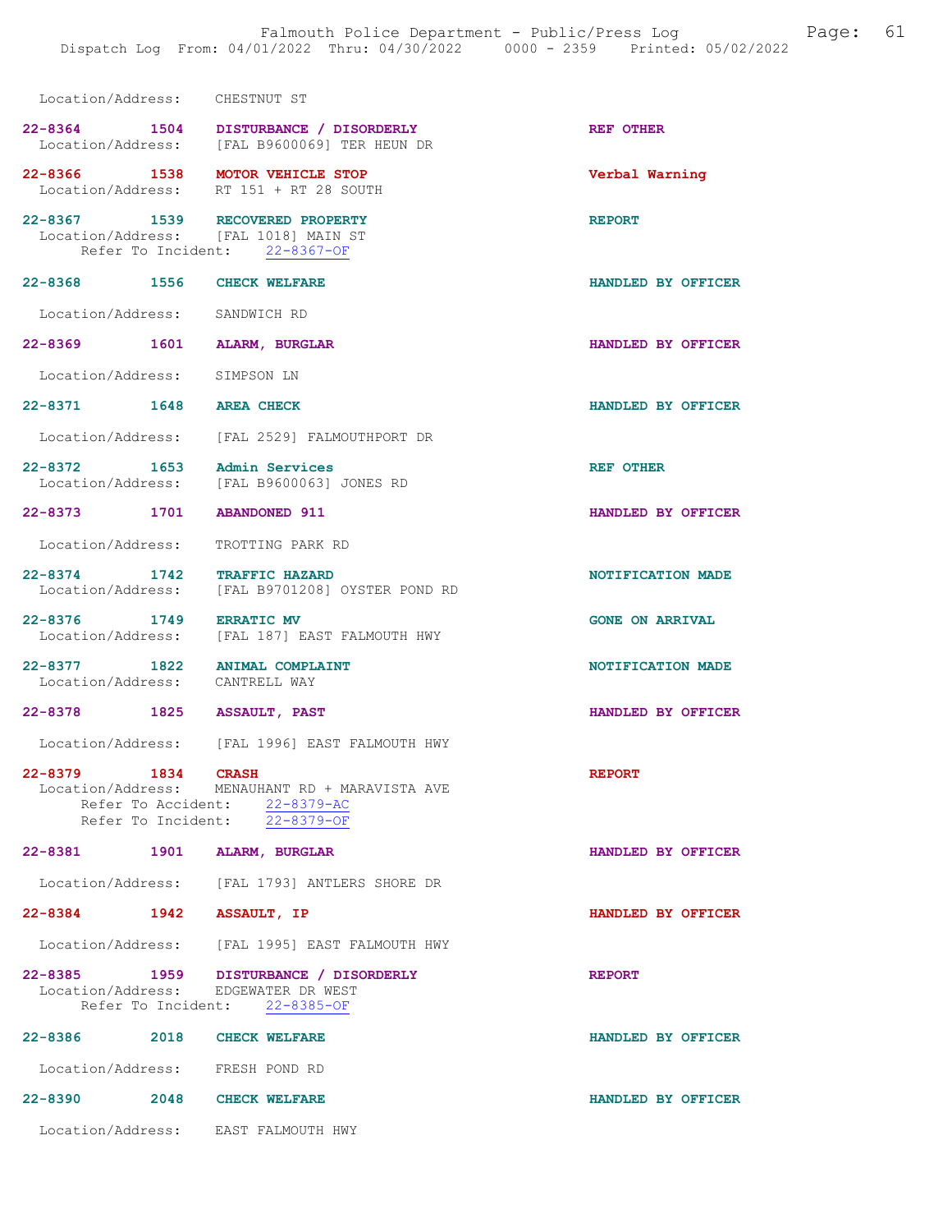| Location/Address: CHESTNUT ST   |                                                                                                                                  |                        |
|---------------------------------|----------------------------------------------------------------------------------------------------------------------------------|------------------------|
|                                 | 22-8364 1504 DISTURBANCE / DISORDERLY<br>Location/Address: [FAL B9600069] TER HEUN DR                                            | REF OTHER              |
|                                 | 22-8366 1538 MOTOR VEHICLE STOP<br>Location/Address: RT 151 + RT 28 SOUTH                                                        | Verbal Warning         |
|                                 | 22-8367 1539 RECOVERED PROPERTY<br>Location/Address: [FAL 1018] MAIN ST<br>Refer To Incident: 22-8367-OF                         | <b>REPORT</b>          |
| 22-8368 1556 CHECK WELFARE      |                                                                                                                                  | HANDLED BY OFFICER     |
| Location/Address: SANDWICH RD   |                                                                                                                                  |                        |
| 22-8369 1601 ALARM, BURGLAR     |                                                                                                                                  | HANDLED BY OFFICER     |
| Location/Address: SIMPSON LN    |                                                                                                                                  |                        |
| 22-8371 1648 AREA CHECK         |                                                                                                                                  | HANDLED BY OFFICER     |
|                                 | Location/Address: [FAL 2529] FALMOUTHPORT DR                                                                                     |                        |
|                                 | 22-8372 1653 Admin Services<br>Location/Address: [FAL B9600063] JONES RD                                                         | <b>REF OTHER</b>       |
| 22-8373 1701 ABANDONED 911      |                                                                                                                                  | HANDLED BY OFFICER     |
|                                 | Location/Address: TROTTING PARK RD                                                                                               |                        |
|                                 | 22-8374 1742 TRAFFIC HAZARD<br>Location/Address: [FAL B9701208] OYSTER POND RD                                                   | NOTIFICATION MADE      |
| 22-8376 1749 ERRATIC MV         | Location/Address: [FAL 187] EAST FALMOUTH HWY                                                                                    | <b>GONE ON ARRIVAL</b> |
| Location/Address: CANTRELL WAY  | 22-8377 1822 ANIMAL COMPLAINT                                                                                                    | NOTIFICATION MADE      |
| 22-8378 1825 ASSAULT, PAST      |                                                                                                                                  | HANDLED BY OFFICER     |
|                                 | Location/Address: [FAL 1996] EAST FALMOUTH HWY                                                                                   |                        |
| $22 - 8379$<br>1834             | <b>CRASH</b><br>Location/Address: MENAUHANT RD + MARAVISTA AVE<br>Refer To Accident: 22-8379-AC<br>Refer To Incident: 22-8379-OF | <b>REPORT</b>          |
| 22-8381 1901 ALARM, BURGLAR     |                                                                                                                                  | HANDLED BY OFFICER     |
|                                 | Location/Address: [FAL 1793] ANTLERS SHORE DR                                                                                    |                        |
| 22-8384 1942 ASSAULT, IP        |                                                                                                                                  | HANDLED BY OFFICER     |
|                                 | Location/Address: [FAL 1995] EAST FALMOUTH HWY                                                                                   |                        |
|                                 | 22-8385 1959 DISTURBANCE / DISORDERLY<br>Location/Address: EDGEWATER DR WEST<br>Refer To Incident: 22-8385-OF                    | <b>REPORT</b>          |
| 22-8386 2018 CHECK WELFARE      |                                                                                                                                  | HANDLED BY OFFICER     |
| Location/Address: FRESH POND RD |                                                                                                                                  |                        |
| 22-8390 2048 CHECK WELFARE      |                                                                                                                                  | HANDLED BY OFFICER     |
|                                 | Location/Address: EAST FALMOUTH HWY                                                                                              |                        |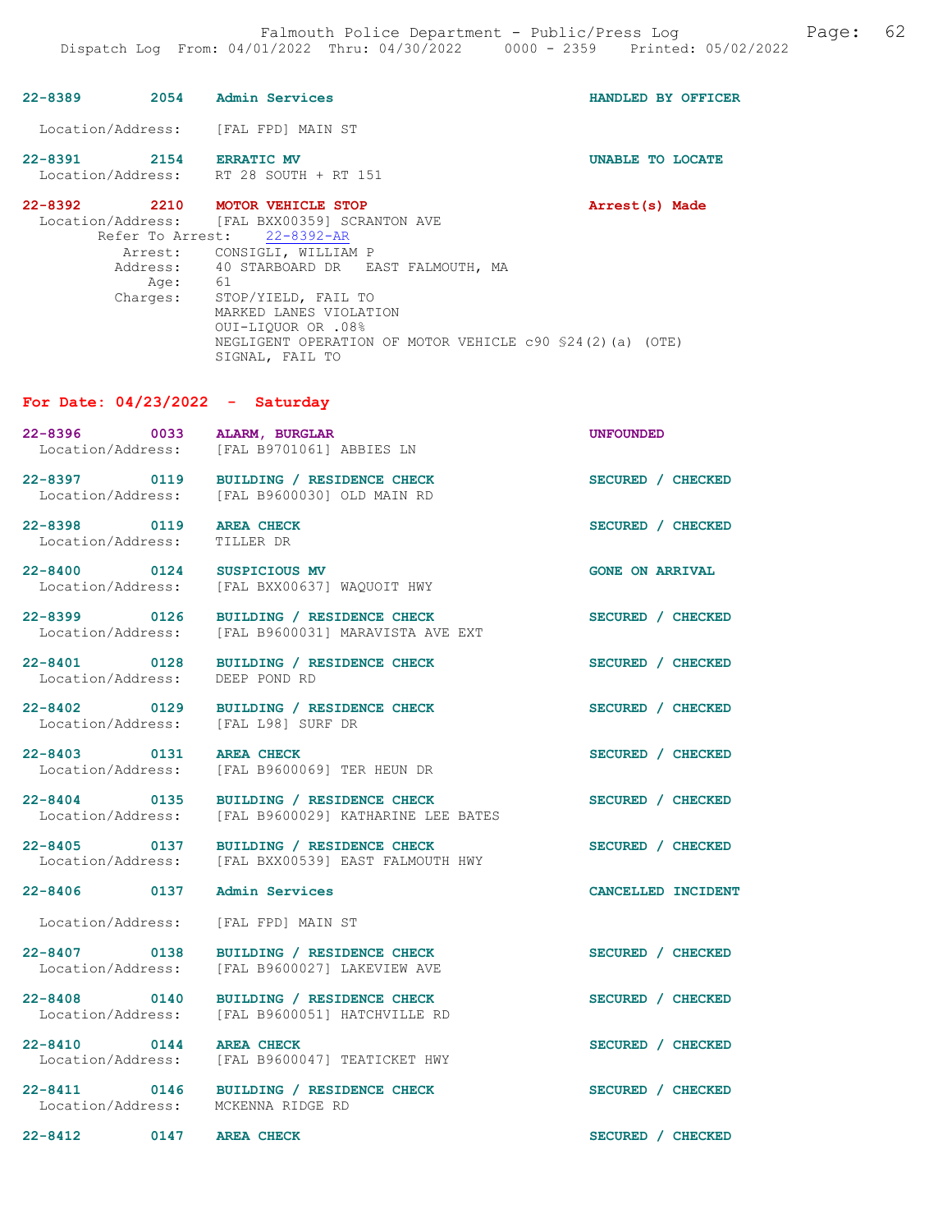| 22-8389 2054 Admin Services                         |                                                                                                                                                                                                                                                                                                                        | HANDLED BY OFFICER     |
|-----------------------------------------------------|------------------------------------------------------------------------------------------------------------------------------------------------------------------------------------------------------------------------------------------------------------------------------------------------------------------------|------------------------|
| Location/Address: [FAL FPD] MAIN ST                 |                                                                                                                                                                                                                                                                                                                        |                        |
| 22-8391 2154 ERRATIC MV                             | Location/Address: RT 28 SOUTH + RT 151                                                                                                                                                                                                                                                                                 | UNABLE TO LOCATE       |
| 22-8392 2210 MOTOR VEHICLE STOP<br>Age:<br>Charges: | Location/Address: [FAL BXX00359] SCRANTON AVE<br>Refer To Arrest: 22-8392-AR<br>Arrest: CONSIGLI, WILLIAM P<br>Address: 40 STARBOARD DR EAST FALMOUTH, MA<br>61<br>STOP/YIELD, FAIL TO<br>MARKED LANES VIOLATION<br>OUI-LIQUOR OR .08%<br>NEGLIGENT OPERATION OF MOTOR VEHICLE c90 \$24(2)(a) (OTE)<br>SIGNAL, FAIL TO | Arrest(s) Made         |
| For Date: $04/23/2022 - Saturday$                   |                                                                                                                                                                                                                                                                                                                        |                        |
| 22-8396 0033 ALARM, BURGLAR                         | Location/Address: [FAL B9701061] ABBIES LN                                                                                                                                                                                                                                                                             | <b>UNFOUNDED</b>       |
| 22-8397 0119<br>Location/Address:                   | BUILDING / RESIDENCE CHECK<br>[FAL B9600030] OLD MAIN RD                                                                                                                                                                                                                                                               | SECURED / CHECKED      |
| 22-8398 0119<br>Location/Address:                   | <b>AREA CHECK</b><br>TILLER DR                                                                                                                                                                                                                                                                                         | SECURED / CHECKED      |
| 22-8400 0124<br>Location/Address:                   | SUSPICIOUS MV<br>[FAL BXX00637] WAQUOIT HWY                                                                                                                                                                                                                                                                            | <b>GONE ON ARRIVAL</b> |
| 22-8399 0126<br>Location/Address:                   | BUILDING / RESIDENCE CHECK<br>[FAL B9600031] MARAVISTA AVE EXT                                                                                                                                                                                                                                                         | SECURED / CHECKED      |
| Location/Address:                                   | 22-8401 0128 BUILDING / RESIDENCE CHECK<br>DEEP POND RD                                                                                                                                                                                                                                                                | SECURED / CHECKED      |
| Location/Address: [FAL L98] SURF DR                 | 22-8402 0129 BUILDING / RESIDENCE CHECK                                                                                                                                                                                                                                                                                | SECURED / CHECKED      |
| 22-8403 0131 AREA CHECK<br>Location/Address:        | [FAL B9600069] TER HEUN DR                                                                                                                                                                                                                                                                                             | SECURED / CHECKED      |
| 22-8404 0135<br>Location/Address:                   | BUILDING / RESIDENCE CHECK<br>[FAL B9600029] KATHARINE LEE BATES                                                                                                                                                                                                                                                       | SECURED / CHECKED      |
| 22-8405 0137                                        | BUILDING / RESIDENCE CHECK<br>Location/Address: [FAL BXX00539] EAST FALMOUTH HWY                                                                                                                                                                                                                                       | SECURED / CHECKED      |
| $22 - 8406$<br>0137                                 | <b>Admin Services</b>                                                                                                                                                                                                                                                                                                  | CANCELLED INCIDENT     |
| Location/Address:                                   | [FAL FPD] MAIN ST                                                                                                                                                                                                                                                                                                      |                        |
| 22-8407 0138<br>Location/Address:                   | BUILDING / RESIDENCE CHECK<br>[FAL B9600027] LAKEVIEW AVE                                                                                                                                                                                                                                                              | SECURED / CHECKED      |
| 22-8408 0140<br>Location/Address:                   | BUILDING / RESIDENCE CHECK<br>[FAL B9600051] HATCHVILLE RD                                                                                                                                                                                                                                                             | SECURED / CHECKED      |
| 22-8410 0144 AREA CHECK<br>Location/Address:        | [FAL B9600047] TEATICKET HWY                                                                                                                                                                                                                                                                                           | SECURED / CHECKED      |
| 22-8411 0146<br>Location/Address: MCKENNA RIDGE RD  | BUILDING / RESIDENCE CHECK                                                                                                                                                                                                                                                                                             | SECURED / CHECKED      |
| $22 - 8412$                                         | 0147 AREA CHECK                                                                                                                                                                                                                                                                                                        | SECURED / CHECKED      |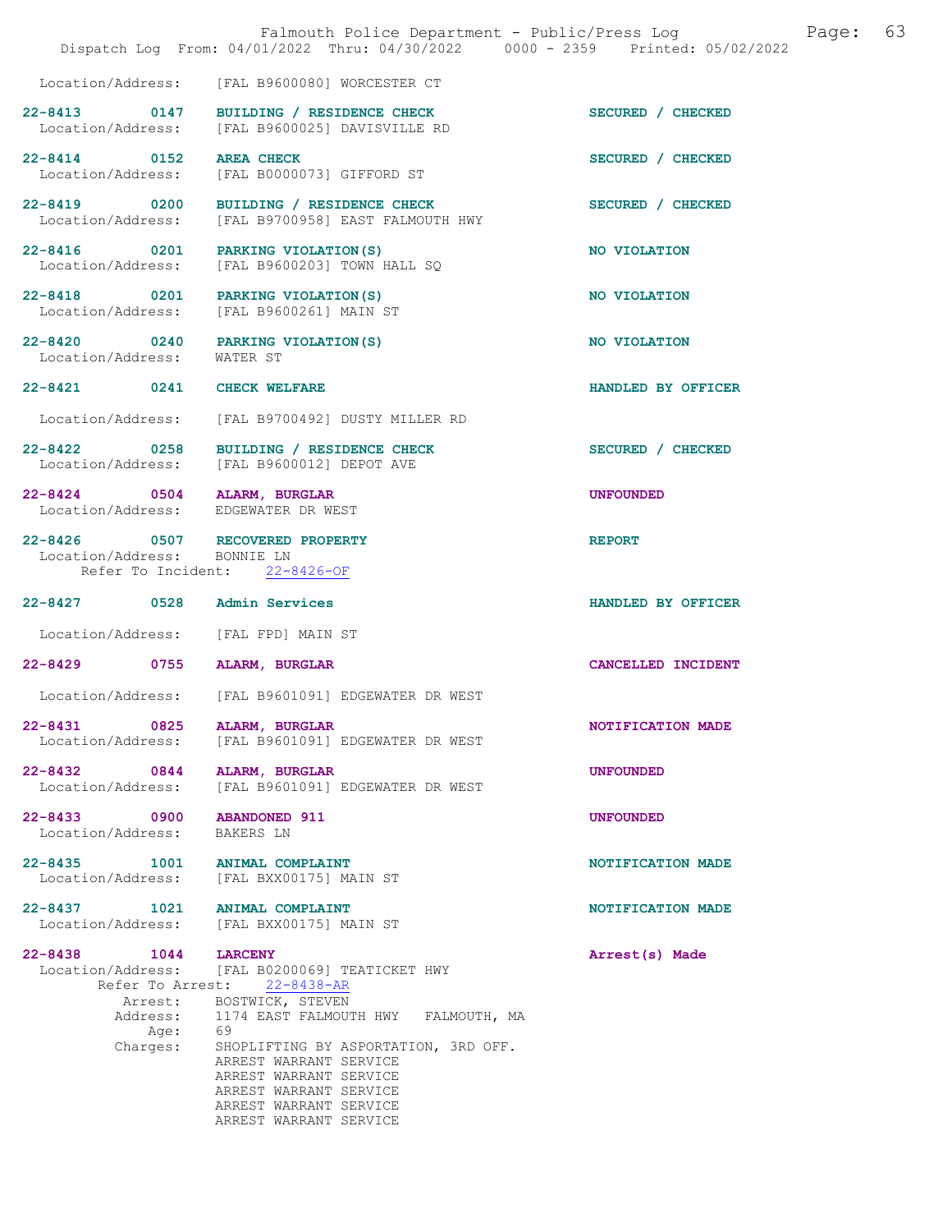|                                                      | Falmouth Police Department - Public/Press Log<br>Dispatch Log From: 04/01/2022 Thru: 04/30/2022 0000 - 2359 Printed: 05/02/2022                                                                                                                                                                                        | 63<br>Page:        |
|------------------------------------------------------|------------------------------------------------------------------------------------------------------------------------------------------------------------------------------------------------------------------------------------------------------------------------------------------------------------------------|--------------------|
| Location/Address:                                    | [FAL B9600080] WORCESTER CT                                                                                                                                                                                                                                                                                            |                    |
| 22-8413 0147<br>Location/Address:                    | BUILDING / RESIDENCE CHECK<br>[FAL B9600025] DAVISVILLE RD                                                                                                                                                                                                                                                             | SECURED / CHECKED  |
| 22-8414 0152<br>Location/Address:                    | <b>AREA CHECK</b><br>[FAL B0000073] GIFFORD ST                                                                                                                                                                                                                                                                         | SECURED / CHECKED  |
| 22-8419 0200<br>Location/Address:                    | BUILDING / RESIDENCE CHECK<br>[FAL B9700958] EAST FALMOUTH HWY                                                                                                                                                                                                                                                         | SECURED / CHECKED  |
| 22-8416 0201<br>Location/Address:                    | PARKING VIOLATION (S)<br>[FAL B9600203] TOWN HALL SQ                                                                                                                                                                                                                                                                   | NO VIOLATION       |
| 22-8418 0201<br>Location/Address:                    | PARKING VIOLATION (S)<br>[FAL B9600261] MAIN ST                                                                                                                                                                                                                                                                        | NO VIOLATION       |
| 22-8420 0240<br>Location/Address:                    | PARKING VIOLATION (S)<br>WATER ST                                                                                                                                                                                                                                                                                      | NO VIOLATION       |
| $22 - 8421$ 0241                                     | CHECK WELFARE                                                                                                                                                                                                                                                                                                          | HANDLED BY OFFICER |
| Location/Address:                                    | [FAL B9700492] DUSTY MILLER RD                                                                                                                                                                                                                                                                                         |                    |
| 22-8422 0258<br>Location/Address:                    | BUILDING / RESIDENCE CHECK<br>[FAL B9600012] DEPOT AVE                                                                                                                                                                                                                                                                 | SECURED / CHECKED  |
| 22-8424 0504<br>Location/Address:                    | <b>ALARM, BURGLAR</b><br>EDGEWATER DR WEST                                                                                                                                                                                                                                                                             | <b>UNFOUNDED</b>   |
| 22-8426 0507<br>Location/Address:                    | RECOVERED PROPERTY<br>BONNIE LN<br>Refer To Incident: 22-8426-OF                                                                                                                                                                                                                                                       | <b>REPORT</b>      |
| 22-8427 0528                                         | Admin Services                                                                                                                                                                                                                                                                                                         | HANDLED BY OFFICER |
| Location/Address:                                    | [FAL FPD] MAIN ST                                                                                                                                                                                                                                                                                                      |                    |
| 22-8429 0755                                         | ALARM, BURGLAR                                                                                                                                                                                                                                                                                                         | CANCELLED INCIDENT |
|                                                      | Location/Address: [FAL B9601091] EDGEWATER DR WEST                                                                                                                                                                                                                                                                     |                    |
| $22 - 8431$<br>0825<br>Location/Address:             | ALARM, BURGLAR<br>[FAL B9601091] EDGEWATER DR WEST                                                                                                                                                                                                                                                                     | NOTIFICATION MADE  |
| 22-8432 0844<br>Location/Address:                    | ALARM, BURGLAR<br>[FAL B9601091] EDGEWATER DR WEST                                                                                                                                                                                                                                                                     | <b>UNFOUNDED</b>   |
| 22-8433 0900<br>Location/Address:                    | <b>ABANDONED 911</b><br>BAKERS LN                                                                                                                                                                                                                                                                                      | <b>UNFOUNDED</b>   |
| 22-8435 1001<br>Location/Address:                    | ANIMAL COMPLAINT<br>[FAL BXX00175] MAIN ST                                                                                                                                                                                                                                                                             | NOTIFICATION MADE  |
| 22-8437<br>1021<br>Location/Address:                 | ANIMAL COMPLAINT<br>[FAL BXX00175] MAIN ST                                                                                                                                                                                                                                                                             | NOTIFICATION MADE  |
| 22-8438 1044<br>Refer To Arrest:<br>Age:<br>Charges: | <b>LARCENY</b><br>Location/Address: [FAL B0200069] TEATICKET HWY<br>$22 - 8438 - AR$<br>Arrest: BOSTWICK, STEVEN<br>Address: 1174 EAST FALMOUTH HWY FALMOUTH, MA<br>69<br>SHOPLIFTING BY ASPORTATION, 3RD OFF.<br>ARREST WARRANT SERVICE<br>ARREST WARRANT SERVICE<br>ARREST WARRANT SERVICE<br>ARREST WARRANT SERVICE | Arrest(s) Made     |
|                                                      | ARREST WARRANT SERVICE                                                                                                                                                                                                                                                                                                 |                    |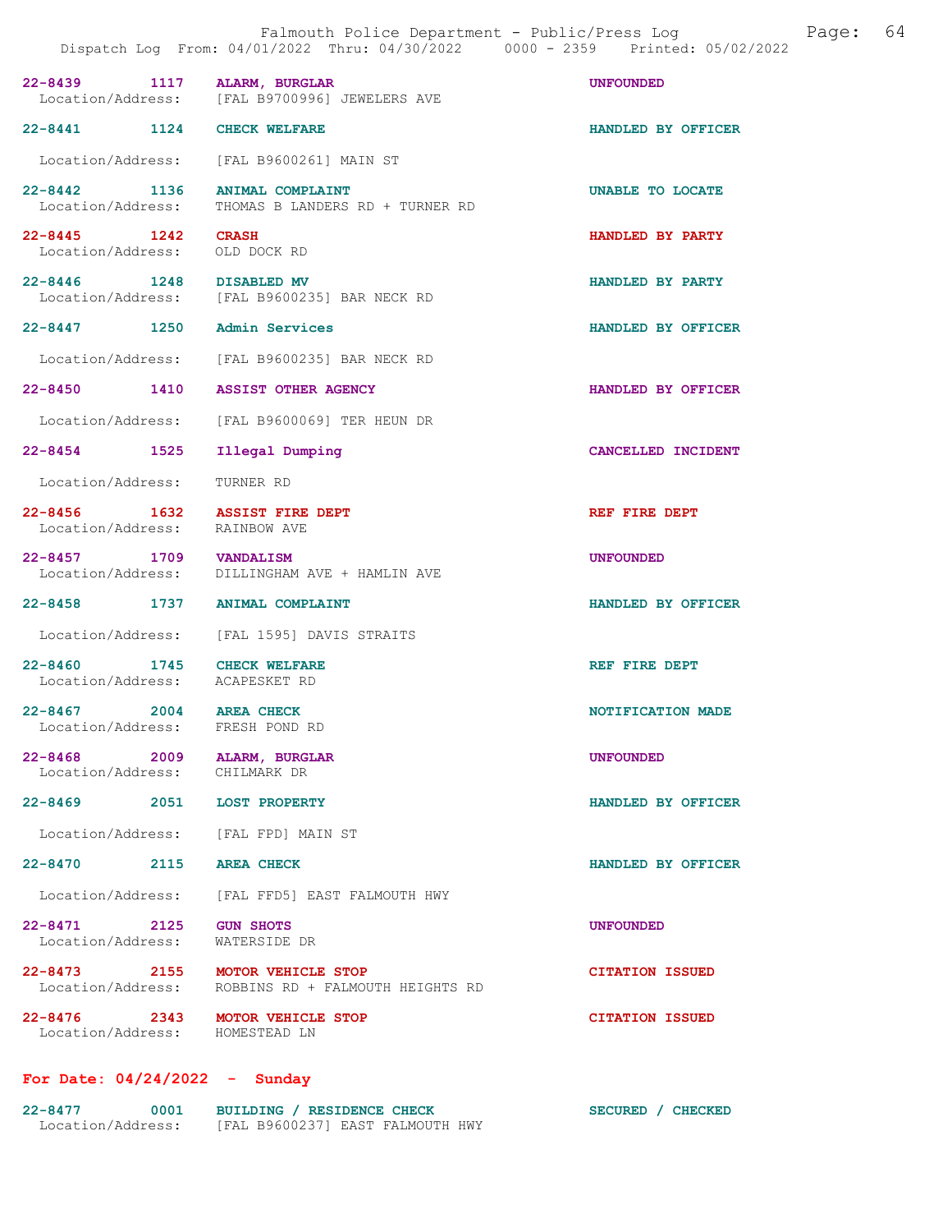|                                                              | Falmouth Police Department - Public/Press Log<br>Dispatch Log From: 04/01/2022 Thru: 04/30/2022 0000 - 2359 Printed: 05/02/2022 | Page: 64                |
|--------------------------------------------------------------|---------------------------------------------------------------------------------------------------------------------------------|-------------------------|
|                                                              | 22-8439 1117 ALARM, BURGLAR<br>Location/Address: [FAL B9700996] JEWELERS AVE                                                    | <b>UNFOUNDED</b>        |
| 22-8441 1124 CHECK WELFARE                                   |                                                                                                                                 | HANDLED BY OFFICER      |
|                                                              | Location/Address: [FAL B9600261] MAIN ST                                                                                        |                         |
| 22-8442 1136<br>Location/Address:                            | <b>ANIMAL COMPLAINT</b><br>THOMAS B LANDERS RD + TURNER RD                                                                      | <b>UNABLE TO LOCATE</b> |
| 22-8445 1242 CRASH<br>Location/Address: OLD DOCK RD          |                                                                                                                                 | HANDLED BY PARTY        |
| 22-8446 1248 DISABLED MV                                     | Location/Address: [FAL B9600235] BAR NECK RD                                                                                    | HANDLED BY PARTY        |
| 22-8447 1250 Admin Services                                  |                                                                                                                                 | HANDLED BY OFFICER      |
|                                                              | Location/Address: [FAL B9600235] BAR NECK RD                                                                                    |                         |
|                                                              | 22-8450 1410 ASSIST OTHER AGENCY                                                                                                | HANDLED BY OFFICER      |
|                                                              | Location/Address: [FAL B9600069] TER HEUN DR                                                                                    |                         |
| 22-8454 1525                                                 | Illegal Dumping                                                                                                                 | CANCELLED INCIDENT      |
| Location/Address:                                            | TURNER RD                                                                                                                       |                         |
| Location/Address: RAINBOW AVE                                | 22-8456 1632 ASSIST FIRE DEPT                                                                                                   | REF FIRE DEPT           |
| 22-8457 1709 VANDALISM                                       | Location/Address: DILLINGHAM AVE + HAMLIN AVE                                                                                   | <b>UNFOUNDED</b>        |
|                                                              | 22-8458 1737 ANIMAL COMPLAINT                                                                                                   | HANDLED BY OFFICER      |
|                                                              | Location/Address: [FAL 1595] DAVIS STRAITS                                                                                      |                         |
| 22-8460 1745 CHECK WELFARE<br>Location/Address: ACAPESKET RD |                                                                                                                                 | REF FIRE DEPT           |
| $22 - 8467$<br>Location/Address:                             | 2004 AREA CHECK<br>FRESH POND RD                                                                                                | NOTIFICATION MADE       |
| 22-8468 2009 ALARM, BURGLAR<br>Location/Address:             | CHILMARK DR                                                                                                                     | <b>UNFOUNDED</b>        |
| 22-8469 2051 LOST PROPERTY                                   |                                                                                                                                 | HANDLED BY OFFICER      |
|                                                              | Location/Address: [FAL FPD] MAIN ST                                                                                             |                         |
| 22-8470 2115 AREA CHECK                                      |                                                                                                                                 | HANDLED BY OFFICER      |
| Location/Address:                                            | [FAL FFD5] EAST FALMOUTH HWY                                                                                                    |                         |
| 22-8471 2125<br>Location/Address:                            | <b>GUN SHOTS</b><br>WATERSIDE DR                                                                                                | <b>UNFOUNDED</b>        |
|                                                              | 22-8473 2155 MOTOR VEHICLE STOP<br>Location/Address: ROBBINS RD + FALMOUTH HEIGHTS RD                                           | <b>CITATION ISSUED</b>  |

22-8476 2343 MOTOR VEHICLE STOP CITATION ISSUED Location/Address: HOMESTEAD LN

## For Date: 04/24/2022 - Sunday

| 22-8477           | 0001 | BUILDING / RESIDENCE CHECK       | SECURED / CHECKED |
|-------------------|------|----------------------------------|-------------------|
| Location/Address: |      | [FAL B9600237] EAST FALMOUTH HWY |                   |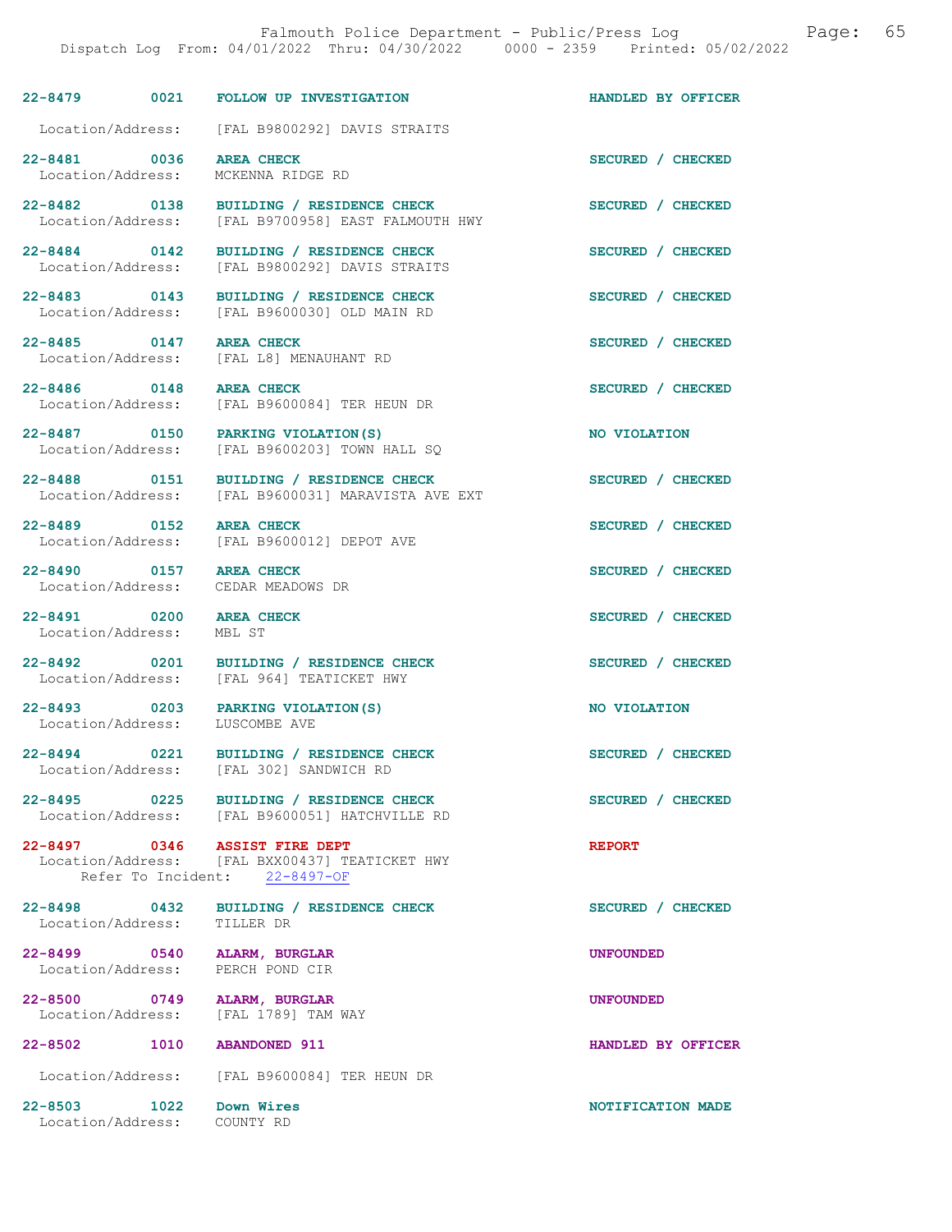22-8479 0021 FOLLOW UP INVESTIGATION HANDLED BY OFFICER Location/Address: [FAL B9800292] DAVIS STRAITS 22-8481 0036 AREA CHECK SECURED / CHECKED Location/Address: MCKENNA RIDGE RD 22-8482 0138 BUILDING / RESIDENCE CHECK<br>
Location/Address: [FAL B9700958] EAST FALMOUTH HWY [FAL B9700958] EAST FALMOUTH HWY 22-8484 0142 BUILDING / RESIDENCE CHECK SECURED / CHECKED<br>
Location/Address: [FAL B9800292] DAVIS STRAITS [FAL B9800292] DAVIS STRAITS 22-8483 0143 BUILDING / RESIDENCE CHECK SECURED / CHECKED Location/Address: [FAL B9600030] OLD MAIN RD 22-8485 0147 AREA CHECK SECURED / CHECKED Location/Address: [FAL L8] MENAUHANT RD Location/Address: [FAL L8] MENAUHANT RD 22-8486 0148 AREA CHECK SECURED / CHECKED Location/Address: [FAL B9600084] TER HEUN DR 22-8487 0150 PARKING VIOLATION(S) NO VIOLATION<br>
Location/Address: [FAL B9600203] TOWN HALL SQ [FAL B9600203] TOWN HALL SQ 22-8488 0151 BUILDING / RESIDENCE CHECK<br>
Location/Address: [FAL B9600031] MARAVISTA AVE EXT [FAL B9600031] MARAVISTA AVE EXT 22-8489 0152 AREA CHECK SECURED / CHECKED Location/Address: [FAL B9600012] DEPOT AVE 22-8490 0157 AREA CHECK SECURED / CHECKED Location/Address: CEDAR MEADOWS DR 22-8491 0200 AREA CHECK SECURED / CHECKED Location/Address: MBL ST 22-8492 0201 BUILDING / RESIDENCE CHECK SECURED / CHECKED Location/Address: [FAL 964] TEATICKET HWY [FAL 964] TEATICKET HWY 22-8493 0203 PARKING VIOLATION(S) NO VIOLATION<br>
Location/Address: LUSCOMBE AVE Location/Address: 22-8494 0221 BUILDING / RESIDENCE CHECK SECURED / CHECKED Location/Address: [FAL 302] SANDWICH RD [FAL 302] SANDWICH RD 22-8495 0225 BUILDING / RESIDENCE CHECK SECURED / CHECKED Location/Address: [FAL B9600051] HATCHVILLE RD 22-8497 0346 ASSIST FIRE DEPT **REPORT**  Location/Address: [FAL BXX00437] TEATICKET HWY Refer To Incident: 22-8497-OF 22-8498 0432 BUILDING / RESIDENCE CHECK SECURED / CHECKED Location/Address: TILLER DR Location/Address: 22-8499 0540 ALARM, BURGLAR UNE CONSUMED UNFOUNDED<br>
Location/Address: PERCH POND CIR Location/Address: 22-8500 0749 ALARM, BURGLAR UNFOUNDED Location/Address: [FAL 1789] TAM WAY 22-8502 1010 ABANDONED 911 HANDLED BY OFFICER Location/Address: [FAL B9600084] TER HEUN DR 22-8503 1022 Down Wires NOTIFICATION MADE Location/Address: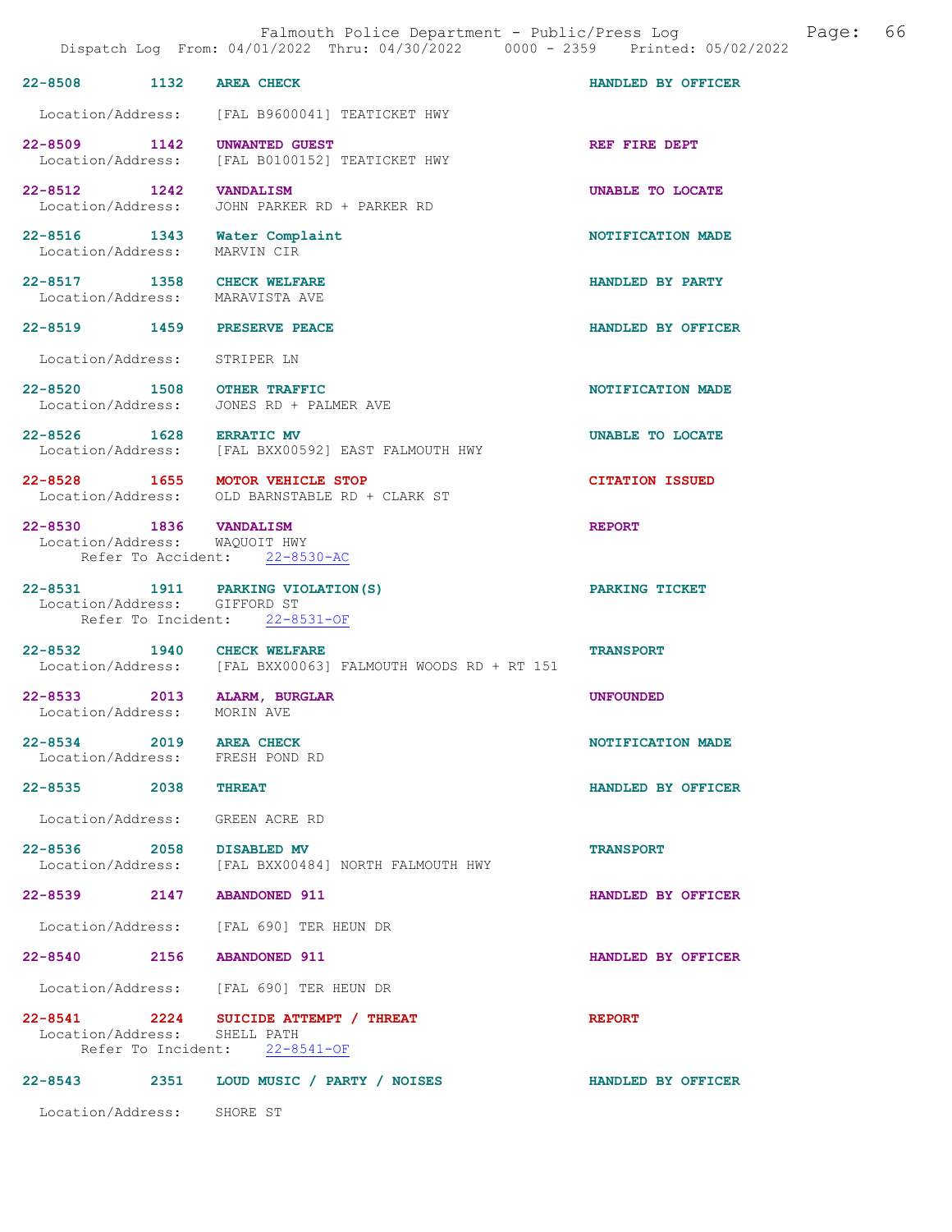| Falmouth Police Department - Public/Press Log<br>Page:<br>Dispatch Log From: 04/01/2022 Thru: 04/30/2022 0000 - 2359 Printed: 05/02/2022 |                                                                                   |                        |  |  |
|------------------------------------------------------------------------------------------------------------------------------------------|-----------------------------------------------------------------------------------|------------------------|--|--|
| 22-8508 1132                                                                                                                             | <b>AREA CHECK</b>                                                                 | HANDLED BY OFFICER     |  |  |
| Location/Address:                                                                                                                        | [FAL B9600041] TEATICKET HWY                                                      |                        |  |  |
| 22-8509 1142<br>Location/Address:                                                                                                        | <b>UNWANTED GUEST</b><br>[FAL B0100152] TEATICKET HWY                             | REF FIRE DEPT          |  |  |
| 22-8512 1242<br>Location/Address:                                                                                                        | <b>VANDALISM</b><br>JOHN PARKER RD + PARKER RD                                    | UNABLE TO LOCATE       |  |  |
| 22-8516 1343<br>Location/Address:                                                                                                        | Water Complaint<br>MARVIN CIR                                                     | NOTIFICATION MADE      |  |  |
| 22-8517 1358 CHECK WELFARE<br>Location/Address: MARAVISTA AVE                                                                            |                                                                                   | HANDLED BY PARTY       |  |  |
| 22-8519 1459 PRESERVE PEACE                                                                                                              |                                                                                   | HANDLED BY OFFICER     |  |  |
| Location/Address:                                                                                                                        | STRIPER LN                                                                        |                        |  |  |
| 22-8520 1508 OTHER TRAFFIC<br>Location/Address:                                                                                          | JONES RD + PALMER AVE                                                             | NOTIFICATION MADE      |  |  |
| 22-8526 1628 ERRATIC MV                                                                                                                  | Location/Address: [FAL BXX00592] EAST FALMOUTH HWY                                | UNABLE TO LOCATE       |  |  |
| 22-8528 1655 MOTOR VEHICLE STOP                                                                                                          | Location/Address: OLD BARNSTABLE RD + CLARK ST                                    | <b>CITATION ISSUED</b> |  |  |
| 22-8530 1836 VANDALISM<br>Location/Address: WAQUOIT HWY<br>Refer To Accident:                                                            | $22 - 8530 - AC$                                                                  | <b>REPORT</b>          |  |  |
| 22-8531 1911 PARKING VIOLATION (S)<br>Location/Address: GIFFORD ST                                                                       | Refer To Incident: 22-8531-OF                                                     | PARKING TICKET         |  |  |
| $22 - 8532$                                                                                                                              | 1940 CHECK WELFARE<br>Location/Address: [FAL BXX00063] FALMOUTH WOODS RD + RT 151 | <b>TRANSPORT</b>       |  |  |
| 22-8533 2013 ALARM, BURGLAR<br>Location/Address:                                                                                         | MORIN AVE                                                                         | <b>UNFOUNDED</b>       |  |  |
| 22-8534 2019 AREA CHECK<br>Location/Address: FRESH POND RD                                                                               |                                                                                   | NOTIFICATION MADE      |  |  |
| 22-8535 2038 THREAT                                                                                                                      |                                                                                   | HANDLED BY OFFICER     |  |  |
| Location/Address: GREEN ACRE RD                                                                                                          |                                                                                   |                        |  |  |
| 22-8536 2058 DISABLED MV                                                                                                                 | Location/Address: [FAL BXX00484] NORTH FALMOUTH HWY                               | <b>TRANSPORT</b>       |  |  |
| 22-8539 2147 ABANDONED 911                                                                                                               |                                                                                   | HANDLED BY OFFICER     |  |  |
|                                                                                                                                          | Location/Address: [FAL 690] TER HEUN DR                                           |                        |  |  |
| 22-8540 2156 ABANDONED 911                                                                                                               |                                                                                   | HANDLED BY OFFICER     |  |  |
|                                                                                                                                          | Location/Address: [FAL 690] TER HEUN DR                                           |                        |  |  |

## 22-8541 2224 SUICIDE ATTEMPT / THREAT REPORT Location/Address: SHELL PATH Refer To Incident: 22-8541-OF

# 22-8543 2351 LOUD MUSIC / PARTY / NOISES HANDLED BY OFFICER

Location/Address: SHORE ST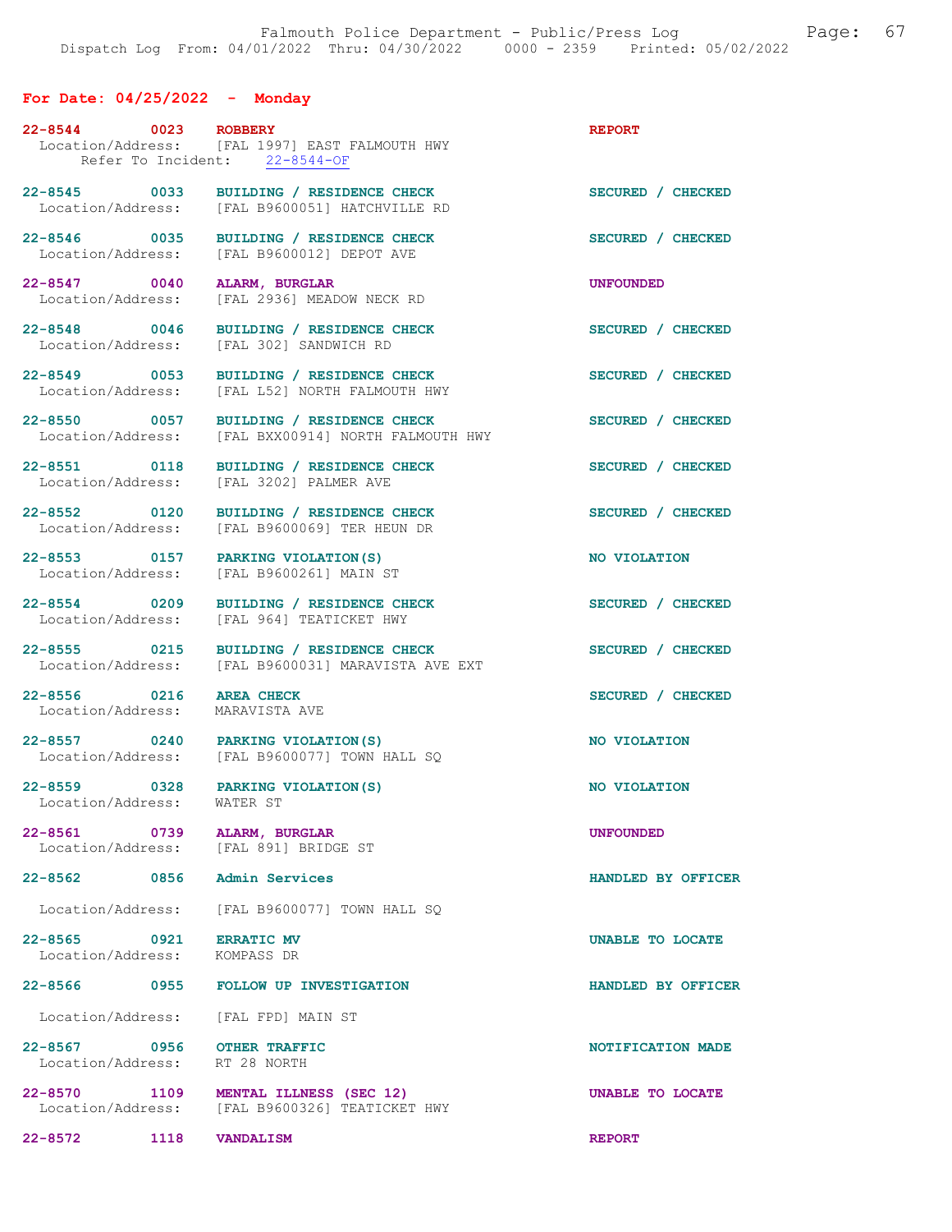## For Date: 04/25/2022 - Monday

| 22-8544 0023 ROBBERY                                                 | Location/Address: [FAL 1997] EAST FALMOUTH HWY<br>Refer To Incident: 22-8544-OF           | <b>REPORT</b>       |
|----------------------------------------------------------------------|-------------------------------------------------------------------------------------------|---------------------|
|                                                                      | 22-8545 0033 BUILDING / RESIDENCE CHECK<br>Location/Address: [FAL B9600051] HATCHVILLE RD | SECURED / CHECKED   |
| 22-8546 0035                                                         | <b>BUILDING / RESIDENCE CHECK</b><br>Location/Address: [FAL B9600012] DEPOT AVE           | SECURED / CHECKED   |
| 22-8547 0040<br>Location/Address:                                    | ALARM, BURGLAR<br>[FAL 2936] MEADOW NECK RD                                               | <b>UNFOUNDED</b>    |
| 22-8548 0046<br>Location/Address:                                    | BUILDING / RESIDENCE CHECK<br>[FAL 302] SANDWICH RD                                       | SECURED / CHECKED   |
| 22-8549 0053                                                         | BUILDING / RESIDENCE CHECK<br>Location/Address: [FAL L52] NORTH FALMOUTH HWY              | SECURED / CHECKED   |
| 22-8550 0057<br>Location/Address:                                    | BUILDING / RESIDENCE CHECK<br>[FAL BXX00914] NORTH FALMOUTH HWY                           | SECURED / CHECKED   |
| 22-8551 0118                                                         | <b>BUILDING / RESIDENCE CHECK</b><br>Location/Address: [FAL 3202] PALMER AVE              | SECURED / CHECKED   |
| 22-8552 0120<br>Location/Address:                                    | BUILDING / RESIDENCE CHECK<br>[FAL B9600069] TER HEUN DR                                  | SECURED / CHECKED   |
| 22-8553 0157 PARKING VIOLATION (S)                                   | Location/Address: [FAL B9600261] MAIN ST                                                  | NO VIOLATION        |
| 22-8554 0209<br>Location/Address:                                    | BUILDING / RESIDENCE CHECK<br>[FAL 964] TEATICKET HWY                                     | SECURED / CHECKED   |
| 22-8555 0215<br>Location/Address:                                    | BUILDING / RESIDENCE CHECK<br>[FAL B9600031] MARAVISTA AVE EXT                            | SECURED / CHECKED   |
| 22-8556 0216 AREA CHECK<br>Location/Address:                         | MARAVISTA AVE                                                                             | SECURED / CHECKED   |
| 22-8557 0240                                                         | PARKING VIOLATION(S)<br>Location/Address: [FAL B9600077] TOWN HALL SO                     | <b>NO VIOLATION</b> |
| 22-8559 0328 PARKING VIOLATION (S)<br>Location/Address:              | WATER ST                                                                                  | NO VIOLATION        |
| 22-8561 0739 ALARM, BURGLAR<br>Location/Address: [FAL 891] BRIDGE ST |                                                                                           | <b>UNFOUNDED</b>    |
| 22-8562 0856 Admin Services                                          |                                                                                           | HANDLED BY OFFICER  |
|                                                                      | Location/Address: [FAL B9600077] TOWN HALL SQ                                             |                     |
| 22-8565 0921 ERRATIC MV<br>Location/Address: KOMPASS DR              |                                                                                           | UNABLE TO LOCATE    |
|                                                                      | 22-8566 0955 FOLLOW UP INVESTIGATION                                                      | HANDLED BY OFFICER  |
| Location/Address: [FAL FPD] MAIN ST                                  |                                                                                           |                     |
| 22-8567 0956<br>Location/Address: RT 28 NORTH                        | <b>OTHER TRAFFIC</b>                                                                      | NOTIFICATION MADE   |
|                                                                      | 22-8570 1109 MENTAL ILLNESS (SEC 12)<br>Location/Address: [FAL B9600326] TEATICKET HWY    | UNABLE TO LOCATE    |
| 22-8572 1118                                                         | <b>VANDALISM</b>                                                                          | <b>REPORT</b>       |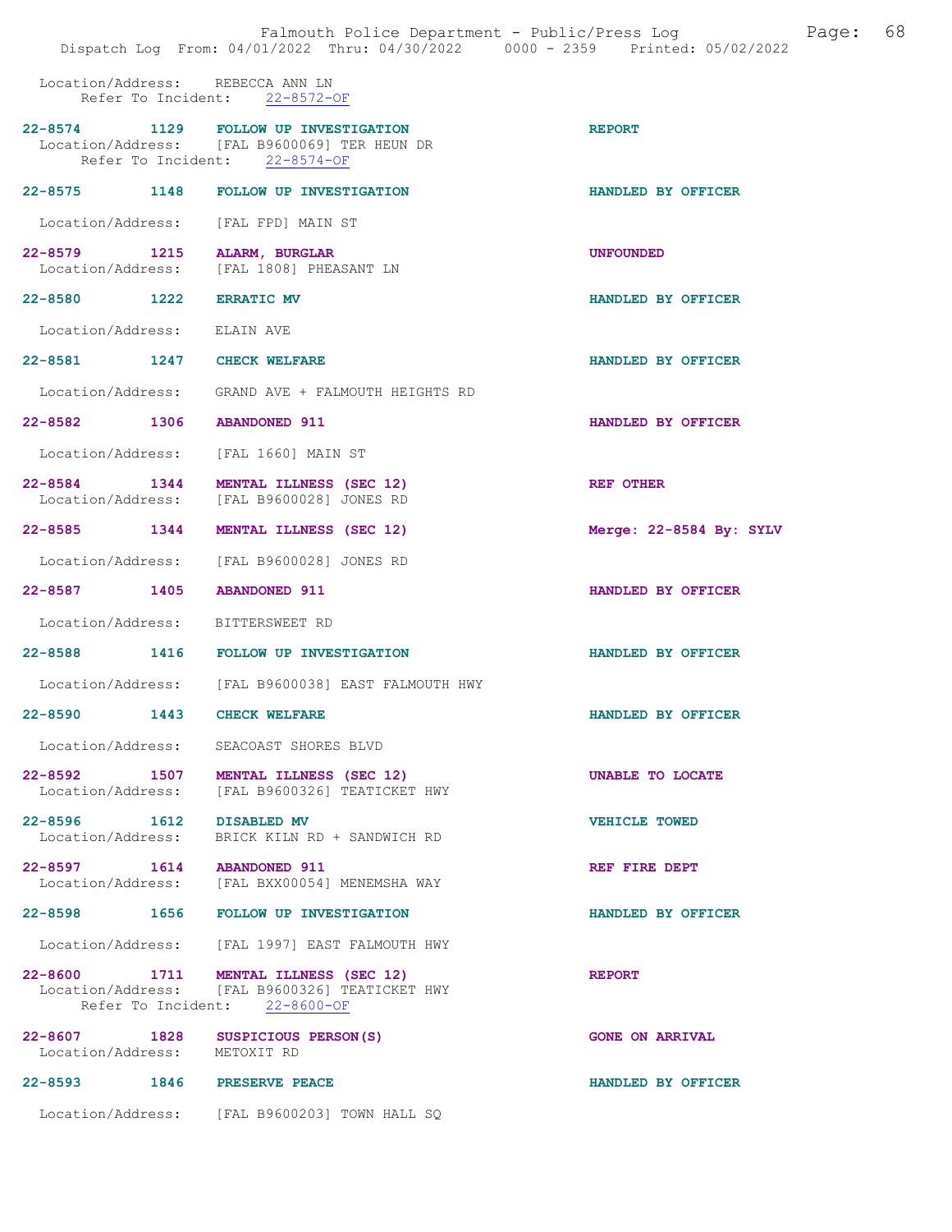Location/Address: REBECCA ANN LN Refer To Incident: 22-8572-OF

|                                               | 22-8574 1129 FOLLOW UP INVESTIGATION<br>Location/Address: [FAL B9600069] TER HEUN DR<br>Refer To Incident: 22-8574-OF | <b>REPORT</b>           |
|-----------------------------------------------|-----------------------------------------------------------------------------------------------------------------------|-------------------------|
|                                               | 22-8575 1148 FOLLOW UP INVESTIGATION                                                                                  | HANDLED BY OFFICER      |
| Location/Address: [FAL FPD] MAIN ST           |                                                                                                                       |                         |
| 22-8579 1215                                  | <b>ALARM, BURGLAR</b><br>Location/Address: [FAL 1808] PHEASANT LN                                                     | <b>UNFOUNDED</b>        |
| 22-8580 1222 ERRATIC MV                       |                                                                                                                       | HANDLED BY OFFICER      |
| Location/Address: ELAIN AVE                   |                                                                                                                       |                         |
| 22-8581 1247 CHECK WELFARE                    |                                                                                                                       | HANDLED BY OFFICER      |
|                                               | Location/Address: GRAND AVE + FALMOUTH HEIGHTS RD                                                                     |                         |
| 22-8582 1306 ABANDONED 911                    |                                                                                                                       | HANDLED BY OFFICER      |
| Location/Address: [FAL 1660] MAIN ST          |                                                                                                                       |                         |
|                                               | 22-8584 1344 MENTAL ILLNESS (SEC 12)<br>Location/Address: [FAL B9600028] JONES RD                                     | <b>REF OTHER</b>        |
|                                               | 22-8585 1344 MENTAL ILLNESS (SEC 12)                                                                                  | Merge: 22-8584 By: SYLV |
|                                               | Location/Address: [FAL B9600028] JONES RD                                                                             |                         |
| 22-8587 1405 ABANDONED 911                    |                                                                                                                       | HANDLED BY OFFICER      |
| Location/Address: BITTERSWEET RD              |                                                                                                                       |                         |
|                                               | 22-8588 1416 FOLLOW UP INVESTIGATION                                                                                  | HANDLED BY OFFICER      |
|                                               | Location/Address: [FAL B9600038] EAST FALMOUTH HWY                                                                    |                         |
| 22-8590 1443 CHECK WELFARE                    |                                                                                                                       | HANDLED BY OFFICER      |
|                                               | Location/Address: SEACOAST SHORES BLVD                                                                                |                         |
| 22-8592 1507                                  | <b>MENTAL ILLNESS (SEC 12)</b><br>Location/Address: [FAL B9600326] TEATICKET HWY                                      | UNABLE TO LOCATE        |
| 22-8596 1612 DISABLED MV<br>Location/Address: | BRICK KILN RD + SANDWICH RD                                                                                           | <b>VEHICLE TOWED</b>    |
| 22-8597 1614 ABANDONED 911                    | Location/Address: [FAL BXX00054] MENEMSHA WAY                                                                         | REF FIRE DEPT           |
|                                               | 22-8598 1656 FOLLOW UP INVESTIGATION                                                                                  | HANDLED BY OFFICER      |
|                                               | Location/Address: [FAL 1997] EAST FALMOUTH HWY                                                                        |                         |
| 22-8600 1711                                  | MENTAL ILLNESS (SEC 12)<br>Location/Address: [FAL B9600326] TEATICKET HWY<br>Refer To Incident: 22-8600-OF            | <b>REPORT</b>           |
| 22-8607 1828<br>Location/Address: METOXIT RD  | SUSPICIOUS PERSON(S)                                                                                                  | <b>GONE ON ARRIVAL</b>  |
| 22-8593 1846 PRESERVE PEACE                   |                                                                                                                       | HANDLED BY OFFICER      |
|                                               | Location/Address: [FAL B9600203] TOWN HALL SQ                                                                         |                         |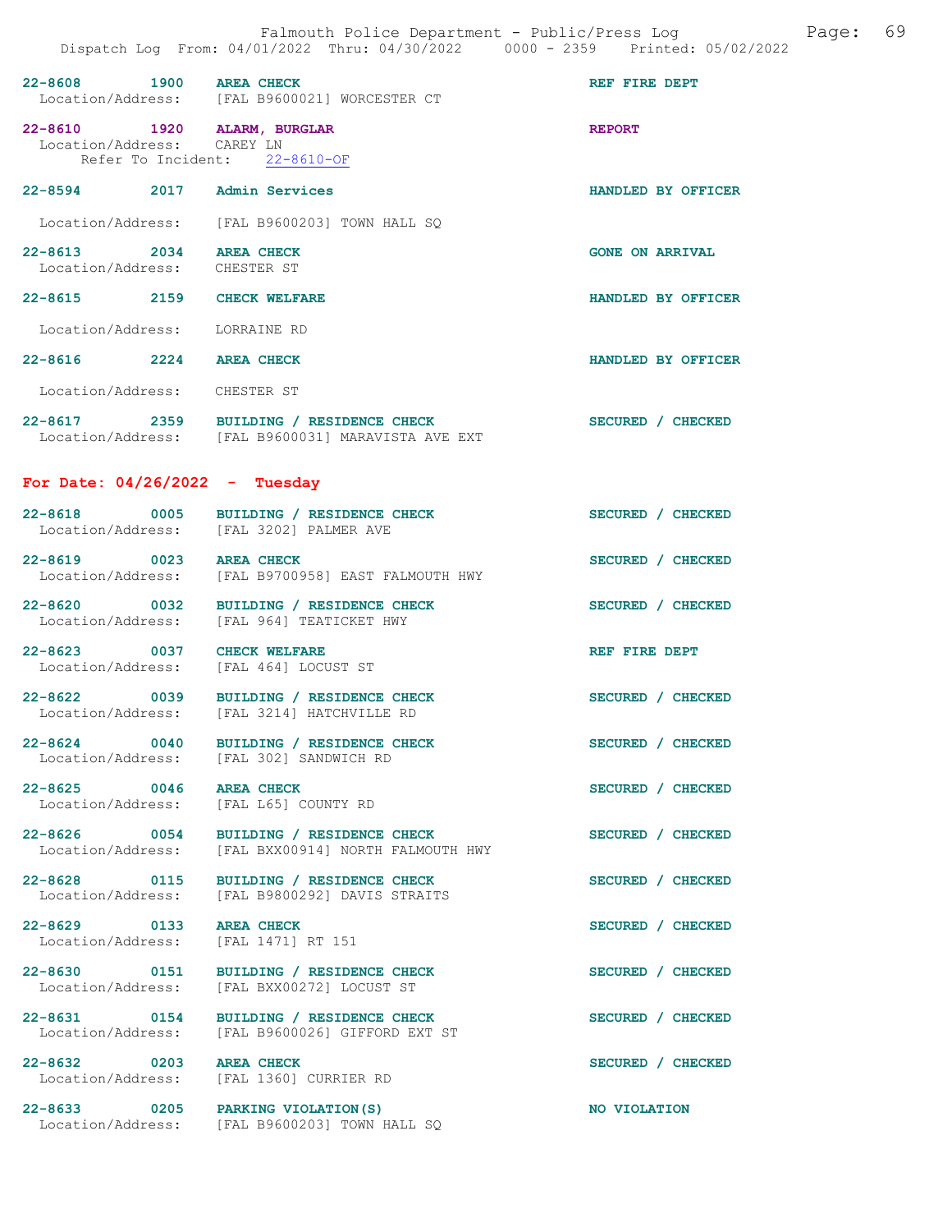|                                                                     | Falmouth Police Department - Public/Press Log<br>Dispatch Log From: 04/01/2022 Thru: 04/30/2022 0000 - 2359 Printed: 05/02/2022 | 69<br>Page:            |
|---------------------------------------------------------------------|---------------------------------------------------------------------------------------------------------------------------------|------------------------|
| 22-8608 1900 AREA CHECK                                             | Location/Address: [FAL B9600021] WORCESTER CT                                                                                   | REF FIRE DEPT          |
| 22-8610 1920 ALARM, BURGLAR<br>Location/Address: CAREY LN           | Refer To Incident: 22-8610-OF                                                                                                   | <b>REPORT</b>          |
| 22-8594 2017 Admin Services                                         |                                                                                                                                 | HANDLED BY OFFICER     |
|                                                                     | Location/Address: [FAL B9600203] TOWN HALL SQ                                                                                   |                        |
| 22-8613 2034 AREA CHECK<br>Location/Address: CHESTER ST             |                                                                                                                                 | <b>GONE ON ARRIVAL</b> |
| 22-8615 2159 CHECK WELFARE                                          |                                                                                                                                 | HANDLED BY OFFICER     |
| Location/Address: LORRAINE RD                                       |                                                                                                                                 |                        |
| 22-8616 2224 AREA CHECK                                             |                                                                                                                                 | HANDLED BY OFFICER     |
| Location/Address: CHESTER ST                                        |                                                                                                                                 |                        |
|                                                                     | 22-8617 2359 BUILDING / RESIDENCE CHECK<br>Location/Address: [FAL B9600031] MARAVISTA AVE EXT                                   | SECURED / CHECKED      |
| For Date: $04/26/2022 - Tuesday$                                    |                                                                                                                                 |                        |
|                                                                     | 22-8618 0005 BUILDING / RESIDENCE CHECK<br>Location/Address: [FAL 3202] PALMER AVE                                              | SECURED / CHECKED      |
| 22-8619 0023 AREA CHECK                                             | Location/Address: [FAL B9700958] EAST FALMOUTH HWY                                                                              | SECURED / CHECKED      |
|                                                                     | 22-8620 0032 BUILDING / RESIDENCE CHECK<br>Location/Address: [FAL 964] TEATICKET HWY                                            | SECURED / CHECKED      |
| 22-8623 0037 CHECK WELFARE<br>Location/Address: [FAL 464] LOCUST ST |                                                                                                                                 | REF FIRE DEPT          |
|                                                                     | 22-8622 0039 BUILDING / RESIDENCE CHECK<br>Location/Address: [FAL 3214] HATCHVILLE RD                                           | SECURED / CHECKED      |
|                                                                     | 22-8624 0040 BUILDING / RESIDENCE CHECK<br>Location/Address: [FAL 302] SANDWICH RD                                              | SECURED / CHECKED      |
| 22-8625 0046<br>Location/Address:                                   | <b>AREA CHECK</b><br>[FAL L65] COUNTY RD                                                                                        | SECURED / CHECKED      |
| 22-8626 0054<br>Location/Address:                                   | BUILDING / RESIDENCE CHECK<br>[FAL BXX00914] NORTH FALMOUTH HWY                                                                 | SECURED / CHECKED      |
| 22-8628 0115<br>Location/Address:                                   | BUILDING / RESIDENCE CHECK<br>[FAL B9800292] DAVIS STRAITS                                                                      | SECURED / CHECKED      |
| 22-8629 0133<br>Location/Address:                                   | <b>AREA CHECK</b><br>[FAL 1471] RT 151                                                                                          | SECURED / CHECKED      |
| Location/Address:                                                   | 22-8630 0151 BUILDING / RESIDENCE CHECK<br>[FAL BXX00272] LOCUST ST                                                             | SECURED / CHECKED      |
| 22-8631 0154<br>Location/Address:                                   | BUILDING / RESIDENCE CHECK<br>[FAL B9600026] GIFFORD EXT ST                                                                     | SECURED / CHECKED      |
| 22-8632 0203<br>Location/Address:                                   | <b>AREA CHECK</b><br>[FAL 1360] CURRIER RD                                                                                      | SECURED / CHECKED      |
| 22-8633 0205 PARKING VIOLATION (S)                                  | Location/Address: [FAL B9600203] TOWN HALL SQ                                                                                   | NO VIOLATION           |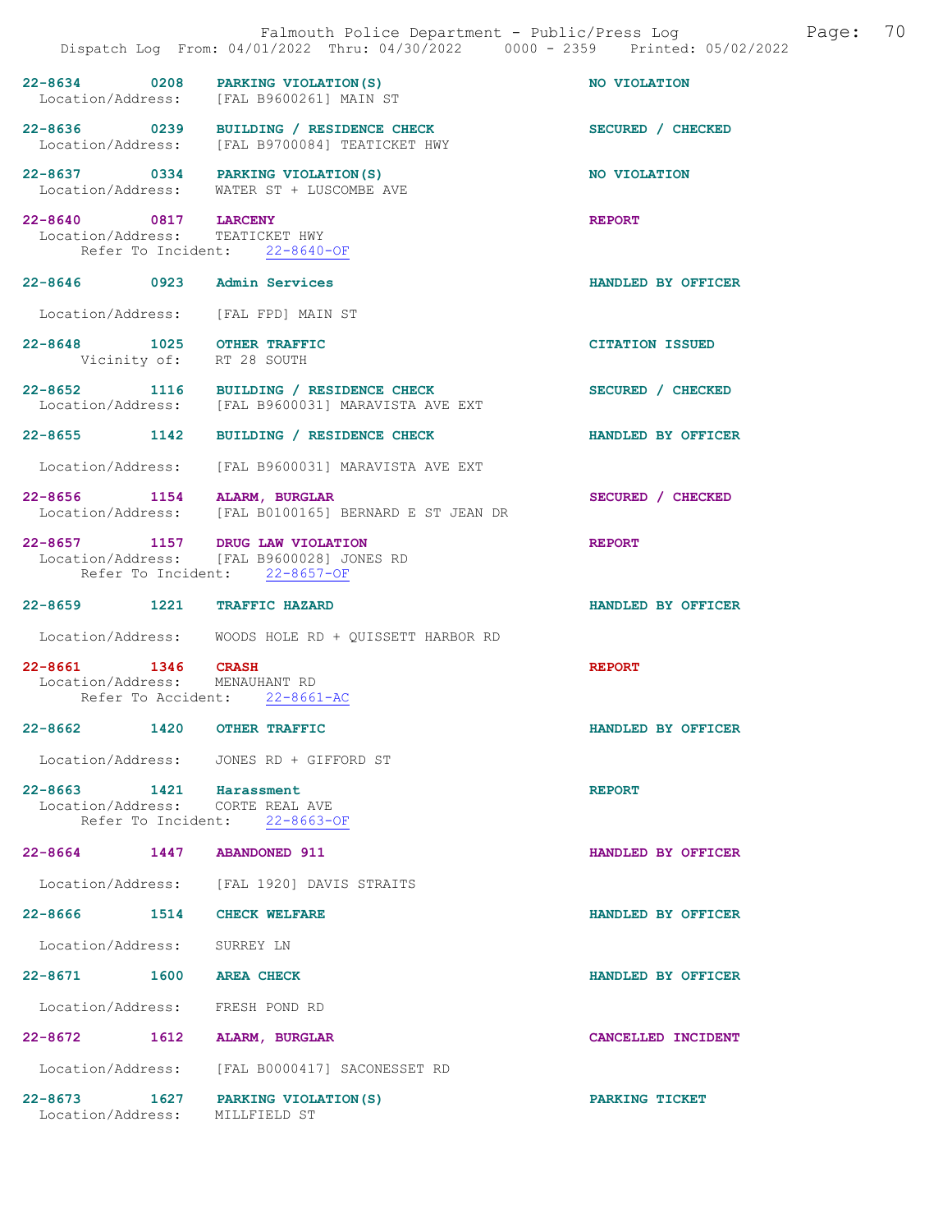|                                                                            | Falmouth Police Department - Public/Press Log<br>Dispatch Log From: 04/01/2022 Thru: 04/30/2022 0000 - 2359 Printed: 05/02/2022 |                        | Page: | 70 |
|----------------------------------------------------------------------------|---------------------------------------------------------------------------------------------------------------------------------|------------------------|-------|----|
| 22-8634 0208                                                               | PARKING VIOLATION (S)<br>Location/Address: [FAL B9600261] MAIN ST                                                               | NO VIOLATION           |       |    |
|                                                                            | 22-8636 0239 BUILDING / RESIDENCE CHECK<br>Location/Address: [FAL B9700084] TEATICKET HWY                                       | SECURED / CHECKED      |       |    |
|                                                                            | 22-8637 0334 PARKING VIOLATION(S)<br>Location/Address: WATER ST + LUSCOMBE AVE                                                  | NO VIOLATION           |       |    |
| 22-8640 0817 LARCENY<br>Location/Address: TEATICKET HWY                    | Refer To Incident: 22-8640-OF                                                                                                   | <b>REPORT</b>          |       |    |
| 22-8646 0923 Admin Services                                                |                                                                                                                                 | HANDLED BY OFFICER     |       |    |
|                                                                            | Location/Address: [FAL FPD] MAIN ST                                                                                             |                        |       |    |
| 22-8648 1025 OTHER TRAFFIC                                                 | Vicinity of: RT 28 SOUTH                                                                                                        | <b>CITATION ISSUED</b> |       |    |
|                                                                            | 22-8652 1116 BUILDING / RESIDENCE CHECK<br>Location/Address: [FAL B9600031] MARAVISTA AVE EXT                                   | SECURED / CHECKED      |       |    |
| 22-8655 1142                                                               | BUILDING / RESIDENCE CHECK                                                                                                      | HANDLED BY OFFICER     |       |    |
|                                                                            | Location/Address: [FAL B9600031] MARAVISTA AVE EXT                                                                              |                        |       |    |
| 22-8656 1154 ALARM, BURGLAR                                                | Location/Address: [FAL B0100165] BERNARD E ST JEAN DR                                                                           | SECURED / CHECKED      |       |    |
|                                                                            | 22-8657 1157 DRUG LAW VIOLATION<br>Location/Address: [FAL B9600028] JONES RD<br>Refer To Incident: 22-8657-OF                   | <b>REPORT</b>          |       |    |
| 22-8659 1221 TRAFFIC HAZARD                                                |                                                                                                                                 | HANDLED BY OFFICER     |       |    |
|                                                                            | Location/Address: WOODS HOLE RD + QUISSETT HARBOR RD                                                                            |                        |       |    |
| 22-8661 1346 CRASH<br>Location/Address: MENAUHANT RD<br>Refer To Accident: | $22 - 8661 - AC$                                                                                                                | <b>REPORT</b>          |       |    |
| 22-8662 1420 OTHER TRAFFIC                                                 |                                                                                                                                 | HANDLED BY OFFICER     |       |    |
|                                                                            | Location/Address: JONES RD + GIFFORD ST                                                                                         |                        |       |    |
| 22-8663 1421 Harassment                                                    | Location/Address: CORTE REAL AVE<br>Refer To Incident: 22-8663-OF                                                               | <b>REPORT</b>          |       |    |
| 22-8664 1447 ABANDONED 911                                                 |                                                                                                                                 | HANDLED BY OFFICER     |       |    |
|                                                                            | Location/Address: [FAL 1920] DAVIS STRAITS                                                                                      |                        |       |    |
| 22-8666 1514 CHECK WELFARE                                                 |                                                                                                                                 | HANDLED BY OFFICER     |       |    |
| Location/Address: SURREY LN                                                |                                                                                                                                 |                        |       |    |
| 22-8671 1600 AREA CHECK                                                    |                                                                                                                                 | HANDLED BY OFFICER     |       |    |
| Location/Address: FRESH POND RD                                            |                                                                                                                                 |                        |       |    |
| 22-8672 1612 ALARM, BURGLAR                                                |                                                                                                                                 | CANCELLED INCIDENT     |       |    |
|                                                                            | Location/Address: [FAL B0000417] SACONESSET RD                                                                                  |                        |       |    |
| Location/Address: MILLFIELD ST                                             | 22-8673 1627 PARKING VIOLATION (S)                                                                                              | PARKING TICKET         |       |    |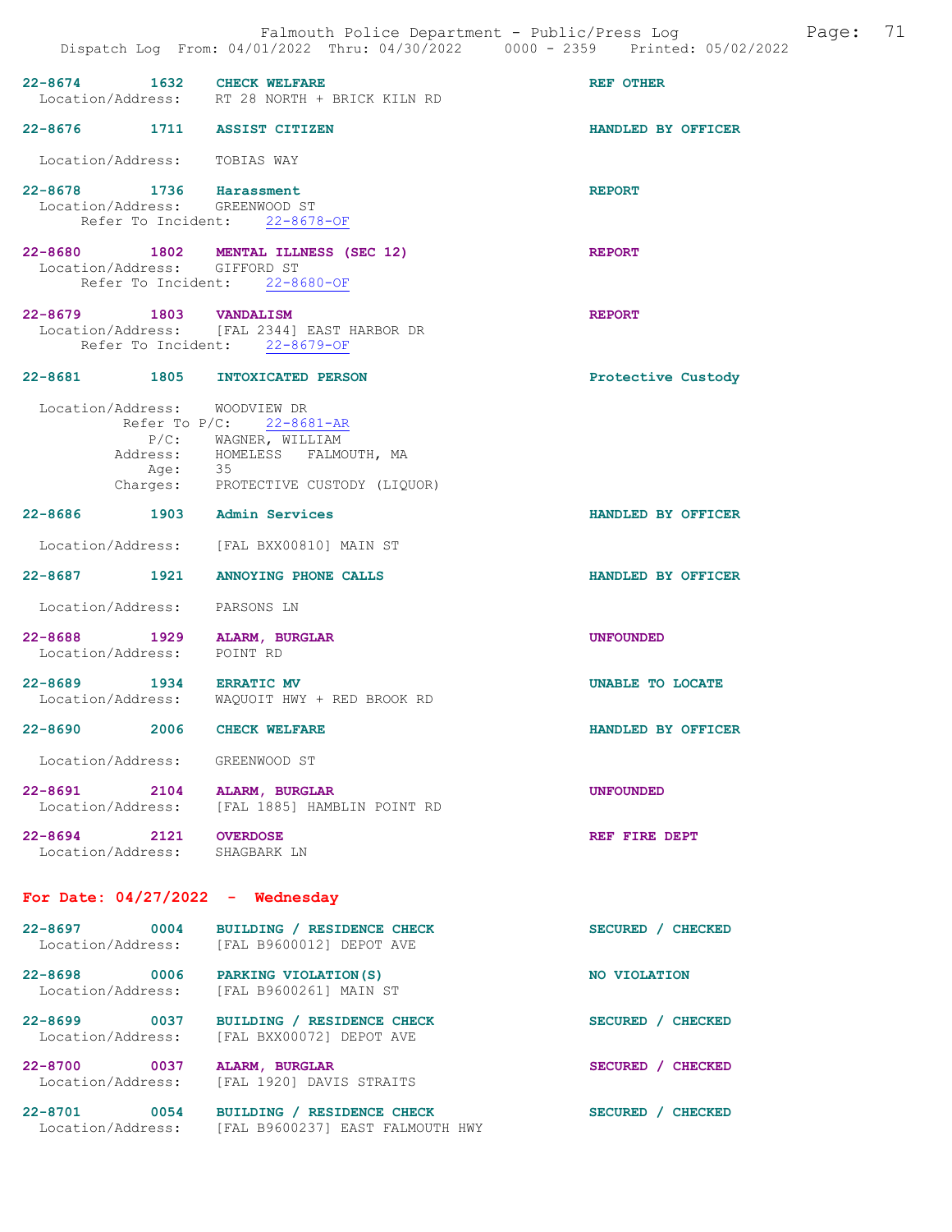|                                                           |      | Falmouth Police Department - Public/Press Log<br>Dispatch Log From: 04/01/2022 Thru: 04/30/2022 0000 - 2359 Printed: 05/02/2022          |                    | Page: | 71 |
|-----------------------------------------------------------|------|------------------------------------------------------------------------------------------------------------------------------------------|--------------------|-------|----|
| 22-8674 1632 CHECK WELFARE                                |      | Location/Address: RT 28 NORTH + BRICK KILN RD                                                                                            | <b>REF OTHER</b>   |       |    |
|                                                           |      | 22-8676 1711 ASSIST CITIZEN                                                                                                              | HANDLED BY OFFICER |       |    |
| Location/Address: TOBIAS WAY                              |      |                                                                                                                                          |                    |       |    |
| 22-8678 1736 Harassment<br>Location/Address: GREENWOOD ST |      | Refer To Incident: 22-8678-OF                                                                                                            | <b>REPORT</b>      |       |    |
| Location/Address: GIFFORD ST                              |      | 22-8680 1802 MENTAL ILLNESS (SEC 12)<br>Refer To Incident: 22-8680-OF                                                                    | <b>REPORT</b>      |       |    |
| 22-8679 1803 VANDALISM                                    |      | Location/Address: [FAL 2344] EAST HARBOR DR<br>Refer To Incident: 22-8679-OF                                                             | <b>REPORT</b>      |       |    |
|                                                           |      | 22-8681 1805 INTOXICATED PERSON                                                                                                          | Protective Custody |       |    |
| Location/Address: WOODVIEW DR                             |      | Refer To $P/C$ : 22-8681-AR<br>P/C: WAGNER, WILLIAM<br>Address: HOMELESS FALMOUTH, MA<br>Age: 35<br>Charges: PROTECTIVE CUSTODY (LIQUOR) |                    |       |    |
|                                                           |      | 22-8686 1903 Admin Services                                                                                                              | HANDLED BY OFFICER |       |    |
|                                                           |      | Location/Address: [FAL BXX00810] MAIN ST                                                                                                 |                    |       |    |
|                                                           |      | 22-8687 1921 ANNOYING PHONE CALLS                                                                                                        | HANDLED BY OFFICER |       |    |
| Location/Address: PARSONS LN                              |      |                                                                                                                                          |                    |       |    |
| Location/Address: POINT RD                                |      | 22-8688 1929 ALARM, BURGLAR                                                                                                              | <b>UNFOUNDED</b>   |       |    |
| 22-8689 1934 ERRATIC MV                                   |      | Location/Address: WAQUOIT HWY + RED BROOK RD                                                                                             | UNABLE TO LOCATE   |       |    |
| $22 - 8690$                                               | 2006 | <b>CHECK WELFARE</b>                                                                                                                     | HANDLED BY OFFICER |       |    |
| Location/Address: GREENWOOD ST                            |      |                                                                                                                                          |                    |       |    |
|                                                           |      | 22-8691 2104 ALARM, BURGLAR<br>Location/Address: IFAL 18851 HAMBLIN POINT RD                                                             | <b>UNFOUNDED</b>   |       |    |
| 22-8694 2121 OVERDOSE<br>Location/Address: SHAGBARK LN    |      |                                                                                                                                          | REF FIRE DEPT      |       |    |
|                                                           |      | For Date: $04/27/2022 -$ Wednesday                                                                                                       |                    |       |    |
|                                                           |      | 22-8697 0004 BUILDING / RESIDENCE CHECK<br>Location/Address: [FAL B9600012] DEPOT AVE                                                    | SECURED / CHECKED  |       |    |
|                                                           |      | 22-8698 0006 PARKING VIOLATION (S)<br>Location/Address: [FAL B9600261] MAIN ST                                                           | NO VIOLATION       |       |    |
| Location/Address:                                         |      | 22-8699 0037 BUILDING / RESIDENCE CHECK<br>[FAL BXX00072] DEPOT AVE                                                                      | SECURED / CHECKED  |       |    |
| Location/Address:                                         |      | 22-8700 0037 ALARM, BURGLAR<br>[FAL 1920] DAVIS STRAITS                                                                                  | SECURED / CHECKED  |       |    |
|                                                           |      | 22-8701 0054 BUILDING / RESIDENCE CHECK<br>Location/Address: [FAL B9600237] EAST FALMOUTH HWY                                            | SECURED / CHECKED  |       |    |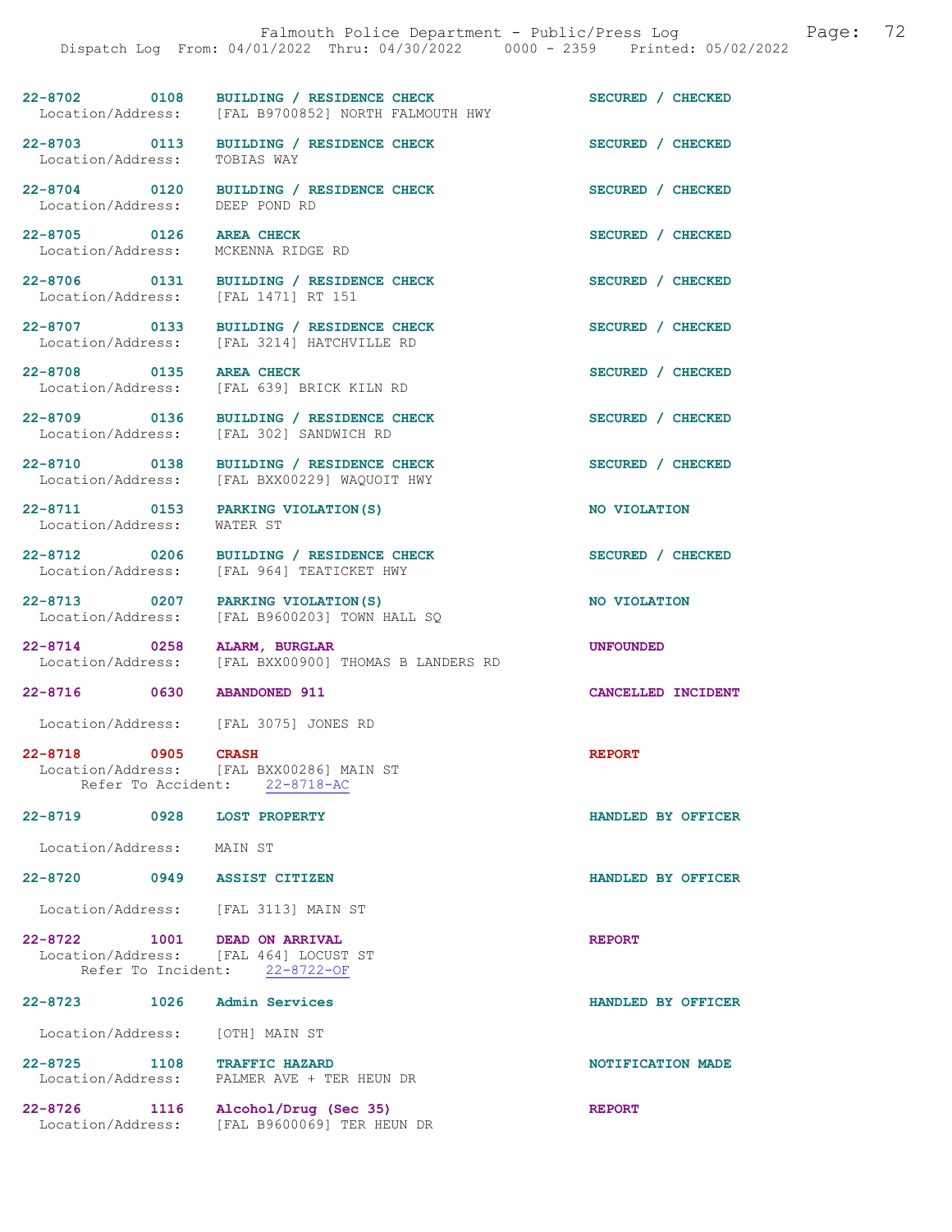22-8702 0108 BUILDING / RESIDENCE CHECK SECURED / CHECKED Location/Address: [FAL B9700852] NORTH FALMOUTH HWY

Location/Address: TOBIAS WAY

22-8704 0120 BUILDING / RESIDENCE CHECK SECURED / CHECKED Location/Address: DEEP POND RD Location/Address:

22-8705 0126 AREA CHECK SECURED / CHECKED Location/Address: MCKENNA RIDGE RD

22-8706 0131 BUILDING / RESIDENCE CHECK SECURED / CHECKED Location/Address: [FAL 1471] RT 151

22-8707 0133 BUILDING / RESIDENCE CHECK SECURED / CHECKED Location/Address: [FAL 3214] HATCHVILLE RD

22-8708 0135 AREA CHECK SECURED / CHECKED<br>
Location/Address: [FAL 639] BRICK KILN RD

Location/Address: [FAL 302] SANDWICH RD

22-8710 0138 BUILDING / RESIDENCE CHECK SECURED / CHECKED

22-8711 0153 PARKING VIOLATION(S) NO VIOLATION Location/Address: WATER ST

 Location/Address: [FAL 639] BRICK KILN RD 22-8709 0136 BUILDING / RESIDENCE CHECK SECURED / CHECKED

[FAL 3214] HATCHVILLE RD

Location/Address: [FAL BXX00229] WAQUOIT HWY

22-8712 0206 BUILDING / RESIDENCE CHECK SECURED / CHECKED Location/Address: [FAL 964] TEATICKET HWY [FAL 964] TEATICKET HWY

22-8713 0207 PARKING VIOLATION(S) NO VIOLATION<br>
Location/Address: [FAL B9600203] TOWN HALL SO [FAL B9600203] TOWN HALL SQ

22-8714 0258 ALARM, BURGLAR<br>Location/Address: [FAL BXX00900] THOMAS B LANDERS RD [FAL BXX00900] THOMAS B LANDERS RD

22-8716 0630 ABANDONED 911 CANCELLED INCIDENT

Location/Address: [FAL 3075] JONES RD

22-8718 0905 CRASH REPORT Location/Address: [FAL BXX00286] MAIN ST<br>Refer To Accident: 22-8718-AC Refer To Accident:

22-8719 0928 LOST PROPERTY HANDLED BY OFFICER

Location/Address: MAIN ST

22-8720 0949 ASSIST CITIZEN HANDLED BY OFFICER

Location/Address: [FAL 3113] MAIN ST

22-8722 1001 DEAD ON ARRIVAL REPORT Location/Address: [FAL 464] LOCUST ST Refer To Incident: 22-8722-OF

| $22 - 8723$       | 1026 | Admin Services |  |
|-------------------|------|----------------|--|
| Location/Address: |      | TOTHI MAIN ST  |  |

22-8725 1108 TRAFFIC HAZARD<br>
Location/Address: PALMER AVE + TER HEUN DR PALMER AVE + TER HEUN DR

22-8726 1116 Alcohol/Drug (Sec 35) REPORT Location/Address: [FAL B9600069] TER HEUN DR

22-8703 0113 BUILDING / RESIDENCE CHECK SECURED / CHECKED

22-8723 1026 Admin Services HANDLED BY OFFICER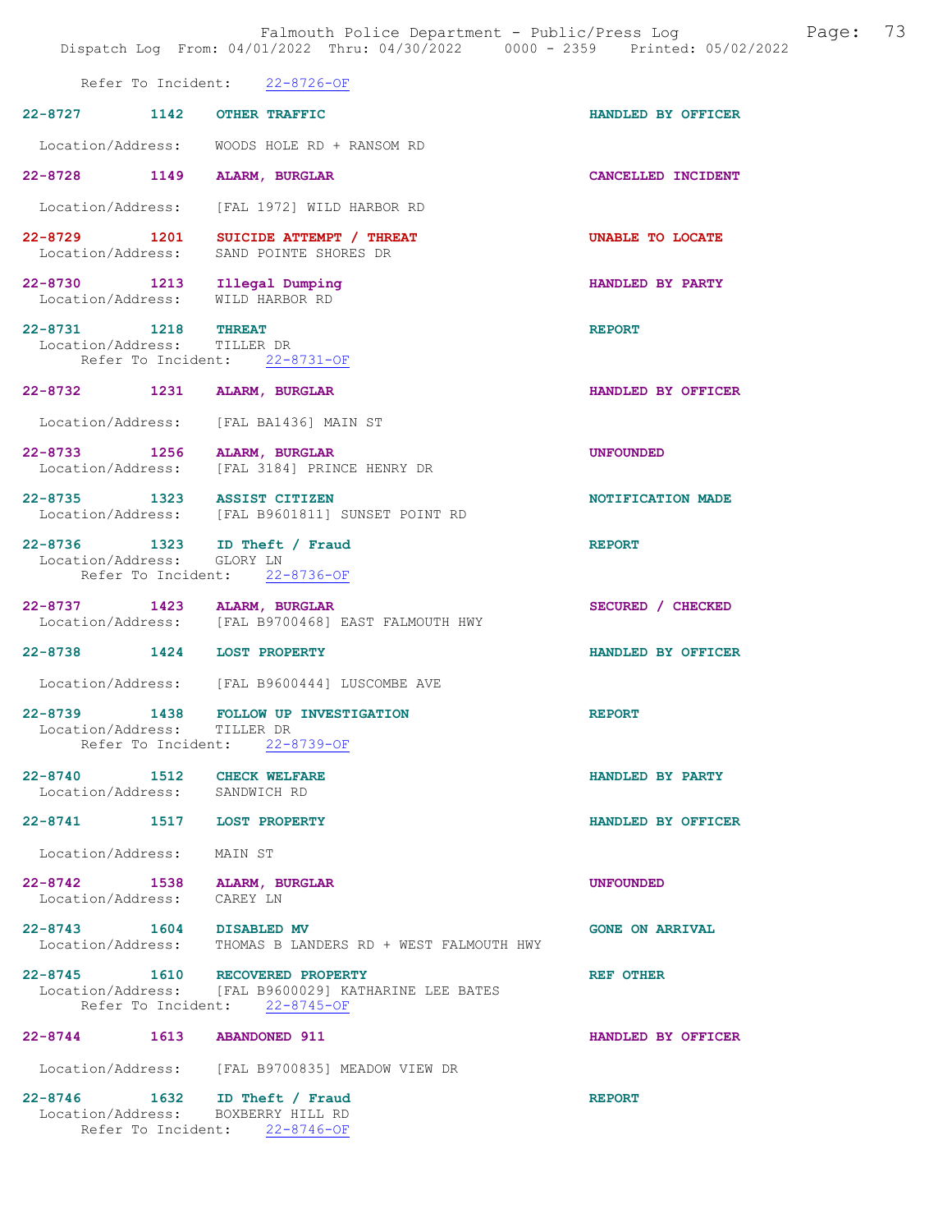|                                                                     | Refer To Incident: 22-8726-OF |                                                                                           |                        |
|---------------------------------------------------------------------|-------------------------------|-------------------------------------------------------------------------------------------|------------------------|
| 22-8727 1142 OTHER TRAFFIC                                          |                               |                                                                                           | HANDLED BY OFFICER     |
|                                                                     |                               | Location/Address: WOODS HOLE RD + RANSOM RD                                               |                        |
| 22-8728 1149 ALARM, BURGLAR                                         |                               |                                                                                           | CANCELLED INCIDENT     |
|                                                                     |                               | Location/Address: [FAL 1972] WILD HARBOR RD                                               |                        |
|                                                                     |                               | 22-8729 1201 SUICIDE ATTEMPT / THREAT<br>Location/Address: SAND POINTE SHORES DR          | UNABLE TO LOCATE       |
| 22-8730 1213 Illegal Dumping<br>Location/Address:                   |                               | WILD HARBOR RD                                                                            | HANDLED BY PARTY       |
| 22-8731 1218 THREAT<br>Location/Address: TILLER DR                  | Refer To Incident: 22-8731-OF |                                                                                           | <b>REPORT</b>          |
| 22-8732 1231 ALARM, BURGLAR                                         |                               |                                                                                           | HANDLED BY OFFICER     |
| Location/Address: [FAL BA1436] MAIN ST                              |                               |                                                                                           |                        |
|                                                                     |                               | 22-8733 1256 ALARM, BURGLAR<br>Location/Address: [FAL 3184] PRINCE HENRY DR               | <b>UNFOUNDED</b>       |
| 22-8735 1323 ASSIST CITIZEN                                         |                               | Location/Address: [FAL B9601811] SUNSET POINT RD                                          | NOTIFICATION MADE      |
| 22-8736 1323 ID Theft / Fraud<br>Location/Address: GLORY LN         | Refer To Incident: 22-8736-OF |                                                                                           | <b>REPORT</b>          |
| 22-8737 1423 ALARM, BURGLAR                                         |                               | Location/Address: [FAL B9700468] EAST FALMOUTH HWY                                        | SECURED / CHECKED      |
| 22-8738 1424 LOST PROPERTY                                          |                               |                                                                                           | HANDLED BY OFFICER     |
|                                                                     |                               | Location/Address: [FAL B9600444] LUSCOMBE AVE                                             |                        |
| Location/Address: TILLER DR                                         | Refer To Incident: 22-8739-OF | 22-8739 1438 FOLLOW UP INVESTIGATION                                                      | <b>REPORT</b>          |
| 22-8740 1512 CHECK WELFARE<br>Location/Address: SANDWICH RD         |                               |                                                                                           | HANDLED BY PARTY       |
| 22-8741 1517 LOST PROPERTY                                          |                               |                                                                                           | HANDLED BY OFFICER     |
| Location/Address: MAIN ST                                           |                               |                                                                                           |                        |
| 22-8742 1538 ALARM, BURGLAR<br>Location/Address: CAREY LN           |                               |                                                                                           | <b>UNFOUNDED</b>       |
|                                                                     |                               | 22-8743   1604   DISABLED MV<br>Location/Address: THOMAS B LANDERS RD + WEST FALMOUTH HWY | <b>GONE ON ARRIVAL</b> |
| 22-8745 1610                                                        | Refer To Incident: 22-8745-OF | <b>RECOVERED PROPERTY</b><br>Location/Address: [FAL B9600029] KATHARINE LEE BATES         | <b>REF OTHER</b>       |
| 22-8744 1613 ABANDONED 911                                          |                               |                                                                                           | HANDLED BY OFFICER     |
|                                                                     |                               | Location/Address: [FAL B9700835] MEADOW VIEW DR                                           |                        |
| 22-8746 1632 ID Theft / Fraud<br>Location/Address: BOXBERRY HILL RD |                               |                                                                                           | <b>REPORT</b>          |

Refer To Incident: 22-8746-OF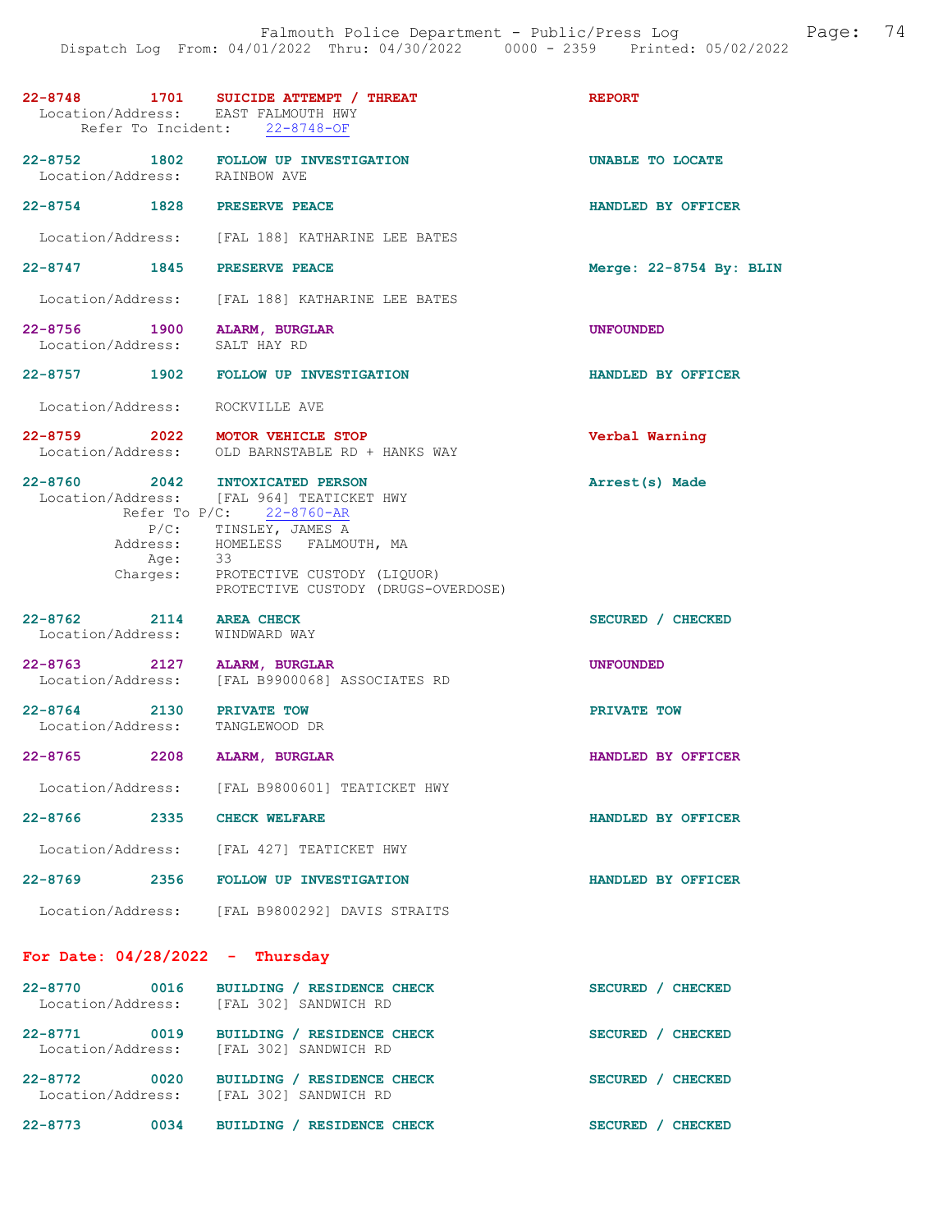|                                                              | 22-8748 1701 SUICIDE ATTEMPT / THREAT Location/Address: EAST FALMOUTH HWY<br>Refer To Incident: 22-8748-OF                                                                                                | <b>REPORT</b>           |
|--------------------------------------------------------------|-----------------------------------------------------------------------------------------------------------------------------------------------------------------------------------------------------------|-------------------------|
| Location/Address: RAINBOW AVE                                | 22-8752 1802 FOLLOW UP INVESTIGATION                                                                                                                                                                      | UNABLE TO LOCATE        |
| 22-8754 1828 PRESERVE PEACE                                  |                                                                                                                                                                                                           | HANDLED BY OFFICER      |
|                                                              | Location/Address: [FAL 188] KATHARINE LEE BATES                                                                                                                                                           |                         |
| 22-8747 1845 PRESERVE PEACE                                  |                                                                                                                                                                                                           | Merge: 22-8754 By: BLIN |
|                                                              | Location/Address: [FAL 188] KATHARINE LEE BATES                                                                                                                                                           |                         |
| 22-8756 1900 ALARM, BURGLAR<br>Location/Address: SALT HAY RD |                                                                                                                                                                                                           | UNFOUNDED               |
|                                                              | 22-8757 1902 FOLLOW UP INVESTIGATION                                                                                                                                                                      | HANDLED BY OFFICER      |
| Location/Address: ROCKVILLE AVE                              |                                                                                                                                                                                                           |                         |
|                                                              | 22-8759 2022 MOTOR VEHICLE STOP<br>Location/Address: OLD BARNSTABLE RD + HANKS WAY                                                                                                                        | Verbal Warning          |
| 22-8760 2042 INTOXICATED PERSON<br>Address:<br>Age: 33       | Location/Address: [FAL 964] TEATICKET HWY<br>Refer To $P/C$ : 22-8760-AR<br>P/C: TINSLEY, JAMES A<br>HOMELESS FALMOUTH, MA<br>Charges: PROTECTIVE CUSTODY (LIQUOR)<br>PROTECTIVE CUSTODY (DRUGS-OVERDOSE) | Arrest(s) Made          |
| 22-8762 2114 AREA CHECK<br>Location/Address: WINDWARD WAY    |                                                                                                                                                                                                           | SECURED / CHECKED       |
| 22-8763 2127 ALARM, BURGLAR                                  | Location/Address: [FAL B9900068] ASSOCIATES RD                                                                                                                                                            | <b>UNFOUNDED</b>        |
| 22-8764 2130 PRIVATE TOW<br>Location/Address: TANGLEWOOD DR  |                                                                                                                                                                                                           | PRIVATE TOW             |
| 22-8765 2208 ALARM, BURGLAR                                  |                                                                                                                                                                                                           | HANDLED BY OFFICER      |
|                                                              | Location/Address: [FAL B9800601] TEATICKET HWY                                                                                                                                                            |                         |
| 22-8766 2335 CHECK WELFARE                                   |                                                                                                                                                                                                           | HANDLED BY OFFICER      |
|                                                              | Location/Address: [FAL 427] TEATICKET HWY                                                                                                                                                                 |                         |
|                                                              | 22-8769 2356 FOLLOW UP INVESTIGATION                                                                                                                                                                      | HANDLED BY OFFICER      |
|                                                              | Location/Address: [FAL B9800292] DAVIS STRAITS                                                                                                                                                            |                         |
| For Date: $04/28/2022 - Thursday$                            |                                                                                                                                                                                                           |                         |
| 22-8770 0016                                                 | BUILDING / RESIDENCE CHECK<br>Location/Address: [FAL 302] SANDWICH RD                                                                                                                                     | SECURED / CHECKED       |
|                                                              | 22-8771 0019 BUILDING / RESIDENCE CHECK<br>Location/Address: [FAL 302] SANDWICH RD                                                                                                                        | SECURED / CHECKED       |
|                                                              | 22-8772 0020 BUILDING / RESIDENCE CHECK<br>Location/Address: [FAL 302] SANDWICH RD                                                                                                                        | SECURED / CHECKED       |

22-8773 0034 BUILDING / RESIDENCE CHECK SECURED / CHECKED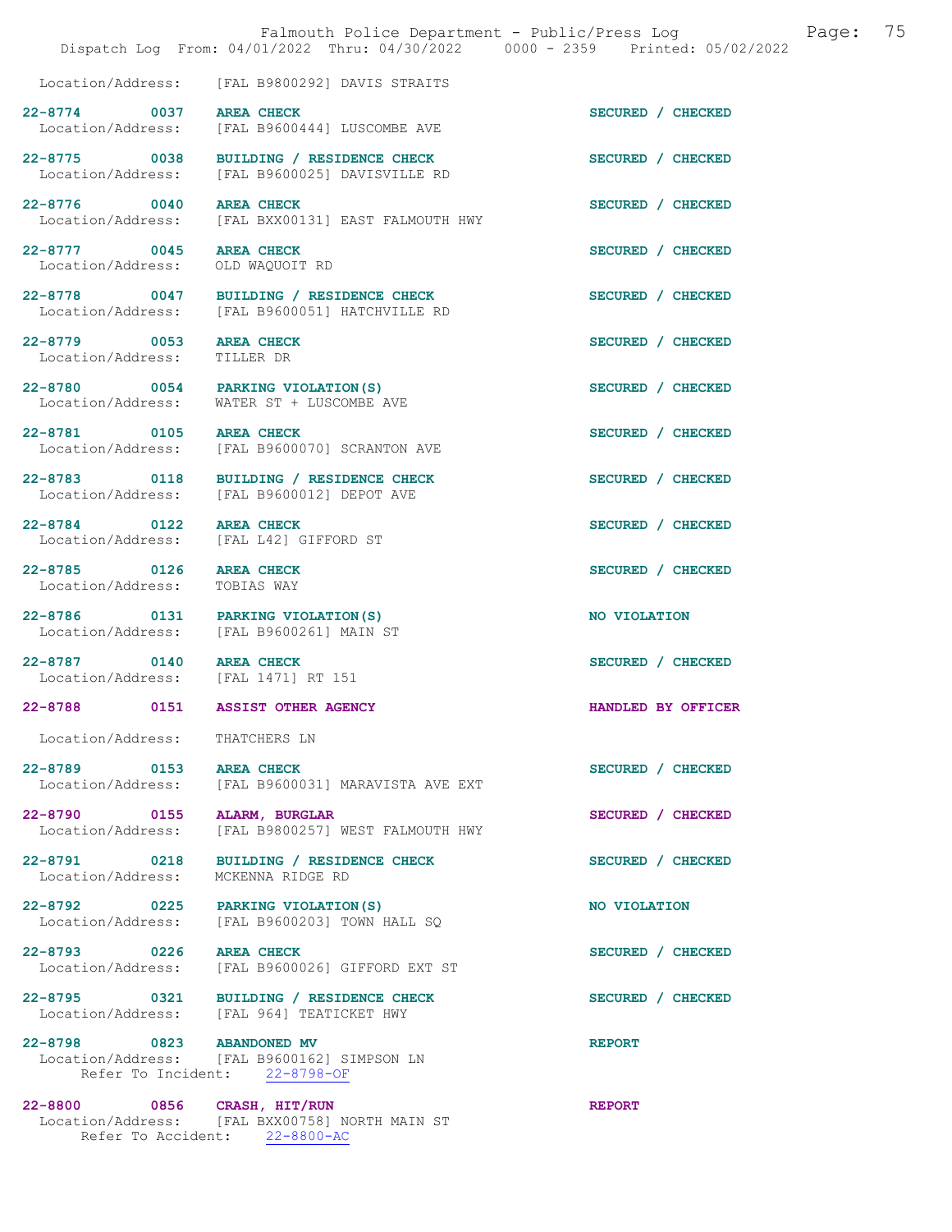|                                              | Dispatch Log From: 04/01/2022 Thru: 04/30/2022 0000 - 2359 Printed: 05/02/2022                    | Falmouth Police Department - Public/Press Log | Page: | 75 |
|----------------------------------------------|---------------------------------------------------------------------------------------------------|-----------------------------------------------|-------|----|
|                                              | Location/Address: [FAL B9800292] DAVIS STRAITS                                                    |                                               |       |    |
| 22-8774 0037 AREA CHECK                      | Location/Address: [FAL B9600444] LUSCOMBE AVE                                                     | SECURED / CHECKED                             |       |    |
|                                              | 22-8775 0038 BUILDING / RESIDENCE CHECK<br>Location/Address: [FAL B9600025] DAVISVILLE RD         | SECURED / CHECKED                             |       |    |
| 22-8776 0040                                 | <b>AREA CHECK</b><br>Location/Address: [FAL BXX00131] EAST FALMOUTH HWY                           | SECURED / CHECKED                             |       |    |
| 22-8777 0045<br>Location/Address:            | <b>AREA CHECK</b><br>OLD WAQUOIT RD                                                               | SECURED / CHECKED                             |       |    |
|                                              | 22-8778 0047 BUILDING / RESIDENCE CHECK<br>Location/Address: [FAL B9600051] HATCHVILLE RD         | SECURED / CHECKED                             |       |    |
| 22-8779 0053<br>Location/Address:            | <b>AREA CHECK</b><br>TILLER DR                                                                    | SECURED / CHECKED                             |       |    |
| Location/Address:                            | 22-8780 0054 PARKING VIOLATION (S)<br>WATER ST + LUSCOMBE AVE                                     | SECURED / CHECKED                             |       |    |
| 22-8781 0105                                 | AREA CHECK <b>AREA</b><br>Location/Address: [FAL B9600070] SCRANTON AVE                           | SECURED / CHECKED                             |       |    |
|                                              | 22-8783 0118 BUILDING / RESIDENCE CHECK<br>Location/Address: [FAL B9600012] DEPOT AVE             | SECURED / CHECKED                             |       |    |
| 22-8784 0122                                 | AREA CHECK<br>Location/Address: [FAL L42] GIFFORD ST                                              | SECURED / CHECKED                             |       |    |
| 22-8785 0126<br>Location/Address: TOBIAS WAY | <b>AREA CHECK</b>                                                                                 | SECURED / CHECKED                             |       |    |
|                                              | 22-8786 0131 PARKING VIOLATION(S)<br>Location/Address: [FAL B9600261] MAIN ST                     | NO VIOLATION                                  |       |    |
| 22-8787 0140 AREA CHECK                      | Location/Address: [FAL 1471] RT 151                                                               | SECURED / CHECKED                             |       |    |
| $22 - 8788$                                  | 0151 ASSIST OTHER AGENCY                                                                          | HANDLED BY OFFICER                            |       |    |
| Location/Address: THATCHERS LN               |                                                                                                   |                                               |       |    |
| 22-8789 0153                                 | <b>AREA CHECK</b><br>Location/Address: [FAL B9600031] MARAVISTA AVE EXT                           | SECURED / CHECKED                             |       |    |
| 22-8790 0155<br>Location/Address:            | ALARM, BURGLAR<br>[FAL B9800257] WEST FALMOUTH HWY                                                | SECURED / CHECKED                             |       |    |
| 22-8791 0218<br>Location/Address:            | BUILDING / RESIDENCE CHECK<br>MCKENNA RIDGE RD                                                    | SECURED / CHECKED                             |       |    |
| 22-8792 0225<br>Location/Address:            | PARKING VIOLATION (S)<br>[FAL B9600203] TOWN HALL SQ                                              | NO VIOLATION                                  |       |    |
| 22-8793 0226<br>Location/Address:            | <b>AREA CHECK</b><br>[FAL B9600026] GIFFORD EXT ST                                                | SECURED / CHECKED                             |       |    |
|                                              | 22-8795 0321 BUILDING / RESIDENCE CHECK<br>Location/Address: [FAL 964] TEATICKET HWY              | SECURED / CHECKED                             |       |    |
| 22-8798 0823 ABANDONED MV                    | Location/Address: [FAL B9600162] SIMPSON LN<br>Refer To Incident: 22-8798-OF                      | <b>REPORT</b>                                 |       |    |
| 22-8800 0856                                 | CRASH, HIT/RUN<br>Location/Address: [FAL BXX00758] NORTH MAIN ST<br>Refer To Accident: 22-8800-AC | <b>REPORT</b>                                 |       |    |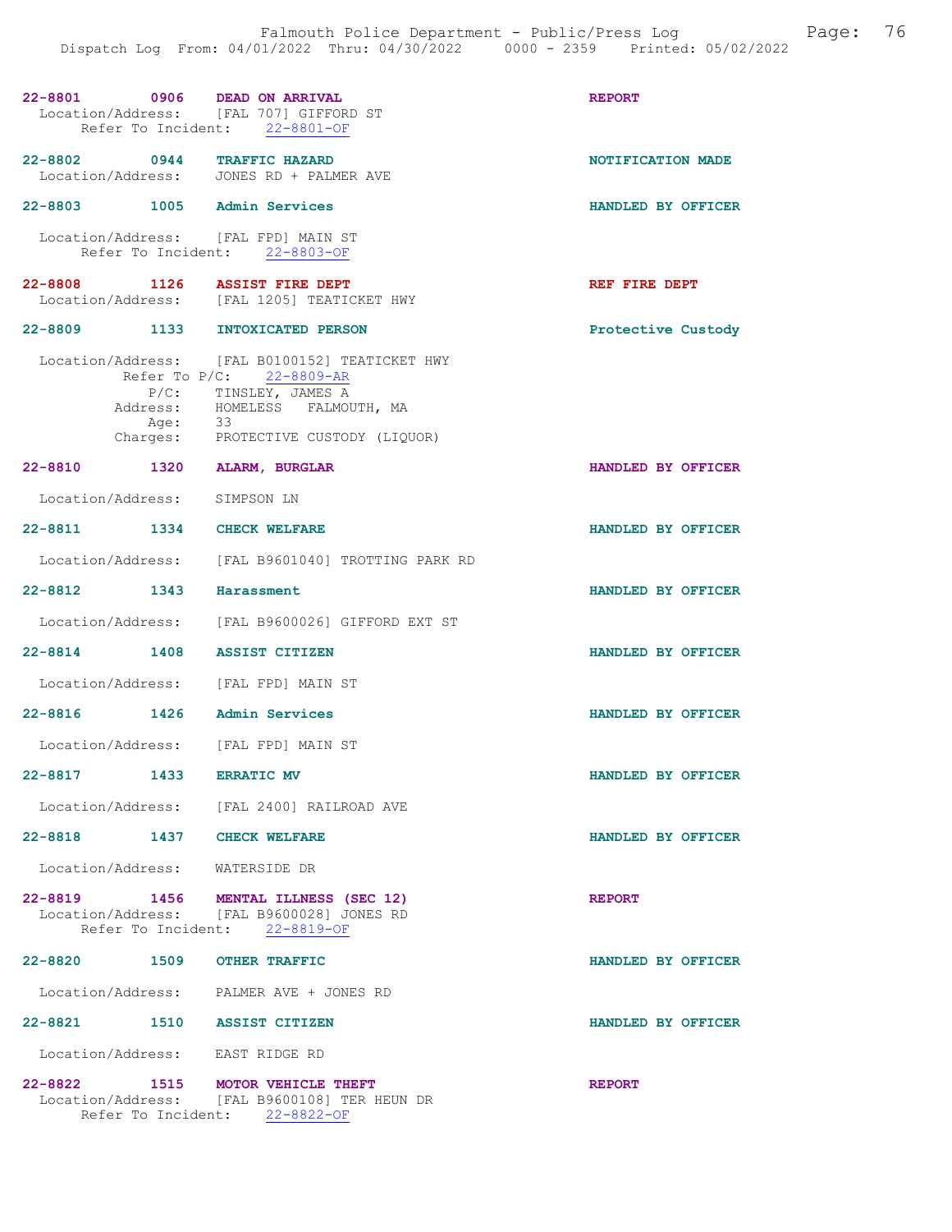| 22-8801 0906 DEAD ON ARRIVAL        | Location/Address: [FAL 707] GIFFORD ST<br>Refer To Incident: 22-8801-OF                                                                                                                | <b>REPORT</b>      |
|-------------------------------------|----------------------------------------------------------------------------------------------------------------------------------------------------------------------------------------|--------------------|
| 22-8802 0944 TRAFFIC HAZARD         | Location/Address: JONES RD + PALMER AVE                                                                                                                                                | NOTIFICATION MADE  |
| 22-8803 1005 Admin Services         |                                                                                                                                                                                        | HANDLED BY OFFICER |
| Location/Address: [FAL FPD] MAIN ST | Refer To Incident: 22-8803-OF                                                                                                                                                          |                    |
| 22-8808 1126 ASSIST FIRE DEPT       | Location/Address: [FAL 1205] TEATICKET HWY                                                                                                                                             | REF FIRE DEPT      |
| 22-8809 1133 INTOXICATED PERSON     |                                                                                                                                                                                        | Protective Custody |
| Age:                                | Location/Address: [FAL B0100152] TEATICKET HWY<br>Refer To $P/C$ : 22-8809-AR<br>P/C: TINSLEY, JAMES A<br>Address: HOMELESS FALMOUTH, MA<br>33<br>Charges: PROTECTIVE CUSTODY (LIQUOR) |                    |
| 22-8810 1320 ALARM, BURGLAR         |                                                                                                                                                                                        | HANDLED BY OFFICER |
| Location/Address: SIMPSON LN        |                                                                                                                                                                                        |                    |
| 22-8811 1334 CHECK WELFARE          |                                                                                                                                                                                        | HANDLED BY OFFICER |
|                                     | Location/Address: [FAL B9601040] TROTTING PARK RD                                                                                                                                      |                    |
| 22-8812 1343 Harassment             |                                                                                                                                                                                        | HANDLED BY OFFICER |
|                                     | Location/Address: [FAL B9600026] GIFFORD EXT ST                                                                                                                                        |                    |
| 22-8814 1408 ASSIST CITIZEN         |                                                                                                                                                                                        | HANDLED BY OFFICER |
| Location/Address: [FAL FPD] MAIN ST |                                                                                                                                                                                        |                    |
| $22 - 8816$                         | 1426 Admin Services                                                                                                                                                                    | HANDLED BY OFFICER |
| Location/Address: [FAL FPD] MAIN ST |                                                                                                                                                                                        |                    |
| 22-8817 1433 ERRATIC MV             |                                                                                                                                                                                        | HANDLED BY OFFICER |
|                                     | Location/Address: [FAL 2400] RAILROAD AVE                                                                                                                                              |                    |
| 22-8818 1437 CHECK WELFARE          |                                                                                                                                                                                        | HANDLED BY OFFICER |
| Location/Address: WATERSIDE DR      |                                                                                                                                                                                        |                    |
|                                     | 22-8819 1456 MENTAL ILLNESS (SEC 12)<br>Location/Address: [FAL B9600028] JONES RD<br>Refer To Incident: 22-8819-OF                                                                     | <b>REPORT</b>      |
| 22-8820 1509 OTHER TRAFFIC          |                                                                                                                                                                                        | HANDLED BY OFFICER |
|                                     | Location/Address: PALMER AVE + JONES RD                                                                                                                                                |                    |
| 22-8821 1510 ASSIST CITIZEN         |                                                                                                                                                                                        | HANDLED BY OFFICER |
| Location/Address: EAST RIDGE RD     |                                                                                                                                                                                        |                    |
| 22-8822 1515 MOTOR VEHICLE THEFT    | Location/Address: [FAL B9600108] TER HEUN DR<br>Refer To Incident: 22-8822-OF                                                                                                          | <b>REPORT</b>      |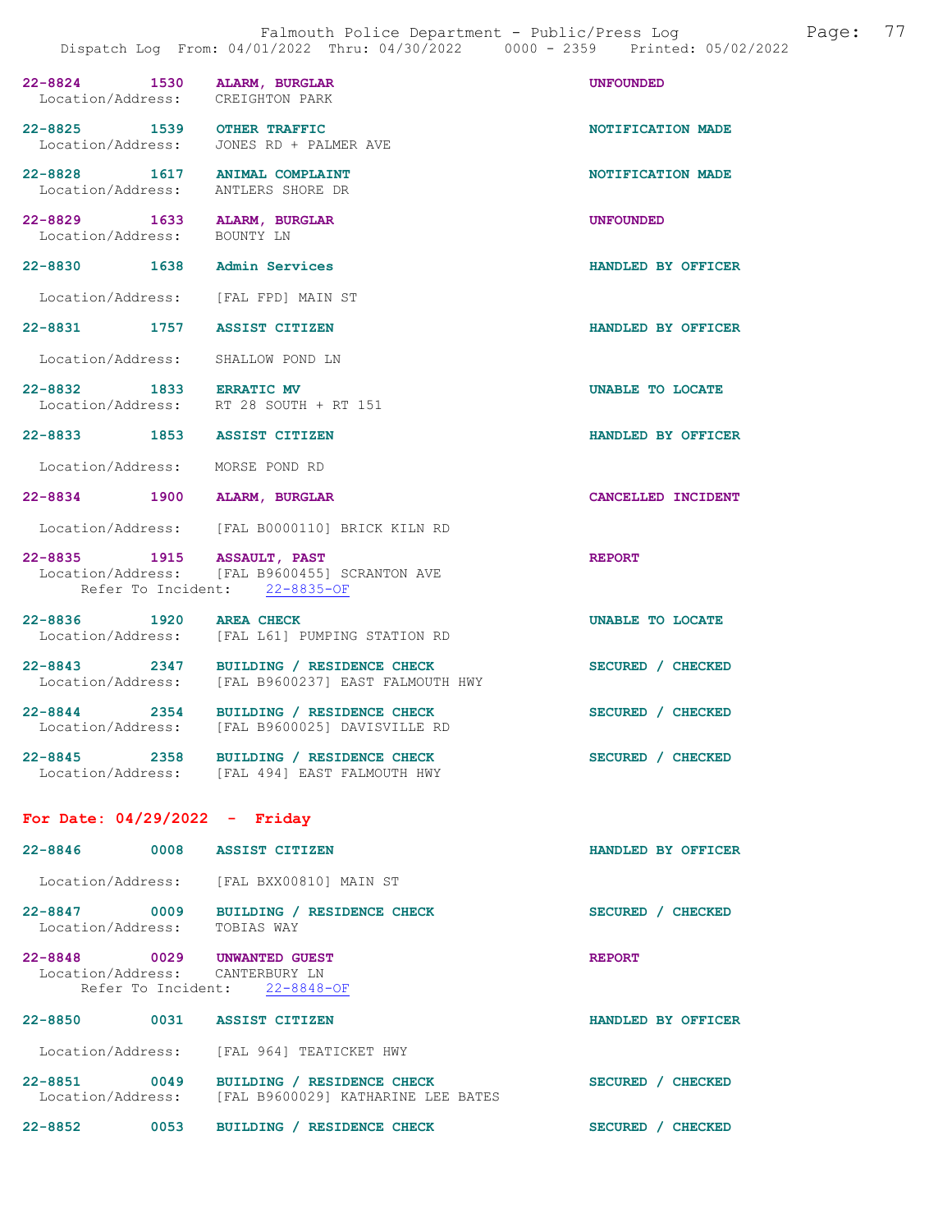| 22-8824 1530 ALARM, BURGLAR<br>Location/Address: CREIGHTON PARK     |                                                                                               | <b>UNFOUNDED</b>   |
|---------------------------------------------------------------------|-----------------------------------------------------------------------------------------------|--------------------|
| 22-8825 1539 OTHER TRAFFIC                                          | Location/Address: JONES RD + PALMER AVE                                                       | NOTIFICATION MADE  |
| 22-8828 1617 ANIMAL COMPLAINT<br>Location/Address: ANTLERS SHORE DR |                                                                                               | NOTIFICATION MADE  |
| 22-8829 1633 ALARM, BURGLAR<br>Location/Address: BOUNTY LN          |                                                                                               | <b>UNFOUNDED</b>   |
| 22-8830 1638 Admin Services                                         |                                                                                               | HANDLED BY OFFICER |
| Location/Address: [FAL FPD] MAIN ST                                 |                                                                                               |                    |
| 22-8831 1757 ASSIST CITIZEN                                         |                                                                                               | HANDLED BY OFFICER |
| Location/Address: SHALLOW POND LN                                   |                                                                                               |                    |
| 22-8832 1833 ERRATIC MV                                             | Location/Address: RT 28 SOUTH + RT 151                                                        | UNABLE TO LOCATE   |
| 22-8833 1853 ASSIST CITIZEN                                         |                                                                                               | HANDLED BY OFFICER |
| Location/Address: MORSE POND RD                                     |                                                                                               |                    |
| 22-8834 1900 ALARM, BURGLAR                                         |                                                                                               | CANCELLED INCIDENT |
|                                                                     | Location/Address: [FAL B0000110] BRICK KILN RD                                                |                    |
| 22-8835 1915 ASSAULT, PAST                                          | Location/Address: [FAL B9600455] SCRANTON AVE<br>Refer To Incident: 22-8835-OF                | <b>REPORT</b>      |
| 22-8836 1920 AREA CHECK                                             | Location/Address: [FAL L61] PUMPING STATION RD                                                | UNABLE TO LOCATE   |
|                                                                     | 22-8843 2347 BUILDING / RESIDENCE CHECK<br>Location/Address: [FAL B9600237] EAST FALMOUTH HWY | SECURED / CHECKED  |
|                                                                     | 22-8844 2354 BUILDING / RESIDENCE CHECK<br>Location/Address: [FAL B9600025] DAVISVILLE RD     | SECURED / CHECKED  |
|                                                                     | 22-8845 2358 BUILDING / RESIDENCE CHECK<br>Location/Address: [FAL 494] EAST FALMOUTH HWY      | SECURED / CHECKED  |
| For Date: $04/29/2022 -$ Friday                                     |                                                                                               |                    |

## 22-8846 0008 ASSIST CITIZEN HANDLED BY OFFICER Location/Address: [FAL BXX00810] MAIN ST 22-8847 0009 BUILDING / RESIDENCE CHECK SECURED / CHECKED Location/Address: TOBIAS WAY 22-8848 0029 UNWANTED GUEST REPORT Location/Address: CANTERBURY LN Refer To Incident: 22-8848-OF 22-8850 0031 ASSIST CITIZEN HANDLED BY OFFICER Location/Address: [FAL 964] TEATICKET HWY 22-8851 0049 BUILDING / RESIDENCE CHECK SECURED / CHECKED Location/Address: [FAL B9600029] KATHARINE LEE BATES 22-8852 0053 BUILDING / RESIDENCE CHECK SECURED / CHECKED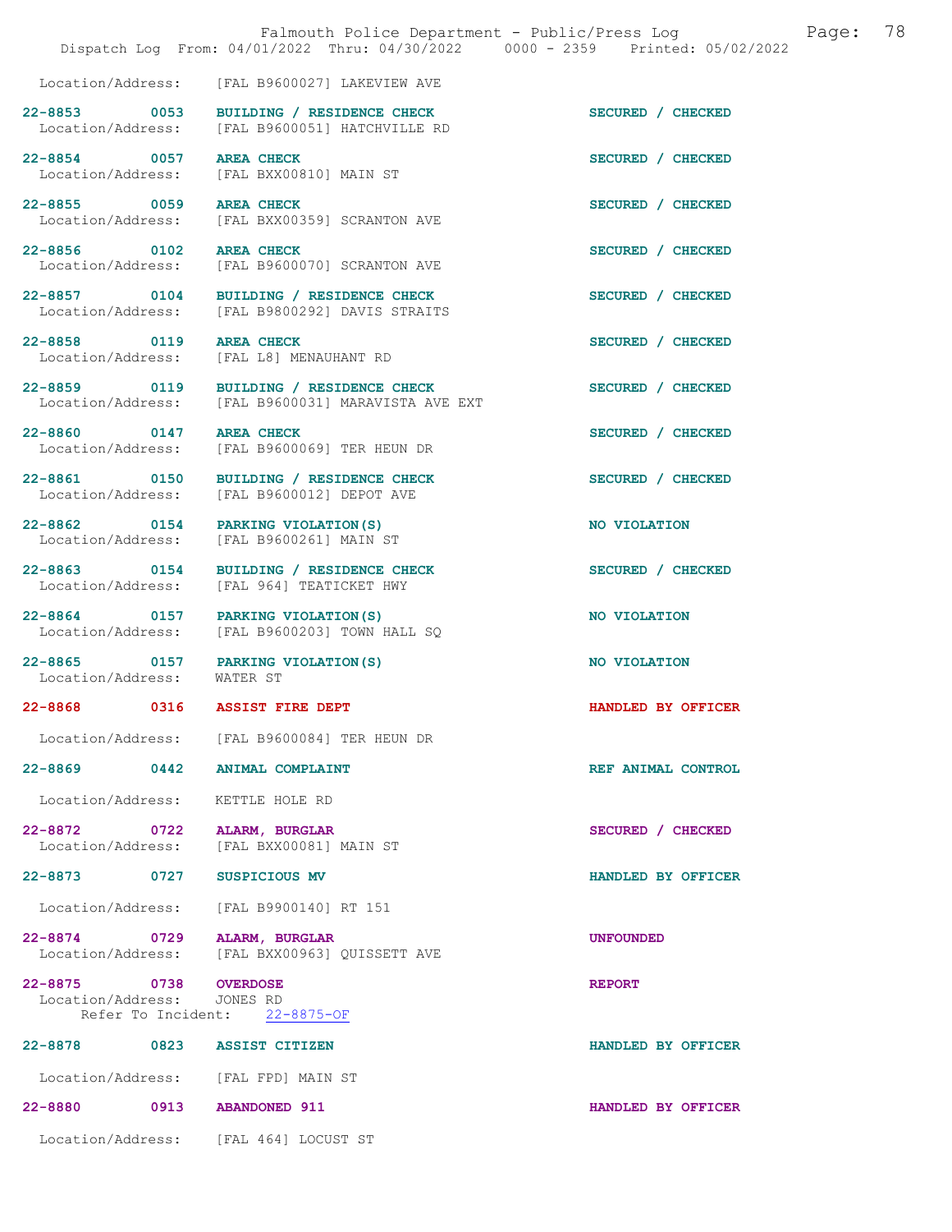|                                                  |                                                                                           | Dispatch Log From: 04/01/2022 Thru: 04/30/2022 0000 - 2359 Printed: 05/02/2022 |
|--------------------------------------------------|-------------------------------------------------------------------------------------------|--------------------------------------------------------------------------------|
|                                                  | Location/Address: [FAL B9600027] LAKEVIEW AVE                                             |                                                                                |
| 22-8853 0053                                     | BUILDING / RESIDENCE CHECK<br>Location/Address: [FAL B9600051] HATCHVILLE RD              | SECURED / CHECKED                                                              |
| 22-8854 0057 AREA CHECK                          | Location/Address: [FAL BXX00810] MAIN ST                                                  | SECURED / CHECKED                                                              |
| 22-8855 0059                                     | <b>AREA CHECK</b><br>Location/Address: [FAL BXX00359] SCRANTON AVE                        | SECURED / CHECKED                                                              |
| 22-8856 0102 AREA CHECK                          | Location/Address: [FAL B9600070] SCRANTON AVE                                             | SECURED / CHECKED                                                              |
|                                                  | 22-8857 0104 BUILDING / RESIDENCE CHECK<br>Location/Address: [FAL B9800292] DAVIS STRAITS | SECURED / CHECKED                                                              |
| 22-8858 0119                                     | <b>AREA CHECK</b><br>Location/Address: [FAL L8] MENAUHANT RD                              | SECURED / CHECKED                                                              |
| 22-8859 0119                                     | BUILDING / RESIDENCE CHECK<br>Location/Address: [FAL B9600031] MARAVISTA AVE EXT          | SECURED / CHECKED                                                              |
| 22-8860 0147                                     | <b>AREA CHECK</b><br>Location/Address: [FAL B9600069] TER HEUN DR                         | SECURED / CHECKED                                                              |
| 22-8861 0150                                     | BUILDING / RESIDENCE CHECK<br>Location/Address: [FAL B9600012] DEPOT AVE                  | SECURED / CHECKED                                                              |
|                                                  | 22-8862 0154 PARKING VIOLATION (S)<br>Location/Address: [FAL B9600261] MAIN ST            | NO VIOLATION                                                                   |
| 22-8863 0154<br>Location/Address:                | BUILDING / RESIDENCE CHECK<br>[FAL 964] TEATICKET HWY                                     | SECURED / CHECKED                                                              |
| Location/Address:                                | 22-8864 0157 PARKING VIOLATION (S)<br>[FAL B9600203] TOWN HALL SQ                         | NO VIOLATION                                                                   |
| 22-8865 0157<br>Location/Address:                | PARKING VIOLATION(S)<br>WATER ST                                                          | NO VIOLATION                                                                   |
| 22-8868 0316 ASSIST FIRE DEPT                    |                                                                                           | HANDLED BY OFFICER                                                             |
|                                                  | Location/Address: [FAL B9600084] TER HEUN DR                                              |                                                                                |
| 22-8869 0442 ANIMAL COMPLAINT                    |                                                                                           | REF ANIMAL CONTROL                                                             |
| Location/Address: KETTLE HOLE RD                 |                                                                                           |                                                                                |
| 22-8872 0722 ALARM, BURGLAR<br>Location/Address: | [FAL BXX00081] MAIN ST                                                                    | SECURED / CHECKED                                                              |
| 22-8873 0727                                     | SUSPICIOUS MV                                                                             | HANDLED BY OFFICER                                                             |
|                                                  | Location/Address: [FAL B9900140] RT 151                                                   |                                                                                |
| 22-8874 0729                                     | ALARM, BURGLAR<br>Location/Address: [FAL BXX00963] QUISSETT AVE                           | <b>UNFOUNDED</b>                                                               |
| 22-8875 0738<br>Location/Address: JONES RD       | <b>OVERDOSE</b><br>Refer To Incident: 22-8875-OF                                          | <b>REPORT</b>                                                                  |
| 22-8878 0823                                     | <b>ASSIST CITIZEN</b>                                                                     | HANDLED BY OFFICER                                                             |
| Location/Address: [FAL FPD] MAIN ST              |                                                                                           |                                                                                |
| 22-8880 0913 ABANDONED 911                       |                                                                                           | HANDLED BY OFFICER                                                             |
|                                                  | Location/Address: [FAL 464] LOCUST ST                                                     |                                                                                |

Falmouth Police Department - Public/Press Log and Page: 78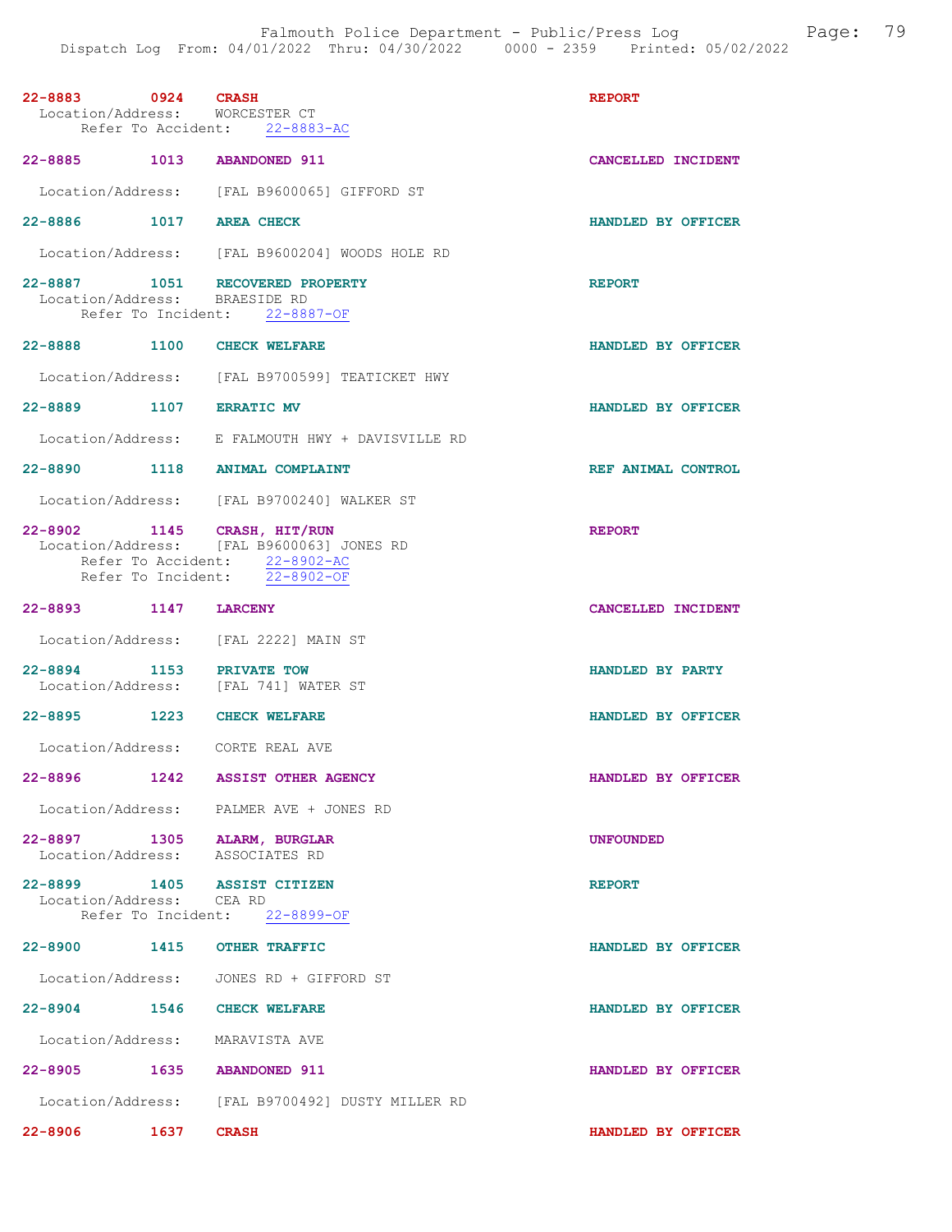| 0924 CRASH<br>22-8883<br>Location/Address: WORCESTER CT        |              |                                                                                                                                  | <b>REPORT</b>      |
|----------------------------------------------------------------|--------------|----------------------------------------------------------------------------------------------------------------------------------|--------------------|
|                                                                |              | Refer To Accident: 22-8883-AC                                                                                                    |                    |
| 22-8885 1013 ABANDONED 911                                     |              |                                                                                                                                  | CANCELLED INCIDENT |
|                                                                |              | Location/Address: [FAL B9600065] GIFFORD ST                                                                                      |                    |
| 22-8886 1017 AREA CHECK                                        |              |                                                                                                                                  | HANDLED BY OFFICER |
|                                                                |              | Location/Address: [FAL B9600204] WOODS HOLE RD                                                                                   |                    |
| Location/Address: BRAESIDE RD                                  |              | 22-8887 1051 RECOVERED PROPERTY<br>Refer To Incident: 22-8887-OF                                                                 | <b>REPORT</b>      |
| 22-8888 1100 CHECK WELFARE                                     |              |                                                                                                                                  | HANDLED BY OFFICER |
|                                                                |              | Location/Address: [FAL B9700599] TEATICKET HWY                                                                                   |                    |
| 22-8889 1107 ERRATIC MV                                        |              |                                                                                                                                  | HANDLED BY OFFICER |
|                                                                |              | Location/Address: E FALMOUTH HWY + DAVISVILLE RD                                                                                 |                    |
|                                                                |              | 22-8890 1118 ANIMAL COMPLAINT                                                                                                    | REF ANIMAL CONTROL |
|                                                                |              | Location/Address: [FAL B9700240] WALKER ST                                                                                       |                    |
| 22-8902 1145 CRASH, HIT/RUN                                    |              | Location/Address: [FAL B9600063] JONES RD<br>Refer To Accident: 22-8902-AC<br>Refer To Incident: $\frac{22-8902-OF}{22-8902-OF}$ | <b>REPORT</b>      |
| 22-8893 1147                                                   |              | <b>LARCENY</b>                                                                                                                   | CANCELLED INCIDENT |
|                                                                |              | Location/Address: [FAL 2222] MAIN ST                                                                                             |                    |
| 22-8894 1153 PRIVATE TOW                                       |              | Location/Address: [FAL 741] WATER ST                                                                                             | HANDLED BY PARTY   |
| 22-8895 1223 CHECK WELFARE                                     |              |                                                                                                                                  | HANDLED BY OFFICER |
|                                                                |              | Location/Address: CORTE REAL AVE                                                                                                 |                    |
| $22 - 8896$                                                    | 1242         | <b>ASSIST OTHER AGENCY</b>                                                                                                       | HANDLED BY OFFICER |
|                                                                |              | Location/Address: PALMER AVE + JONES RD                                                                                          |                    |
| 22-8897 1305 ALARM, BURGLAR<br>Location/Address: ASSOCIATES RD |              |                                                                                                                                  | <b>UNFOUNDED</b>   |
| 22-8899 1405 ASSIST CITIZEN<br>Location/Address: CEA RD        |              | Refer To Incident: 22-8899-OF                                                                                                    | <b>REPORT</b>      |
| 22-8900 1415 OTHER TRAFFIC                                     |              |                                                                                                                                  | HANDLED BY OFFICER |
|                                                                |              | Location/Address: JONES RD + GIFFORD ST                                                                                          |                    |
| 22-8904                                                        |              | 1546 CHECK WELFARE                                                                                                               | HANDLED BY OFFICER |
| Location/Address: MARAVISTA AVE                                |              |                                                                                                                                  |                    |
| 22-8905 1635 ABANDONED 911                                     |              |                                                                                                                                  | HANDLED BY OFFICER |
|                                                                |              | Location/Address: [FAL B9700492] DUSTY MILLER RD                                                                                 |                    |
| 22-8906                                                        | $1637$ CRASH |                                                                                                                                  | HANDLED BY OFFICER |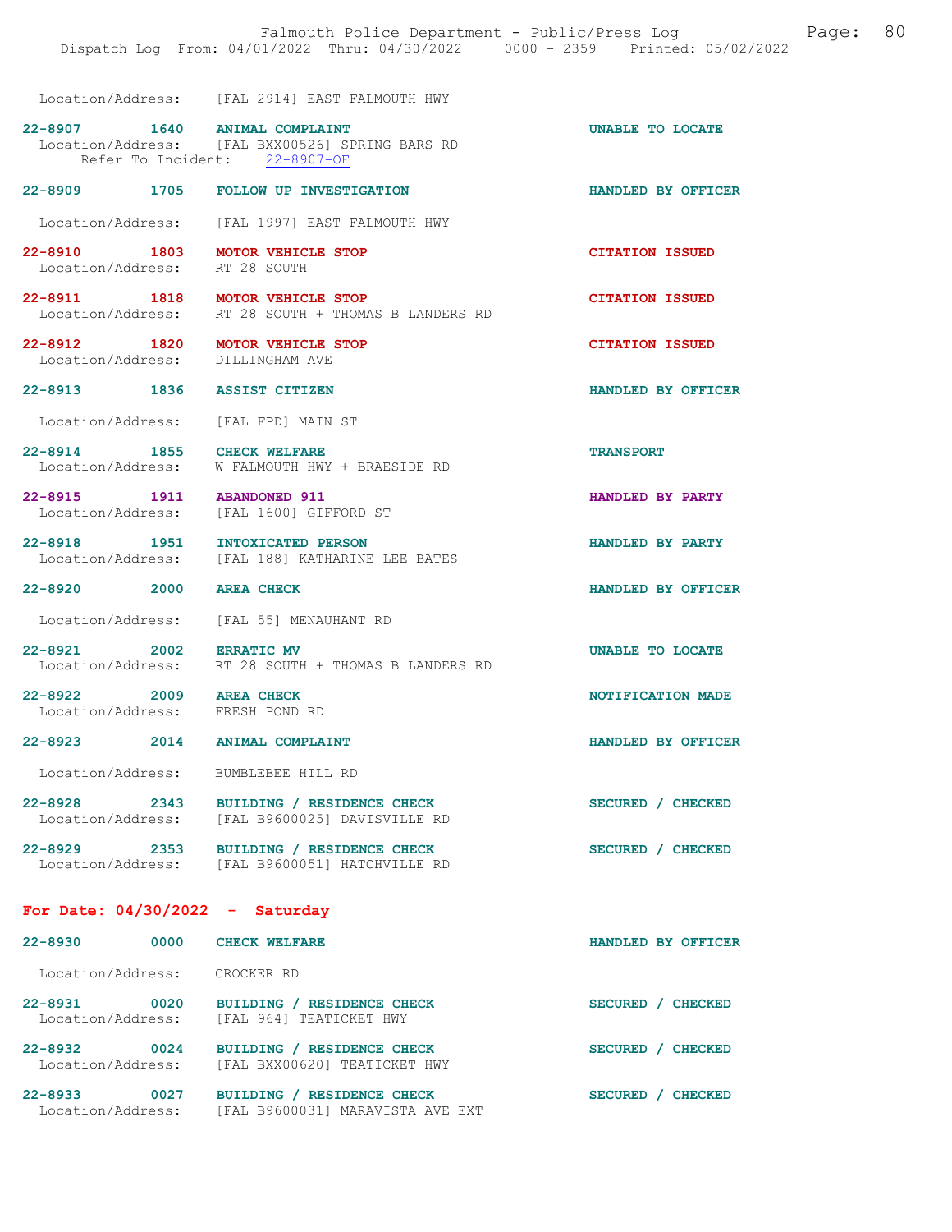| Location/Address: |  | [FAL 2914] EAST FALMOUTH HWY |  |
|-------------------|--|------------------------------|--|
|                   |  |                              |  |

| 22-8907                                         | 1640 | ANIMAL COMPLAINT              |  |  | UNABLE TO LOCATE |  |
|-------------------------------------------------|------|-------------------------------|--|--|------------------|--|
| Location/Address: [FAL BXX00526] SPRING BARS RD |      |                               |  |  |                  |  |
|                                                 |      | Refer To Incident: 22-8907-OF |  |  |                  |  |

22-8909 1705 FOLLOW UP INVESTIGATION HANDLED BY OFFICER

Location/Address: [FAL 1997] EAST FALMOUTH HWY

22-8910 1803 MOTOR VEHICLE STOP CITATION ISSUED<br>
Location/Address: RT 28 SOUTH Location/Address:

22-8911 1818 MOTOR VEHICLE STOP CITATION ISSUED Location/Address: RT 28 SOUTH + THOMAS B LANDERS RD

22-8912 1820 MOTOR VEHICLE STOP CITATION ISSUED Location/Address: DILLINGHAM AVE Location/Address:

22-8913 1836 ASSIST CITIZEN HANDLED BY OFFICER

Location/Address: [FAL FPD] MAIN ST

22-8914 1855 CHECK WELFARE TRANSPORT Location/Address: W FALMOUTH HWY + BRAESIDE RD

22-8915 1911 ABANDONED 911 1 HANDLED BY PARTY<br>
Location/Address: [FAL 1600] GIFFORD ST [FAL 1600] GIFFORD ST

22-8918 1951 INTOXICATED PERSON BANDLED BY PARTY Location/Address: [FAL 188] KATHARINE LEE BATES

22-8920 2000 AREA CHECK HANDLED BY OFFICER

Location/Address: [FAL 55] MENAUHANT RD

22-8921 2002 ERRATIC MV UNABLE TO LOCATE Location/Address: RT 28 SOUTH + THOMAS B LANDERS RD

22-8922 2009 AREA CHECK 2009 AREA CHECK NOTIFICATION MADE Location/Address:

[FAL 188] KATHARINE LEE BATES

22-8923 2014 ANIMAL COMPLAINT HANDLED BY OFFICER

Location/Address: BUMBLEBEE HILL RD

22-8928 2343 BUILDING / RESIDENCE CHECK SECURED / CHECKED Location/Address: [FAL B9600025] DAVISVILLE RD [FAL B9600025] DAVISVILLE RD

22-8929 2353 BUILDING / RESIDENCE CHECK SECURED / CHECKED Location/Address: [FAL B9600051] HATCHVILLE RD

For Date: 04/30/2022 - Saturday

| $22 - 8930$                      | 0000 | <b>CHECK WELFARE</b>                                                     | <b>HANDLED</b><br>BY<br>OFFICER  |
|----------------------------------|------|--------------------------------------------------------------------------|----------------------------------|
| Location/Address:                |      | CROCKER RD                                                               |                                  |
| $22 - 8931$<br>Location/Address: | 0020 | BUILDING / RESIDENCE CHECK<br>[FAL 964] TEATICKET HWY                    | <b>CHECKED</b><br><b>SECURED</b> |
| $22 - 8932$<br>Location/Address: | 0024 | BUILDING / RESIDENCE CHECK<br>[FAL BXX00620] TEATICKET HWY               | <b>SECURED</b><br><b>CHECKED</b> |
| $22 - 8933$<br>Location/Address: | 0027 | BUILDING /<br><b>RESIDENCE CHECK</b><br>[FAL B9600031] MARAVISTA AVE EXT | <b>SECURED</b><br><b>CHECKED</b> |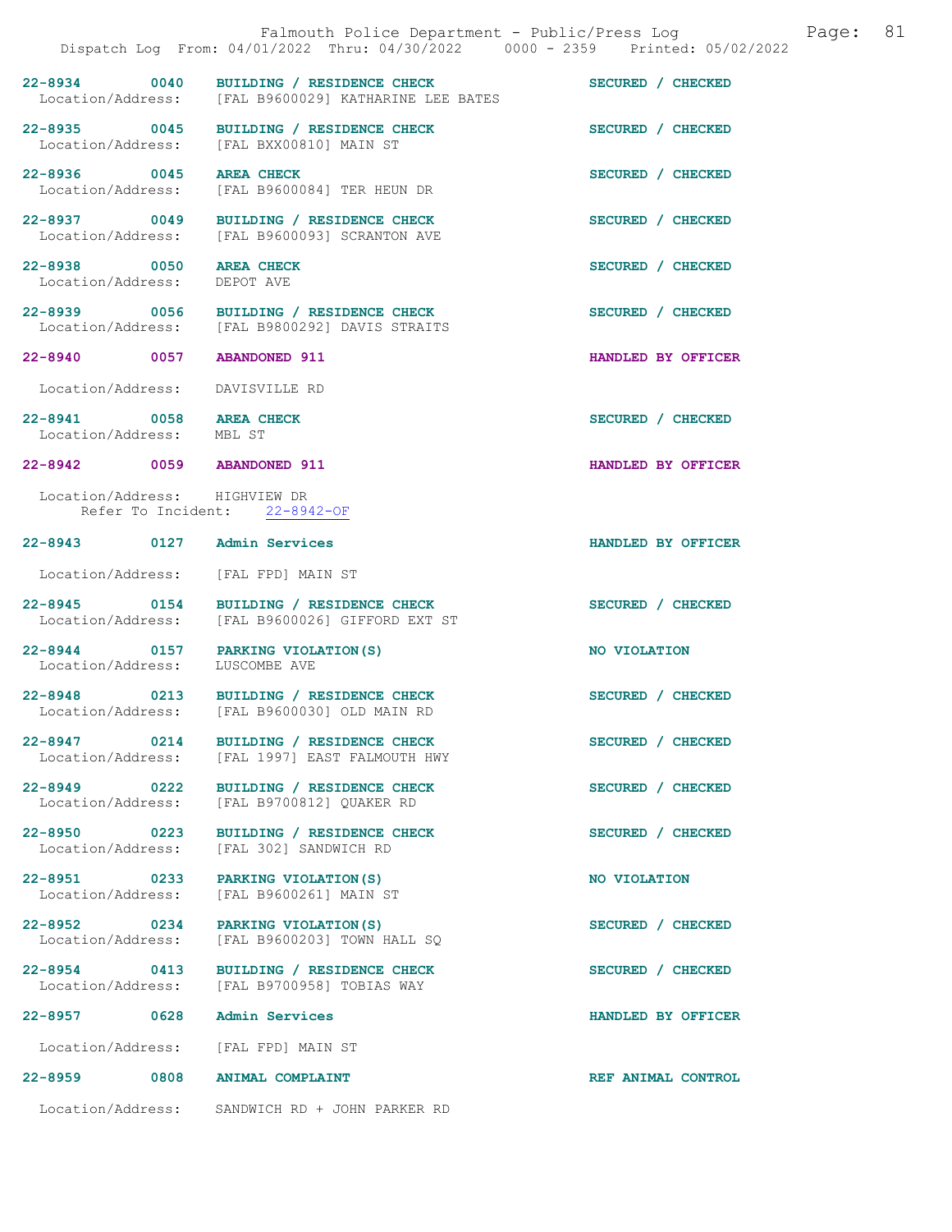|                                                        | Falmouth Police Department - Public/Press Log<br>Dispatch Log From: 04/01/2022 Thru: 04/30/2022 0000 - 2359 Printed: 05/02/2022 | 81<br>Page:        |
|--------------------------------------------------------|---------------------------------------------------------------------------------------------------------------------------------|--------------------|
|                                                        | 22-8934 0040 BUILDING / RESIDENCE CHECK<br>Location/Address: [FAL B9600029] KATHARINE LEE BATES                                 | SECURED / CHECKED  |
|                                                        | 22-8935 0045 BUILDING / RESIDENCE CHECK<br>Location/Address: [FAL BXX00810] MAIN ST                                             | SECURED / CHECKED  |
| 22-8936 0045 AREA CHECK                                | Location/Address: [FAL B9600084] TER HEUN DR                                                                                    | SECURED / CHECKED  |
|                                                        | 22-8937 0049 BUILDING / RESIDENCE CHECK<br>Location/Address: [FAL B9600093] SCRANTON AVE                                        | SECURED / CHECKED  |
| 22-8938 0050 AREA CHECK<br>Location/Address: DEPOT AVE |                                                                                                                                 | SECURED / CHECKED  |
|                                                        | 22-8939 0056 BUILDING / RESIDENCE CHECK<br>Location/Address: [FAL B9800292] DAVIS STRAITS                                       | SECURED / CHECKED  |
|                                                        | 22-8940 0057 ABANDONED 911                                                                                                      | HANDLED BY OFFICER |
| Location/Address:                                      | DAVISVILLE RD                                                                                                                   |                    |
| 22-8941 0058 AREA CHECK<br>Location/Address: MBL ST    |                                                                                                                                 | SECURED / CHECKED  |
|                                                        | 22-8942 0059 ABANDONED 911                                                                                                      | HANDLED BY OFFICER |
|                                                        | Location/Address: HIGHVIEW DR<br>Refer To Incident: 22-8942-OF                                                                  |                    |
|                                                        | 22-8943 0127 Admin Services                                                                                                     | HANDLED BY OFFICER |
|                                                        | Location/Address: [FAL FPD] MAIN ST                                                                                             |                    |
|                                                        | 22-8945 0154 BUILDING / RESIDENCE CHECK<br>Location/Address: [FAL B9600026] GIFFORD EXT ST                                      | SECURED / CHECKED  |
| Location/Address: LUSCOMBE AVE                         | 22-8944 0157 PARKING VIOLATION (S)                                                                                              | NO VIOLATION       |
|                                                        | 22-8948 0213 BUILDING / RESIDENCE CHECK<br>Location/Address: [FAL B9600030] OLD MAIN RD                                         | SECURED / CHECKED  |
| 22-8947 0214                                           | BUILDING / RESIDENCE CHECK<br>Location/Address: [FAL 1997] EAST FALMOUTH HWY                                                    | SECURED / CHECKED  |
| 22-8949 0222<br>Location/Address:                      | BUILDING / RESIDENCE CHECK<br>[FAL B9700812] QUAKER RD                                                                          | SECURED / CHECKED  |
| 22-8950 0223<br>Location/Address:                      | BUILDING / RESIDENCE CHECK<br>[FAL 302] SANDWICH RD                                                                             | SECURED / CHECKED  |
| 22-8951 0233<br>Location/Address:                      | PARKING VIOLATION (S)<br>[FAL B9600261] MAIN ST                                                                                 | NO VIOLATION       |
| 22-8952 0234<br>Location/Address:                      | PARKING VIOLATION (S)<br>[FAL B9600203] TOWN HALL SQ                                                                            | SECURED / CHECKED  |
| 22-8954 0413<br>Location/Address:                      | BUILDING / RESIDENCE CHECK<br>[FAL B9700958] TOBIAS WAY                                                                         | SECURED / CHECKED  |
| 22-8957 0628                                           | Admin Services                                                                                                                  | HANDLED BY OFFICER |
|                                                        | Location/Address: [FAL FPD] MAIN ST                                                                                             |                    |
| 22-8959 0808                                           | <b>ANIMAL COMPLAINT</b>                                                                                                         | REF ANIMAL CONTROL |
|                                                        | Location/Address: SANDWICH RD + JOHN PARKER RD                                                                                  |                    |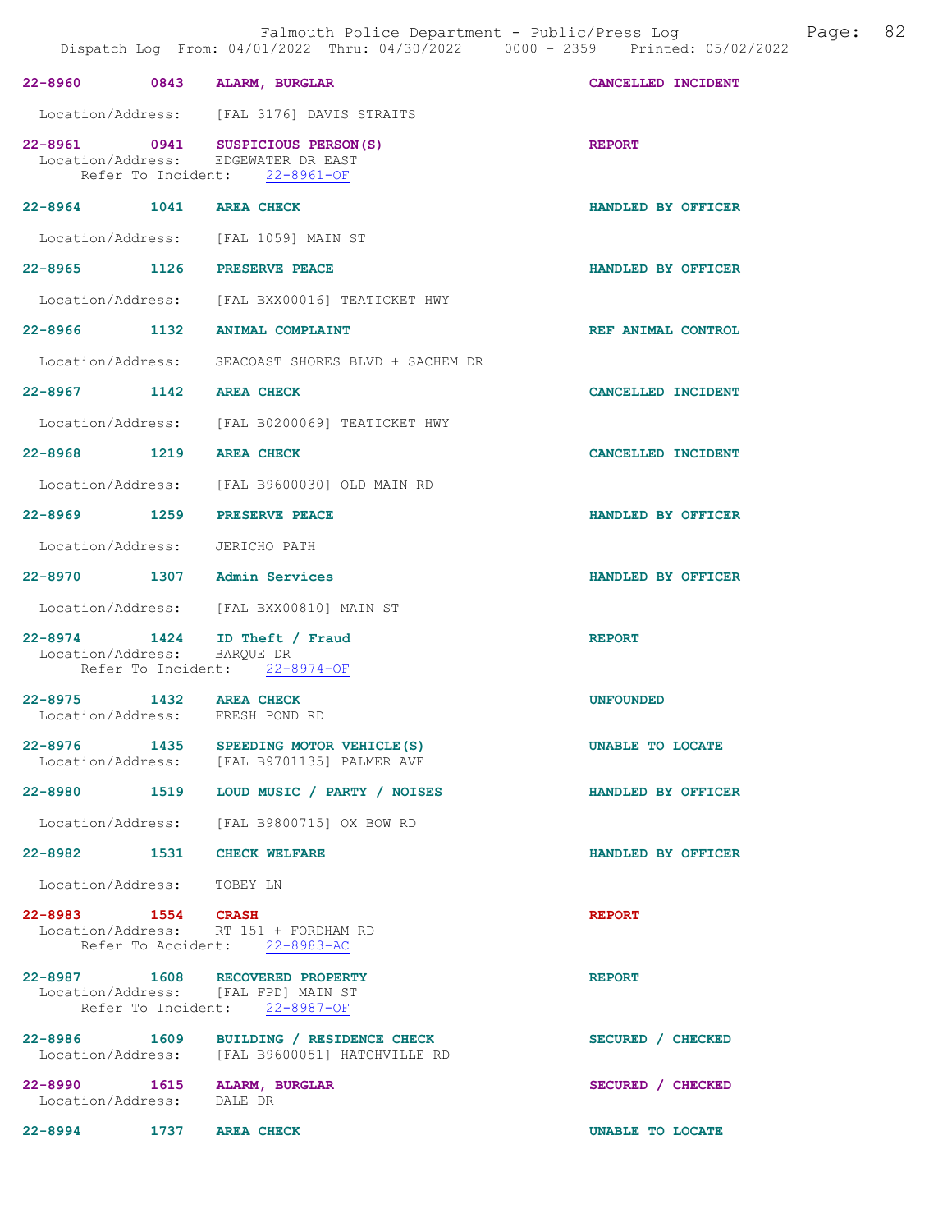| 22-8960 0843 ALARM, BURGLAR                              |      |                                                                                                           | CANCELLED INCIDENT |
|----------------------------------------------------------|------|-----------------------------------------------------------------------------------------------------------|--------------------|
|                                                          |      | Location/Address: [FAL 3176] DAVIS STRAITS                                                                |                    |
|                                                          |      | 22-8961 0941 SUSPICIOUS PERSON(S)<br>Location/Address: EDGEWATER DR EAST<br>Refer To Incident: 22-8961-OF | <b>REPORT</b>      |
| 22-8964 1041 AREA CHECK                                  |      |                                                                                                           | HANDLED BY OFFICER |
|                                                          |      | Location/Address: [FAL 1059] MAIN ST                                                                      |                    |
| 22-8965 1126 PRESERVE PEACE                              |      |                                                                                                           | HANDLED BY OFFICER |
|                                                          |      | Location/Address: [FAL BXX00016] TEATICKET HWY                                                            |                    |
| 22-8966 1132                                             |      | ANIMAL COMPLAINT                                                                                          | REF ANIMAL CONTROL |
|                                                          |      | Location/Address: SEACOAST SHORES BLVD + SACHEM DR                                                        |                    |
| 22-8967 1142                                             |      | <b>AREA CHECK</b>                                                                                         | CANCELLED INCIDENT |
|                                                          |      | Location/Address: [FAL B0200069] TEATICKET HWY                                                            |                    |
| 22-8968 1219                                             |      | <b>AREA CHECK</b>                                                                                         | CANCELLED INCIDENT |
|                                                          |      | Location/Address: [FAL B9600030] OLD MAIN RD                                                              |                    |
| 22-8969 1259                                             |      | PRESERVE PEACE                                                                                            | HANDLED BY OFFICER |
| Location/Address: JERICHO PATH                           |      |                                                                                                           |                    |
| 22-8970 1307 Admin Services                              |      |                                                                                                           | HANDLED BY OFFICER |
|                                                          |      | Location/Address: [FAL BXX00810] MAIN ST                                                                  |                    |
| Location/Address:                                        |      | 22-8974 1424 ID Theft / Fraud<br>BAROUE DR<br>Refer To Incident: 22-8974-OF                               | <b>REPORT</b>      |
| 22-8975 1432 AREA CHECK                                  |      |                                                                                                           | <b>UNFOUNDED</b>   |
| Location/Address: FRESH POND RD                          |      |                                                                                                           |                    |
| $22 - 8976$                                              | 1435 | SPEEDING MOTOR VEHICLE (S)<br>Location/Address: [FAL B9701135] PALMER AVE                                 | UNABLE TO LOCATE   |
|                                                          |      | 22-8980 1519 LOUD MUSIC / PARTY / NOISES                                                                  | HANDLED BY OFFICER |
|                                                          |      | Location/Address: [FAL B9800715] OX BOW RD                                                                |                    |
| 22-8982 1531 CHECK WELFARE                               |      |                                                                                                           | HANDLED BY OFFICER |
| Location/Address: TOBEY LN                               |      |                                                                                                           |                    |
|                                                          |      | 22-8983 1554 CRASH<br>Location/Address: RT 151 + FORDHAM RD<br>Refer To Accident: 22-8983-AC              | <b>REPORT</b>      |
|                                                          |      | 22-8987 1608 RECOVERED PROPERTY<br>Location/Address: [FAL FPD] MAIN ST<br>Refer To Incident: 22-8987-OF   | <b>REPORT</b>      |
|                                                          |      | 22-8986 1609 BUILDING / RESIDENCE CHECK<br>Location/Address: [FAL B9600051] HATCHVILLE RD                 | SECURED / CHECKED  |
| 22-8990 1615 ALARM, BURGLAR<br>Location/Address: DALE DR |      |                                                                                                           | SECURED / CHECKED  |
| 22-8994 1737 AREA CHECK                                  |      |                                                                                                           | UNABLE TO LOCATE   |